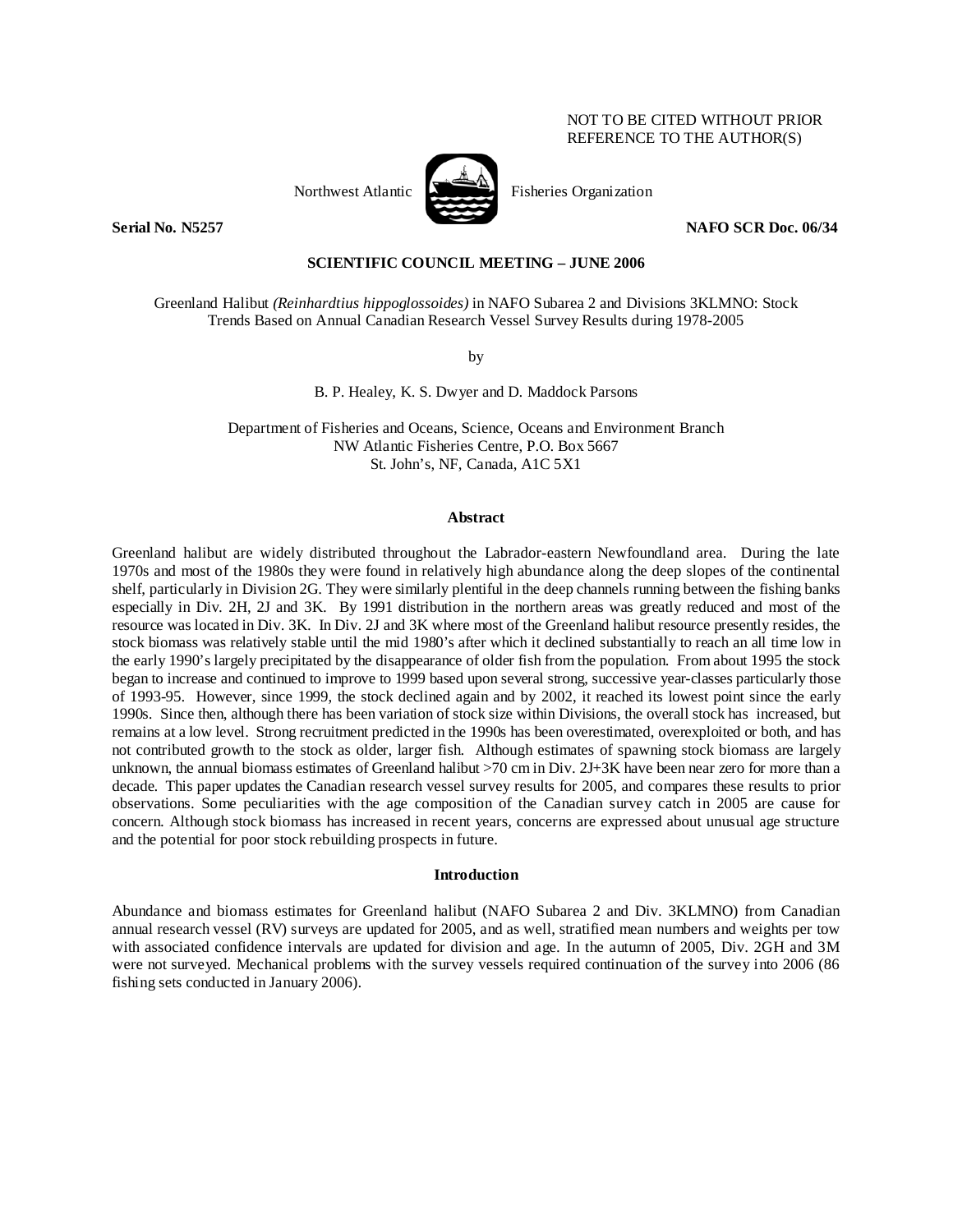# NOT TO BE CITED WITHOUT PRIOR REFERENCE TO THE AUTHOR(S)





Northwest Atlantic Fisheries Organization

**Serial No. N5257** NAFO SCR Doc. 06/34

## **SCIENTIFIC COUNCIL MEETING – JUNE 2006**

Greenland Halibut *(Reinhardtius hippoglossoides)* in NAFO Subarea 2 and Divisions 3KLMNO: Stock Trends Based on Annual Canadian Research Vessel Survey Results during 1978-2005

by

B. P. Healey, K. S. Dwyer and D. Maddock Parsons

Department of Fisheries and Oceans, Science, Oceans and Environment Branch NW Atlantic Fisheries Centre, P.O. Box 5667 St. John's, NF, Canada, A1C 5X1

#### **Abstract**

Greenland halibut are widely distributed throughout the Labrador-eastern Newfoundland area. During the late 1970s and most of the 1980s they were found in relatively high abundance along the deep slopes of the continental shelf, particularly in Division 2G. They were similarly plentiful in the deep channels running between the fishing banks especially in Div. 2H, 2J and 3K. By 1991 distribution in the northern areas was greatly reduced and most of the resource was located in Div. 3K. In Div. 2J and 3K where most of the Greenland halibut resource presently resides, the stock biomass was relatively stable until the mid 1980's after which it declined substantially to reach an all time low in the early 1990's largely precipitated by the disappearance of older fish from the population. From about 1995 the stock began to increase and continued to improve to 1999 based upon several strong, successive year-classes particularly those of 1993-95. However, since 1999, the stock declined again and by 2002, it reached its lowest point since the early 1990s. Since then, although there has been variation of stock size within Divisions, the overall stock has increased, but remains at a low level. Strong recruitment predicted in the 1990s has been overestimated, overexploited or both, and has not contributed growth to the stock as older, larger fish. Although estimates of spawning stock biomass are largely unknown, the annual biomass estimates of Greenland halibut >70 cm in Div. 2J+3K have been near zero for more than a decade. This paper updates the Canadian research vessel survey results for 2005, and compares these results to prior observations. Some peculiarities with the age composition of the Canadian survey catch in 2005 are cause for concern. Although stock biomass has increased in recent years, concerns are expressed about unusual age structure and the potential for poor stock rebuilding prospects in future.

#### **Introduction**

Abundance and biomass estimates for Greenland halibut (NAFO Subarea 2 and Div. 3KLMNO) from Canadian annual research vessel (RV) surveys are updated for 2005, and as well, stratified mean numbers and weights per tow with associated confidence intervals are updated for division and age. In the autumn of 2005, Div. 2GH and 3M were not surveyed. Mechanical problems with the survey vessels required continuation of the survey into 2006 (86 fishing sets conducted in January 2006).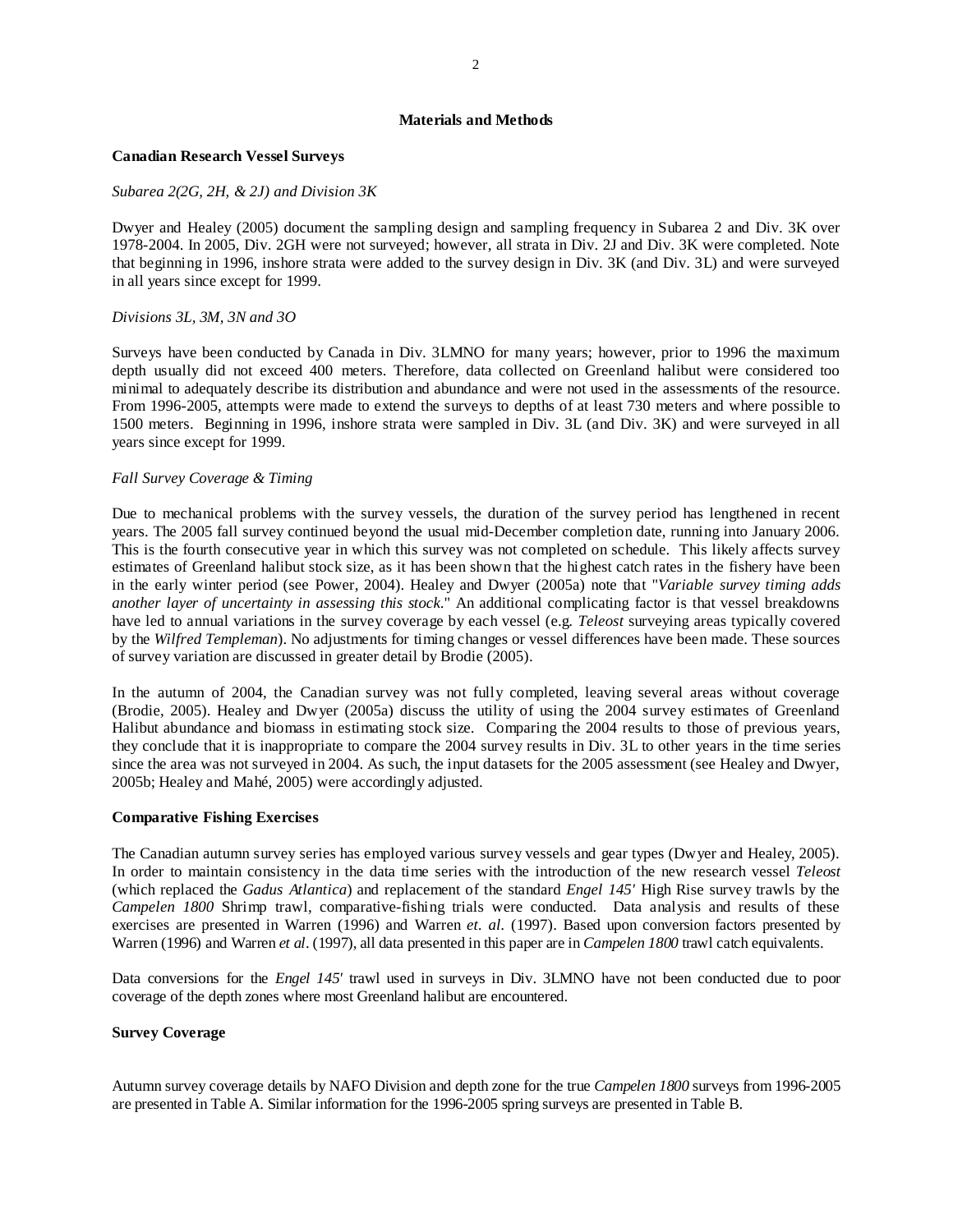## **Materials and Methods**

#### **Canadian Research Vessel Surveys**

#### *Subarea 2(2G, 2H, & 2J) and Division 3K*

Dwyer and Healey (2005) document the sampling design and sampling frequency in Subarea 2 and Div. 3K over 1978-2004. In 2005, Div. 2GH were not surveyed; however, all strata in Div. 2J and Div. 3K were completed. Note that beginning in 1996, inshore strata were added to the survey design in Div. 3K (and Div. 3L) and were surveyed in all years since except for 1999.

#### *Divisions 3L, 3M, 3N and 3O*

Surveys have been conducted by Canada in Div. 3LMNO for many years; however, prior to 1996 the maximum depth usually did not exceed 400 meters. Therefore, data collected on Greenland halibut were considered too minimal to adequately describe its distribution and abundance and were not used in the assessments of the resource. From 1996-2005, attempts were made to extend the surveys to depths of at least 730 meters and where possible to 1500 meters. Beginning in 1996, inshore strata were sampled in Div. 3L (and Div. 3K) and were surveyed in all years since except for 1999.

## *Fall Survey Coverage & Timing*

Due to mechanical problems with the survey vessels, the duration of the survey period has lengthened in recent years. The 2005 fall survey continued beyond the usual mid-December completion date, running into January 2006. This is the fourth consecutive year in which this survey was not completed on schedule. This likely affects survey estimates of Greenland halibut stock size, as it has been shown that the highest catch rates in the fishery have been in the early winter period (see Power, 2004). Healey and Dwyer (2005a) note that "*Variable survey timing adds another layer of uncertainty in assessing this stock*." An additional complicating factor is that vessel breakdowns have led to annual variations in the survey coverage by each vessel (e.g. *Teleost* surveying areas typically covered by the *Wilfred Templeman*). No adjustments for timing changes or vessel differences have been made. These sources of survey variation are discussed in greater detail by Brodie (2005).

In the autumn of 2004, the Canadian survey was not fully completed, leaving several areas without coverage (Brodie, 2005). Healey and Dwyer (2005a) discuss the utility of using the 2004 survey estimates of Greenland Halibut abundance and biomass in estimating stock size. Comparing the 2004 results to those of previous years, they conclude that it is inappropriate to compare the 2004 survey results in Div. 3L to other years in the time series since the area was not surveyed in 2004. As such, the input datasets for the 2005 assessment (see Healey and Dwyer, 2005b; Healey and Mahé, 2005) were accordingly adjusted.

#### **Comparative Fishing Exercises**

The Canadian autumn survey series has employed various survey vessels and gear types (Dwyer and Healey, 2005). In order to maintain consistency in the data time series with the introduction of the new research vessel *Teleost* (which replaced the *Gadus Atlantica*) and replacement of the standard *Engel 145'* High Rise survey trawls by the *Campelen 1800* Shrimp trawl, comparative-fishing trials were conducted. Data analysis and results of these exercises are presented in Warren (1996) and Warren *et. al.* (1997). Based upon conversion factors presented by Warren (1996) and Warren *et al*. (1997), all data presented in this paper are in *Campelen 1800* trawl catch equivalents.

Data conversions for the *Engel 145'* trawl used in surveys in Div. 3LMNO have not been conducted due to poor coverage of the depth zones where most Greenland halibut are encountered.

#### **Survey Coverage**

Autumn survey coverage details by NAFO Division and depth zone for the true *Campelen 1800* surveys from 1996-2005 are presented in Table A. Similar information for the 1996-2005 spring surveys are presented in Table B.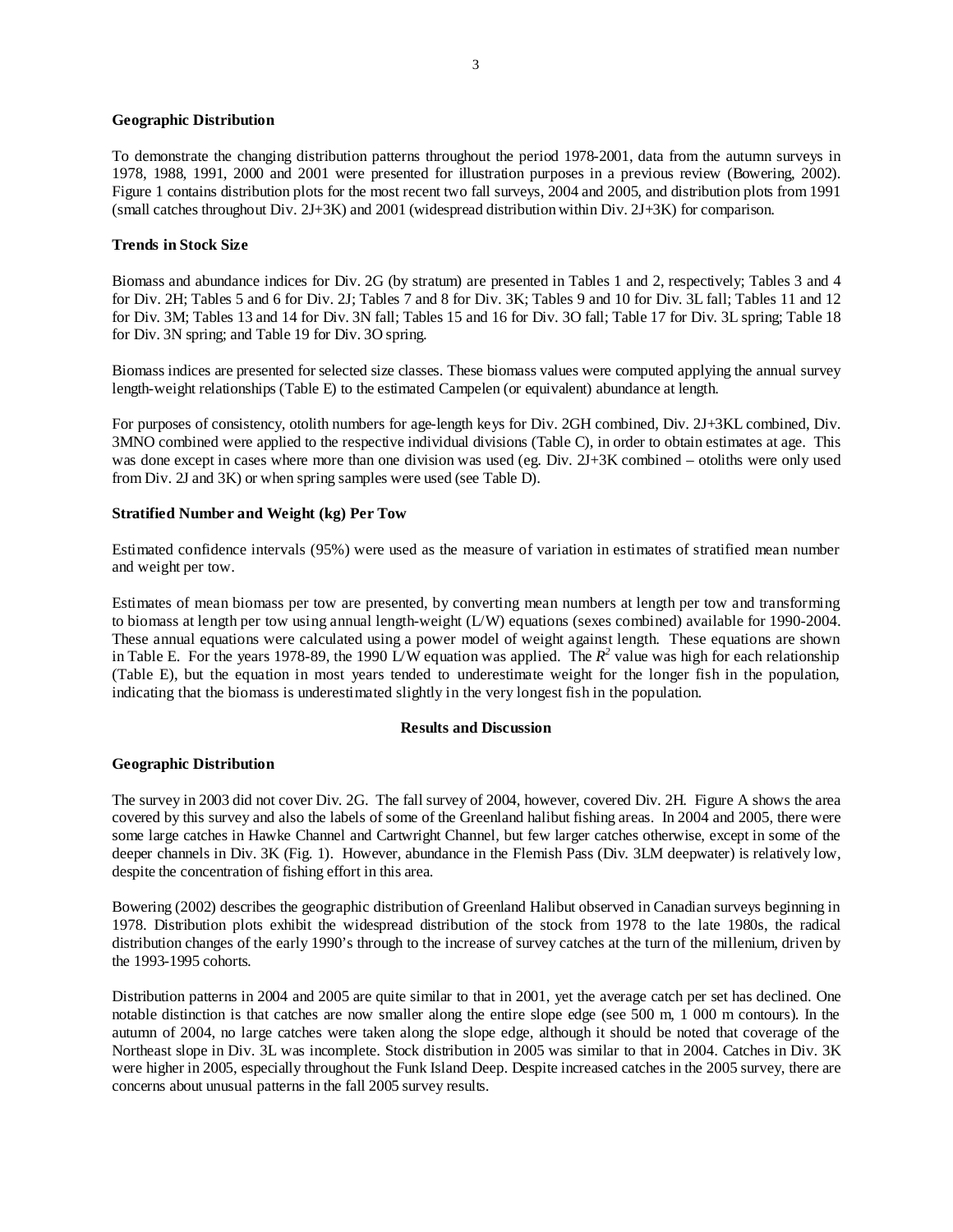## **Geographic Distribution**

To demonstrate the changing distribution patterns throughout the period 1978-2001, data from the autumn surveys in 1978, 1988, 1991, 2000 and 2001 were presented for illustration purposes in a previous review (Bowering, 2002). Figure 1 contains distribution plots for the most recent two fall surveys, 2004 and 2005, and distribution plots from 1991 (small catches throughout Div. 2J+3K) and 2001 (widespread distribution within Div. 2J+3K) for comparison.

#### **Trends in Stock Size**

Biomass and abundance indices for Div. 2G (by stratum) are presented in Tables 1 and 2, respectively; Tables 3 and 4 for Div. 2H; Tables 5 and 6 for Div. 2J; Tables 7 and 8 for Div. 3K; Tables 9 and 10 for Div. 3L fall; Tables 11 and 12 for Div. 3M; Tables 13 and 14 for Div. 3N fall; Tables 15 and 16 for Div. 3O fall; Table 17 for Div. 3L spring; Table 18 for Div. 3N spring; and Table 19 for Div. 3O spring.

Biomass indices are presented for selected size classes. These biomass values were computed applying the annual survey length-weight relationships (Table E) to the estimated Campelen (or equivalent) abundance at length.

For purposes of consistency, otolith numbers for age-length keys for Div. 2GH combined, Div. 2J+3KL combined, Div. 3MNO combined were applied to the respective individual divisions (Table C), in order to obtain estimates at age. This was done except in cases where more than one division was used (eg. Div. 2J+3K combined – otoliths were only used from Div. 2J and 3K) or when spring samples were used (see Table D).

## **Stratified Number and Weight (kg) Per Tow**

Estimated confidence intervals (95%) were used as the measure of variation in estimates of stratified mean number and weight per tow.

Estimates of mean biomass per tow are presented, by converting mean numbers at length per tow and transforming to biomass at length per tow using annual length-weight (L/W) equations (sexes combined) available for 1990-2004. These annual equations were calculated using a power model of weight against length. These equations are shown in Table E. For the years 1978-89, the 1990 L/W equation was applied. The  $R^2$  value was high for each relationship (Table E), but the equation in most years tended to underestimate weight for the longer fish in the population, indicating that the biomass is underestimated slightly in the very longest fish in the population.

#### **Results and Discussion**

## **Geographic Distribution**

The survey in 2003 did not cover Div. 2G. The fall survey of 2004, however, covered Div. 2H. Figure A shows the area covered by this survey and also the labels of some of the Greenland halibut fishing areas. In 2004 and 2005, there were some large catches in Hawke Channel and Cartwright Channel, but few larger catches otherwise, except in some of the deeper channels in Div. 3K (Fig. 1). However, abundance in the Flemish Pass (Div. 3LM deepwater) is relatively low, despite the concentration of fishing effort in this area.

Bowering (2002) describes the geographic distribution of Greenland Halibut observed in Canadian surveys beginning in 1978. Distribution plots exhibit the widespread distribution of the stock from 1978 to the late 1980s, the radical distribution changes of the early 1990's through to the increase of survey catches at the turn of the millenium, driven by the 1993-1995 cohorts.

Distribution patterns in 2004 and 2005 are quite similar to that in 2001, yet the average catch per set has declined. One notable distinction is that catches are now smaller along the entire slope edge (see 500 m, 1 000 m contours). In the autumn of 2004, no large catches were taken along the slope edge, although it should be noted that coverage of the Northeast slope in Div. 3L was incomplete. Stock distribution in 2005 was similar to that in 2004. Catches in Div. 3K were higher in 2005, especially throughout the Funk Island Deep. Despite increased catches in the 2005 survey, there are concerns about unusual patterns in the fall 2005 survey results.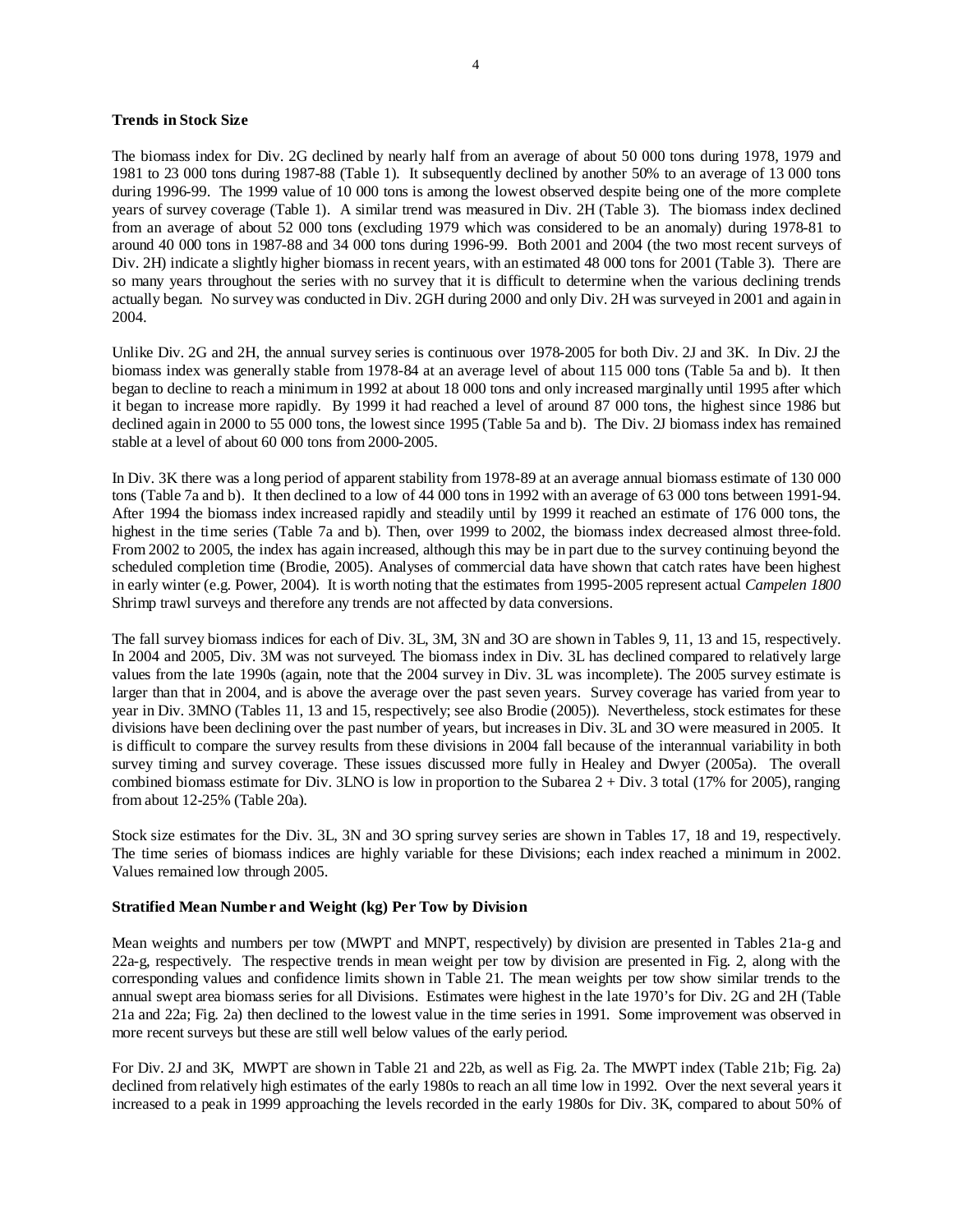## **Trends in Stock Size**

The biomass index for Div. 2G declined by nearly half from an average of about 50 000 tons during 1978, 1979 and 1981 to 23 000 tons during 1987-88 (Table 1). It subsequently declined by another 50% to an average of 13 000 tons during 1996-99. The 1999 value of 10 000 tons is among the lowest observed despite being one of the more complete years of survey coverage (Table 1). A similar trend was measured in Div. 2H (Table 3). The biomass index declined from an average of about 52 000 tons (excluding 1979 which was considered to be an anomaly) during 1978-81 to around 40 000 tons in 1987-88 and 34 000 tons during 1996-99. Both 2001 and 2004 (the two most recent surveys of Div. 2H) indicate a slightly higher biomass in recent years, with an estimated 48 000 tons for 2001 (Table 3). There are so many years throughout the series with no survey that it is difficult to determine when the various declining trends actually began. No survey was conducted in Div. 2GH during 2000 and only Div. 2H was surveyed in 2001 and again in 2004.

Unlike Div. 2G and 2H, the annual survey series is continuous over 1978-2005 for both Div. 2J and 3K. In Div. 2J the biomass index was generally stable from 1978-84 at an average level of about 115 000 tons (Table 5a and b). It then began to decline to reach a minimum in 1992 at about 18 000 tons and only increased marginally until 1995 after which it began to increase more rapidly. By 1999 it had reached a level of around 87 000 tons, the highest since 1986 but declined again in 2000 to 55 000 tons, the lowest since 1995 (Table 5a and b). The Div. 2J biomass index has remained stable at a level of about 60 000 tons from 2000-2005.

In Div. 3K there was a long period of apparent stability from 1978-89 at an average annual biomass estimate of 130 000 tons (Table 7a and b). It then declined to a low of 44 000 tons in 1992 with an average of 63 000 tons between 1991-94. After 1994 the biomass index increased rapidly and steadily until by 1999 it reached an estimate of 176 000 tons, the highest in the time series (Table 7a and b). Then, over 1999 to 2002, the biomass index decreased almost three-fold. From 2002 to 2005, the index has again increased, although this may be in part due to the survey continuing beyond the scheduled completion time (Brodie, 2005). Analyses of commercial data have shown that catch rates have been highest in early winter (e.g. Power, 2004). It is worth noting that the estimates from 1995-2005 represent actual *Campelen 1800* Shrimp trawl surveys and therefore any trends are not affected by data conversions.

The fall survey biomass indices for each of Div. 3L, 3M, 3N and 3O are shown in Tables 9, 11, 13 and 15, respectively. In 2004 and 2005, Div. 3M was not surveyed. The biomass index in Div. 3L has declined compared to relatively large values from the late 1990s (again, note that the 2004 survey in Div. 3L was incomplete). The 2005 survey estimate is larger than that in 2004, and is above the average over the past seven years. Survey coverage has varied from year to year in Div. 3MNO (Tables 11, 13 and 15, respectively; see also Brodie (2005)). Nevertheless, stock estimates for these divisions have been declining over the past number of years, but increases in Div. 3L and 3O were measured in 2005. It is difficult to compare the survey results from these divisions in 2004 fall because of the interannual variability in both survey timing and survey coverage. These issues discussed more fully in Healey and Dwyer (2005a). The overall combined biomass estimate for Div. 3LNO is low in proportion to the Subarea  $2 + Div.$  3 total (17% for 2005), ranging from about 12-25% (Table 20a).

Stock size estimates for the Div. 3L, 3N and 3O spring survey series are shown in Tables 17, 18 and 19, respectively. The time series of biomass indices are highly variable for these Divisions; each index reached a minimum in 2002. Values remained low through 2005.

## **Stratified Mean Number and Weight (kg) Per Tow by Division**

Mean weights and numbers per tow (MWPT and MNPT, respectively) by division are presented in Tables 21a-g and 22a-g, respectively. The respective trends in mean weight per tow by division are presented in Fig. 2, along with the corresponding values and confidence limits shown in Table 21. The mean weights per tow show similar trends to the annual swept area biomass series for all Divisions. Estimates were highest in the late 1970's for Div. 2G and 2H (Table 21a and 22a; Fig. 2a) then declined to the lowest value in the time series in 1991. Some improvement was observed in more recent surveys but these are still well below values of the early period.

For Div. 2J and 3K, MWPT are shown in Table 21 and 22b, as well as Fig. 2a. The MWPT index (Table 21b; Fig. 2a) declined from relatively high estimates of the early 1980s to reach an all time low in 1992. Over the next several years it increased to a peak in 1999 approaching the levels recorded in the early 1980s for Div. 3K, compared to about 50% of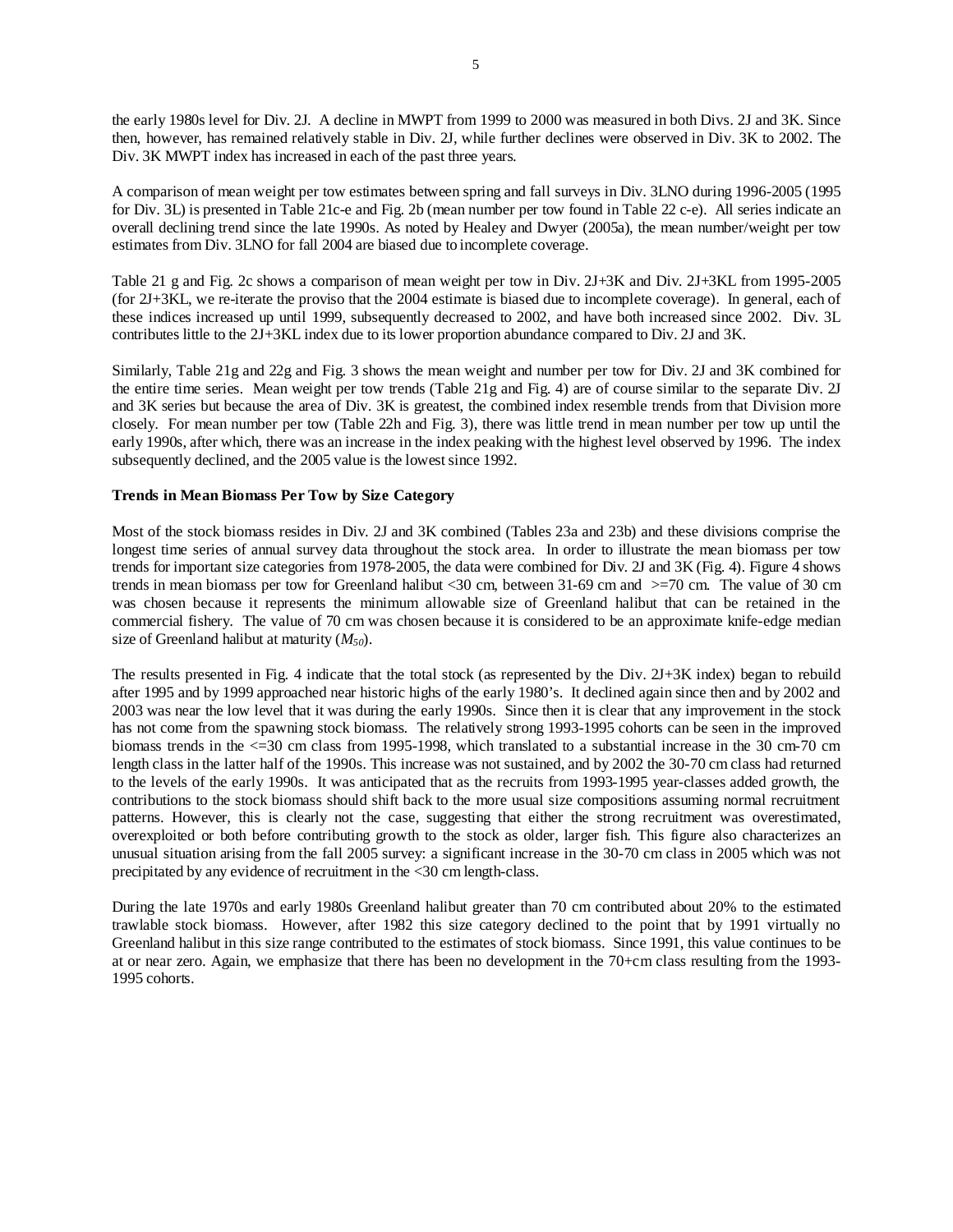the early 1980s level for Div. 2J. A decline in MWPT from 1999 to 2000 was measured in both Divs. 2J and 3K. Since then, however, has remained relatively stable in Div. 2J, while further declines were observed in Div. 3K to 2002. The Div. 3K MWPT index has increased in each of the past three years.

A comparison of mean weight per tow estimates between spring and fall surveys in Div. 3LNO during 1996-2005 (1995 for Div. 3L) is presented in Table 21c-e and Fig. 2b (mean number per tow found in Table 22 c-e). All series indicate an overall declining trend since the late 1990s. As noted by Healey and Dwyer (2005a), the mean number/weight per tow estimates from Div. 3LNO for fall 2004 are biased due to incomplete coverage.

Table 21 g and Fig. 2c shows a comparison of mean weight per tow in Div. 2J+3K and Div. 2J+3KL from 1995-2005 (for 2J+3KL, we re-iterate the proviso that the 2004 estimate is biased due to incomplete coverage). In general, each of these indices increased up until 1999, subsequently decreased to 2002, and have both increased since 2002. Div. 3L contributes little to the 2J+3KL index due to its lower proportion abundance compared to Div. 2J and 3K.

Similarly, Table 21g and 22g and Fig. 3 shows the mean weight and number per tow for Div. 2J and 3K combined for the entire time series. Mean weight per tow trends (Table 21g and Fig. 4) are of course similar to the separate Div. 2J and 3K series but because the area of Div. 3K is greatest, the combined index resemble trends from that Division more closely. For mean number per tow (Table 22h and Fig. 3), there was little trend in mean number per tow up until the early 1990s, after which, there was an increase in the index peaking with the highest level observed by 1996. The index subsequently declined, and the 2005 value is the lowest since 1992.

## **Trends in Mean Biomass Per Tow by Size Category**

Most of the stock biomass resides in Div. 2J and 3K combined (Tables 23a and 23b) and these divisions comprise the longest time series of annual survey data throughout the stock area. In order to illustrate the mean biomass per tow trends for important size categories from 1978-2005, the data were combined for Div. 2J and 3K (Fig. 4). Figure 4 shows trends in mean biomass per tow for Greenland halibut <30 cm, between 31-69 cm and >=70 cm. The value of 30 cm was chosen because it represents the minimum allowable size of Greenland halibut that can be retained in the commercial fishery. The value of 70 cm was chosen because it is considered to be an approximate knife-edge median size of Greenland halibut at maturity (*M50*).

The results presented in Fig. 4 indicate that the total stock (as represented by the Div. 2J+3K index) began to rebuild after 1995 and by 1999 approached near historic highs of the early 1980's. It declined again since then and by 2002 and 2003 was near the low level that it was during the early 1990s. Since then it is clear that any improvement in the stock has not come from the spawning stock biomass. The relatively strong 1993-1995 cohorts can be seen in the improved biomass trends in the <=30 cm class from 1995-1998, which translated to a substantial increase in the 30 cm-70 cm length class in the latter half of the 1990s. This increase was not sustained, and by 2002 the 30-70 cm class had returned to the levels of the early 1990s. It was anticipated that as the recruits from 1993-1995 year-classes added growth, the contributions to the stock biomass should shift back to the more usual size compositions assuming normal recruitment patterns. However, this is clearly not the case, suggesting that either the strong recruitment was overestimated, overexploited or both before contributing growth to the stock as older, larger fish. This figure also characterizes an unusual situation arising from the fall 2005 survey: a significant increase in the 30-70 cm class in 2005 which was not precipitated by any evidence of recruitment in the <30 cm length-class.

During the late 1970s and early 1980s Greenland halibut greater than 70 cm contributed about 20% to the estimated trawlable stock biomass. However, after 1982 this size category declined to the point that by 1991 virtually no Greenland halibut in this size range contributed to the estimates of stock biomass. Since 1991, this value continues to be at or near zero. Again, we emphasize that there has been no development in the 70+cm class resulting from the 1993- 1995 cohorts.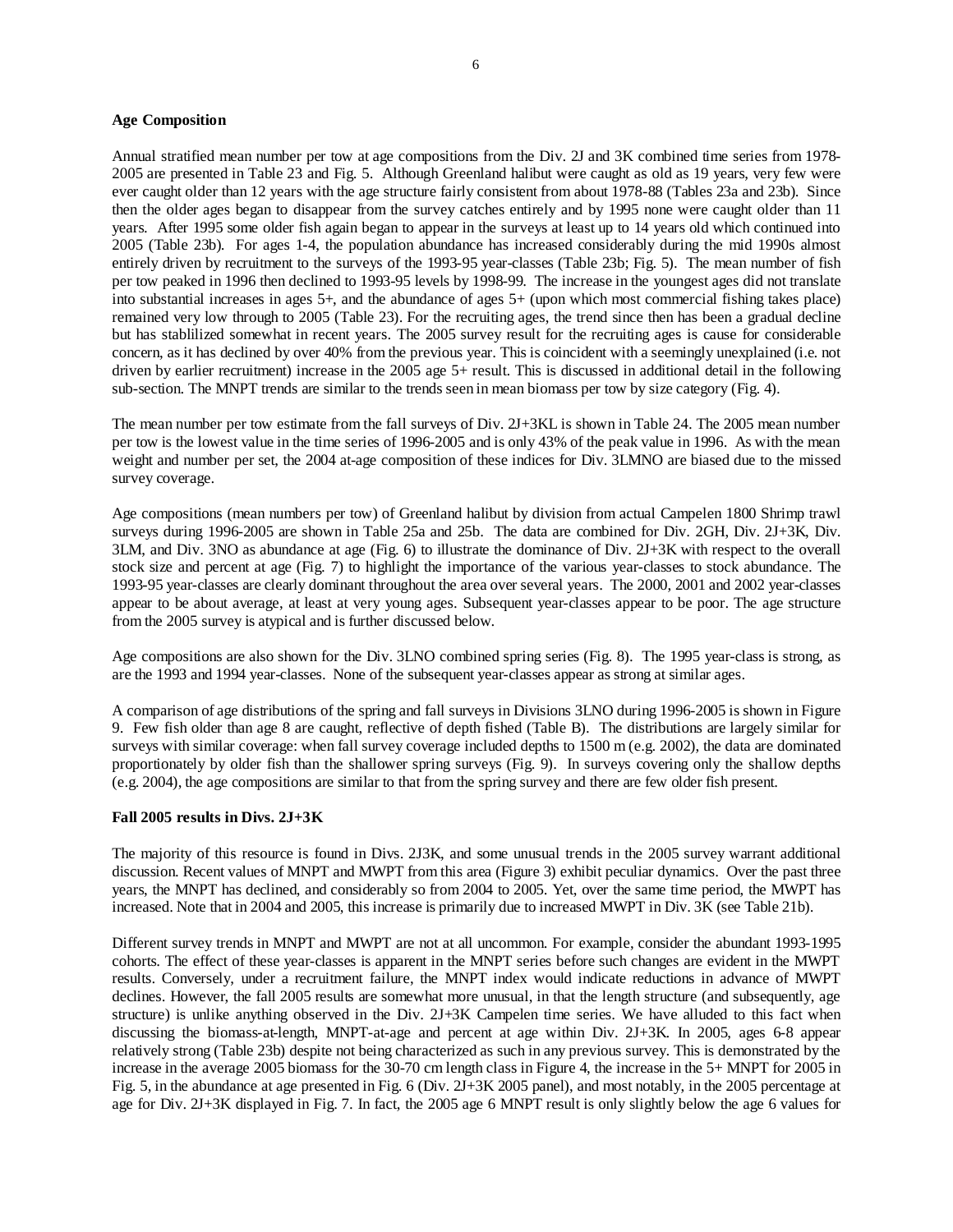#### **Age Composition**

Annual stratified mean number per tow at age compositions from the Div. 2J and 3K combined time series from 1978- 2005 are presented in Table 23 and Fig. 5. Although Greenland halibut were caught as old as 19 years, very few were ever caught older than 12 years with the age structure fairly consistent from about 1978-88 (Tables 23a and 23b). Since then the older ages began to disappear from the survey catches entirely and by 1995 none were caught older than 11 years. After 1995 some older fish again began to appear in the surveys at least up to 14 years old which continued into 2005 (Table 23b). For ages 1-4, the population abundance has increased considerably during the mid 1990s almost entirely driven by recruitment to the surveys of the 1993-95 year-classes (Table 23b; Fig. 5). The mean number of fish per tow peaked in 1996 then declined to 1993-95 levels by 1998-99. The increase in the youngest ages did not translate into substantial increases in ages 5+, and the abundance of ages 5+ (upon which most commercial fishing takes place) remained very low through to 2005 (Table 23). For the recruiting ages, the trend since then has been a gradual decline but has stablilized somewhat in recent years. The 2005 survey result for the recruiting ages is cause for considerable concern, as it has declined by over 40% from the previous year. This is coincident with a seemingly unexplained (i.e. not driven by earlier recruitment) increase in the 2005 age 5+ result. This is discussed in additional detail in the following sub-section. The MNPT trends are similar to the trends seen in mean biomass per tow by size category (Fig. 4).

The mean number per tow estimate from the fall surveys of Div. 2J+3KL is shown in Table 24. The 2005 mean number per tow is the lowest value in the time series of 1996-2005 and is only 43% of the peak value in 1996. As with the mean weight and number per set, the 2004 at-age composition of these indices for Div. 3LMNO are biased due to the missed survey coverage.

Age compositions (mean numbers per tow) of Greenland halibut by division from actual Campelen 1800 Shrimp trawl surveys during 1996-2005 are shown in Table 25a and 25b. The data are combined for Div. 2GH, Div. 2J+3K, Div. 3LM, and Div. 3NO as abundance at age (Fig. 6) to illustrate the dominance of Div. 2J+3K with respect to the overall stock size and percent at age (Fig. 7) to highlight the importance of the various year-classes to stock abundance. The 1993-95 year-classes are clearly dominant throughout the area over several years. The 2000, 2001 and 2002 year-classes appear to be about average, at least at very young ages. Subsequent year-classes appear to be poor. The age structure from the 2005 survey is atypical and is further discussed below.

Age compositions are also shown for the Div. 3LNO combined spring series (Fig. 8). The 1995 year-class is strong, as are the 1993 and 1994 year-classes. None of the subsequent year-classes appear as strong at similar ages.

A comparison of age distributions of the spring and fall surveys in Divisions 3LNO during 1996-2005 is shown in Figure 9. Few fish older than age 8 are caught, reflective of depth fished (Table B). The distributions are largely similar for surveys with similar coverage: when fall survey coverage included depths to 1500 m (e.g. 2002), the data are dominated proportionately by older fish than the shallower spring surveys (Fig. 9). In surveys covering only the shallow depths (e.g. 2004), the age compositions are similar to that from the spring survey and there are few older fish present.

## **Fall 2005 results in Divs. 2J+3K**

The majority of this resource is found in Divs. 2J3K, and some unusual trends in the 2005 survey warrant additional discussion. Recent values of MNPT and MWPT from this area (Figure 3) exhibit peculiar dynamics. Over the past three years, the MNPT has declined, and considerably so from 2004 to 2005. Yet, over the same time period, the MWPT has increased. Note that in 2004 and 2005, this increase is primarily due to increased MWPT in Div. 3K (see Table 21b).

Different survey trends in MNPT and MWPT are not at all uncommon. For example, consider the abundant 1993-1995 cohorts. The effect of these year-classes is apparent in the MNPT series before such changes are evident in the MWPT results. Conversely, under a recruitment failure, the MNPT index would indicate reductions in advance of MWPT declines. However, the fall 2005 results are somewhat more unusual, in that the length structure (and subsequently, age structure) is unlike anything observed in the Div. 2J+3K Campelen time series. We have alluded to this fact when discussing the biomass-at-length, MNPT-at-age and percent at age within Div. 2J+3K. In 2005, ages 6-8 appear relatively strong (Table 23b) despite not being characterized as such in any previous survey. This is demonstrated by the increase in the average 2005 biomass for the 30-70 cm length class in Figure 4, the increase in the 5+ MNPT for 2005 in Fig. 5, in the abundance at age presented in Fig. 6 (Div. 2J+3K 2005 panel), and most notably, in the 2005 percentage at age for Div. 2J+3K displayed in Fig. 7. In fact, the 2005 age 6 MNPT result is only slightly below the age 6 values for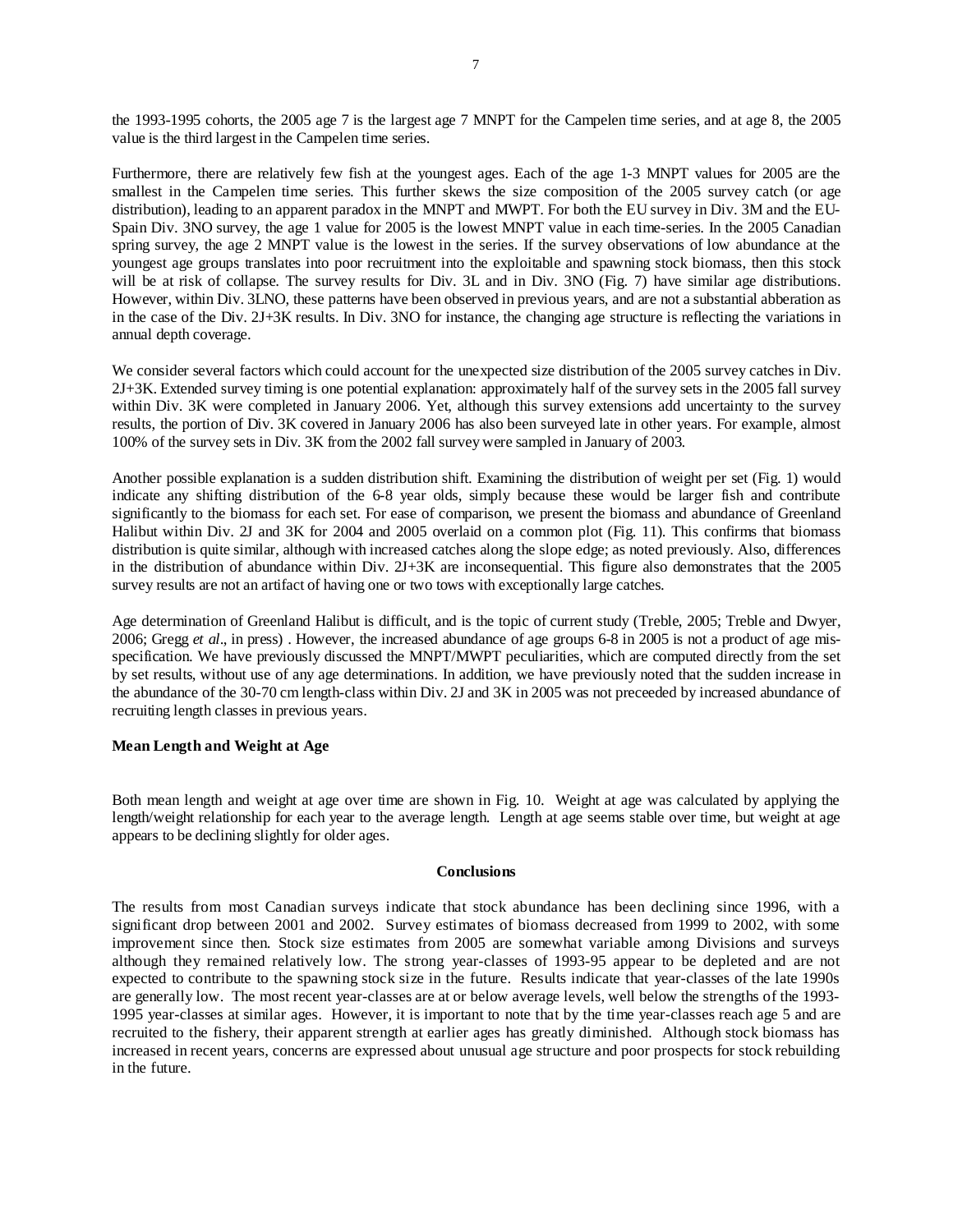the 1993-1995 cohorts, the 2005 age 7 is the largest age 7 MNPT for the Campelen time series, and at age 8, the 2005 value is the third largest in the Campelen time series.

Furthermore, there are relatively few fish at the youngest ages. Each of the age 1-3 MNPT values for 2005 are the smallest in the Campelen time series. This further skews the size composition of the 2005 survey catch (or age distribution), leading to an apparent paradox in the MNPT and MWPT. For both the EU survey in Div. 3M and the EU-Spain Div. 3NO survey, the age 1 value for 2005 is the lowest MNPT value in each time-series. In the 2005 Canadian spring survey, the age 2 MNPT value is the lowest in the series. If the survey observations of low abundance at the youngest age groups translates into poor recruitment into the exploitable and spawning stock biomass, then this stock will be at risk of collapse. The survey results for Div. 3L and in Div. 3NO (Fig. 7) have similar age distributions. However, within Div. 3LNO, these patterns have been observed in previous years, and are not a substantial abberation as in the case of the Div. 2J+3K results. In Div. 3NO for instance, the changing age structure is reflecting the variations in annual depth coverage.

We consider several factors which could account for the unexpected size distribution of the 2005 survey catches in Div. 2J+3K. Extended survey timing is one potential explanation: approximately half of the survey sets in the 2005 fall survey within Div. 3K were completed in January 2006. Yet, although this survey extensions add uncertainty to the survey results, the portion of Div. 3K covered in January 2006 has also been surveyed late in other years. For example, almost 100% of the survey sets in Div. 3K from the 2002 fall survey were sampled in January of 2003.

Another possible explanation is a sudden distribution shift. Examining the distribution of weight per set (Fig. 1) would indicate any shifting distribution of the 6-8 year olds, simply because these would be larger fish and contribute significantly to the biomass for each set. For ease of comparison, we present the biomass and abundance of Greenland Halibut within Div. 2J and 3K for 2004 and 2005 overlaid on a common plot (Fig. 11). This confirms that biomass distribution is quite similar, although with increased catches along the slope edge; as noted previously. Also, differences in the distribution of abundance within Div. 2J+3K are inconsequential. This figure also demonstrates that the 2005 survey results are not an artifact of having one or two tows with exceptionally large catches.

Age determination of Greenland Halibut is difficult, and is the topic of current study (Treble, 2005; Treble and Dwyer, 2006; Gregg *et al*., in press) . However, the increased abundance of age groups 6-8 in 2005 is not a product of age misspecification. We have previously discussed the MNPT/MWPT peculiarities, which are computed directly from the set by set results, without use of any age determinations. In addition, we have previously noted that the sudden increase in the abundance of the 30-70 cm length-class within Div. 2J and 3K in 2005 was not preceeded by increased abundance of recruiting length classes in previous years.

## **Mean Length and Weight at Age**

Both mean length and weight at age over time are shown in Fig. 10. Weight at age was calculated by applying the length/weight relationship for each year to the average length. Length at age seems stable over time, but weight at age appears to be declining slightly for older ages.

## **Conclusions**

The results from most Canadian surveys indicate that stock abundance has been declining since 1996, with a significant drop between 2001 and 2002. Survey estimates of biomass decreased from 1999 to 2002, with some improvement since then. Stock size estimates from 2005 are somewhat variable among Divisions and surveys although they remained relatively low. The strong year-classes of 1993-95 appear to be depleted and are not expected to contribute to the spawning stock size in the future. Results indicate that year-classes of the late 1990s are generally low. The most recent year-classes are at or below average levels, well below the strengths of the 1993- 1995 year-classes at similar ages. However, it is important to note that by the time year-classes reach age 5 and are recruited to the fishery, their apparent strength at earlier ages has greatly diminished. Although stock biomass has increased in recent years, concerns are expressed about unusual age structure and poor prospects for stock rebuilding in the future.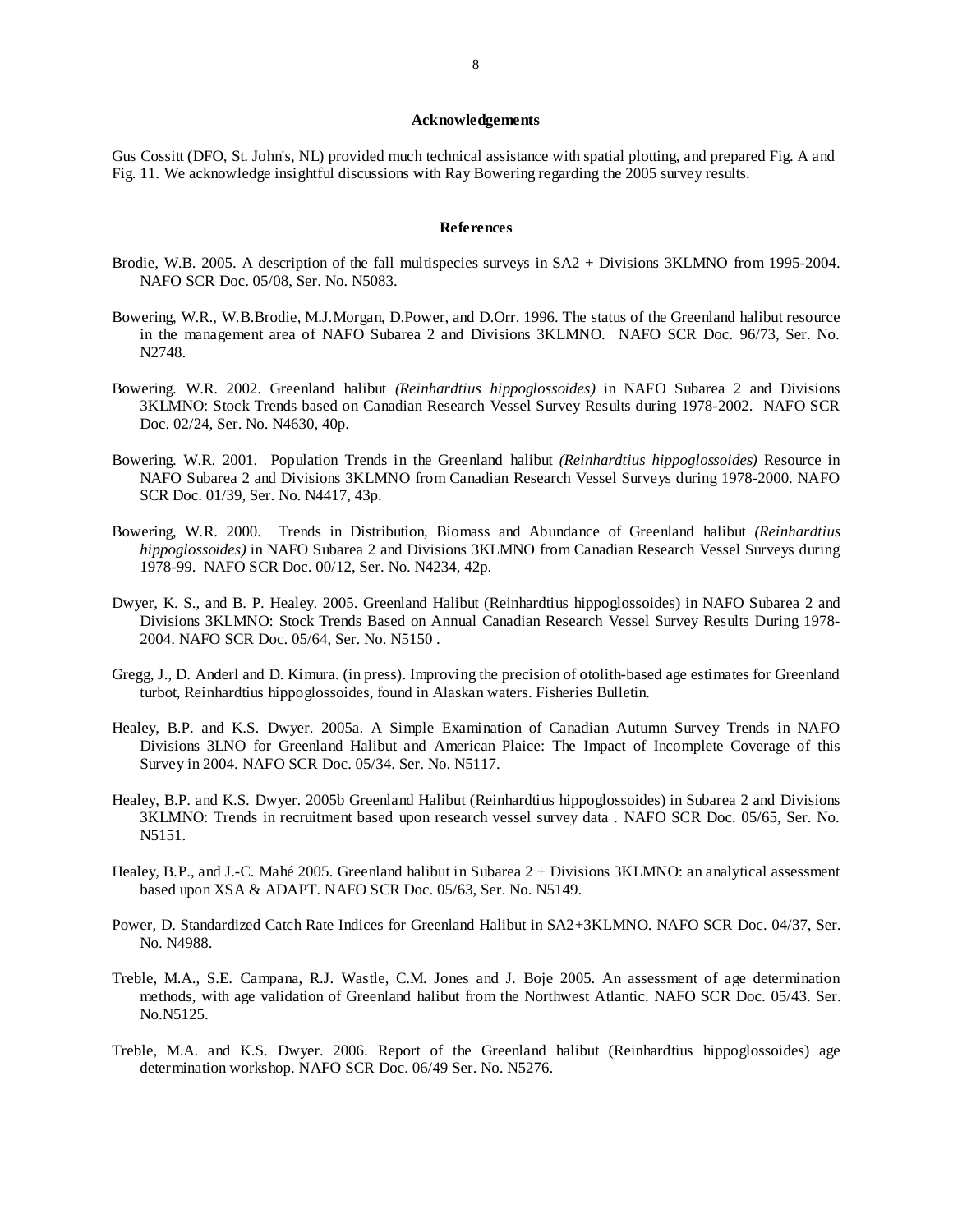#### **Acknowledgements**

Gus Cossitt (DFO, St. John's, NL) provided much technical assistance with spatial plotting, and prepared Fig. A and Fig. 11. We acknowledge insightful discussions with Ray Bowering regarding the 2005 survey results.

#### **References**

- Brodie, W.B. 2005. A description of the fall multispecies surveys in SA2 + Divisions 3KLMNO from 1995-2004. NAFO SCR Doc. 05/08, Ser. No. N5083.
- Bowering, W.R., W.B.Brodie, M.J.Morgan, D.Power, and D.Orr. 1996. The status of the Greenland halibut resource in the management area of NAFO Subarea 2 and Divisions 3KLMNO. NAFO SCR Doc. 96/73, Ser. No. N2748.
- Bowering. W.R. 2002. Greenland halibut *(Reinhardtius hippoglossoides)* in NAFO Subarea 2 and Divisions 3KLMNO: Stock Trends based on Canadian Research Vessel Survey Results during 1978-2002. NAFO SCR Doc. 02/24, Ser. No. N4630, 40p.
- Bowering. W.R. 2001. Population Trends in the Greenland halibut *(Reinhardtius hippoglossoides)* Resource in NAFO Subarea 2 and Divisions 3KLMNO from Canadian Research Vessel Surveys during 1978-2000. NAFO SCR Doc. 01/39, Ser. No. N4417, 43p.
- Bowering, W.R. 2000. Trends in Distribution, Biomass and Abundance of Greenland halibut *(Reinhardtius hippoglossoides)* in NAFO Subarea 2 and Divisions 3KLMNO from Canadian Research Vessel Surveys during 1978-99. NAFO SCR Doc. 00/12, Ser. No. N4234, 42p.
- Dwyer, K. S., and B. P. Healey. 2005. Greenland Halibut (Reinhardtius hippoglossoides) in NAFO Subarea 2 and Divisions 3KLMNO: Stock Trends Based on Annual Canadian Research Vessel Survey Results During 1978- 2004. NAFO SCR Doc. 05/64, Ser. No. N5150 .
- Gregg, J., D. Anderl and D. Kimura. (in press). Improving the precision of otolith-based age estimates for Greenland turbot, Reinhardtius hippoglossoides, found in Alaskan waters. Fisheries Bulletin.
- Healey, B.P. and K.S. Dwyer. 2005a. A Simple Examination of Canadian Autumn Survey Trends in NAFO Divisions 3LNO for Greenland Halibut and American Plaice: The Impact of Incomplete Coverage of this Survey in 2004. NAFO SCR Doc. 05/34. Ser. No. N5117.
- Healey, B.P. and K.S. Dwyer. 2005b Greenland Halibut (Reinhardtius hippoglossoides) in Subarea 2 and Divisions 3KLMNO: Trends in recruitment based upon research vessel survey data . NAFO SCR Doc. 05/65, Ser. No. N5151.
- Healey, B.P., and J.-C. Mahé 2005. Greenland halibut in Subarea 2 + Divisions 3KLMNO: an analytical assessment based upon XSA & ADAPT. NAFO SCR Doc. 05/63, Ser. No. N5149.
- Power, D. Standardized Catch Rate Indices for Greenland Halibut in SA2+3KLMNO. NAFO SCR Doc. 04/37, Ser. No. N4988.
- Treble, M.A., S.E. Campana, R.J. Wastle, C.M. Jones and J. Boje 2005. An assessment of age determination methods, with age validation of Greenland halibut from the Northwest Atlantic. NAFO SCR Doc. 05/43. Ser. No.N5125.
- Treble, M.A. and K.S. Dwyer. 2006. Report of the Greenland halibut (Reinhardtius hippoglossoides) age determination workshop. NAFO SCR Doc. 06/49 Ser. No. N5276.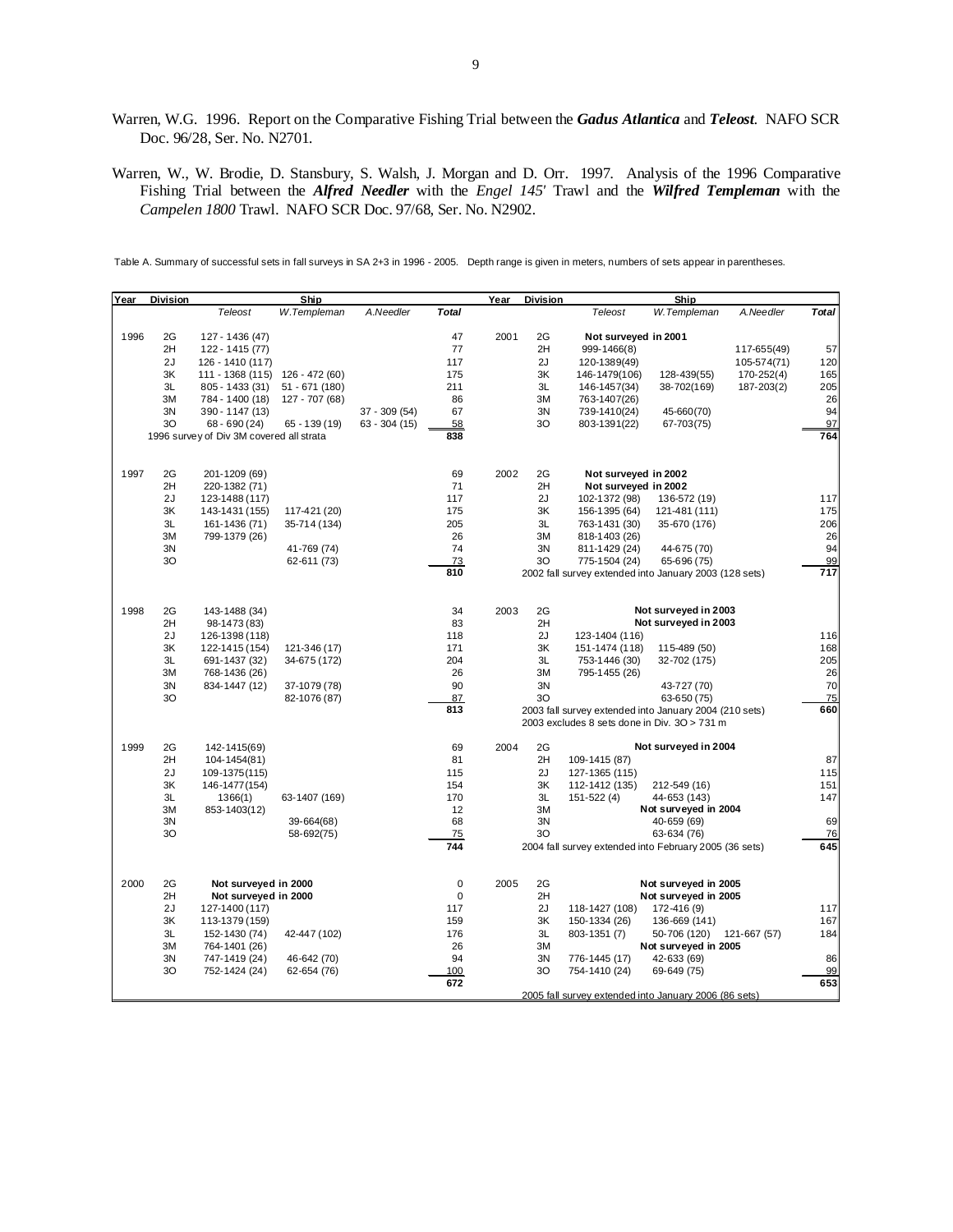- Warren, W.G. 1996. Report on the Comparative Fishing Trial between the *Gadus Atlantica* and *Teleost*. NAFO SCR Doc. 96/28, Ser. No. N2701.
- Warren, W., W. Brodie, D. Stansbury, S. Walsh, J. Morgan and D. Orr. 1997. Analysis of the 1996 Comparative Fishing Trial between the *Alfred Needler* with the *Engel 145'* Trawl and the *Wilfred Templeman* with the *Campelen 1800* Trawl. NAFO SCR Doc. 97/68, Ser. No. N2902.

Table A. Summary of successful sets in fall surveys in SA 2+3 in 1996 - 2005. Depth range is given in meters, numbers of sets appear in parentheses.

| Year | <b>Division</b> |                                          | Ship           |                |              | Year | <b>Division</b> |                                                        | Ship                 |              |                  |
|------|-----------------|------------------------------------------|----------------|----------------|--------------|------|-----------------|--------------------------------------------------------|----------------------|--------------|------------------|
|      |                 | Teleost                                  | W.Templeman    | A.Needler      | <b>Total</b> |      |                 | Teleost                                                | W.Templeman          | A.Needler    | <b>Total</b>     |
|      |                 |                                          |                |                |              |      |                 |                                                        |                      |              |                  |
| 1996 | 2G              | 127 - 1436 (47)                          |                |                | 47           | 2001 | 2G              | Not surveyed in 2001                                   |                      |              |                  |
|      | 2H              | 122 - 1415 (77)                          |                |                | 77           |      | 2H              | 999-1466(8)                                            |                      | 117-655(49)  | 57               |
|      | 2J              | 126 - 1410 (117)                         |                |                | 117          |      | 2J              | 120-1389(49)                                           |                      | 105-574(71)  | 120              |
|      | 3K              | 111 - 1368 (115)                         | 126 - 472 (60) |                | 175          |      | 3K              | 146-1479(106)                                          | 128-439(55)          | 170-252(4)   | 165              |
|      | 3L              | 805 - 1433 (31)                          | 51 - 671 (180) |                | 211          |      | 3L              | 146-1457(34)                                           | 38-702(169)          | 187-203(2)   | 205              |
|      | 3M              | 784 - 1400 (18)                          | 127 - 707 (68) |                | 86           |      | 3M              | 763-1407(26)                                           |                      |              | 26               |
|      | 3N              | 390 - 1147 (13)                          |                | $37 - 309(54)$ | 67           |      | 3N              | 739-1410(24)                                           | 45-660(70)           |              | 94               |
|      | 30              | $68 - 690(24)$                           | $65 - 139(19)$ | $63 - 304(15)$ | 58           |      | 30              | 803-1391(22)                                           | 67-703(75)           |              | 97               |
|      |                 | 1996 survey of Div 3M covered all strata |                |                | 838          |      |                 |                                                        |                      |              | 764              |
|      |                 |                                          |                |                |              |      |                 |                                                        |                      |              |                  |
| 1997 | 2G              | 201-1209 (69)                            |                |                | 69           | 2002 | 2G              | Not surveyed in 2002                                   |                      |              |                  |
|      | 2H              | 220-1382 (71)                            |                |                | 71           |      | 2H              | Not surveyed in 2002                                   |                      |              |                  |
|      | 2J              | 123-1488 (117)                           |                |                | 117          |      | 2J              | 102-1372 (98)                                          | 136-572 (19)         |              | 117              |
|      | 3K              | 143-1431 (155)                           | 117-421 (20)   |                | 175          |      | ЗK              | 156-1395 (64)                                          | 121-481 (111)        |              | 175              |
|      | 3L              | 161-1436 (71)                            | 35-714 (134)   |                | 205          |      | 3L              | 763-1431 (30)                                          | 35-670 (176)         |              | 206              |
|      | 3M              | 799-1379 (26)                            |                |                | 26           |      | 3M              | 818-1403 (26)                                          |                      |              | 26               |
|      | 3N              |                                          | 41-769 (74)    |                | 74           |      | 3N              | 811-1429 (24)                                          | 44-675 (70)          |              | 94               |
|      | 3O              |                                          | 62-611 (73)    |                | 73           |      | 30              | 775-1504 (24)                                          | 65-696 (75)          |              | 99               |
|      |                 |                                          |                |                | 810          |      |                 | 2002 fall survey extended into January 2003 (128 sets) |                      |              | $\overline{717}$ |
|      |                 |                                          |                |                |              |      |                 |                                                        |                      |              |                  |
| 1998 | 2G              | 143-1488 (34)                            |                |                | 34           | 2003 | 2G              |                                                        | Not surveyed in 2003 |              |                  |
|      | 2H              | 98-1473 (83)                             |                |                | 83           |      | 2H              |                                                        | Not surveyed in 2003 |              |                  |
|      | 2J              | 126-1398 (118)                           |                |                | 118          |      | 2J              | 123-1404 (116)                                         |                      |              | 116              |
|      | 3K              | 122-1415 (154)                           | 121-346 (17)   |                | 171          |      | 3K              | 151-1474 (118)                                         | 115-489 (50)         |              | 168              |
|      | 3L              | 691-1437 (32)                            | 34-675 (172)   |                | 204          |      | 3L              | 753-1446 (30)                                          | 32-702 (175)         |              | 205              |
|      | 3M              | 768-1436 (26)                            |                |                | 26           |      | 3M              | 795-1455 (26)                                          |                      |              | 26               |
|      | 3N              | 834-1447 (12)                            | 37-1079 (78)   |                | 90           |      | 3N              |                                                        | 43-727 (70)          |              | 70               |
|      | 30              |                                          | 82-1076 (87)   |                | 87           |      | 3O              |                                                        | 63-650 (75)          |              | 75               |
|      |                 |                                          |                |                | 813          |      |                 | 2003 fall survey extended into January 2004 (210 sets) |                      |              | 660              |
|      |                 |                                          |                |                |              |      |                 | 2003 excludes 8 sets done in Div. 3O > 731 m           |                      |              |                  |
| 1999 | 2G              | 142-1415(69)                             |                |                | 69           | 2004 | 2G              |                                                        | Not surveyed in 2004 |              |                  |
|      | 2H              | 104-1454(81)                             |                |                | 81           |      | 2H              | 109-1415 (87)                                          |                      |              | 87               |
|      | 2J              | 109-1375(115)                            |                |                | 115          |      | 2J              | 127-1365 (115)                                         |                      |              | 115              |
|      | 3K              | 146-1477(154)                            |                |                | 154          |      | 3K              | 112-1412 (135)                                         | 212-549 (16)         |              | 151              |
|      | 3L              | 1366(1)                                  | 63-1407 (169)  |                | 170          |      | 3L              | 151-522 (4)                                            | 44-653 (143)         |              | 147              |
|      | 3M              | 853-1403(12)                             |                |                | 12           |      | 3M              |                                                        | Not surveyed in 2004 |              |                  |
|      | 3N              |                                          | 39-664(68)     |                | 68           |      | 3N              |                                                        | 40-659 (69)          |              | 69               |
|      | 30              |                                          | 58-692(75)     |                | 75           |      | 30              |                                                        | 63-634 (76)          |              | 76               |
|      |                 |                                          |                |                | 744          |      |                 | 2004 fall survey extended into February 2005 (36 sets) |                      |              | 645              |
|      |                 |                                          |                |                |              |      |                 |                                                        |                      |              |                  |
| 2000 | 2G              | Not surveyed in 2000                     |                |                | $\pmb{0}$    | 2005 | 2G              |                                                        | Not surveyed in 2005 |              |                  |
|      | 2H              | Not surveyed in 2000                     |                |                | $\pmb{0}$    |      | 2H              |                                                        | Not surveyed in 2005 |              |                  |
|      | 2J              | 127-1400 (117)                           |                |                | 117          |      | 2J              | 118-1427 (108)                                         | 172-416 (9)          |              | 117              |
|      | 3K              | 113-1379 (159)                           |                |                | 159          |      | 3K              | 150-1334 (26)                                          | 136-669 (141)        |              | 167              |
|      | 3L              | 152-1430 (74)                            | 42-447 (102)   |                | 176          |      | 3L              | 803-1351 (7)                                           | 50-706 (120)         | 121-667 (57) | 184              |
|      | 3M              | 764-1401 (26)                            |                |                | 26           |      | 3M              |                                                        | Not surveyed in 2005 |              |                  |
|      | 3N              | 747-1419 (24)                            | 46-642 (70)    |                | 94           |      | 3N              | 776-1445 (17)                                          | 42-633 (69)          |              | 86               |
|      | 30              | 752-1424 (24)                            | 62-654 (76)    |                | 100          |      | 3O              | 754-1410 (24)                                          | 69-649 (75)          |              | 99               |
|      |                 |                                          |                |                | 672          |      |                 |                                                        |                      |              | 653              |
|      |                 |                                          |                |                |              |      |                 | 2005 fall survey extended into January 2006 (86 sets)  |                      |              |                  |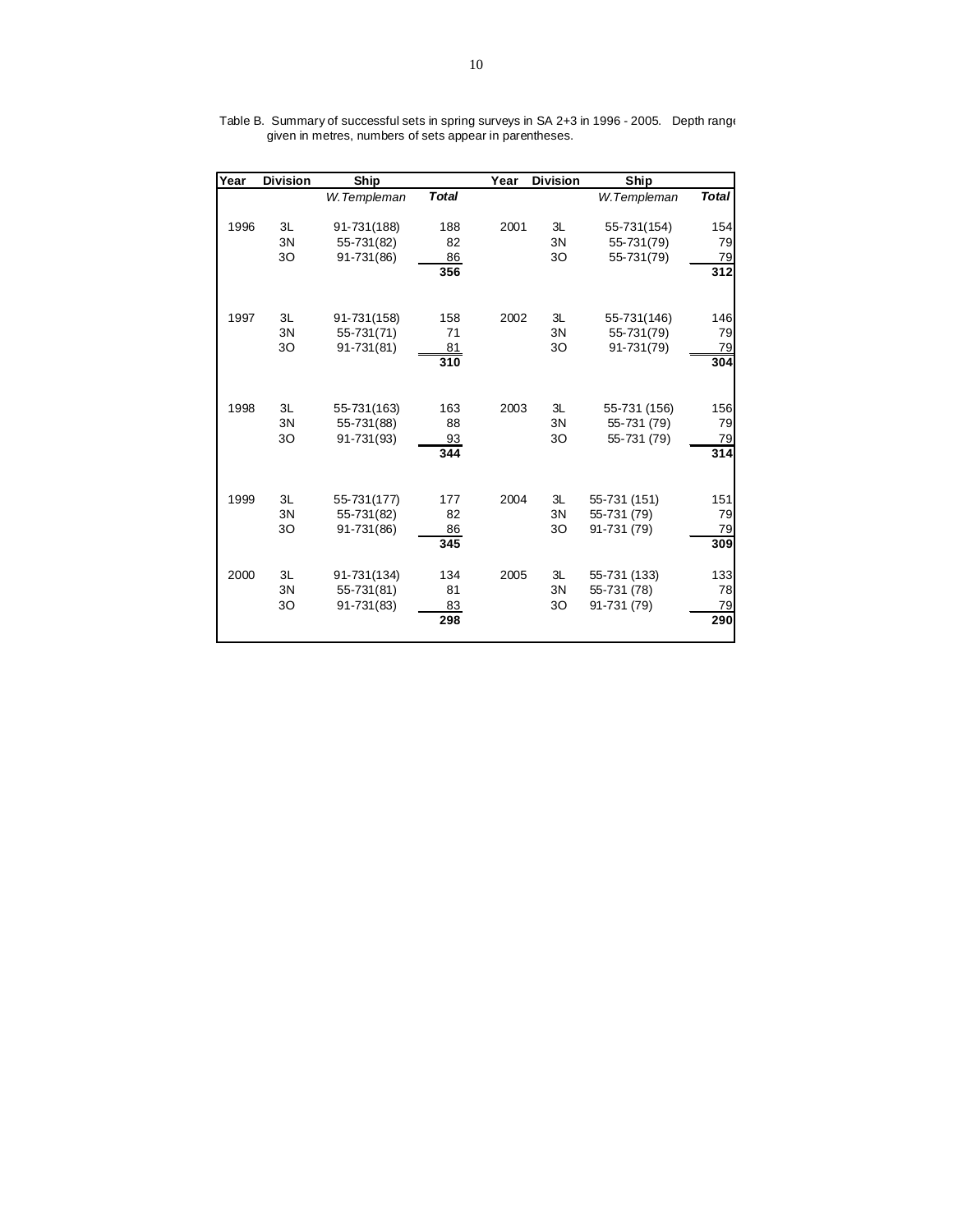| Year | <b>Division</b> | Ship        |              | Year | <b>Division</b> | Ship         |              |
|------|-----------------|-------------|--------------|------|-----------------|--------------|--------------|
|      |                 | W.Templeman | <b>Total</b> |      |                 | W.Templeman  | <b>Total</b> |
|      |                 |             |              |      |                 |              |              |
| 1996 | 3L              | 91-731(188) | 188          | 2001 | 3L              | 55-731(154)  | 154          |
|      | 3N              | 55-731(82)  | 82           |      | 3N              | 55-731(79)   | 79           |
|      | 30              | 91-731(86)  | 86           |      | 30              | 55-731(79)   | 79           |
|      |                 |             | 356          |      |                 |              | 312          |
|      |                 |             |              |      |                 |              |              |
| 1997 | 3L              | 91-731(158) | 158          | 2002 | 3L              | 55-731(146)  | 146          |
|      | 3N              | 55-731(71)  | 71           |      | 3N              | 55-731(79)   | 79           |
|      | 30              | 91-731(81)  | 81           |      | 30              | 91-731(79)   | 79           |
|      |                 |             | 310          |      |                 |              | 304          |
|      |                 |             |              |      |                 |              |              |
|      |                 |             |              |      |                 |              |              |
| 1998 | 3L              | 55-731(163) | 163          | 2003 | 3L              | 55-731 (156) | 156          |
|      | 3N              | 55-731(88)  | 88           |      | 3N              | 55-731 (79)  | 79           |
|      | 30              | 91-731(93)  | 93<br>344    |      | 30              | 55-731 (79)  | 79<br>314    |
|      |                 |             |              |      |                 |              |              |
|      |                 |             |              |      |                 |              |              |
| 1999 | 3L              | 55-731(177) | 177          | 2004 | 3L              | 55-731 (151) | 151          |
|      | 3N              | 55-731(82)  | 82           |      | 3N              | 55-731 (79)  | 79           |
|      | 30              | 91-731(86)  | 86           |      | 30              | 91-731 (79)  | 79           |
|      |                 |             | 345          |      |                 |              | 309          |
| 2000 | 3L              | 91-731(134) | 134          | 2005 | 3L              | 55-731 (133) | 133          |
|      | 3N              | 55-731(81)  | 81           |      | 3N              | 55-731 (78)  | 78           |
|      | 30              | 91-731(83)  | 83           |      | 30              | 91-731 (79)  | 79           |
|      |                 |             | 298          |      |                 |              | 290          |
|      |                 |             |              |      |                 |              |              |

Table B. Summary of successful sets in spring surveys in SA 2+3 in 1996 - 2005. Depth range given in metres, numbers of sets appear in parentheses.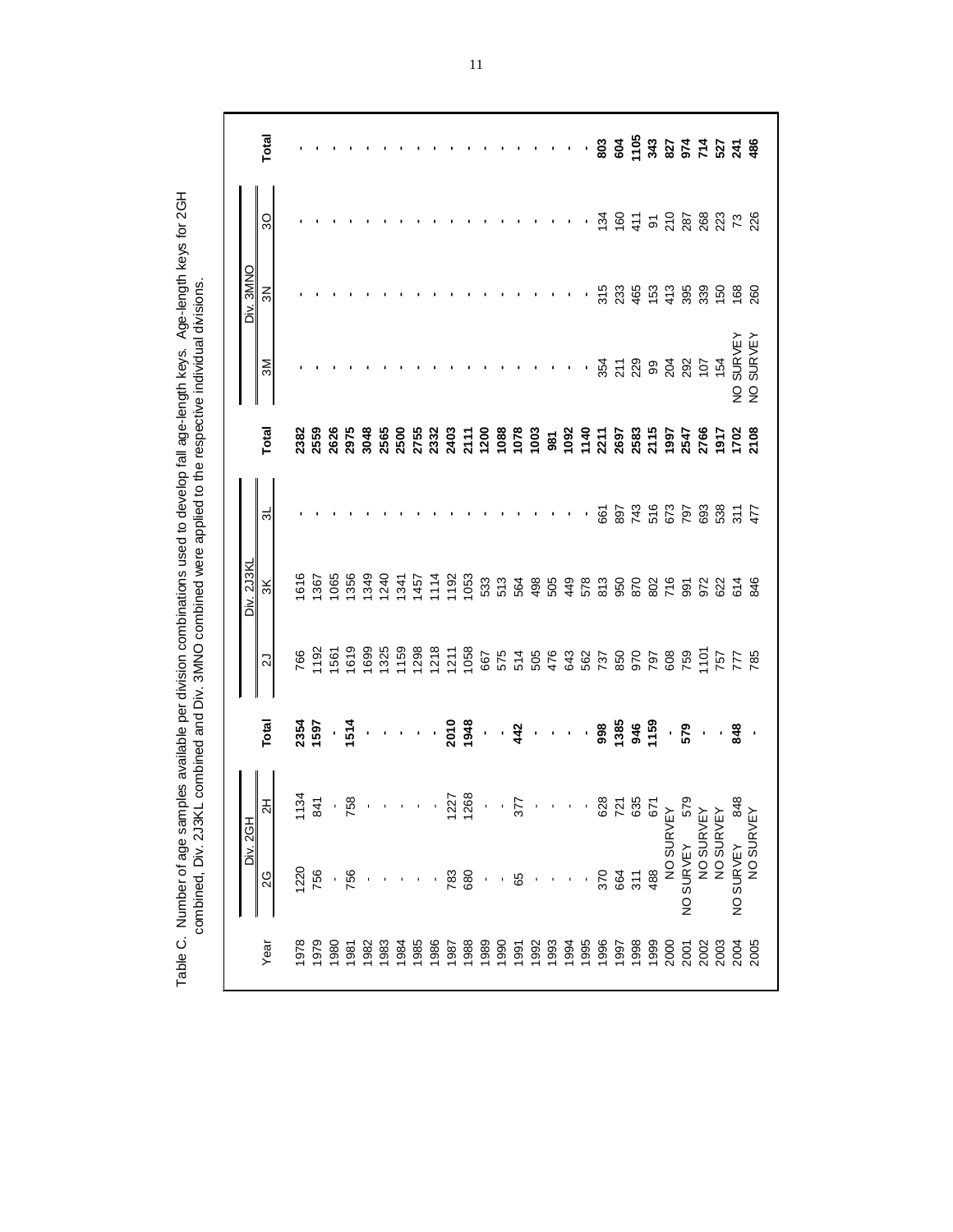|                   | Total          |            |     |     |                                                                                                                                                                                                                                     |                |            |     |      |      |      |      |      |      |      |      |      |      |      | $\cdot$ , , , g g $\frac{1}{2}$ $\frac{2}{3}$ $\frac{3}{2}$ $\frac{1}{3}$ $\frac{1}{2}$ $\frac{1}{4}$ $\frac{2}{3}$ $\frac{3}{4}$ $\frac{5}{4}$ $\frac{1}{2}$ $\frac{3}{4}$ $\frac{5}{4}$ $\frac{3}{4}$ $\frac{5}{4}$ $\frac{1}{2}$ $\frac{5}{4}$ $\frac{3}{4}$ $\frac{5}{4}$ $\frac{1}{2}$ $\frac{5}{4}$ $\frac{3}{$ |      |               |      |           |      |      |              |    |
|-------------------|----------------|------------|-----|-----|-------------------------------------------------------------------------------------------------------------------------------------------------------------------------------------------------------------------------------------|----------------|------------|-----|------|------|------|------|------|------|------|------|------|------|------|-----------------------------------------------------------------------------------------------------------------------------------------------------------------------------------------------------------------------------------------------------------------------------------------------------------------------|------|---------------|------|-----------|------|------|--------------|----|
|                   | SO             |            |     |     |                                                                                                                                                                                                                                     |                |            |     |      |      |      |      |      |      |      |      |      |      |      | $\cdot$ , $\frac{3}{2}$ $\frac{6}{5}$ $\frac{5}{4}$ $\frac{5}{5}$ $\frac{6}{5}$ $\frac{6}{5}$ $\frac{6}{5}$ $\frac{6}{5}$ $\frac{6}{5}$ $\frac{6}{5}$ $\frac{6}{5}$                                                                                                                                                   |      |               |      |           |      |      |              |    |
| Div. 3MNO         | $\frac{2}{3}$  |            |     |     |                                                                                                                                                                                                                                     |                |            |     |      |      |      |      |      |      |      |      |      |      |      |                                                                                                                                                                                                                                                                                                                       |      |               |      |           |      |      |              |    |
|                   | $\mathsf{M}$   |            |     |     |                                                                                                                                                                                                                                     |                |            |     |      |      |      |      |      |      |      |      |      |      |      | $\begin{array}{c} 187.4 \\ 24.4 \\ 25.4 \\ 26.4 \\ 27.4 \\ 28.4 \\ 29.4 \\ 20.4 \\ 21.4 \\ 23.4 \\ 24.4 \\ 25.4 \\ 26.4 \\ 27.4 \\ 28.4 \\ 29.4 \\ 20.4 \\ 21.4 \\ 23.4 \\ 24.4 \\ 25.4 \\ 26.4 \\ 27.4 \\ 28.4 \\ 29.4 \\ 29.4 \\ 20.4 \\ 20.4 \\ 27.4 \\ 28.4 \\ 29.4 \\ 29.4 \\ 20.4 \\ 20.4 \\ 20.4 \\ 2$         |      |               |      |           |      |      |              | 22 |
|                   | Total          |            |     |     |                                                                                                                                                                                                                                     |                |            |     |      |      |      |      |      |      |      |      |      |      |      |                                                                                                                                                                                                                                                                                                                       |      |               |      |           |      |      |              |    |
|                   | $\frac{1}{2}$  |            |     |     |                                                                                                                                                                                                                                     |                |            |     |      |      |      |      |      |      |      |      |      |      |      |                                                                                                                                                                                                                                                                                                                       |      |               |      |           |      |      |              |    |
| <b>Div. 2J3KI</b> | $\frac{1}{3}$  |            |     |     |                                                                                                                                                                                                                                     |                |            |     |      |      |      |      |      |      |      |      |      |      |      |                                                                                                                                                                                                                                                                                                                       |      |               |      |           |      |      |              |    |
|                   | 21             |            |     |     |                                                                                                                                                                                                                                     |                |            |     |      |      |      |      |      |      |      |      |      |      |      |                                                                                                                                                                                                                                                                                                                       |      |               |      |           |      |      |              |    |
|                   | Total          |            |     |     | 1<br>1970 - 1989 - 1980 - 1980 - 1980 - 1980 - 1980 - 1980 - 1980 - 1980 - 1980 - 1980 - 1980 - 1980 - 1980 - 1980<br>1980 - 1980 - 1980 - 1980 - 1980 - 1980 - 1980 - 1980 - 1980 - 1980 - 1980 - 1980 - 1980 - 1980 - 1980 - 1980 |                |            |     |      |      |      |      |      |      |      |      |      |      |      |                                                                                                                                                                                                                                                                                                                       |      |               |      |           |      |      |              |    |
|                   | $\overline{a}$ |            |     |     |                                                                                                                                                                                                                                     |                |            |     |      |      |      |      |      |      |      |      |      |      |      |                                                                                                                                                                                                                                                                                                                       |      |               |      |           |      |      |              |    |
| <b>Div. 2GH</b>   | 2G             | <b>220</b> | 756 |     | 756                                                                                                                                                                                                                                 |                |            |     |      |      | 783  | 680  |      |      | 65   |      |      |      |      | 370                                                                                                                                                                                                                                                                                                                   | 664  | $\frac{1}{3}$ | 488  | NO SURVEY |      |      | NO SURVEY    |    |
|                   | Year           | 978        | 979 | 980 | 1981                                                                                                                                                                                                                                | $\frac{88}{2}$ | <b>983</b> | 198 | 1985 | 1986 | 1987 | 1988 | 1989 | 1990 | 1991 | 1992 | 1993 | 1994 | 1995 | 1996                                                                                                                                                                                                                                                                                                                  | 1997 | 1998          | 1999 | 2000      | 2002 | 2003 | 2005<br>2005 |    |

Table C. Number of age samples available per division combinations used to develop fall age-length keys. Age-length keys for 2GH<br>combined, Div. 2J3KL combined and Div. 3MNO combined were applied to the respective individua Table C. Number of age samples available per division combinations used to develop fall age-length keys. Age-length keys for 2GH combined, Div. 2J3KL combined and Div. 3MNO combined were applied to the respective individual divisions.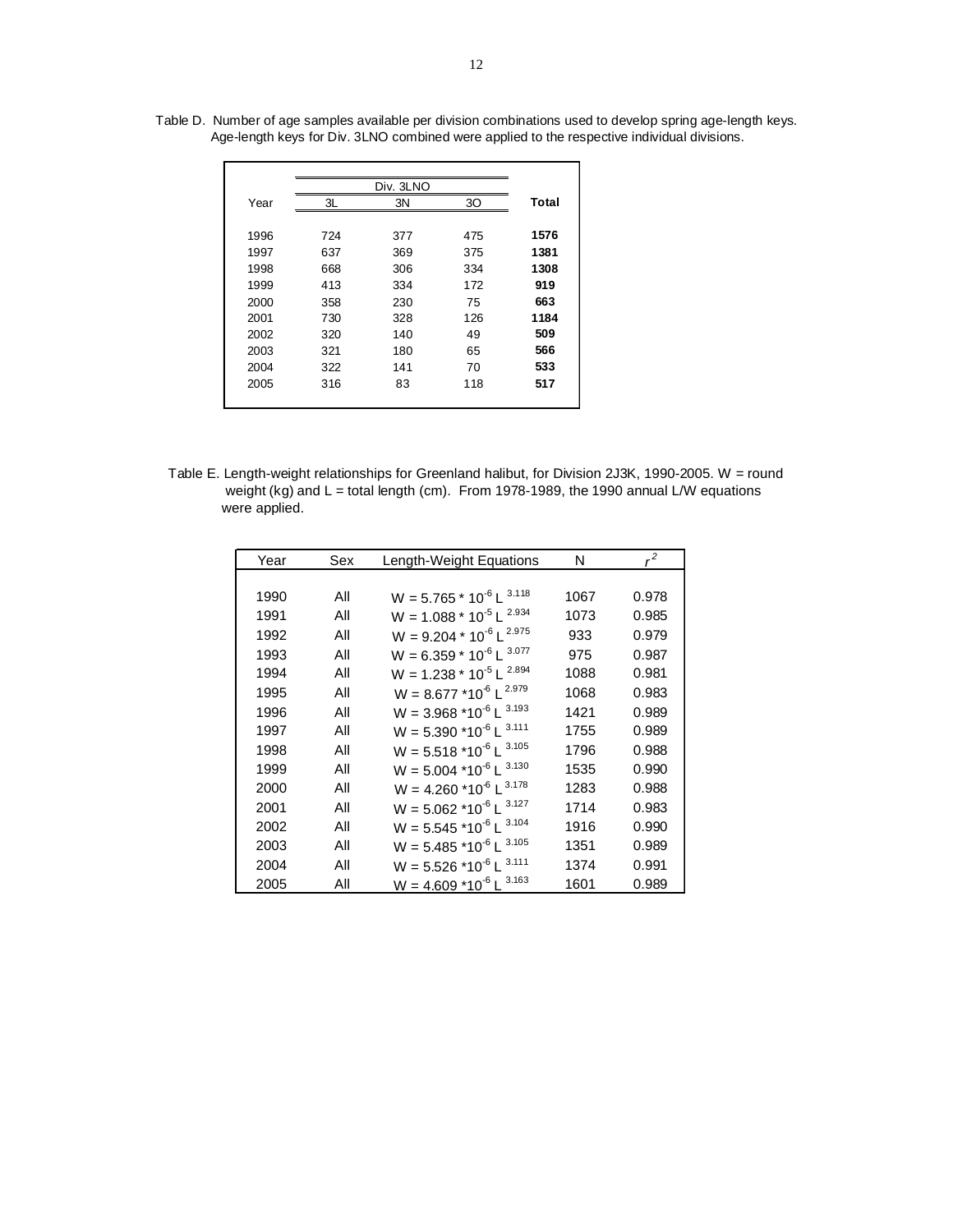|      |     | Div. 3LNO |     |       |
|------|-----|-----------|-----|-------|
| Year | 3L  | 3N        | 30  | Total |
|      |     |           |     |       |
| 1996 | 724 | 377       | 475 | 1576  |
| 1997 | 637 | 369       | 375 | 1381  |
| 1998 | 668 | 306       | 334 | 1308  |
| 1999 | 413 | 334       | 172 | 919   |
| 2000 | 358 | 230       | 75  | 663   |
| 2001 | 730 | 328       | 126 | 1184  |
| 2002 | 320 | 140       | 49  | 509   |
| 2003 | 321 | 180       | 65  | 566   |
| 2004 | 322 | 141       | 70  | 533   |
| 2005 | 316 | 83        | 118 | 517   |
|      |     |           |     |       |

Table D. Number of age samples available per division combinations used to develop spring age-length keys. Age-length keys for Div. 3LNO combined were applied to the respective individual divisions.

Table E. Length-weight relationships for Greenland halibut, for Division 2J3K, 1990-2005. W = round weight (kg) and L = total length (cm). From 1978-1989, the 1990 annual L/W equations were applied.

| Year | Sex | Length-Weight Equations                          | N    | $r^2$ |
|------|-----|--------------------------------------------------|------|-------|
|      |     |                                                  |      |       |
| 1990 | All | $W = 5.765 * 10^{-6} L^{3.118}$                  | 1067 | 0.978 |
| 1991 | All | $W = 1.088 * 10^{-5} L^{2.934}$                  | 1073 | 0.985 |
| 1992 | All | $W = 9.204 * 10^{-6} L^{2.975}$                  | 933  | 0.979 |
| 1993 | All | $W = 6.359 * 10^{-6} L^{3.077}$                  | 975  | 0.987 |
| 1994 | All | $W = 1.238 * 10^{-5} L^{2.894}$                  | 1088 | 0.981 |
| 1995 | All | $W = 8.677 * 10^{-6} L^{2.979}$                  | 1068 | 0.983 |
| 1996 | All | $W = 3.968 * 10^{-6} L^{3.193}$                  | 1421 | 0.989 |
| 1997 | All | $W = 5.390$ *10 <sup>-6</sup> L <sup>3.111</sup> | 1755 | 0.989 |
| 1998 | All | $W = 5.518 * 10^{-6} L^{3.105}$                  | 1796 | 0.988 |
| 1999 | All | $W = 5.004$ *10 <sup>-6</sup> L <sup>3.130</sup> | 1535 | 0.990 |
| 2000 | All | $W = 4.260$ *10 <sup>-6</sup> L <sup>3.178</sup> | 1283 | 0.988 |
| 2001 | All | $W = 5.062$ *10 <sup>-6</sup> L <sup>3.127</sup> | 1714 | 0.983 |
| 2002 | All | $W = 5.545 * 10^{-6} L^{3.104}$                  | 1916 | 0.990 |
| 2003 | All | $W = 5.485$ *10 <sup>-6</sup> L <sup>3.105</sup> | 1351 | 0.989 |
| 2004 | All | $W = 5.526 * 10^{-6} L^{3.111}$                  | 1374 | 0.991 |
| 2005 | All | $W = 4.609 * 10^{-6} L^{3.163}$                  | 1601 | 0.989 |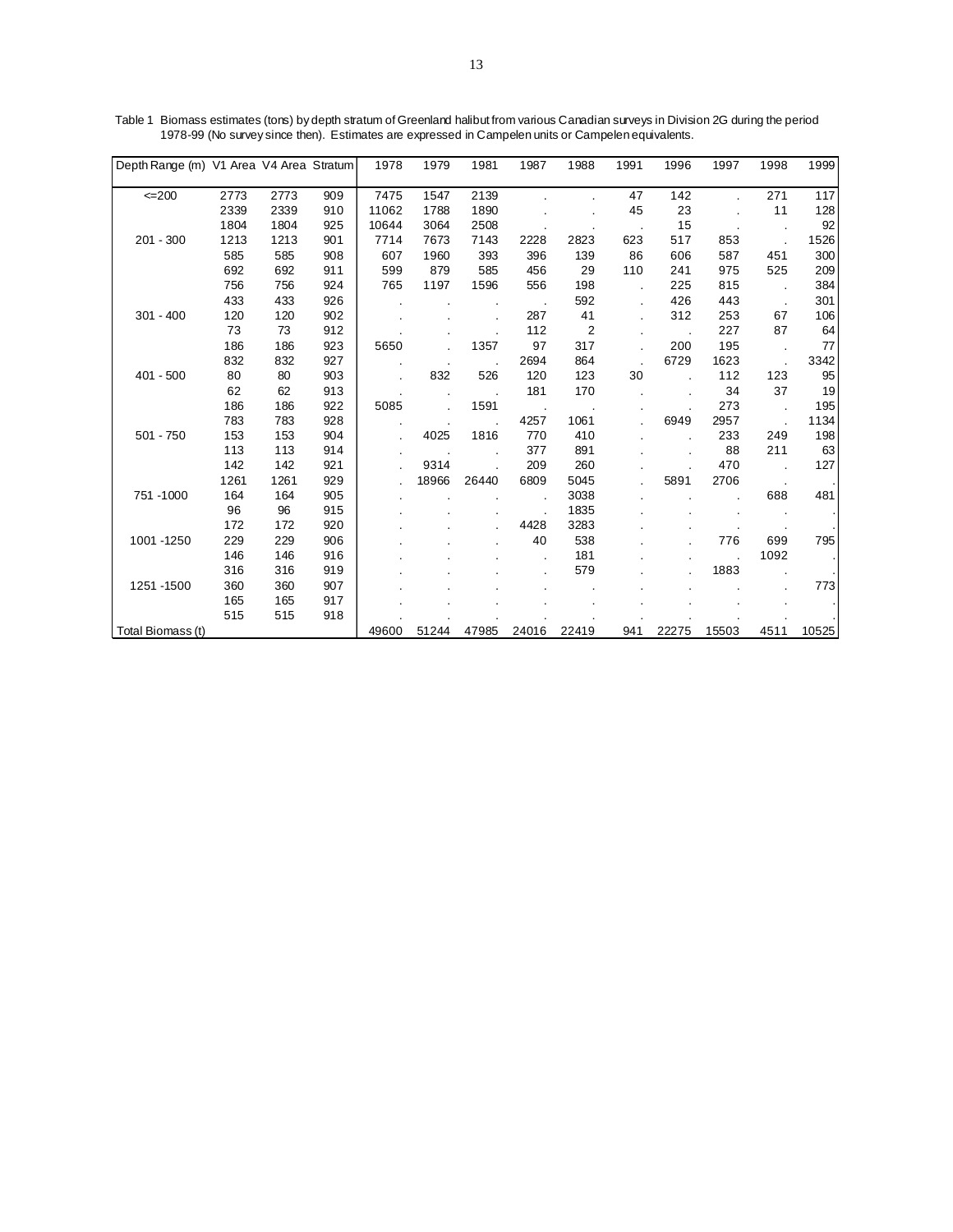| Depth Range (m) V1 Area V4 Area Stratum |              |              |            | 1978           | 1979         | 1981         | 1987  | 1988           | 1991 | 1996     | 1997  | 1998 | 1999      |
|-----------------------------------------|--------------|--------------|------------|----------------|--------------|--------------|-------|----------------|------|----------|-------|------|-----------|
|                                         |              |              |            |                |              |              |       |                |      |          |       |      |           |
| $=200$                                  | 2773         | 2773         | 909        | 7475           | 1547         | 2139         |       |                | 47   | 142      |       | 271  | 117       |
|                                         | 2339<br>1804 | 2339<br>1804 | 910<br>925 | 11062<br>10644 | 1788<br>3064 | 1890<br>2508 |       |                | 45   | 23<br>15 |       | 11   | 128<br>92 |
| $201 - 300$                             |              |              | 901        | 7714           |              |              |       |                |      |          |       |      |           |
|                                         | 1213         | 1213         |            |                | 7673         | 7143         | 2228  | 2823           | 623  | 517      | 853   |      | 1526      |
|                                         | 585          | 585          | 908        | 607            | 1960         | 393          | 396   | 139            | 86   | 606      | 587   | 451  | 300       |
|                                         | 692          | 692          | 911        | 599            | 879          | 585          | 456   | 29             | 110  | 241      | 975   | 525  | 209       |
|                                         | 756          | 756          | 924        | 765            | 1197         | 1596         | 556   | 198            |      | 225      | 815   |      | 384       |
|                                         | 433          | 433          | 926        |                |              |              |       | 592            |      | 426      | 443   |      | 301       |
| $301 - 400$                             | 120          | 120          | 902        |                |              |              | 287   | 41             |      | 312      | 253   | 67   | 106       |
|                                         | 73           | 73           | 912        |                |              |              | 112   | $\overline{2}$ |      |          | 227   | 87   | 64        |
|                                         | 186          | 186          | 923        | 5650           |              | 1357         | 97    | 317            |      | 200      | 195   |      | 77        |
|                                         | 832          | 832          | 927        |                |              |              | 2694  | 864            |      | 6729     | 1623  |      | 3342      |
| $401 - 500$                             | 80           | 80           | 903        |                | 832          | 526          | 120   | 123            | 30   |          | 112   | 123  | 95        |
|                                         | 62           | 62           | 913        |                |              |              | 181   | 170            |      |          | 34    | 37   | 19        |
|                                         | 186          | 186          | 922        | 5085           |              | 1591         |       |                |      |          | 273   |      | 195       |
|                                         | 783          | 783          | 928        |                |              |              | 4257  | 1061           |      | 6949     | 2957  |      | 1134      |
| $501 - 750$                             | 153          | 153          | 904        |                | 4025         | 1816         | 770   | 410            |      |          | 233   | 249  | 198       |
|                                         | 113          | 113          | 914        |                |              |              | 377   | 891            |      |          | 88    | 211  | 63        |
|                                         | 142          | 142          | 921        |                | 9314         |              | 209   | 260            |      |          | 470   |      | 127       |
|                                         | 1261         | 1261         | 929        |                | 18966        | 26440        | 6809  | 5045           |      | 5891     | 2706  |      |           |
| 751-1000                                | 164          | 164          | 905        |                |              |              |       | 3038           |      |          |       | 688  | 481       |
|                                         | 96           | 96           | 915        |                |              |              |       | 1835           |      |          |       |      |           |
|                                         | 172          | 172          | 920        |                |              |              | 4428  | 3283           |      |          |       |      |           |
| 1001 - 1250                             | 229          | 229          | 906        |                |              |              | 40    | 538            |      |          | 776   | 699  | 795       |
|                                         | 146          | 146          | 916        |                |              |              |       | 181            |      |          |       | 1092 |           |
|                                         | 316          | 316          | 919        |                |              |              |       | 579            |      |          | 1883  |      |           |
| 1251 - 1500                             | 360          | 360          | 907        |                |              |              |       |                |      |          |       |      | 773       |
|                                         | 165          | 165          | 917        |                |              |              |       |                |      |          |       |      |           |
|                                         | 515          | 515          | 918        |                |              |              |       |                |      |          |       |      |           |
| Total Biomass (t)                       |              |              |            | 49600          | 51244        | 47985        | 24016 | 22419          | 941  | 22275    | 15503 | 4511 | 10525     |

Table 1 Biomass estimates (tons) by depth stratum of Greenland halibut from various Canadian surveys in Division 2G during the period 1978-99 (No survey since then). Estimates are expressed in Campelen units or Campelen equivalents.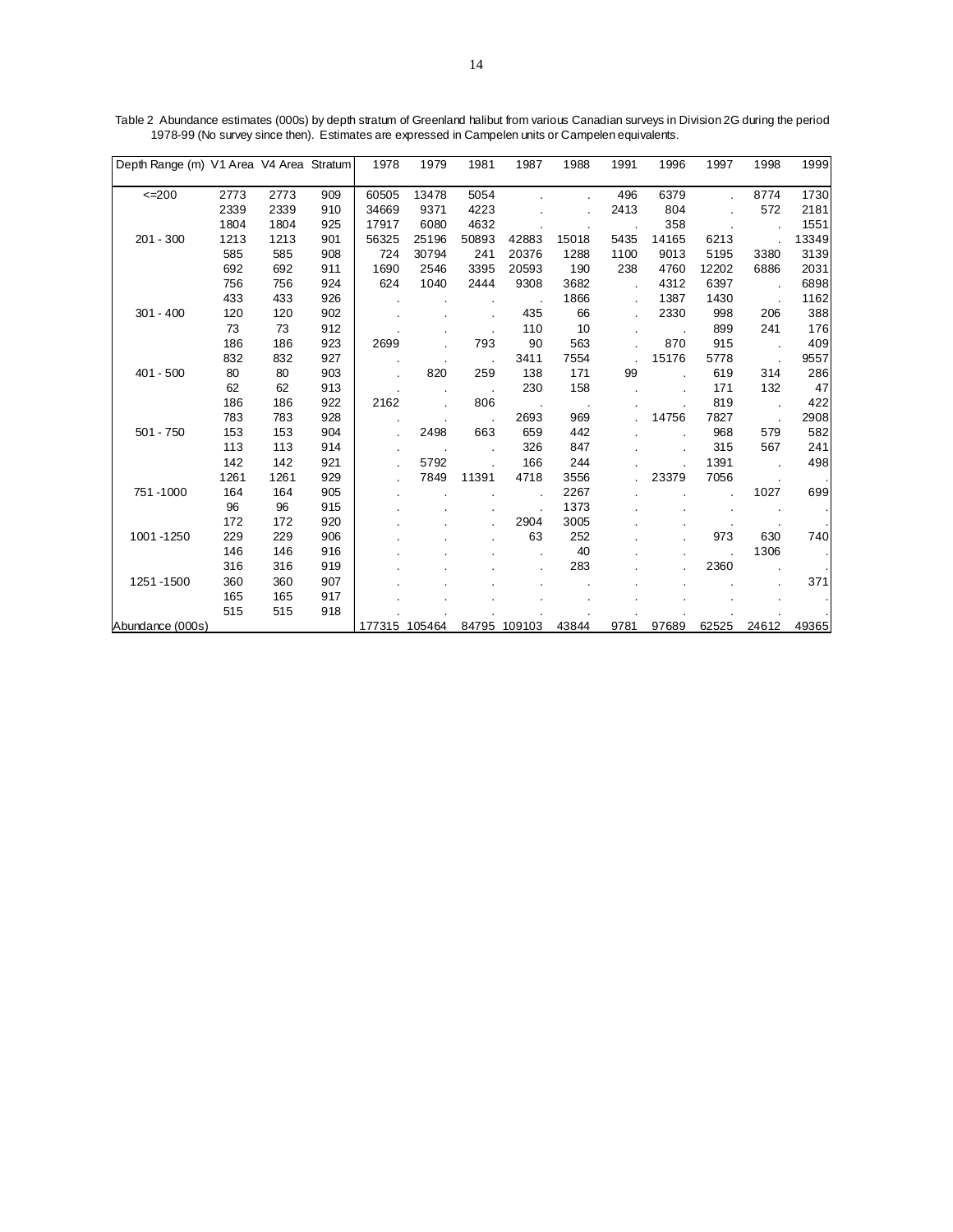| Depth Range (m) V1 Area V4 Area Stratum |      |      |     | 1978          | 1979  | 1981  | 1987         | 1988  | 1991                 | 1996  | 1997  | 1998  | 1999  |
|-----------------------------------------|------|------|-----|---------------|-------|-------|--------------|-------|----------------------|-------|-------|-------|-------|
|                                         |      |      |     |               |       |       |              |       |                      |       |       |       |       |
| $=200$                                  | 2773 | 2773 | 909 | 60505         | 13478 | 5054  |              |       | 496                  | 6379  |       | 8774  | 1730  |
|                                         | 2339 | 2339 | 910 | 34669         | 9371  | 4223  |              |       | 2413                 | 804   |       | 572   | 2181  |
|                                         | 1804 | 1804 | 925 | 17917         | 6080  | 4632  |              |       |                      | 358   |       |       | 1551  |
| $201 - 300$                             | 1213 | 1213 | 901 | 56325         | 25196 | 50893 | 42883        | 15018 | 5435                 | 14165 | 6213  |       | 13349 |
|                                         | 585  | 585  | 908 | 724           | 30794 | 241   | 20376        | 1288  | 1100                 | 9013  | 5195  | 3380  | 3139  |
|                                         | 692  | 692  | 911 | 1690          | 2546  | 3395  | 20593        | 190   | 238                  | 4760  | 12202 | 6886  | 2031  |
|                                         | 756  | 756  | 924 | 624           | 1040  | 2444  | 9308         | 3682  | $\ddot{\phantom{0}}$ | 4312  | 6397  |       | 6898  |
|                                         | 433  | 433  | 926 |               |       |       |              | 1866  |                      | 1387  | 1430  |       | 1162  |
| $301 - 400$                             | 120  | 120  | 902 |               |       |       | 435          | 66    |                      | 2330  | 998   | 206   | 388   |
|                                         | 73   | 73   | 912 |               |       |       | 110          | 10    |                      |       | 899   | 241   | 176   |
|                                         | 186  | 186  | 923 | 2699          |       | 793   | 90           | 563   |                      | 870   | 915   |       | 409   |
|                                         | 832  | 832  | 927 |               |       |       | 3411         | 7554  |                      | 15176 | 5778  |       | 9557  |
| $401 - 500$                             | 80   | 80   | 903 |               | 820   | 259   | 138          | 171   | 99                   |       | 619   | 314   | 286   |
|                                         | 62   | 62   | 913 |               |       |       | 230          | 158   |                      |       | 171   | 132   | 47    |
|                                         | 186  | 186  | 922 | 2162          |       | 806   |              |       |                      |       | 819   |       | 422   |
|                                         | 783  | 783  | 928 |               |       |       | 2693         | 969   |                      | 14756 | 7827  |       | 2908  |
| $501 - 750$                             | 153  | 153  | 904 |               | 2498  | 663   | 659          | 442   |                      |       | 968   | 579   | 582   |
|                                         | 113  | 113  | 914 |               |       |       | 326          | 847   |                      |       | 315   | 567   | 241   |
|                                         | 142  | 142  | 921 |               | 5792  |       | 166          | 244   |                      |       | 1391  |       | 498   |
|                                         | 1261 | 1261 | 929 |               | 7849  | 11391 | 4718         | 3556  |                      | 23379 | 7056  |       |       |
| 751-1000                                | 164  | 164  | 905 |               |       |       |              | 2267  |                      |       |       | 1027  | 699   |
|                                         | 96   | 96   | 915 |               |       |       |              | 1373  |                      |       |       |       |       |
|                                         | 172  | 172  | 920 |               |       |       | 2904         | 3005  |                      |       |       |       |       |
| 1001-1250                               | 229  | 229  | 906 |               |       |       | 63           | 252   |                      |       | 973   | 630   | 740   |
|                                         | 146  | 146  | 916 |               |       |       |              | 40    |                      |       |       | 1306  |       |
|                                         | 316  | 316  | 919 |               |       |       |              | 283   |                      |       | 2360  |       |       |
| 1251-1500                               | 360  | 360  | 907 |               |       |       |              |       |                      |       |       |       | 371   |
|                                         | 165  | 165  | 917 |               |       |       |              |       |                      |       |       |       |       |
|                                         | 515  | 515  | 918 |               |       |       |              |       |                      |       |       |       |       |
| Abundance (000s)                        |      |      |     | 177315 105464 |       |       | 84795 109103 | 43844 | 9781                 | 97689 | 62525 | 24612 | 49365 |

Table 2 Abundance estimates (000s) by depth stratum of Greenland halibut from various Canadian surveys in Division 2G during the period 1978-99 (No survey since then). Estimates are expressed in Campelen units or Campelen equivalents.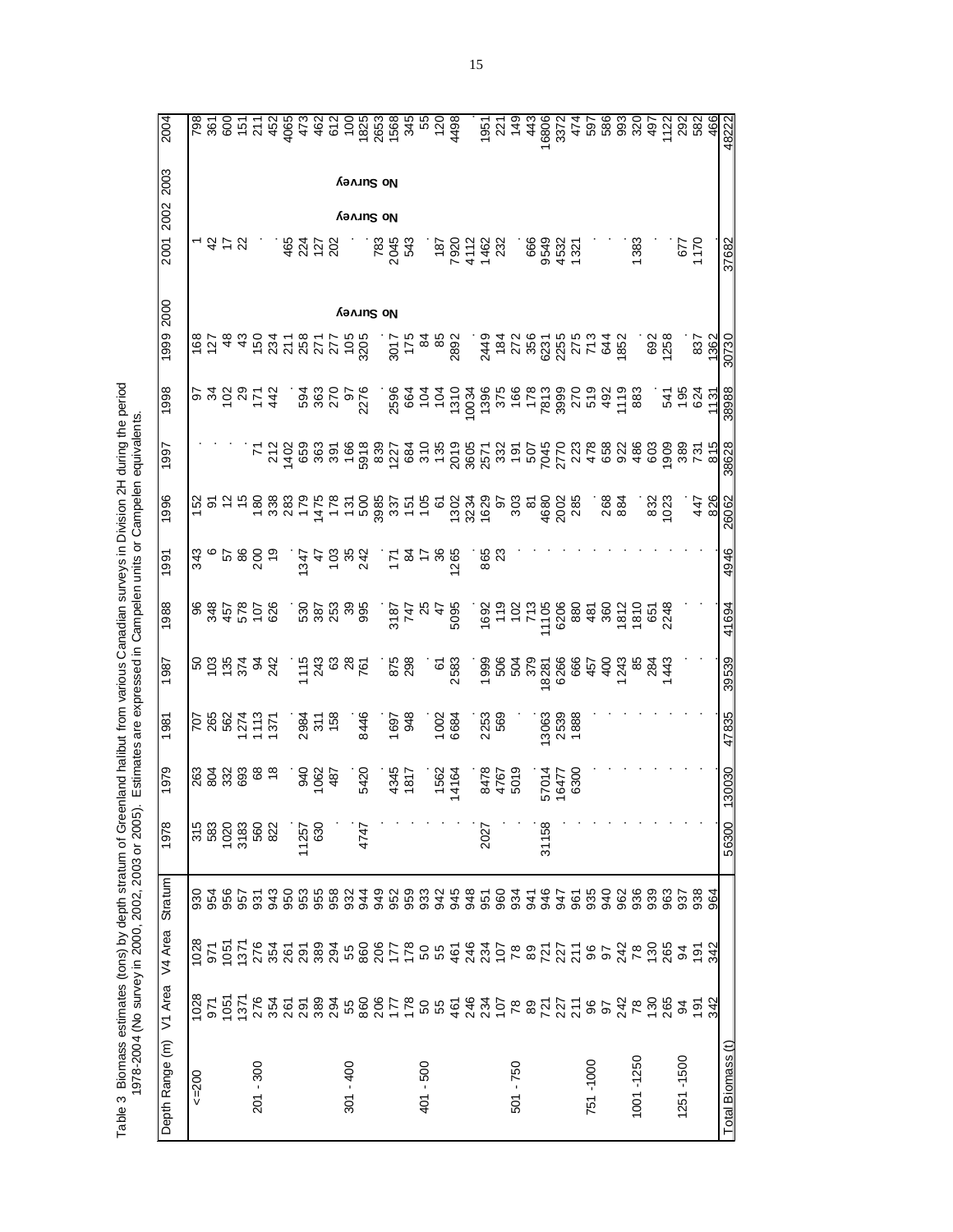|                                                                                                                                                                                            | 2004            |      | 798<br>361 |               |                       |                      |     |     |                      |      | e cada de conseguente de conseguente de la conseguencia de la conseguencia de la conseguencia de la conseguenc<br>de conseguencia de la conseguencia de la conseguencia de la conseguencia de la conseguencia de la conseguencia |             |      |      |                                                 |      |            |                                           |      |                                                                         |      | 1951<br>221<br>149 |                                                                                           | 443         | 6806<br>3372 |                        | 474                                                                            |          |              | 58<br>58<br>59<br>59 | 320                  | 497<br>1122 |                | 292       | 582             | 466    | 48222             |
|--------------------------------------------------------------------------------------------------------------------------------------------------------------------------------------------|-----------------|------|------------|---------------|-----------------------|----------------------|-----|-----|----------------------|------|----------------------------------------------------------------------------------------------------------------------------------------------------------------------------------------------------------------------------------|-------------|------|------|-------------------------------------------------|------|------------|-------------------------------------------|------|-------------------------------------------------------------------------|------|--------------------|-------------------------------------------------------------------------------------------|-------------|--------------|------------------------|--------------------------------------------------------------------------------|----------|--------------|----------------------|----------------------|-------------|----------------|-----------|-----------------|--------|-------------------|
|                                                                                                                                                                                            | 2003            |      |            |               |                       |                      |     |     |                      |      |                                                                                                                                                                                                                                  | No Survey   |      |      |                                                 |      |            |                                           |      |                                                                         |      |                    |                                                                                           |             |              |                        |                                                                                |          |              |                      |                      |             |                |           |                 |        |                   |
|                                                                                                                                                                                            | 2002<br>2001    |      |            |               |                       |                      |     | 465 | 224                  | 127  | 202                                                                                                                                                                                                                              | νο χιιιλελ  |      | 783  | 2045                                            | 543  |            | 187                                       | 7920 | 4112                                                                    | 1462 | 232                |                                                                                           | 666<br>9549 |              | 4532                   | $32^{4}$                                                                       |          |              |                      | 1383                 |             |                | 57        | $\frac{5}{170}$ |        |                   |
|                                                                                                                                                                                            |                 |      |            |               |                       |                      |     |     |                      |      |                                                                                                                                                                                                                                  |             |      |      |                                                 |      |            |                                           |      |                                                                         |      |                    |                                                                                           |             |              |                        |                                                                                |          |              |                      |                      |             |                |           |                 |        | 37682             |
|                                                                                                                                                                                            | 2000<br>1999    |      | 168        | $\frac{8}{3}$ | $\frac{3}{2}$         |                      |     |     | 531<br>531<br>588    | 27'  | 277<br>105<br>3205                                                                                                                                                                                                               | No Survey   |      |      | 3017                                            | 175  |            | 948                                       | 2892 |                                                                         |      |                    |                                                                                           |             |              |                        | $3487878777848878748878488$                                                    |          |              |                      |                      | 692<br>1258 |                |           | 837             | 362    |                   |
|                                                                                                                                                                                            |                 |      |            |               |                       |                      |     |     |                      |      |                                                                                                                                                                                                                                  |             |      |      |                                                 |      |            |                                           |      |                                                                         |      |                    |                                                                                           |             |              |                        |                                                                                |          |              |                      |                      |             |                |           |                 |        | 30730             |
|                                                                                                                                                                                            | 1998            |      |            |               |                       | <b>알 와 하 없 호 츙</b>   |     |     |                      |      |                                                                                                                                                                                                                                  | 6           | 2276 |      | 884<br>884<br>885                               |      |            |                                           |      | 1310<br>10034                                                           |      |                    |                                                                                           |             |              |                        | 86<br>876<br>882<br>882<br>882<br>882<br>882                                   |          | 492          | 1119                 | 883                  |             | 224<br>224     |           |                 | .<br>그 | 38988             |
|                                                                                                                                                                                            | 1997            |      |            |               |                       | <u>r</u>             |     |     | 22<br>24<br>25<br>28 |      | 391<br>286<br>2918                                                                                                                                                                                                               |             |      |      |                                                 |      |            |                                           |      | 8<br>8 5 8 5 8 5 8 5 8 7 8 9 5 9 7 8<br>8 5 8 5 8 9 8 5 8 5 9 5 9 6 7 8 |      |                    |                                                                                           |             |              |                        |                                                                                | 478      | 658          | 922                  | 486                  |             | ខ្លួននិង       |           |                 | 815    | 38628             |
|                                                                                                                                                                                            | 1996            | 152  | စ်         |               |                       | $588877$<br>$598877$ |     |     |                      |      | 1800                                                                                                                                                                                                                             |             |      | 3985 | 337                                             |      |            | $\frac{1}{2}$ $\frac{5}{2}$ $\frac{2}{2}$ |      | 1302<br>3234<br>1629                                                    |      |                    | ခ် ဗွိ အ                                                                                  |             |              | 4680<br>2002<br>285    |                                                                                |          | 268          | 884                  |                      | 832<br>IO23 |                |           | 447             | 826    | 26062             |
|                                                                                                                                                                                            | 1991            | 343  |            | 98 G          |                       | 200                  | ဍ   |     | 347                  |      | 2833                                                                                                                                                                                                                             |             |      |      | $\tilde{\Sigma}$ $\mathcal{D}$ $\tilde{\Sigma}$ |      |            | 8                                         | 265  |                                                                         | ಹಿ ಇ |                    |                                                                                           |             |              |                        |                                                                                |          |              |                      |                      |             |                |           |                 |        | 4946              |
|                                                                                                                                                                                            | 1988            |      | 98<br>348  |               |                       | 457<br>578<br>578    |     |     |                      |      | ទី ២ ១ ១ ១<br>កំពុង ១ ១                                                                                                                                                                                                          |             |      |      | 909<br>252<br>282<br>282                        |      |            |                                           |      |                                                                         |      |                    | 1692<br>1927<br>1927<br>195                                                               |             |              | 6206                   | 880                                                                            |          | $481$<br>360 |                      | 1810<br>1854<br>1848 |             |                |           |                 |        | 41694             |
|                                                                                                                                                                                            | 987             |      |            |               |                       | ខនិន្ន័ទ្នឌ្ល        |     |     | 1115                 | 243  | $rac{8}{28}$                                                                                                                                                                                                                     |             |      |      | 875<br>298                                      |      |            | 61<br>2583                                |      |                                                                         |      |                    | $\begin{array}{l} 1828 \\ 206 \\ 207 \\ 208 \\ 109 \\ 209 \\ 109 \\ 209 \\ 1 \end{array}$ |             |              | 6266                   | 666                                                                            | 457      | $rac{1}{4}$  |                      | 2884                 |             |                |           |                 |        | 39539             |
| Estimates are expressed in Campelen units or Campelen equivalents.                                                                                                                         | 981             |      |            |               |                       | <b>2882722</b>       |     |     | 2984                 | 311  |                                                                                                                                                                                                                                  |             | 8446 |      | 1697                                            | 948  |            | 1002<br>6684                              |      |                                                                         | 2253 | 569                |                                                                                           |             | 3063         | 2539                   | 1888                                                                           |          |              |                      |                      |             |                |           |                 |        | 47835             |
|                                                                                                                                                                                            | 1979            |      |            |               | ಥ ತ್ವ ಜ್ಞ<br>ಇತ್ವ ಜ್ಞ | 88                   |     |     | 940                  | 1062 | 487                                                                                                                                                                                                                              |             | 5420 |      | 4345                                            | 1817 |            | 1562<br>4164                              |      |                                                                         |      | 8478<br>4767       | 5019                                                                                      |             |              | 57014<br>16477<br>6300 |                                                                                |          |              |                      |                      |             |                |           |                 |        | 130030            |
|                                                                                                                                                                                            | 1978            |      | 315<br>583 | 1020          | 3183                  | 560                  | 822 |     | 11257                | 630  |                                                                                                                                                                                                                                  |             | 4747 |      |                                                 |      |            |                                           |      |                                                                         | 2027 |                    |                                                                                           |             | 31158        |                        |                                                                                |          |              |                      |                      |             |                |           |                 |        | 56300             |
|                                                                                                                                                                                            | Stratum         | 930  | 954        | 956           | 957                   | <u>ର</u>             | 943 | 950 | 953                  | 955  | 8824<br>882                                                                                                                                                                                                                      |             |      | 949  | 952                                             |      | 959<br>933 | 942                                       | 945  | 948                                                                     | 951  | 960                | 934                                                                                       | 346         |              | 276                    | <u>යි</u>                                                                      | 935      | 940          | 962                  | 936                  | 939         | 963            | 937       | 938             | 964    |                   |
|                                                                                                                                                                                            | V4 Area         | 1028 | 971        | 1051          | 1371                  | 276<br>354           |     | 261 | 291                  |      |                                                                                                                                                                                                                                  |             |      |      |                                                 |      |            |                                           |      |                                                                         |      |                    |                                                                                           |             |              |                        | 88 3 5 8 9 5 5 5 9 5 9 4 3 5 6 9 5 5 7 5 9 9 4 7 6 9 7 6 7 6 9 7 7 7 8 9 7 7 7 |          |              |                      |                      |             | $283\n4$       |           | 191             | 342    |                   |
|                                                                                                                                                                                            | V1 Area         | 1028 | 971        | 1051          | 1371                  |                      |     |     | 254<br>255<br>297    |      |                                                                                                                                                                                                                                  |             |      |      |                                                 |      |            |                                           |      |                                                                         |      |                    |                                                                                           |             |              |                        | 3346887778548777887275852                                                      |          |              |                      | 78                   |             | $130$<br>$265$ |           | $\frac{5}{4}$   | 342    |                   |
| Table 3 Biomass estimates (tons) by depth stratum of Greenland halibut from various Canadian surveys in Division 2H during the period<br>1978-2004 (No survey in 2000, 2002, 2003 or 2005) | Depth Range (m) | 500  |            |               |                       | 201 - 300            |     |     |                      |      |                                                                                                                                                                                                                                  | $301 - 400$ |      |      |                                                 |      | 401 - 500  |                                           |      |                                                                         |      |                    | 501 - 750                                                                                 |             |              |                        |                                                                                | 751-1000 |              |                      | 1001-1250            |             |                | 1251-1500 |                 |        | Total Biomass (t) |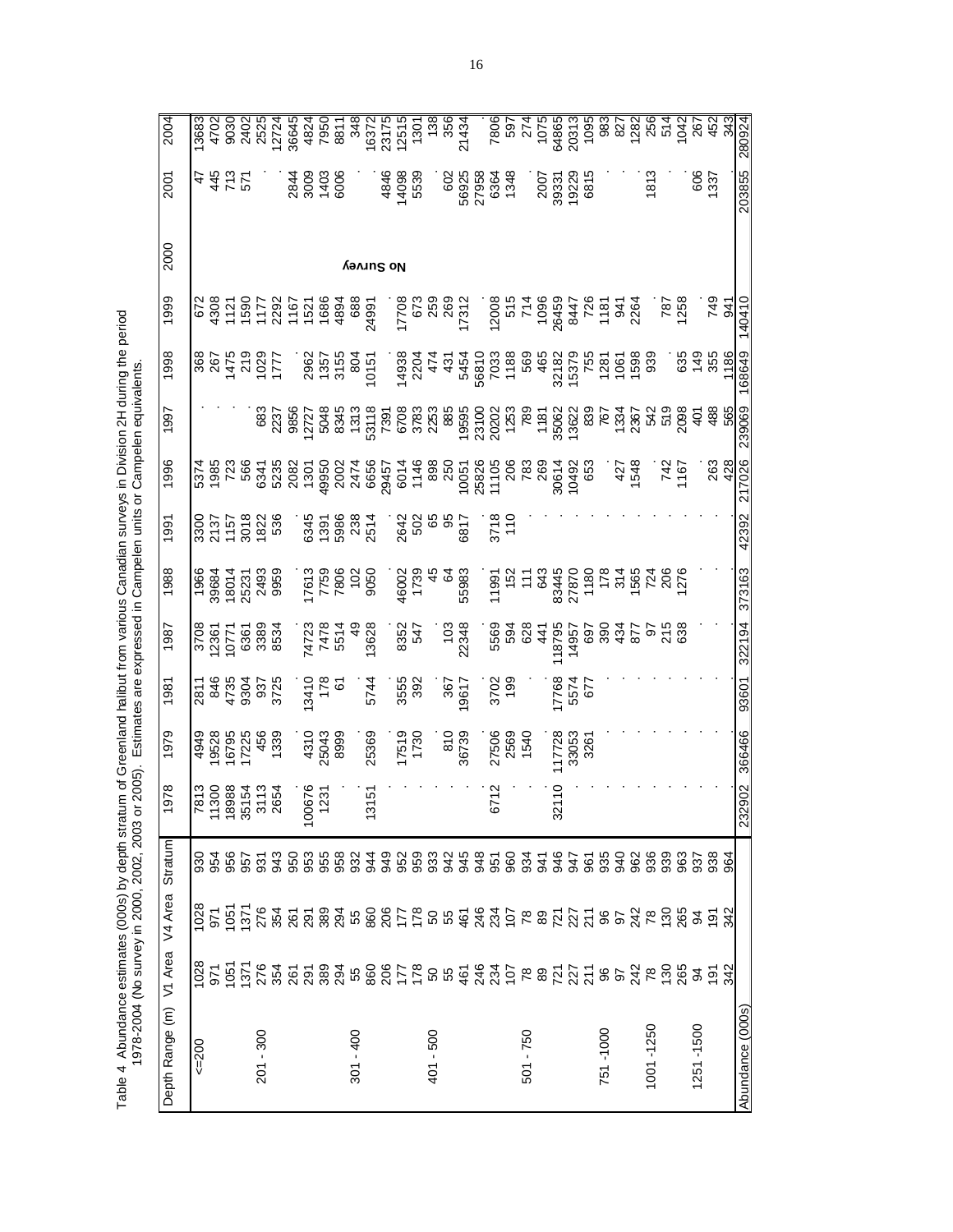| 2004                    |     |      |             |                                                                                                                                                                                                                                  |                                                     |  |             |                     |                       |  |           |                                 |             |                                      |           |       |                        |          |  |           |                                                 |                  |                              |                  |
|-------------------------|-----|------|-------------|----------------------------------------------------------------------------------------------------------------------------------------------------------------------------------------------------------------------------------|-----------------------------------------------------|--|-------------|---------------------|-----------------------|--|-----------|---------------------------------|-------------|--------------------------------------|-----------|-------|------------------------|----------|--|-----------|-------------------------------------------------|------------------|------------------------------|------------------|
| 2001                    |     | さきだい |             |                                                                                                                                                                                                                                  | $\begin{array}{c} 8846 \\ 8866 \\ 8866 \end{array}$ |  |             |                     | 4846<br>14098<br>5539 |  |           |                                 |             | 602<br>6025<br>60363<br>6364<br>6364 |           |       | 007<br>007378<br>00828 |          |  | 181       |                                                 | $rac{600}{1337}$ |                              | 203855           |
| 2000                    |     |      |             |                                                                                                                                                                                                                                  |                                                     |  | No Survey   |                     |                       |  |           |                                 |             |                                      |           |       |                        |          |  |           |                                                 |                  |                              |                  |
| 1999                    |     |      |             |                                                                                                                                                                                                                                  |                                                     |  |             |                     |                       |  |           |                                 |             |                                      |           |       |                        |          |  |           |                                                 |                  | 749<br>041<br>0410<br>140410 |                  |
| 1998                    |     |      |             |                                                                                                                                                                                                                                  |                                                     |  |             |                     |                       |  |           |                                 |             |                                      |           |       |                        |          |  |           | $\frac{35}{34}$ $\frac{35}{14}$ $\frac{30}{14}$ |                  |                              | 168649           |
| 1997                    |     |      |             |                                                                                                                                                                                                                                  |                                                     |  |             |                     |                       |  |           |                                 |             |                                      |           |       |                        |          |  |           |                                                 |                  |                              |                  |
| 1996                    |     |      |             |                                                                                                                                                                                                                                  |                                                     |  |             |                     |                       |  |           |                                 |             |                                      |           |       |                        |          |  |           |                                                 |                  | ୍ରୁ ଶୁ                       | 217026           |
| 1991                    |     |      |             | 9300<br>2157<br>2015<br>2016<br>2016<br>2016<br>2016                                                                                                                                                                             |                                                     |  |             |                     |                       |  |           |                                 |             |                                      |           |       |                        |          |  |           |                                                 |                  |                              | 42392            |
| 1988                    |     |      |             | 1968<br>19684<br>1973<br>2059<br>2059<br>2059                                                                                                                                                                                    |                                                     |  |             |                     |                       |  |           |                                 |             |                                      |           |       |                        |          |  |           |                                                 |                  |                              | 373163           |
| 1987                    |     |      |             | 3708<br>12367<br>12567<br>1256<br>1256                                                                                                                                                                                           |                                                     |  |             |                     |                       |  |           |                                 |             |                                      |           |       |                        |          |  |           |                                                 |                  |                              | 322194           |
| 1981                    |     |      |             | 3272<br>288<br>288<br>1182<br>1182                                                                                                                                                                                               | $13410$<br>$178$<br>$61$<br>$61$                    |  |             | 5744<br>3555<br>392 |                       |  |           |                                 |             | 367<br>19617<br>2702<br>1995         |           |       | 7768<br>5574<br>677    |          |  |           |                                                 |                  |                              | 93601            |
| 1979                    |     |      |             | 662<br>9272<br>9280<br>6765<br>6767                                                                                                                                                                                              | $\frac{4310}{25043}$                                |  |             |                     |                       |  |           | 25369<br>17519<br>1730<br>86739 |             | 27506<br>2569<br>1540                |           |       | 17728<br>33053<br>3261 |          |  |           |                                                 |                  |                              | 366466           |
| 978                     |     |      |             | 7813<br>11300<br>1688<br>3113<br>2654<br>2654                                                                                                                                                                                    | 100676<br>1231                                      |  |             | 13151               |                       |  |           |                                 | <b>S712</b> |                                      |           | 32110 |                        |          |  |           |                                                 |                  |                              | 232902           |
| Stratum                 |     |      |             |                                                                                                                                                                                                                                  |                                                     |  |             |                     |                       |  |           |                                 |             |                                      |           |       |                        |          |  |           |                                                 |                  |                              |                  |
| V4 Area                 |     |      |             | ន្ត្រី ក្នុង ម៉ូង ម៉ូង ម៉ូន ម៉ូង ម៉ូន ម៉ូង ម៉ូង ម៉ូង ម៉ូ ដូន អូង ម៉ូង ម៉ូង ម៉ូង ម៉ូង ម៉ូង ម៉ូង ម៉ូង                                                                                                                              |                                                     |  |             |                     |                       |  |           |                                 |             |                                      |           |       |                        |          |  |           |                                                 |                  |                              |                  |
|                         |     |      |             | ន្ត្រី ក្នុង ម៉ូតូ ម៉ូនូ ម៉ូនូ ម៉ូតូ ម៉ូនូ ម៉ូ ម៉ូ ម៉ូនូ ម៉ូនូ ម៉ូនូ ម៉ូ ម៉ូនូ ម៉ូ ម៉ូនូ ម៉ូនូ ម៉ូនូ ម៉ូនូ ម៉ូ<br>តូន ម៉ូតូ ម៉ូនូ ម៉ូនូ ម៉ូនូ ម៉ូនូ ម៉ូនូ ម៉ូនូ ម៉ូនូ ម៉ូនូ ម៉ូនូ ម៉ូនូ ម៉ូនូ ម៉ូនូ ម៉ូនូ ម៉ូនូ ម៉ូនូ ម៉ូនូ ម៉ូន |                                                     |  |             |                     |                       |  |           |                                 |             |                                      |           |       |                        |          |  |           |                                                 |                  |                              |                  |
| Depth Range (m) V1 Area | 500 |      | $201 - 300$ |                                                                                                                                                                                                                                  |                                                     |  | $301 - 400$ |                     |                       |  | 401 - 500 |                                 |             |                                      | 501 - 750 |       |                        | 751-1000 |  | 1001-1250 |                                                 | 1251-1500        |                              | Abundance (000s) |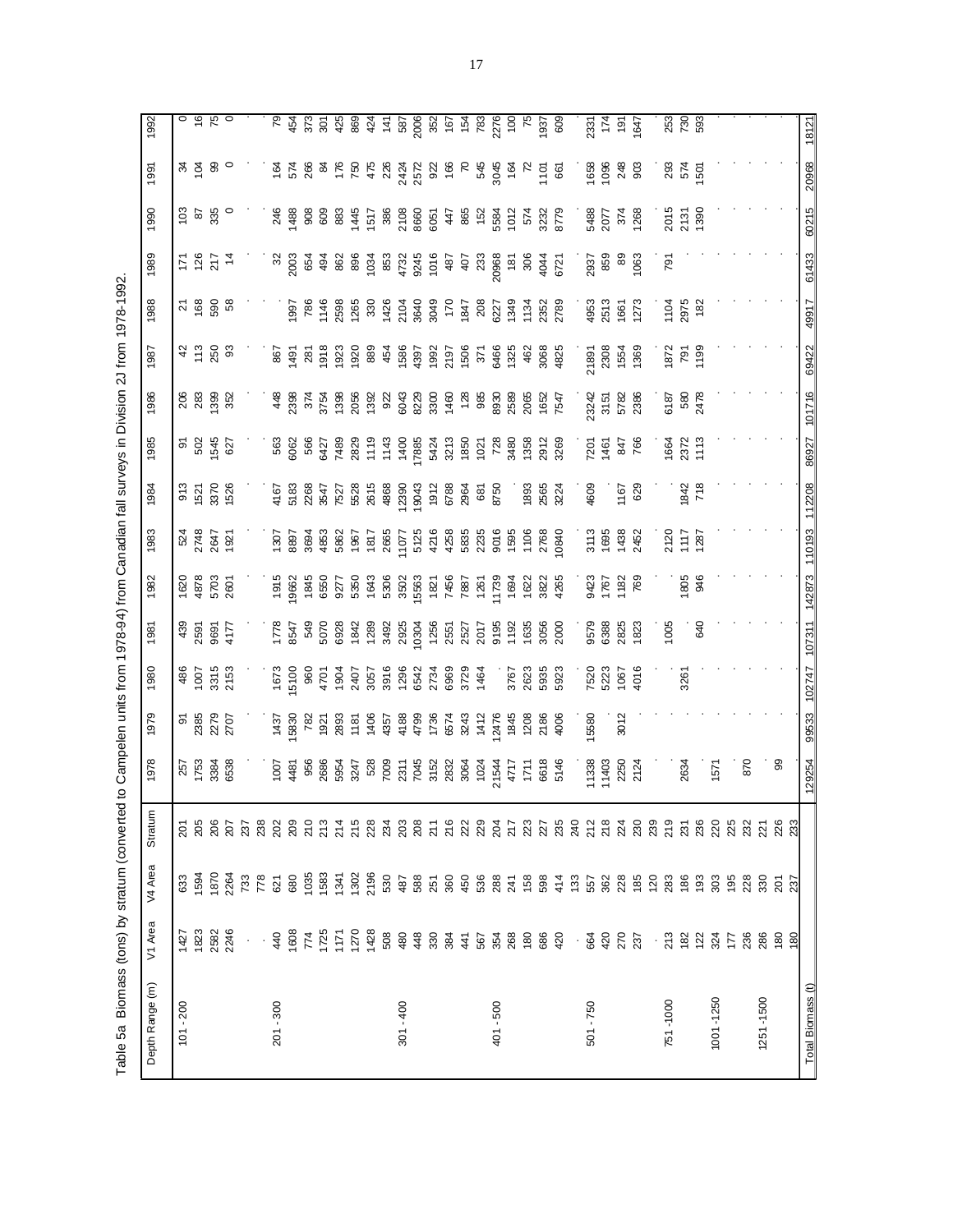Table 5a Biomass (tons) by stratum (converted to Campelen units from 1978-94) from Canadian fall surveys in Division 2J from 1978-1992. Table 5a Biomass (tons) by stratum (converted to Campelen units from 1978-94) from Canadian fall surveys in Division 2J from 1978-1992.

| Depth Range (m)   | V1 Area                | V4 Area                                                                                               | Stratum                     | 1978               | 1979                                                                                                                                                                                                                                                                                                                                                                                      | 1980                              | 1981                          | 1982                         | 1983                         | 1984                                                                                         | 1985                             | 1986                                                                                                                                                                                                                                                                       | 1987                          | 1988                   | 1989                                                                                                                                                                                                                                                                                                        | 1990                         | 1991               | 1992                             |
|-------------------|------------------------|-------------------------------------------------------------------------------------------------------|-----------------------------|--------------------|-------------------------------------------------------------------------------------------------------------------------------------------------------------------------------------------------------------------------------------------------------------------------------------------------------------------------------------------------------------------------------------------|-----------------------------------|-------------------------------|------------------------------|------------------------------|----------------------------------------------------------------------------------------------|----------------------------------|----------------------------------------------------------------------------------------------------------------------------------------------------------------------------------------------------------------------------------------------------------------------------|-------------------------------|------------------------|-------------------------------------------------------------------------------------------------------------------------------------------------------------------------------------------------------------------------------------------------------------------------------------------------------------|------------------------------|--------------------|----------------------------------|
| $101 - 200$       | 1427                   | 633                                                                                                   |                             |                    |                                                                                                                                                                                                                                                                                                                                                                                           |                                   |                               |                              |                              |                                                                                              |                                  |                                                                                                                                                                                                                                                                            |                               |                        |                                                                                                                                                                                                                                                                                                             |                              |                    |                                  |
|                   | 1823                   | 594                                                                                                   | <u>ន</u><br>ខេ              | 1753<br>1753       |                                                                                                                                                                                                                                                                                                                                                                                           | $486$<br>$1007$<br>$215$<br>$215$ |                               | 1620<br>4878<br>5703<br>2601 | 524<br>2748<br>1921          | 913<br>1521<br>1526                                                                          | ត ខ្ល<br>ភូមិ ខ្លួ               | នី ខ្លួ ខ្លួ ខ្លួ<br>ខ្លួ ខ្លួ ខ្លួ                                                                                                                                                                                                                                        | 4588                          | <u>ភ ខ ទូ ន</u>        | 5 2 2 4<br>2 2 4                                                                                                                                                                                                                                                                                            | င္မွ ေ ဗွ ေ                  | ಸ ಕ್ಷ ೪ ೦          | $\circ$ $\tilde{\circ}$ $\kappa$ |
|                   | 2582<br>2246           | 1870                                                                                                  |                             |                    |                                                                                                                                                                                                                                                                                                                                                                                           |                                   |                               |                              |                              |                                                                                              |                                  |                                                                                                                                                                                                                                                                            |                               |                        |                                                                                                                                                                                                                                                                                                             |                              |                    |                                  |
|                   |                        | 2264                                                                                                  | នី និ និ                    | ೫<br>ಜಾ            | ត ឌូ<br>និង និង<br>ស្គរ                                                                                                                                                                                                                                                                                                                                                                   |                                   | $439$<br>2597<br>9697<br>4177 |                              |                              |                                                                                              |                                  |                                                                                                                                                                                                                                                                            |                               |                        |                                                                                                                                                                                                                                                                                                             |                              |                    |                                  |
|                   |                        |                                                                                                       |                             |                    |                                                                                                                                                                                                                                                                                                                                                                                           |                                   |                               |                              |                              |                                                                                              |                                  |                                                                                                                                                                                                                                                                            |                               |                        |                                                                                                                                                                                                                                                                                                             |                              |                    |                                  |
|                   | $\epsilon \rightarrow$ | 733<br>778                                                                                            | 238                         |                    |                                                                                                                                                                                                                                                                                                                                                                                           |                                   |                               |                              |                              |                                                                                              |                                  |                                                                                                                                                                                                                                                                            |                               |                        |                                                                                                                                                                                                                                                                                                             |                              |                    |                                  |
| $201 - 300$       | 440                    |                                                                                                       |                             |                    |                                                                                                                                                                                                                                                                                                                                                                                           |                                   |                               |                              |                              |                                                                                              |                                  |                                                                                                                                                                                                                                                                            |                               |                        |                                                                                                                                                                                                                                                                                                             |                              |                    |                                  |
|                   |                        |                                                                                                       | ន្ត ខ្លួ ឌុ<br>ន ន ភ        |                    | $\begin{array}{l} \Xi\, \stackrel{.6}{\cong}\, 8\, \stackrel{.6}{\cong}\, 8\, \stackrel{.6}{\cong}\, 8\, \stackrel{.6}{\cong}\, 8\, \stackrel{.6}{\cong}\, 8\, \stackrel{.6}{\cong}\, 8\, \stackrel{.6}{\cong}\, 8\, \stackrel{.6}{\cong}\, 8\, \stackrel{.6}{\cong}\, 8\, \stackrel{.6}{\cong}\, 8\, \stackrel{.6}{\cong}\, 8\, \stackrel{.6}{\cong}\, 8\, \stackrel{.6}{\cong}\, 8\, \$ |                                   |                               |                              |                              | ទី និង មី ដូច ទី ដូច ទី និង<br>ក្នុង មី ដូច ទី ដូច ទី និង និង<br>ក្នុង ដូច ទី ដូច ទី និង និង |                                  | $\begin{array}{l} 4\  \  8\  \  8\  \  4\  \  8\  \  7\  \  2\  \  8\  \  8\  \  8\  \  8\  \  8\  \  8\  \  9\  \  8\  \  9\  \  9\  \  9\  \  9\  \  9\  \  9\  \  9\  \  9\  \  9\  \  9\  \  9\  \  9\  \  9\  \  9\  \  9\  \  9\  \  9\  \  9\  \  9\  \  9\  \  9\$ |                               |                        | $\begin{array}{l} 82675 \\ 83675 \\ 8475 \\ 85675 \\ 8675 \\ 8767 \\ 88875 \\ 8767 \\ 8767 \\ 8875 \\ 8767 \\ 8767 \\ 8767 \\ 8875 \\ 8987 \\ 8975 \\ 8975 \\ 8987 \\ 8975 \\ 8987 \\ 8975 \\ 8987 \\ 8987 \\ 8987 \\ 8987 \\ 8987 \\ 8987 \\ 8987 \\ 8987 \\ 8987 \\ 8987 \\ 8987 \\ 8987 \\ 8987 \\ 8987$ | $748888837588885$            |                    |                                  |
|                   |                        |                                                                                                       |                             |                    |                                                                                                                                                                                                                                                                                                                                                                                           |                                   |                               |                              |                              |                                                                                              |                                  |                                                                                                                                                                                                                                                                            |                               |                        |                                                                                                                                                                                                                                                                                                             |                              |                    |                                  |
|                   |                        |                                                                                                       |                             |                    |                                                                                                                                                                                                                                                                                                                                                                                           |                                   |                               |                              |                              |                                                                                              |                                  |                                                                                                                                                                                                                                                                            |                               |                        |                                                                                                                                                                                                                                                                                                             |                              |                    |                                  |
|                   |                        |                                                                                                       |                             |                    |                                                                                                                                                                                                                                                                                                                                                                                           |                                   |                               |                              |                              |                                                                                              |                                  |                                                                                                                                                                                                                                                                            |                               |                        |                                                                                                                                                                                                                                                                                                             |                              |                    |                                  |
|                   |                        |                                                                                                       |                             |                    |                                                                                                                                                                                                                                                                                                                                                                                           |                                   |                               |                              |                              |                                                                                              |                                  |                                                                                                                                                                                                                                                                            |                               |                        |                                                                                                                                                                                                                                                                                                             |                              |                    |                                  |
|                   | 1428                   |                                                                                                       |                             |                    |                                                                                                                                                                                                                                                                                                                                                                                           |                                   |                               |                              |                              |                                                                                              |                                  |                                                                                                                                                                                                                                                                            |                               |                        |                                                                                                                                                                                                                                                                                                             |                              |                    |                                  |
|                   |                        |                                                                                                       |                             |                    |                                                                                                                                                                                                                                                                                                                                                                                           |                                   |                               |                              |                              |                                                                                              |                                  |                                                                                                                                                                                                                                                                            |                               |                        |                                                                                                                                                                                                                                                                                                             |                              |                    |                                  |
| $301 - 400$       |                        |                                                                                                       |                             |                    |                                                                                                                                                                                                                                                                                                                                                                                           |                                   |                               |                              |                              |                                                                                              |                                  |                                                                                                                                                                                                                                                                            |                               |                        |                                                                                                                                                                                                                                                                                                             |                              |                    |                                  |
|                   |                        |                                                                                                       |                             |                    |                                                                                                                                                                                                                                                                                                                                                                                           |                                   |                               |                              |                              |                                                                                              |                                  |                                                                                                                                                                                                                                                                            |                               |                        |                                                                                                                                                                                                                                                                                                             |                              |                    |                                  |
|                   |                        |                                                                                                       |                             |                    |                                                                                                                                                                                                                                                                                                                                                                                           |                                   |                               |                              |                              |                                                                                              |                                  |                                                                                                                                                                                                                                                                            |                               |                        |                                                                                                                                                                                                                                                                                                             |                              |                    |                                  |
|                   |                        |                                                                                                       |                             |                    |                                                                                                                                                                                                                                                                                                                                                                                           |                                   |                               |                              |                              |                                                                                              |                                  |                                                                                                                                                                                                                                                                            |                               |                        |                                                                                                                                                                                                                                                                                                             |                              |                    |                                  |
|                   |                        |                                                                                                       |                             |                    |                                                                                                                                                                                                                                                                                                                                                                                           |                                   |                               |                              |                              |                                                                                              |                                  |                                                                                                                                                                                                                                                                            |                               |                        |                                                                                                                                                                                                                                                                                                             |                              |                    |                                  |
|                   |                        |                                                                                                       |                             |                    |                                                                                                                                                                                                                                                                                                                                                                                           | 3729<br>1464                      |                               |                              |                              |                                                                                              |                                  |                                                                                                                                                                                                                                                                            |                               |                        |                                                                                                                                                                                                                                                                                                             |                              |                    |                                  |
| 401-500           |                        |                                                                                                       |                             |                    |                                                                                                                                                                                                                                                                                                                                                                                           |                                   |                               |                              |                              |                                                                                              |                                  |                                                                                                                                                                                                                                                                            |                               |                        |                                                                                                                                                                                                                                                                                                             |                              |                    |                                  |
|                   |                        |                                                                                                       |                             |                    |                                                                                                                                                                                                                                                                                                                                                                                           |                                   |                               |                              |                              |                                                                                              |                                  |                                                                                                                                                                                                                                                                            |                               |                        |                                                                                                                                                                                                                                                                                                             |                              |                    |                                  |
|                   |                        |                                                                                                       |                             |                    |                                                                                                                                                                                                                                                                                                                                                                                           |                                   |                               |                              |                              | ್ರ 88<br>೧೯೮೧<br>೧೯೮೩                                                                        |                                  |                                                                                                                                                                                                                                                                            |                               |                        |                                                                                                                                                                                                                                                                                                             | $4885828828$<br>$483282828$  |                    |                                  |
|                   |                        |                                                                                                       |                             |                    |                                                                                                                                                                                                                                                                                                                                                                                           |                                   |                               |                              |                              |                                                                                              |                                  |                                                                                                                                                                                                                                                                            |                               |                        |                                                                                                                                                                                                                                                                                                             |                              |                    |                                  |
|                   |                        | 5 8 5 6 5 5 5 6 5 6 5 6 7 8 7 8 7 8 7 8 7 8 7 8 7 8 8 7 8 8 8 7 8 8 8 8 8 8 8 8 8 8 8 8 8 8 8 8 8 8 8 | $7587887878878878887838778$ |                    |                                                                                                                                                                                                                                                                                                                                                                                           | 3767<br>2623<br>5935<br>5923      |                               |                              |                              |                                                                                              |                                  |                                                                                                                                                                                                                                                                            |                               |                        |                                                                                                                                                                                                                                                                                                             |                              |                    |                                  |
|                   |                        |                                                                                                       |                             |                    |                                                                                                                                                                                                                                                                                                                                                                                           |                                   |                               |                              |                              |                                                                                              |                                  |                                                                                                                                                                                                                                                                            |                               |                        |                                                                                                                                                                                                                                                                                                             |                              |                    |                                  |
| $501 - 750$       | . 84<br>84             |                                                                                                       |                             | <br> 1338<br> 1403 | 15580                                                                                                                                                                                                                                                                                                                                                                                     |                                   |                               |                              |                              | 4609                                                                                         |                                  | .<br>23242<br>37                                                                                                                                                                                                                                                           |                               |                        | 2937<br>859                                                                                                                                                                                                                                                                                                 |                              |                    |                                  |
|                   |                        |                                                                                                       |                             |                    |                                                                                                                                                                                                                                                                                                                                                                                           |                                   |                               |                              |                              |                                                                                              |                                  |                                                                                                                                                                                                                                                                            |                               |                        |                                                                                                                                                                                                                                                                                                             |                              |                    |                                  |
|                   | 270<br>237             |                                                                                                       |                             | 2250<br>21 24      | 3012                                                                                                                                                                                                                                                                                                                                                                                      | 7520<br>523<br>40167<br>4016      | 9579<br>6388<br>1823<br>1823  | 9423<br>1767<br>182<br>769   | 3113<br>1695<br>1438<br>2452 | 1167<br>629                                                                                  | $720$<br>$746$<br>$766$<br>$766$ | 5782<br>2386                                                                                                                                                                                                                                                               | 21891<br>2308<br>1554<br>1369 | - 4953<br>2513<br>1273 | 89<br>1063                                                                                                                                                                                                                                                                                                  | - 88<br>2077<br>1268<br>1268 |                    | 83 년<br>19 년<br>19 년             |
|                   |                        |                                                                                                       | ង ន ន ន<br>ន ន ន ន          |                    |                                                                                                                                                                                                                                                                                                                                                                                           |                                   |                               |                              |                              |                                                                                              |                                  |                                                                                                                                                                                                                                                                            |                               |                        |                                                                                                                                                                                                                                                                                                             |                              |                    |                                  |
|                   |                        |                                                                                                       |                             |                    |                                                                                                                                                                                                                                                                                                                                                                                           |                                   |                               |                              |                              |                                                                                              |                                  |                                                                                                                                                                                                                                                                            |                               |                        |                                                                                                                                                                                                                                                                                                             |                              |                    |                                  |
| 751-1000          | .<br>21 8 21<br>22     |                                                                                                       |                             |                    |                                                                                                                                                                                                                                                                                                                                                                                           |                                   | 1005                          |                              | 2120<br>1117<br>1287         |                                                                                              | 1664<br>2372<br>1113             | 82 58<br>08<br>98<br>98                                                                                                                                                                                                                                                    | $\frac{15}{25}$               | 1104                   | $\overline{5}$                                                                                                                                                                                                                                                                                              | 2015<br>2131<br>1390         | 293<br>574<br>1501 | <u>ដូ ន</u><br>ដូ                |
|                   |                        |                                                                                                       | $\frac{25}{236}$            | 2634               |                                                                                                                                                                                                                                                                                                                                                                                           | 326                               |                               | 1805<br>346                  |                              | 1842<br>718                                                                                  |                                  |                                                                                                                                                                                                                                                                            |                               | 2975<br>182            |                                                                                                                                                                                                                                                                                                             |                              |                    |                                  |
|                   |                        | <u>ទី ទី 3</u>                                                                                        |                             |                    |                                                                                                                                                                                                                                                                                                                                                                                           |                                   | 640                           |                              |                              |                                                                                              |                                  |                                                                                                                                                                                                                                                                            |                               |                        |                                                                                                                                                                                                                                                                                                             |                              |                    |                                  |
| 1001-1250         | 324                    |                                                                                                       | 220                         | 1571               |                                                                                                                                                                                                                                                                                                                                                                                           |                                   |                               |                              |                              |                                                                                              |                                  |                                                                                                                                                                                                                                                                            |                               |                        |                                                                                                                                                                                                                                                                                                             |                              |                    |                                  |
|                   | 177                    | 195                                                                                                   | 225                         |                    |                                                                                                                                                                                                                                                                                                                                                                                           |                                   |                               |                              |                              |                                                                                              |                                  |                                                                                                                                                                                                                                                                            |                               |                        |                                                                                                                                                                                                                                                                                                             |                              |                    |                                  |
|                   | 236                    | 228                                                                                                   | 232                         | 870                |                                                                                                                                                                                                                                                                                                                                                                                           |                                   |                               |                              |                              |                                                                                              |                                  |                                                                                                                                                                                                                                                                            |                               |                        |                                                                                                                                                                                                                                                                                                             |                              |                    |                                  |
| 1251-1500         | 286                    | $\frac{8}{2}$                                                                                         | 21                          |                    |                                                                                                                                                                                                                                                                                                                                                                                           |                                   |                               |                              |                              |                                                                                              |                                  |                                                                                                                                                                                                                                                                            |                               |                        |                                                                                                                                                                                                                                                                                                             |                              |                    |                                  |
|                   | $^{180}$               | 201                                                                                                   | 226                         | 8                  |                                                                                                                                                                                                                                                                                                                                                                                           |                                   |                               |                              |                              |                                                                                              |                                  |                                                                                                                                                                                                                                                                            |                               |                        |                                                                                                                                                                                                                                                                                                             |                              |                    |                                  |
|                   | 180                    | 237                                                                                                   |                             |                    |                                                                                                                                                                                                                                                                                                                                                                                           |                                   |                               |                              |                              |                                                                                              |                                  |                                                                                                                                                                                                                                                                            |                               |                        |                                                                                                                                                                                                                                                                                                             |                              |                    |                                  |
| Total Biomass (t) |                        |                                                                                                       |                             | 129254             | 99533                                                                                                                                                                                                                                                                                                                                                                                     | 102747                            | 107311                        | 142873                       | 110193                       | 112208                                                                                       | 86927                            | 101716                                                                                                                                                                                                                                                                     | 69422                         | 49917                  | 61433                                                                                                                                                                                                                                                                                                       | 60215                        | 20968              | 18121                            |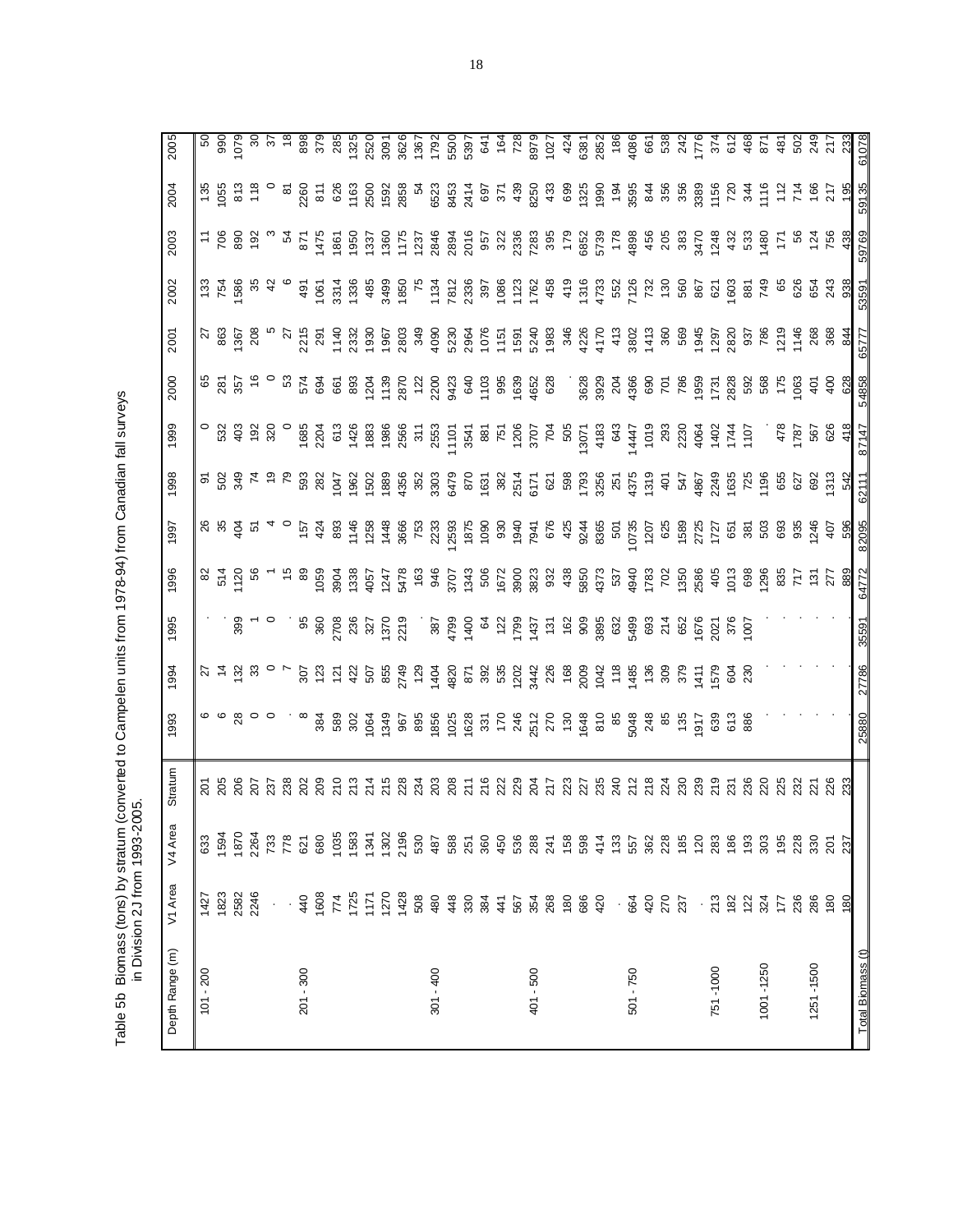Table 5b Biomass (tons) by stratum (converted to Campelen units from 1978-94) from Canadian fall surveys<br>in Division 2J from 1993-2005. Table 5b Biomass (tons) by stratum (converted to Campelen units from 1978-94) from Canadian fall surveys in Division 2J from 1993-2005.

 $\overline{\mathbf{a}}$ 

| Depth Range (m)   | V1 Area              | ω<br>V4 Area | Stratum          | 1993                                    | 1994                                 | 1995           | 1996          | 1997       | 1998           | 1999             | 2000              | 2001             | 2002            | 2003          | 2004                     | 2005                  |
|-------------------|----------------------|--------------|------------------|-----------------------------------------|--------------------------------------|----------------|---------------|------------|----------------|------------------|-------------------|------------------|-----------------|---------------|--------------------------|-----------------------|
| $101 - 200$       | 1427                 | 633          |                  |                                         |                                      |                | 82            |            | ଚ              |                  |                   | $\overline{z}$   | 133             | £.            | 135                      | 5C                    |
|                   | 1823                 | 1594         | $\frac{25}{205}$ | ဖေဖ                                     |                                      |                | 514           | ង ង ទ្ទី ក |                | 532              | 65<br>281         | 863              | 754<br>1586     | 706           | 1055                     |                       |
|                   | 2582                 | 1870         | 206<br>207       | $^{28}$                                 |                                      | 399            | 1120          |            | 50<br>34       | 403              | 357               | 367              |                 | 890           | 813                      | 990<br>1079           |
|                   | 2246                 | 2264         |                  |                                         |                                      |                |               |            | $\overline{7}$ | $\frac{92}{320}$ |                   | 208              |                 | $\frac{5}{2}$ | 118                      | ွင                    |
|                   |                      | 733          | 237              |                                         |                                      |                |               |            | ္              |                  |                   |                  |                 |               |                          | $\tilde{\varepsilon}$ |
|                   |                      | 778          | 238              |                                         |                                      |                |               |            | ဇ              |                  | යි                | 27               |                 | Ŀ,            | <u>ა</u>                 |                       |
| $201 - 300$       | 440                  | 621          | 202              |                                         | 307                                  | 86             | 8             | 157        | 593            | 1685             | 574               | 2215             | 491             | 871           | 2260                     | 898                   |
|                   | 1608                 | 680          | 209              | 384                                     | 123                                  | 360            | 1059          | 424        | 282            | 2204             | 694               | 291              | 1061            | 1475          | 811                      | 379                   |
|                   | 774                  | 1035         | $\frac{1}{2}$    | 589                                     | $\frac{5}{2}$                        | 2708           | 3904          | 893        | 1047           | 673              | 661               | 1140             | 3314            | 1861          | 626                      | 285                   |
|                   | 1725                 | 1583         | 213              | 302                                     | 422                                  | 236            | 1338          | 1146       | 1962           | 1426             | 893               | 2332             | 1336            | 1950          | 1163                     | 1325                  |
|                   | 1171                 | 1341         | 214              | 1064                                    | 507<br>855                           | 327            | 4057          | 1258       | 1502           | 1883             | $\frac{8}{2}$     | 1930             | 485             | 133           | <b>2500</b>              | 2520                  |
|                   | 1270                 | 1302         | 215              | 1349                                    |                                      | 1370           | 1247          | 1448       | 1889           | 1986             | 1139              | 1967             | 3499            | 1360          | 1592                     | 3091                  |
|                   | 1428                 | 2196         | 228              | 967                                     | 2749                                 | 2219           | 5478          | 3666       | 4356           | 2566             | 2870              | 2803             | 1850            | 1175          | 2858                     | 3626                  |
|                   | 508                  | 530          | 234              | 895                                     | $\frac{5}{2}$                        |                | 163           | 753        | 352            | $311$<br>$2553$  | $\frac{22}{2}$    | 349              | $\overline{75}$ | 1237          | $\frac{5}{4}$            | 1367                  |
| $301 - 400$       | 480                  | 487          | 203              | 1856                                    | 1404                                 | 387            | 946           | 2233       | 3303           |                  | 2200              | 4090             | 1134            | 2846          | 6523                     | 1792                  |
|                   | 448                  | 588          | 208              | 1025                                    | 1820                                 | 4799           | 3707          | 2593       | 6479           | 1101             | 9423              | 5230             | 7812            | 2894          | 8453                     | 550C                  |
|                   | 330                  | 251          | $\overline{21}$  | 1628                                    |                                      | 1400           | 1343          | 1875       | 870            | 3541             | 840<br>103<br>108 | 2964             | 2336            | 2016          | 2414                     | 5397                  |
|                   | $rac{4}{3}$          | 360          | 216              |                                         |                                      | $\mathcal{Q}$  |               | 1090       | 1631           |                  |                   | $1076$<br>$1151$ |                 |               | 697                      |                       |
|                   |                      | 450          | 222              | $\begin{array}{c} 35 \\ 70 \end{array}$ |                                      | $^{122}$       | 506<br>1672   | 930        | 382            | 751<br>751       |                   |                  | 1086<br>1086    | 5<br>322      | 371                      | 641<br>164            |
|                   |                      | 536          | 229              | 246                                     |                                      | 1799           | 3900          | 1940       | 2514           | 1206<br>3707     | 1639              | 1591             | 1123            | 2336          | 439                      | 728                   |
| 401 - 500         | 567<br>354<br>268    | 288          | 204              | 2512                                    |                                      | 1437           | 3823          | 7941       | 6171           |                  | 4652              | 5240             | 1762            | 7283          | 8250                     | 8979                  |
|                   |                      | 241          | 717              | 270                                     | 5 3 5 3 4 5 5 6<br>5 6 7 7 8 9 9 9 0 | 131            | 932           | 676        | $\tilde{8}$    | $\overline{5}$   | 628               | 1983             | 458             | 395           | 433                      | 1027                  |
|                   | 180                  | 158          | 223              | $rac{6}{2}$                             |                                      | 162            | 438           | 425        | 598            | 505              |                   | 346              | 419             | 179           | 699                      | 424                   |
|                   |                      | 598          | 27               | 1648                                    | 2009                                 | 909            | 5850          | 9244       | 1793           | 13071            |                   | 4226             | 1316            | 5852          |                          | 6381                  |
|                   | 686<br>420           | 414          | 235              | $\frac{6}{10}$                          | $1042$<br>118                        | 3895           | 4373          | 8365       | 3256           | 4183             | 3628<br>3929      | 4170             | 4733<br>552     | 5739          | $1300$<br>$190$<br>$194$ | 2852                  |
|                   | $\cdot$              | 133          | 240              | 85                                      |                                      | 632            | 537           | 501        | 251            | 643              | 204               | 413              |                 | 178           |                          | 186                   |
| 501 - 750         | 664<br>420           | 557          | 212              | 5048                                    | 1485                                 | 5499           | 4940          | 10735      | 4375           | 1447             | 4366              | 3802             | 7126            | 4898          | 3595                     | 4086                  |
|                   |                      | 362          | 218              | 248                                     | 136                                  | 693            | 1783          | 1207       | 1319           |                  | 690               | 1413             | 732             | 456           | 844                      | 661                   |
|                   | 270                  | 228          | 224              | 85                                      | 309                                  | 214            | 702           | 625        | $\frac{5}{3}$  | 1019<br>293      | $\overline{5}$    | 360              | 130             | 205           | 356                      | 538                   |
|                   | 237                  | 185          | 230              | 135                                     | 379                                  | 652            | 1350          | 1589       | 547            | 2230             | 786               | 569              | 560             | 383           | 356                      | 242                   |
|                   |                      | 120          | 239              | 1917                                    | $\frac{1}{4}$                        | 1676           | 2586          | 2725       | 4867           | 4064             | 1959              | 1945             | 867             | 3470          | 3389                     | 776                   |
| 751-1000          | $\cdot \frac{8}{21}$ | 283          | 219              | 639                                     | 579                                  | 2021           | $405$<br>1013 | 1727       | 2249           | 1402<br>1744     | 1731              | 1297             | 621             | 1248          | 1156                     | 374                   |
|                   | 182                  | 186          | 231              | 613                                     | <u>ଟ</u> ୍ରୁ                         | 376            |               | 651        | 1635           |                  | 2828              | 2820             | 1603            | 432           | 720                      | 612                   |
|                   | 122                  | 193          | 236              | 886                                     |                                      | $\overline{8}$ | 698           | 381        | 725            | 1107             | 592               | 937              | 88              | 53            | 344                      | 468                   |
| 1001-1250         | 324                  | 303          | 20               |                                         |                                      |                | 1296          | 503        | 1196           |                  | 568               | 786              | 749             | 1480          | 1116                     | 871                   |
|                   | 177                  | 195          | 25               |                                         |                                      |                | 717<br>268    | 693        | 655            | 478              | 175               | $\frac{27}{2}$   | 65              | ξ             | $\frac{2}{11}$           | 481                   |
|                   | 236                  | 228          | 232              |                                         |                                      |                |               | 935        | 627            | 1787             | 1063              | 1146             | 626             | S,            | 714                      | 502                   |
| 1251-1500         | 286                  | 330          | 221              |                                         |                                      |                | $\frac{5}{2}$ | 1246       | 692            | 567              | $\frac{5}{4}$     | 268<br>368       | 654             |               | 166                      | 249                   |
|                   | 180                  | 201          | 226              |                                         |                                      |                | 277           | 407        | 1313           | 626              | $rac{6}{4}$       |                  | 243             | 756           | 217                      | 217                   |
|                   | 180                  | 237          | 23               |                                         |                                      |                | 889           | 596        | 542            | 418              | 628               | 844              | 938             | 438           | 195                      | 233                   |
| Total Biomass (t) |                      |              |                  | 25880                                   | 27786                                | 35591          | 64772         | 82095      | 62111          | 87147            | 54858             | 65777            | 53591           | 59769         | 59135                    | 61078                 |

ചച

 $\overline{\sigma}$ ᠷ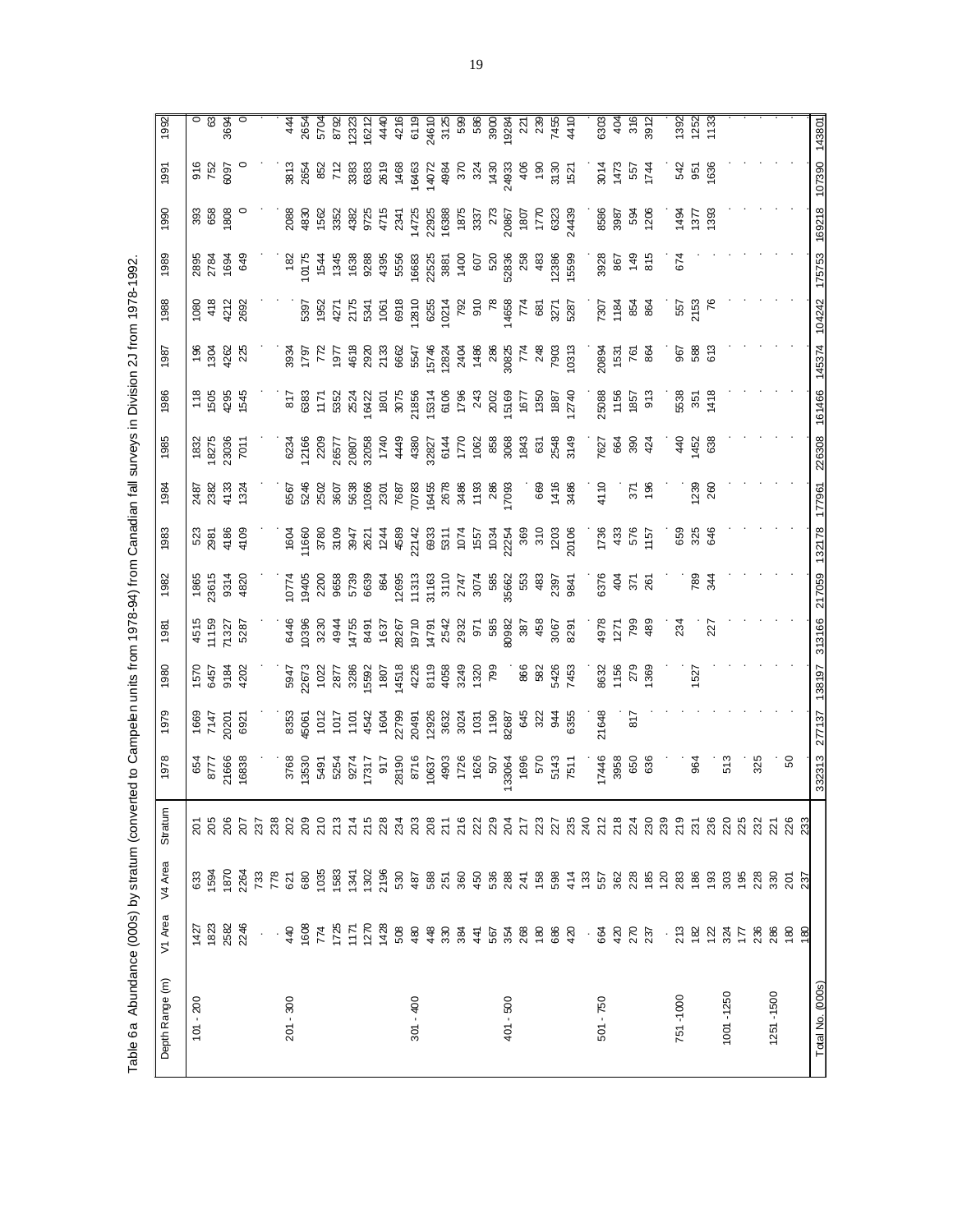Table 6a Abundance (000s) by stratum (converted to Campelen units from 1978-94) from Canadian fall surveys in Division 2J from 1978-1992. Table 6a Abundance (000s) by stratum (converted to Campelen units from 1978-94) from Canadian fall surveys in Division 2J from 1978-1992.

| 143801               | 107390               | 169218                                                                                                                                                                                                                                                                                                                                           | 175753                    | 104242            | 145374             | 161466                                                                                                                                                                                                                                                                                          | 226308                                                                                                                                                                                                                                                                                                                    | 177961                                          | 132178                      | 217059                                                                                                                 | 313166                   | 138197                       | 277137         | 332313       |             |                |                        | Total No. (000s) |
|----------------------|----------------------|--------------------------------------------------------------------------------------------------------------------------------------------------------------------------------------------------------------------------------------------------------------------------------------------------------------------------------------------------|---------------------------|-------------------|--------------------|-------------------------------------------------------------------------------------------------------------------------------------------------------------------------------------------------------------------------------------------------------------------------------------------------|---------------------------------------------------------------------------------------------------------------------------------------------------------------------------------------------------------------------------------------------------------------------------------------------------------------------------|-------------------------------------------------|-----------------------------|------------------------------------------------------------------------------------------------------------------------|--------------------------|------------------------------|----------------|--------------|-------------|----------------|------------------------|------------------|
|                      |                      |                                                                                                                                                                                                                                                                                                                                                  |                           |                   |                    |                                                                                                                                                                                                                                                                                                 |                                                                                                                                                                                                                                                                                                                           |                                                 |                             |                                                                                                                        |                          |                              |                |              | 233         | 237            | 180                    |                  |
|                      |                      |                                                                                                                                                                                                                                                                                                                                                  |                           |                   |                    |                                                                                                                                                                                                                                                                                                 |                                                                                                                                                                                                                                                                                                                           |                                                 |                             |                                                                                                                        |                          |                              |                | SO           | 226         | $\overline{5}$ | $\frac{80}{2}$         |                  |
|                      |                      |                                                                                                                                                                                                                                                                                                                                                  |                           |                   |                    |                                                                                                                                                                                                                                                                                                 |                                                                                                                                                                                                                                                                                                                           |                                                 |                             |                                                                                                                        |                          |                              |                | 325          |             | 28<br>330      | 236<br>286             | 1251-1500        |
|                      |                      |                                                                                                                                                                                                                                                                                                                                                  |                           |                   |                    |                                                                                                                                                                                                                                                                                                 |                                                                                                                                                                                                                                                                                                                           |                                                 |                             |                                                                                                                        |                          |                              |                |              |             |                |                        |                  |
|                      |                      |                                                                                                                                                                                                                                                                                                                                                  |                           |                   |                    |                                                                                                                                                                                                                                                                                                 |                                                                                                                                                                                                                                                                                                                           |                                                 |                             |                                                                                                                        |                          |                              |                | 513          |             | 88<br>195      |                        | 1001-1250        |
|                      |                      |                                                                                                                                                                                                                                                                                                                                                  |                           |                   |                    |                                                                                                                                                                                                                                                                                                 | 638                                                                                                                                                                                                                                                                                                                       | 260                                             |                             |                                                                                                                        | 227                      |                              |                |              |             |                |                        |                  |
| 1392<br>1252<br>1133 | <u>ង ឆ្ង ខ្ល</u> ី   | 1494<br>1377<br>1983                                                                                                                                                                                                                                                                                                                             |                           | 557<br>2153<br>76 | 588<br>613         | 5538<br>351<br>1418                                                                                                                                                                                                                                                                             | 1452                                                                                                                                                                                                                                                                                                                      | 239                                             | <b>8888</b>                 | <b>b</b><br>83<br>4                                                                                                    |                          | 1527                         |                | 964          |             |                |                        |                  |
|                      |                      |                                                                                                                                                                                                                                                                                                                                                  | 674                       |                   | 967                |                                                                                                                                                                                                                                                                                                 | $\frac{40}{5}$                                                                                                                                                                                                                                                                                                            |                                                 |                             |                                                                                                                        | 234                      |                              |                |              |             |                | ៈ ឌូ ឌូ ឌូ ឌូ ≿        | 751-1000         |
|                      |                      |                                                                                                                                                                                                                                                                                                                                                  |                           |                   |                    |                                                                                                                                                                                                                                                                                                 |                                                                                                                                                                                                                                                                                                                           |                                                 |                             |                                                                                                                        |                          |                              |                |              |             |                |                        |                  |
|                      |                      |                                                                                                                                                                                                                                                                                                                                                  |                           |                   |                    | $1857$<br>913                                                                                                                                                                                                                                                                                   |                                                                                                                                                                                                                                                                                                                           |                                                 |                             |                                                                                                                        |                          |                              |                | 636          |             |                |                        |                  |
| $404$<br>316<br>3912 |                      | 594<br>1206                                                                                                                                                                                                                                                                                                                                      |                           | <b>884</b>        | 761<br>864         |                                                                                                                                                                                                                                                                                                 |                                                                                                                                                                                                                                                                                                                           | $\frac{1}{18}$                                  |                             | $371$<br>$261$                                                                                                         |                          |                              | $\overline{8}$ | 650          |             |                | 270<br>237             |                  |
|                      |                      |                                                                                                                                                                                                                                                                                                                                                  |                           | 1184              | 1531               |                                                                                                                                                                                                                                                                                                 |                                                                                                                                                                                                                                                                                                                           |                                                 |                             | $rac{4}{3}$                                                                                                            |                          |                              |                | 3958         |             |                |                        |                  |
| 6303                 | 9014<br>1473<br>1744 | 8586<br>3987                                                                                                                                                                                                                                                                                                                                     | 3928<br>867<br>815<br>815 | 7307              | 20894              | 25088<br>1156                                                                                                                                                                                                                                                                                   | 7627<br>65 S 34                                                                                                                                                                                                                                                                                                           | 4110                                            | 1738<br>833<br>1757<br>1757 | 6376                                                                                                                   | 88<br>1271<br>129<br>189 | 8632<br>1156<br>1368         | 21648          | 17446        |             |                | $-684$                 | $-750$<br>501    |
|                      |                      |                                                                                                                                                                                                                                                                                                                                                  |                           |                   |                    |                                                                                                                                                                                                                                                                                                 |                                                                                                                                                                                                                                                                                                                           |                                                 |                             |                                                                                                                        |                          |                              |                |              |             |                |                        |                  |
|                      |                      |                                                                                                                                                                                                                                                                                                                                                  |                           |                   |                    |                                                                                                                                                                                                                                                                                                 | $1700$<br>$1062$<br>$888$<br>$896$<br>$435$<br>$874$<br>$89$<br>$75$<br>$75$                                                                                                                                                                                                                                              | . 88<br>88<br>9월 10                             |                             | $\begin{array}{l} 2747 \\ 3074 \\ 366 \\ 966 \\ 966 \\ 963 \\ 963 \\ 239 \\ 141 \\ 284 \\ 182 \\ 394 \\ 1 \end{array}$ |                          |                              |                | 5143<br>7511 |             |                |                        |                  |
|                      |                      |                                                                                                                                                                                                                                                                                                                                                  |                           |                   |                    |                                                                                                                                                                                                                                                                                                 |                                                                                                                                                                                                                                                                                                                           |                                                 |                             |                                                                                                                        |                          |                              |                |              |             |                |                        |                  |
|                      |                      |                                                                                                                                                                                                                                                                                                                                                  |                           |                   |                    |                                                                                                                                                                                                                                                                                                 |                                                                                                                                                                                                                                                                                                                           |                                                 |                             |                                                                                                                        |                          |                              |                |              |             |                |                        |                  |
|                      |                      |                                                                                                                                                                                                                                                                                                                                                  |                           |                   |                    |                                                                                                                                                                                                                                                                                                 |                                                                                                                                                                                                                                                                                                                           |                                                 |                             |                                                                                                                        |                          |                              |                |              |             |                |                        |                  |
|                      |                      |                                                                                                                                                                                                                                                                                                                                                  |                           |                   |                    |                                                                                                                                                                                                                                                                                                 |                                                                                                                                                                                                                                                                                                                           |                                                 |                             |                                                                                                                        |                          |                              |                |              |             |                |                        | 401 - 500        |
|                      |                      |                                                                                                                                                                                                                                                                                                                                                  |                           |                   |                    |                                                                                                                                                                                                                                                                                                 |                                                                                                                                                                                                                                                                                                                           |                                                 |                             |                                                                                                                        |                          |                              |                |              |             |                |                        |                  |
|                      |                      |                                                                                                                                                                                                                                                                                                                                                  |                           |                   |                    |                                                                                                                                                                                                                                                                                                 |                                                                                                                                                                                                                                                                                                                           |                                                 |                             |                                                                                                                        |                          |                              |                |              |             |                |                        |                  |
|                      |                      |                                                                                                                                                                                                                                                                                                                                                  |                           |                   |                    |                                                                                                                                                                                                                                                                                                 |                                                                                                                                                                                                                                                                                                                           |                                                 |                             |                                                                                                                        |                          |                              |                |              |             |                |                        |                  |
|                      |                      |                                                                                                                                                                                                                                                                                                                                                  |                           |                   |                    |                                                                                                                                                                                                                                                                                                 |                                                                                                                                                                                                                                                                                                                           |                                                 |                             |                                                                                                                        |                          |                              |                |              |             |                |                        |                  |
|                      |                      |                                                                                                                                                                                                                                                                                                                                                  |                           |                   |                    |                                                                                                                                                                                                                                                                                                 |                                                                                                                                                                                                                                                                                                                           |                                                 |                             |                                                                                                                        |                          |                              |                |              |             |                |                        |                  |
|                      |                      | $\begin{array}{l} 88 \hskip 18pt 89 \hskip 18pt 89 \hskip 18pt 87 \hskip 18pt 88 \hskip 18pt 87 \hskip 18pt 88 \hskip 18pt 87 \hskip 18pt 88 \hskip 18pt 87 \hskip 18pt 88 \hskip 18pt 87 \hskip 18pt 88 \hskip 18pt 89 \hskip 18pt 89 \hskip 18pt 85 \hskip 18pt 87 \hskip 18pt 89 \hskip 18pt 89 \hskip 18pt 89 \hskip 18pt 89 \hskip 18pt 89$ |                           |                   |                    | $\begin{array}{l} 7.68 \pm 0.0000 \\ 2.69 \pm 0.0000 \\ 2.60 \pm 0.0000 \\ 2.60 \pm 0.0000 \\ 2.60 \pm 0.0000 \\ 2.60 \pm 0.0000 \\ 2.60 \pm 0.0000 \\ 2.60 \pm 0.0000 \\ 2.60 \pm 0.0000 \\ 2.60 \pm 0.0000 \\ 2.60 \pm 0.0000 \\ 2.60 \pm 0.0000 \\ 2.60 \pm 0.0000 \\ 2.60 \pm 0.0000 \\ 2.$ | $\begin{array}{l} 6234 \\ 12160 \\ 2205 \\ 2305 \\ 2430 \\ 2505 \\ 265 \\ 275 \\ 285 \\ 295 \\ 205 \\ 243 \\ 250 \\ 274 \\ 282 \\ 274 \\ 283 \\ 295 \\ 204 \\ 205 \\ 214 \\ 238 \\ 274 \\ 283 \\ 295 \\ 204 \\ 215 \\ 225 \\ 236 \\ 249 \\ 258 \\ 275 \\ 289 \\ 295 \\ 295 \\ 214 \\ 225 \\ 236 \\ 249 \\ 258 \\ 275 \\ $ | 7687<br>70783<br>16456<br>286<br>17093<br>17093 |                             |                                                                                                                        |                          |                              |                |              |             |                |                        | $301 - 400$      |
|                      |                      |                                                                                                                                                                                                                                                                                                                                                  |                           |                   |                    |                                                                                                                                                                                                                                                                                                 |                                                                                                                                                                                                                                                                                                                           |                                                 |                             |                                                                                                                        |                          |                              |                |              |             |                |                        |                  |
|                      |                      |                                                                                                                                                                                                                                                                                                                                                  |                           |                   |                    |                                                                                                                                                                                                                                                                                                 |                                                                                                                                                                                                                                                                                                                           | 5638<br>10366<br>2301                           |                             |                                                                                                                        |                          |                              |                |              |             |                |                        |                  |
|                      |                      |                                                                                                                                                                                                                                                                                                                                                  |                           |                   |                    |                                                                                                                                                                                                                                                                                                 |                                                                                                                                                                                                                                                                                                                           |                                                 |                             |                                                                                                                        |                          |                              |                |              |             |                |                        |                  |
|                      |                      |                                                                                                                                                                                                                                                                                                                                                  |                           |                   |                    |                                                                                                                                                                                                                                                                                                 |                                                                                                                                                                                                                                                                                                                           |                                                 |                             |                                                                                                                        |                          |                              |                |              |             |                |                        |                  |
|                      |                      |                                                                                                                                                                                                                                                                                                                                                  |                           |                   |                    |                                                                                                                                                                                                                                                                                                 |                                                                                                                                                                                                                                                                                                                           |                                                 |                             |                                                                                                                        |                          |                              |                |              |             |                |                        |                  |
| $48898$<br>$44898$   |                      |                                                                                                                                                                                                                                                                                                                                                  |                           |                   |                    |                                                                                                                                                                                                                                                                                                 |                                                                                                                                                                                                                                                                                                                           |                                                 |                             |                                                                                                                        |                          |                              |                |              |             |                |                        |                  |
|                      |                      |                                                                                                                                                                                                                                                                                                                                                  |                           |                   |                    |                                                                                                                                                                                                                                                                                                 |                                                                                                                                                                                                                                                                                                                           |                                                 |                             |                                                                                                                        |                          |                              |                |              |             |                |                        |                  |
|                      |                      |                                                                                                                                                                                                                                                                                                                                                  |                           |                   |                    |                                                                                                                                                                                                                                                                                                 |                                                                                                                                                                                                                                                                                                                           |                                                 |                             |                                                                                                                        |                          |                              |                |              |             |                | 440                    | $-300$<br>201    |
|                      |                      |                                                                                                                                                                                                                                                                                                                                                  |                           |                   |                    |                                                                                                                                                                                                                                                                                                 |                                                                                                                                                                                                                                                                                                                           |                                                 |                             |                                                                                                                        |                          |                              |                |              |             |                | $\epsilon \rightarrow$ |                  |
|                      |                      |                                                                                                                                                                                                                                                                                                                                                  |                           |                   |                    |                                                                                                                                                                                                                                                                                                 |                                                                                                                                                                                                                                                                                                                           |                                                 |                             |                                                                                                                        |                          |                              |                |              |             |                |                        |                  |
|                      |                      |                                                                                                                                                                                                                                                                                                                                                  | ೫ ಕ್ಷ<br>ಸಿ ಕ್ಷ<br>ಸಿ ಕ್ಷ | 4212<br>2692      | 4262<br>225        | 18<br>1988<br>1945                                                                                                                                                                                                                                                                              | $\begin{array}{r} 1832 \\ 18275 \\ 23036 \\ 7011 \end{array}$                                                                                                                                                                                                                                                             | 1324                                            | 4105                        | 4820                                                                                                                   | 5287                     | 1570<br>6457<br>6451<br>4202 | 20201<br>6921  | 16838        | 207         |                | 246                    |                  |
| 3694                 |                      | 1808                                                                                                                                                                                                                                                                                                                                             |                           |                   |                    |                                                                                                                                                                                                                                                                                                 |                                                                                                                                                                                                                                                                                                                           | 4133                                            | 4186                        | 9314                                                                                                                   | 71327                    |                              |                | 21666        | 206         |                | 2582                   |                  |
| $rac{1}{63}$         | 916<br>752<br>6097   | 39<br>65                                                                                                                                                                                                                                                                                                                                         |                           | 418               | $\frac{196}{1304}$ |                                                                                                                                                                                                                                                                                                 |                                                                                                                                                                                                                                                                                                                           | 2487<br>2382                                    | 523<br>2987                 | 1865<br>23615                                                                                                          | 4515<br>11159            |                              | 1669<br>7147   | 8777         | 205<br>205  | 633<br>1594    | 1427<br>1823           |                  |
|                      |                      |                                                                                                                                                                                                                                                                                                                                                  |                           | 1080              |                    |                                                                                                                                                                                                                                                                                                 |                                                                                                                                                                                                                                                                                                                           |                                                 |                             |                                                                                                                        |                          |                              |                | 654          |             |                |                        | $-200$<br>101    |
| 1992                 | 1991                 | 1990                                                                                                                                                                                                                                                                                                                                             | 1989                      | 1988              | 1987               | 1986                                                                                                                                                                                                                                                                                            | 1985                                                                                                                                                                                                                                                                                                                      | 1984                                            | 1983                        | 1982                                                                                                                   | 1981                     | 1980                         | 1979           | 1978         | ε<br>Stratu | V4 Area        | V1 Area                | Depth Range (m)  |
|                      |                      |                                                                                                                                                                                                                                                                                                                                                  |                           |                   |                    |                                                                                                                                                                                                                                                                                                 |                                                                                                                                                                                                                                                                                                                           |                                                 |                             |                                                                                                                        |                          |                              |                |              |             |                |                        |                  |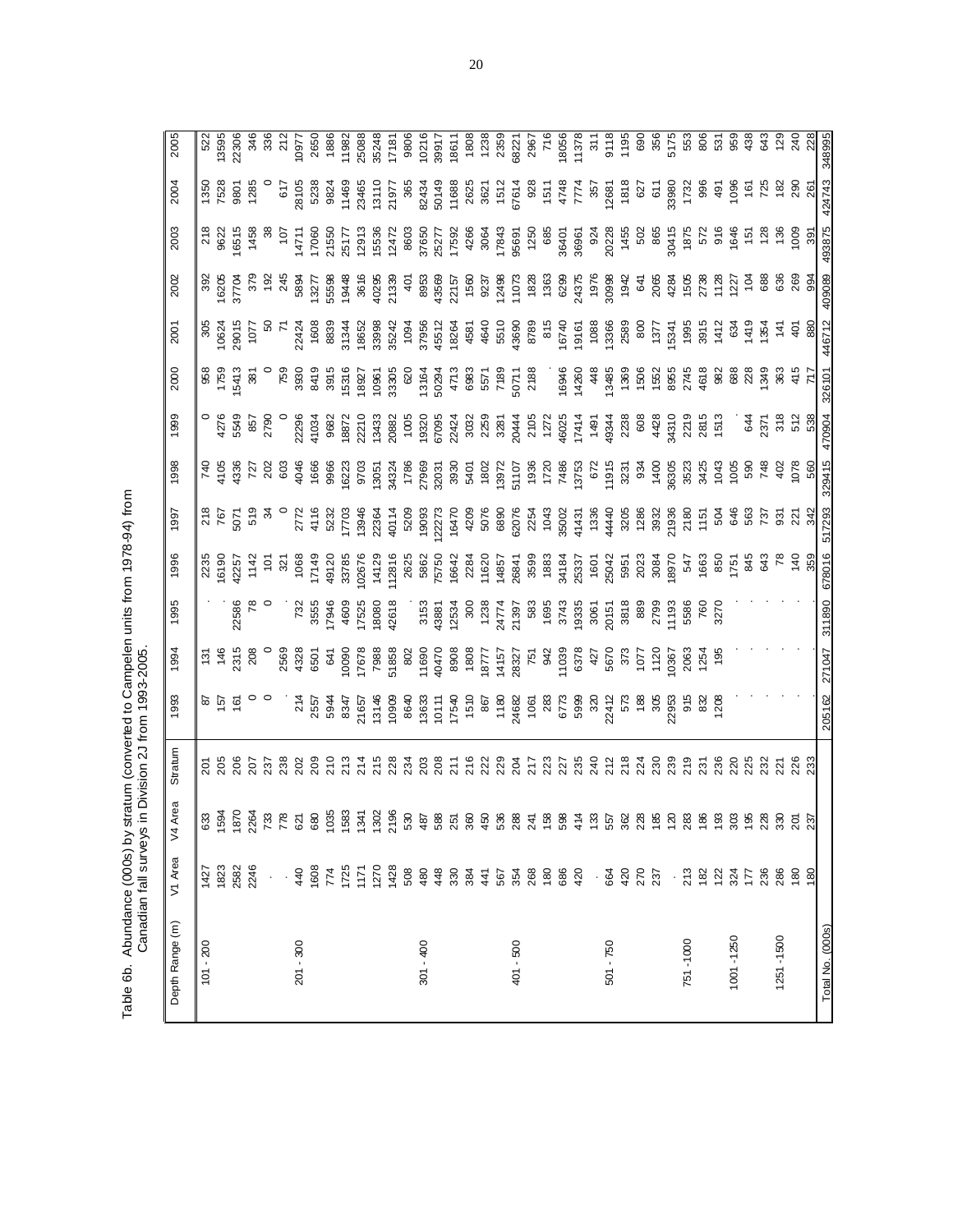Table 6b. Abundance (000s) by stratum (converted to Campelen units from 1978-94) from<br>Canadian fall surveys in Division 2J from 1993-2005. Table 6b. Abundance (000s) by stratum (converted to Campelen units from 1978-94) from Canadian fall surveys in Division 2J from 1993-2005.

| 0624<br>9015<br>1077<br>್<br>೧೯೨<br>958<br>1759<br>1541 :<br>$\frac{8}{3}$<br>4276<br>5548<br>2790<br>$7.43\%$ $7.83\%$ $8.8\%$ $8.8\%$ $8.8\%$ $8.8\%$ $8.8\%$ $8.8\%$ $8.8\%$ $8.8\%$ $8.8\%$ $8.8\%$ $8.8\%$ $8.8\%$ $8.8\%$ $8.8\%$ $8.8\%$ $8.8\%$ $8.8\%$ $8.8\%$ $8.8\%$ $8.8\%$ $8.8\%$ $8.8\%$ $8.8\%$ $8.8\%$ $8.8\%$ $8.$<br>$2772$<br>4116 |
|--------------------------------------------------------------------------------------------------------------------------------------------------------------------------------------------------------------------------------------------------------------------------------------------------------------------------------------------------------|
|                                                                                                                                                                                                                                                                                                                                                        |
|                                                                                                                                                                                                                                                                                                                                                        |
|                                                                                                                                                                                                                                                                                                                                                        |
| $\begin{array}{r} 2235 \\ 16190 \\ 2257 \\ 142 \\ 101 \\ 108 \\ \end{array}$<br>732<br>3555<br>4609<br>4609<br>17525                                                                                                                                                                                                                                   |
| $\begin{array}{c} 214 \\ 2557 \\ 5944 \\ 8347 \\ 8347 \\ 21657 \end{array}$                                                                                                                                                                                                                                                                            |
| ឌូ ខ្លួ ខ្លួ <del>។</del> មុន ។ ឌូ<br>សូ ខ្លួ ភូ ភូ ភូ សូ សូ សូ សូ                                                                                                                                                                                                                                                                                     |
|                                                                                                                                                                                                                                                                                                                                                        |
| $1725$<br>$1171$<br>774                                                                                                                                                                                                                                                                                                                                |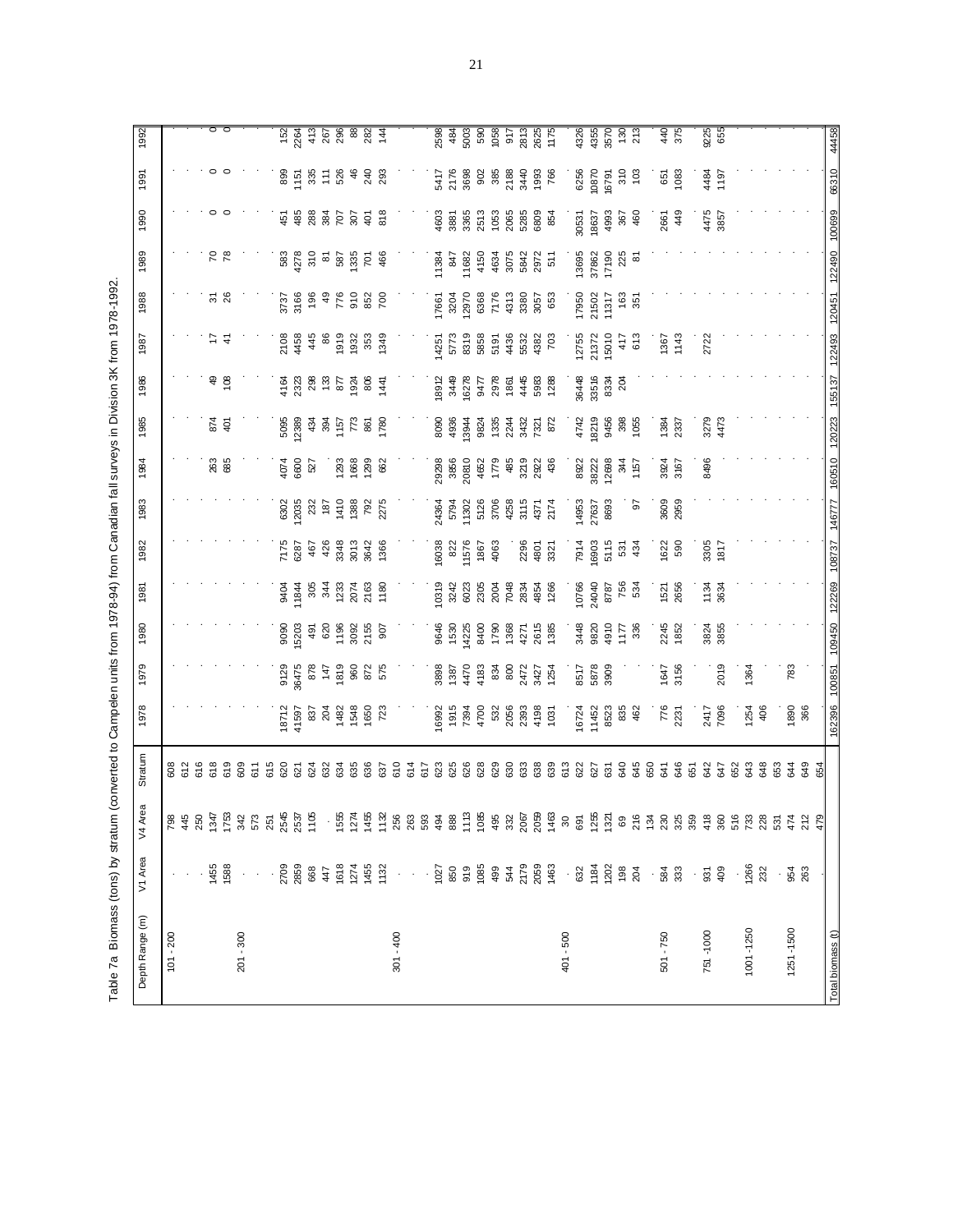Table 7a Biomass (tons) by stratum (converted to Campelen units from 1978-94) from Canadian fall surveys in Division 3K from 1978-1992. Table 7a Biomass (tons) by stratum (converted to Campelen units from 1978-94) from Canadian fall surveys in Division 3K from 1978-1992.

| Depth Range (m)   | V1 Area                             | Area<br>$\sqrt{4}$ | Stratum                          | 1978                                                                                       | 1979                         | 1980                               | 1981                                                                                                                                                                                                                                                                                                                                                                                                           | 1982                               | 1983                                   | 1984                           | 1985                                                                     | 1986                         | 1987                                                         | 1988                                                               | 1989                          | 1990                     | 1991                   | 1992                                        |
|-------------------|-------------------------------------|--------------------|----------------------------------|--------------------------------------------------------------------------------------------|------------------------------|------------------------------------|----------------------------------------------------------------------------------------------------------------------------------------------------------------------------------------------------------------------------------------------------------------------------------------------------------------------------------------------------------------------------------------------------------------|------------------------------------|----------------------------------------|--------------------------------|--------------------------------------------------------------------------|------------------------------|--------------------------------------------------------------|--------------------------------------------------------------------|-------------------------------|--------------------------|------------------------|---------------------------------------------|
| $101 - 200$       |                                     |                    |                                  |                                                                                            |                              |                                    |                                                                                                                                                                                                                                                                                                                                                                                                                |                                    |                                        |                                |                                                                          |                              |                                                              |                                                                    |                               |                          |                        |                                             |
|                   |                                     |                    |                                  |                                                                                            |                              |                                    |                                                                                                                                                                                                                                                                                                                                                                                                                |                                    |                                        |                                |                                                                          |                              |                                                              |                                                                    |                               |                          |                        |                                             |
|                   |                                     |                    |                                  |                                                                                            |                              |                                    |                                                                                                                                                                                                                                                                                                                                                                                                                |                                    |                                        |                                |                                                                          |                              |                                                              |                                                                    |                               |                          |                        |                                             |
|                   | 1455                                |                    |                                  |                                                                                            |                              |                                    |                                                                                                                                                                                                                                                                                                                                                                                                                |                                    |                                        |                                | 87<br>40                                                                 |                              |                                                              | $\frac{5}{26}$                                                     | 78                            |                          |                        |                                             |
|                   | 1588                                |                    |                                  |                                                                                            |                              |                                    |                                                                                                                                                                                                                                                                                                                                                                                                                |                                    |                                        | 263<br>685                     |                                                                          | 99                           | ここ                                                           |                                                                    |                               |                          |                        |                                             |
| $201 - 300$       |                                     |                    | 609                              |                                                                                            |                              |                                    |                                                                                                                                                                                                                                                                                                                                                                                                                |                                    |                                        |                                |                                                                          |                              |                                                              |                                                                    |                               |                          |                        |                                             |
|                   |                                     |                    | 611                              |                                                                                            |                              |                                    |                                                                                                                                                                                                                                                                                                                                                                                                                |                                    |                                        |                                |                                                                          |                              |                                                              |                                                                    |                               |                          |                        |                                             |
|                   |                                     |                    | 615                              |                                                                                            |                              |                                    |                                                                                                                                                                                                                                                                                                                                                                                                                |                                    |                                        |                                |                                                                          |                              |                                                              |                                                                    |                               |                          |                        |                                             |
|                   |                                     |                    | 620                              |                                                                                            | 9129<br>36475                | 9090<br>15203                      |                                                                                                                                                                                                                                                                                                                                                                                                                |                                    |                                        |                                |                                                                          |                              |                                                              |                                                                    |                               |                          |                        |                                             |
|                   | 2709<br>2859<br>368<br>47           |                    | 621                              |                                                                                            |                              |                                    |                                                                                                                                                                                                                                                                                                                                                                                                                |                                    |                                        | 4074<br>6600                   |                                                                          |                              |                                                              |                                                                    |                               |                          |                        |                                             |
|                   |                                     |                    | 624<br>632                       |                                                                                            | 878<br>147                   | 491                                |                                                                                                                                                                                                                                                                                                                                                                                                                |                                    |                                        | 527                            |                                                                          |                              |                                                              |                                                                    |                               |                          |                        |                                             |
|                   |                                     |                    |                                  |                                                                                            |                              |                                    |                                                                                                                                                                                                                                                                                                                                                                                                                |                                    |                                        |                                |                                                                          |                              |                                                              |                                                                    |                               |                          |                        |                                             |
|                   | 1618<br>1274                        |                    |                                  |                                                                                            | 1819<br>960                  |                                    |                                                                                                                                                                                                                                                                                                                                                                                                                | 75<br>2007<br>2008<br>2009<br>2009 |                                        |                                |                                                                          |                              |                                                              | 음식 후 음<br>동안 음성 등 15                                               |                               |                          |                        |                                             |
|                   |                                     |                    |                                  |                                                                                            |                              |                                    |                                                                                                                                                                                                                                                                                                                                                                                                                |                                    |                                        |                                |                                                                          |                              |                                                              |                                                                    |                               |                          |                        |                                             |
|                   | 1455<br>1132                        |                    | 33<br>33<br>33<br>37             | $\begin{array}{r} 18712 \\ 41597 \\ 837 \\ 1824 \\ 1482 \\ 1650 \\ 160 \\ 723 \end{array}$ | 872<br>575                   | 620<br>1966<br>1967<br>2155<br>907 | $\begin{array}{@{}c@{\hspace{1em}}c@{\hspace{1em}}c@{\hspace{1em}}c@{\hspace{1em}}c@{\hspace{1em}}c@{\hspace{1em}}c@{\hspace{1em}}c@{\hspace{1em}}c@{\hspace{1em}}c@{\hspace{1em}}c@{\hspace{1em}}c@{\hspace{1em}}c@{\hspace{1em}}c@{\hspace{1em}}c@{\hspace{1em}}c@{\hspace{1em}}c@{\hspace{1em}}c@{\hspace{1em}}c@{\hspace{1em}}c@{\hspace{1em}}c@{\hspace{1em}}c@{\hspace{1em}}c@{\hspace{1em}}c@{\hspace{$ | 3642<br>1366                       |                                        | ි <u>අ</u> සි සි සි සි පි      | $\begin{array}{c} 688 \\ 688 \\ 288 \\ 384 \\ 57 \\ 68 \\ 7 \end{array}$ | $4888527$<br>$258875287$     | $2448$ $653$ $653$<br>$253$ $653$<br>$653$<br>$653$<br>$653$ | 852<br>700                                                         |                               | <b>FB</b> 88 26 26 26 26 | 85.5858438             | $784088824$<br>$784088824$                  |
|                   |                                     |                    |                                  |                                                                                            |                              |                                    |                                                                                                                                                                                                                                                                                                                                                                                                                |                                    |                                        |                                |                                                                          |                              |                                                              |                                                                    |                               |                          |                        |                                             |
| $301 - 400$       |                                     |                    |                                  |                                                                                            |                              |                                    |                                                                                                                                                                                                                                                                                                                                                                                                                |                                    |                                        |                                |                                                                          |                              |                                                              |                                                                    |                               |                          |                        |                                             |
|                   | $\epsilon = 1$                      |                    |                                  |                                                                                            |                              |                                    |                                                                                                                                                                                                                                                                                                                                                                                                                |                                    |                                        |                                |                                                                          |                              |                                                              |                                                                    |                               |                          |                        |                                             |
|                   | $\cdot$                             |                    |                                  |                                                                                            |                              |                                    |                                                                                                                                                                                                                                                                                                                                                                                                                |                                    |                                        |                                |                                                                          |                              |                                                              |                                                                    |                               |                          |                        |                                             |
|                   |                                     |                    | 825<br>826<br>828                | 1992<br>1915 4700<br>4700 532<br>4700 4198<br>4193 4193                                    | 888<br>1387<br>1387<br>14783 | 9646<br>1530<br>15400<br>8400      | 9<br>0 3 3 3 3 3 4 5 4 5 6<br>0 3 3 6 7 8 9 5 7 8 9 9 9                                                                                                                                                                                                                                                                                                                                                        | 6038                               | 24364<br>5794<br>51302<br>5126<br>3706 | 39298<br>3856<br>20810<br>4652 | 886<br>886 886 886 887<br>886 886 887 887                                | 1986<br>1987<br>1988<br>1988 | $\frac{4251}{5773}$<br>5773<br>5858                          | 17661<br>3204<br>3205<br>638<br>538<br>431<br>3057<br>3057<br>3053 | 11384<br>147<br>11682<br>4150 |                          | 5417<br>2176<br>3698   | 2598<br>484                                 |
|                   |                                     |                    |                                  |                                                                                            |                              |                                    |                                                                                                                                                                                                                                                                                                                                                                                                                | 822<br>11576<br>1967<br>4063       |                                        |                                |                                                                          |                              |                                                              |                                                                    |                               |                          |                        |                                             |
|                   |                                     |                    |                                  |                                                                                            |                              |                                    |                                                                                                                                                                                                                                                                                                                                                                                                                |                                    |                                        |                                |                                                                          |                              |                                                              |                                                                    |                               |                          |                        |                                             |
|                   |                                     |                    |                                  |                                                                                            |                              |                                    |                                                                                                                                                                                                                                                                                                                                                                                                                |                                    |                                        |                                |                                                                          |                              |                                                              |                                                                    |                               |                          |                        |                                             |
|                   |                                     |                    | 629                              |                                                                                            | 834<br>800<br>2472           | 1790                               |                                                                                                                                                                                                                                                                                                                                                                                                                |                                    |                                        | 1779                           |                                                                          |                              | 5191<br>436<br>5532<br>703                                   |                                                                    | 4634<br>90542<br>9072<br>9071 |                          |                        | 5003<br>590<br>1058<br>2813<br>2625<br>1175 |
|                   |                                     |                    | 633<br>633                       |                                                                                            |                              | 1368<br>4271                       |                                                                                                                                                                                                                                                                                                                                                                                                                |                                    | 4258<br>3115                           | 485                            |                                                                          |                              |                                                              |                                                                    |                               |                          |                        |                                             |
|                   |                                     |                    |                                  |                                                                                            |                              |                                    |                                                                                                                                                                                                                                                                                                                                                                                                                | 2296                               |                                        | 3219<br>2922                   |                                                                          | $4888$<br>$788$              |                                                              |                                                                    |                               |                          |                        |                                             |
|                   |                                     |                    |                                  |                                                                                            | 3427<br>1254                 | 2615<br>1385                       |                                                                                                                                                                                                                                                                                                                                                                                                                | 4801<br>3321                       | 4371<br>2174                           |                                |                                                                          |                              |                                                              |                                                                    |                               |                          |                        |                                             |
|                   |                                     |                    |                                  |                                                                                            |                              |                                    |                                                                                                                                                                                                                                                                                                                                                                                                                |                                    |                                        | 436                            |                                                                          |                              |                                                              |                                                                    |                               |                          |                        |                                             |
| $401 - 500$       |                                     |                    |                                  |                                                                                            |                              |                                    |                                                                                                                                                                                                                                                                                                                                                                                                                |                                    |                                        |                                |                                                                          |                              |                                                              |                                                                    |                               |                          |                        |                                             |
|                   |                                     |                    | 622                              |                                                                                            | 8517                         |                                    |                                                                                                                                                                                                                                                                                                                                                                                                                |                                    |                                        |                                |                                                                          |                              |                                                              |                                                                    | 13695<br>37862                |                          |                        |                                             |
|                   |                                     |                    |                                  |                                                                                            | 5878<br>3909                 |                                    |                                                                                                                                                                                                                                                                                                                                                                                                                | 7914<br>16903<br>5115              | 14953<br>27637<br>8693                 | 8922<br>38222<br>12698         | 4742<br>18219<br>9456                                                    | 36448<br>33516<br>8334       | 12755<br>21372<br>15010                                      | 17950<br>21502<br>11317                                            |                               | 30531<br>18637<br>4993   | 6256<br>10870<br>16791 |                                             |
|                   | $-83.888$<br>$-82.888$<br>$-83.88$  |                    |                                  | 16724<br>11452<br>8523<br>8535                                                             |                              | 948<br>9820<br>9717<br>988         | 10766<br>24040<br>8787<br>534                                                                                                                                                                                                                                                                                                                                                                                  |                                    |                                        |                                |                                                                          |                              |                                                              |                                                                    | 17190                         |                          |                        | 4326<br>4355<br>130<br>130<br>213           |
|                   |                                     |                    |                                  |                                                                                            |                              |                                    |                                                                                                                                                                                                                                                                                                                                                                                                                | 531<br>434                         |                                        | 1157<br>44                     | 398<br>1055                                                              | 28                           | $417$<br>613                                                 | ខែ ភូ                                                              | 225                           | 367<br>460               | $\frac{310}{103}$      |                                             |
|                   |                                     |                    | $637$<br>$6345$<br>$645$<br>$65$ |                                                                                            |                              |                                    |                                                                                                                                                                                                                                                                                                                                                                                                                |                                    | 50                                     |                                |                                                                          |                              |                                                              |                                                                    | $\approx$                     |                          |                        |                                             |
|                   | $\ddot{\phantom{0}}$                |                    |                                  |                                                                                            |                              |                                    |                                                                                                                                                                                                                                                                                                                                                                                                                |                                    |                                        |                                |                                                                          |                              |                                                              |                                                                    |                               |                          |                        |                                             |
| $501 - 750$       | 584<br>333                          |                    | 641                              | 776<br>2231                                                                                | 1647<br>3156                 | 2245<br>1852                       | 1521<br>2656                                                                                                                                                                                                                                                                                                                                                                                                   | $1622$<br>590                      | 3609<br>2959                           | 3924<br>3167                   | 1384<br>2337                                                             |                              | 1367<br>1143                                                 |                                                                    |                               | 2661                     | 651<br>1083            | 440<br>375                                  |
|                   |                                     |                    | 646                              |                                                                                            |                              |                                    |                                                                                                                                                                                                                                                                                                                                                                                                                |                                    |                                        |                                |                                                                          |                              |                                                              |                                                                    |                               | 449                      |                        |                                             |
|                   |                                     |                    | 651                              |                                                                                            |                              |                                    |                                                                                                                                                                                                                                                                                                                                                                                                                |                                    |                                        |                                |                                                                          |                              |                                                              |                                                                    |                               |                          |                        |                                             |
| 751-1000          | $\cdot$ $\frac{5}{9}$ $\frac{8}{9}$ |                    | 647<br>647                       | 2417<br>7096                                                                               |                              | 3824<br>3855                       | 1134<br>3634                                                                                                                                                                                                                                                                                                                                                                                                   | 3305<br>1817                       |                                        | 8496                           | 3279<br>4473                                                             |                              | 2722                                                         |                                                                    |                               | 4475<br>3857             | 1197<br>197            | 9225<br>655                                 |
|                   |                                     |                    |                                  |                                                                                            | 2019                         |                                    |                                                                                                                                                                                                                                                                                                                                                                                                                |                                    |                                        |                                |                                                                          |                              |                                                              |                                                                    |                               |                          |                        |                                             |
|                   |                                     |                    | 652                              |                                                                                            |                              |                                    |                                                                                                                                                                                                                                                                                                                                                                                                                |                                    |                                        |                                |                                                                          |                              |                                                              |                                                                    |                               |                          |                        |                                             |
| 1001-1250         | 1266<br>232                         |                    | 643                              | 1254                                                                                       | 1364                         |                                    |                                                                                                                                                                                                                                                                                                                                                                                                                |                                    |                                        |                                |                                                                          |                              |                                                              |                                                                    |                               |                          |                        |                                             |
|                   |                                     |                    | 648                              | 406                                                                                        |                              |                                    |                                                                                                                                                                                                                                                                                                                                                                                                                |                                    |                                        |                                |                                                                          |                              |                                                              |                                                                    |                               |                          |                        |                                             |
|                   |                                     |                    | 653                              |                                                                                            |                              |                                    |                                                                                                                                                                                                                                                                                                                                                                                                                |                                    |                                        |                                |                                                                          |                              |                                                              |                                                                    |                               |                          |                        |                                             |
| 1251-1500         | 954<br>263                          |                    | e 4<br>4<br>4<br>9               | 1890<br>366                                                                                | 783                          |                                    |                                                                                                                                                                                                                                                                                                                                                                                                                |                                    |                                        |                                |                                                                          |                              |                                                              |                                                                    |                               |                          |                        |                                             |
|                   |                                     |                    |                                  |                                                                                            |                              |                                    |                                                                                                                                                                                                                                                                                                                                                                                                                |                                    |                                        |                                |                                                                          |                              |                                                              |                                                                    |                               |                          |                        |                                             |
|                   |                                     |                    |                                  |                                                                                            |                              |                                    |                                                                                                                                                                                                                                                                                                                                                                                                                |                                    |                                        |                                |                                                                          |                              |                                                              |                                                                    |                               |                          |                        |                                             |
| Total biomass (t) |                                     |                    |                                  | 162396 100851                                                                              |                              | 109450 122269                      |                                                                                                                                                                                                                                                                                                                                                                                                                | 108737                             | 146777                                 | 160510 120223 155137           |                                                                          |                              |                                                              | 122493 120451 122490 100699                                        |                               |                          | 66310                  | 44458                                       |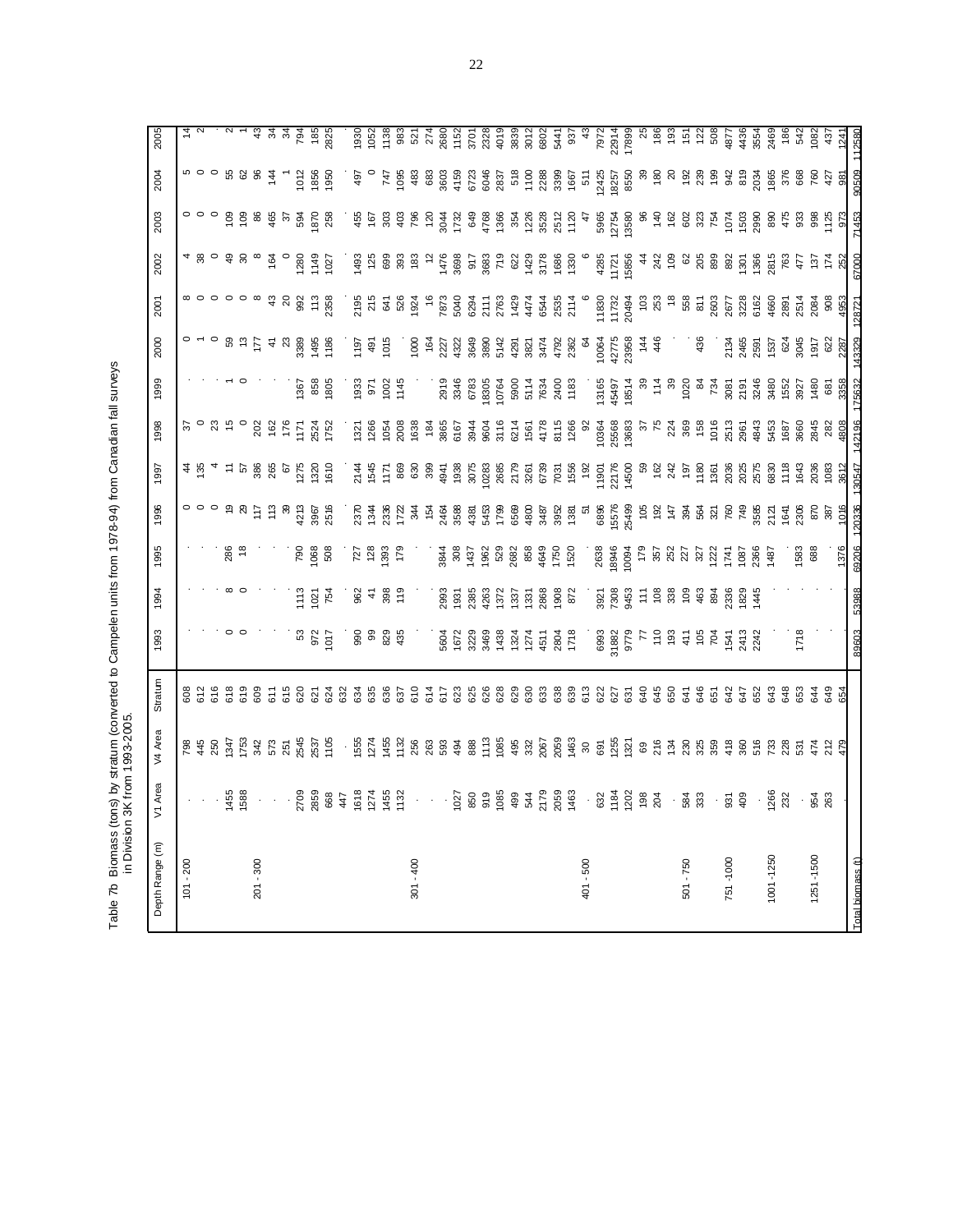Table 7b Biomass (tons) by stratum (converted to Campelen units from 1978-94) from Canadian fall surveys<br>in Division 3K from 1993-2005. Table 7b Biomass (tons) by stratum (converted to Campelen units from 1978-94) from Canadian fall surveys in Division 3K from 1993-2005.

| Depth Range (m)  | V1 Area          | V4 Area | Stratum                  | 1993                 | 1994                                                                                                                                                                                                                                                                                                                                                                                                           | 1995                                     | 1996                                            | 1997                                                                                                                                                                                                                                                                 | 1998                         | 1999                        | 2000                                            | 2001                                                                                 | 2002                                                                                        | 2003                                                                                                                                                                                                                           | 2004                                                      | 2005                                                                                                                                                                                                      |
|------------------|------------------|---------|--------------------------|----------------------|----------------------------------------------------------------------------------------------------------------------------------------------------------------------------------------------------------------------------------------------------------------------------------------------------------------------------------------------------------------------------------------------------------------|------------------------------------------|-------------------------------------------------|----------------------------------------------------------------------------------------------------------------------------------------------------------------------------------------------------------------------------------------------------------------------|------------------------------|-----------------------------|-------------------------------------------------|--------------------------------------------------------------------------------------|---------------------------------------------------------------------------------------------|--------------------------------------------------------------------------------------------------------------------------------------------------------------------------------------------------------------------------------|-----------------------------------------------------------|-----------------------------------------------------------------------------------------------------------------------------------------------------------------------------------------------------------|
| $101 - 200$      |                  |         |                          |                      |                                                                                                                                                                                                                                                                                                                                                                                                                |                                          |                                                 | $\frac{1}{3}$                                                                                                                                                                                                                                                        |                              |                             | $\circ$ $\sim$                                  |                                                                                      |                                                                                             |                                                                                                                                                                                                                                |                                                           |                                                                                                                                                                                                           |
|                  |                  |         |                          |                      |                                                                                                                                                                                                                                                                                                                                                                                                                |                                          |                                                 |                                                                                                                                                                                                                                                                      |                              |                             |                                                 |                                                                                      |                                                                                             |                                                                                                                                                                                                                                |                                                           |                                                                                                                                                                                                           |
|                  |                  |         |                          |                      |                                                                                                                                                                                                                                                                                                                                                                                                                |                                          |                                                 |                                                                                                                                                                                                                                                                      |                              |                             |                                                 |                                                                                      |                                                                                             |                                                                                                                                                                                                                                |                                                           |                                                                                                                                                                                                           |
|                  | 1455<br>1588     |         |                          |                      |                                                                                                                                                                                                                                                                                                                                                                                                                | 286<br>18                                |                                                 |                                                                                                                                                                                                                                                                      | $23 - 6$                     |                             |                                                 |                                                                                      |                                                                                             |                                                                                                                                                                                                                                |                                                           |                                                                                                                                                                                                           |
|                  |                  |         |                          |                      |                                                                                                                                                                                                                                                                                                                                                                                                                |                                          |                                                 |                                                                                                                                                                                                                                                                      |                              |                             |                                                 | $\circ \circ \circ \circ \circ \circ$                                                | $\begin{array}{cccccccccc} \n4 & 8 & 0 & 3 & 8 & \infty \n\end{array}$                      |                                                                                                                                                                                                                                |                                                           |                                                                                                                                                                                                           |
| $201 - 300$      |                  |         |                          |                      |                                                                                                                                                                                                                                                                                                                                                                                                                |                                          |                                                 |                                                                                                                                                                                                                                                                      |                              |                             |                                                 |                                                                                      |                                                                                             |                                                                                                                                                                                                                                |                                                           |                                                                                                                                                                                                           |
|                  |                  |         |                          |                      |                                                                                                                                                                                                                                                                                                                                                                                                                |                                          | 113                                             | $\frac{5}{2}$ 5 $\frac{8}{2}$ 8 $\frac{8}{2}$ 6 $\frac{5}{2}$                                                                                                                                                                                                        | <b>202</b><br>1171<br>1171   |                             |                                                 |                                                                                      | $\frac{1}{2}$ o                                                                             |                                                                                                                                                                                                                                | $\circ$ $% \circ$ $\circ$ $\circ$ $\circ$ $\circ$ $\circ$ |                                                                                                                                                                                                           |
|                  |                  |         |                          |                      |                                                                                                                                                                                                                                                                                                                                                                                                                |                                          |                                                 |                                                                                                                                                                                                                                                                      |                              |                             |                                                 |                                                                                      |                                                                                             |                                                                                                                                                                                                                                |                                                           |                                                                                                                                                                                                           |
|                  |                  |         |                          |                      |                                                                                                                                                                                                                                                                                                                                                                                                                | <b>D62</b>                               | 213                                             |                                                                                                                                                                                                                                                                      |                              |                             |                                                 |                                                                                      |                                                                                             | 594                                                                                                                                                                                                                            |                                                           |                                                                                                                                                                                                           |
|                  | $3.708884814581$ |         |                          | 53<br>972<br>1017    | $113$<br>$-254$<br>754                                                                                                                                                                                                                                                                                                                                                                                         | 1068                                     | 3967<br>2516                                    | 1320                                                                                                                                                                                                                                                                 | 2524<br>1 <i>7</i> 52        | 136<br>88<br>136            | ុ<br>១ ២ ជា ភ្នំ ដូច ដូច<br>១ ២ ជា ភ្នំ ដូច ដូច | 488.788                                                                              | 1280<br>1149                                                                                | 870<br>258                                                                                                                                                                                                                     | 1012<br>1856<br>1950                                      | $\begin{array}{cccccc}\n\text{a} & \text{a} & \text{a} & \text{b} & \text{c} & \text{c} & \text{d} \\ \text{c} & \text{d} & \text{d} & \text{d} & \text{e} & \text{c} & \text{d} & \text{c}\n\end{array}$ |
|                  |                  |         |                          |                      |                                                                                                                                                                                                                                                                                                                                                                                                                | 508                                      |                                                 |                                                                                                                                                                                                                                                                      |                              |                             |                                                 |                                                                                      | 1027                                                                                        |                                                                                                                                                                                                                                |                                                           |                                                                                                                                                                                                           |
|                  |                  |         |                          |                      |                                                                                                                                                                                                                                                                                                                                                                                                                |                                          |                                                 |                                                                                                                                                                                                                                                                      |                              |                             |                                                 |                                                                                      |                                                                                             |                                                                                                                                                                                                                                |                                                           |                                                                                                                                                                                                           |
|                  |                  |         | 3885537                  | 88<br>06             | $rac{2}{4}$                                                                                                                                                                                                                                                                                                                                                                                                    | $727$<br>128                             | 237<br>238<br>239<br>272                        |                                                                                                                                                                                                                                                                      | 1321<br>1266<br>1054<br>1638 | 1933<br>971<br>1002<br>1145 | 1197<br>491                                     | 215<br>215<br>215<br>2024<br>215<br>215<br>215<br>21                                 | $1493$<br>125                                                                               | $455$<br>167                                                                                                                                                                                                                   | 497                                                       | 1930                                                                                                                                                                                                      |
|                  |                  |         |                          |                      |                                                                                                                                                                                                                                                                                                                                                                                                                |                                          |                                                 |                                                                                                                                                                                                                                                                      |                              |                             |                                                 |                                                                                      |                                                                                             |                                                                                                                                                                                                                                |                                                           |                                                                                                                                                                                                           |
|                  |                  |         |                          | 829<br>435           | $398$<br>$19$                                                                                                                                                                                                                                                                                                                                                                                                  | 1393                                     |                                                 |                                                                                                                                                                                                                                                                      |                              |                             | 1015                                            |                                                                                      | 8<br>8<br>8<br>9<br>1<br>8<br>1                                                             | $303$<br>$408$<br>$796$                                                                                                                                                                                                        |                                                           | <u>1383</u><br>ទី និង                                                                                                                                                                                     |
|                  |                  |         |                          |                      |                                                                                                                                                                                                                                                                                                                                                                                                                | 179                                      |                                                 |                                                                                                                                                                                                                                                                      |                              |                             |                                                 |                                                                                      |                                                                                             |                                                                                                                                                                                                                                |                                                           |                                                                                                                                                                                                           |
| $301 - 400$      |                  |         |                          |                      |                                                                                                                                                                                                                                                                                                                                                                                                                |                                          | र्भ                                             |                                                                                                                                                                                                                                                                      |                              |                             | 1000                                            |                                                                                      |                                                                                             |                                                                                                                                                                                                                                |                                                           |                                                                                                                                                                                                           |
|                  |                  |         |                          |                      |                                                                                                                                                                                                                                                                                                                                                                                                                |                                          | $\frac{154}{5}$                                 | 399                                                                                                                                                                                                                                                                  |                              |                             |                                                 |                                                                                      | $\ddot{z}$                                                                                  |                                                                                                                                                                                                                                |                                                           |                                                                                                                                                                                                           |
|                  |                  |         |                          |                      | 2993                                                                                                                                                                                                                                                                                                                                                                                                           | 3844<br>308                              |                                                 |                                                                                                                                                                                                                                                                      |                              |                             |                                                 | $rac{16}{287}$                                                                       |                                                                                             |                                                                                                                                                                                                                                |                                                           | 274<br>2680                                                                                                                                                                                               |
|                  |                  |         |                          |                      | 1931                                                                                                                                                                                                                                                                                                                                                                                                           |                                          | 2464<br>3588                                    |                                                                                                                                                                                                                                                                      |                              |                             |                                                 | 5040                                                                                 | 1476<br>3698                                                                                |                                                                                                                                                                                                                                |                                                           |                                                                                                                                                                                                           |
|                  |                  |         | ន នី នី នី               |                      | 2385                                                                                                                                                                                                                                                                                                                                                                                                           | 1437                                     | 4381                                            |                                                                                                                                                                                                                                                                      |                              |                             |                                                 |                                                                                      |                                                                                             |                                                                                                                                                                                                                                |                                                           | 1152<br>3701<br>401 9                                                                                                                                                                                     |
|                  |                  |         |                          |                      | 4263                                                                                                                                                                                                                                                                                                                                                                                                           |                                          | 5453<br>1799                                    |                                                                                                                                                                                                                                                                      |                              |                             |                                                 |                                                                                      |                                                                                             |                                                                                                                                                                                                                                |                                                           |                                                                                                                                                                                                           |
|                  |                  |         |                          |                      | 1372                                                                                                                                                                                                                                                                                                                                                                                                           |                                          |                                                 |                                                                                                                                                                                                                                                                      |                              |                             |                                                 |                                                                                      |                                                                                             |                                                                                                                                                                                                                                |                                                           |                                                                                                                                                                                                           |
|                  |                  |         |                          |                      |                                                                                                                                                                                                                                                                                                                                                                                                                |                                          |                                                 |                                                                                                                                                                                                                                                                      |                              |                             |                                                 |                                                                                      |                                                                                             |                                                                                                                                                                                                                                |                                                           |                                                                                                                                                                                                           |
|                  |                  |         |                          |                      |                                                                                                                                                                                                                                                                                                                                                                                                                |                                          |                                                 |                                                                                                                                                                                                                                                                      |                              |                             |                                                 |                                                                                      |                                                                                             |                                                                                                                                                                                                                                |                                                           |                                                                                                                                                                                                           |
|                  |                  |         |                          |                      | $\begin{array}{@{}c@{\hspace{1em}}c@{\hspace{1em}}c@{\hspace{1em}}c@{\hspace{1em}}c@{\hspace{1em}}c@{\hspace{1em}}c@{\hspace{1em}}c@{\hspace{1em}}c@{\hspace{1em}}c@{\hspace{1em}}c@{\hspace{1em}}c@{\hspace{1em}}c@{\hspace{1em}}c@{\hspace{1em}}c@{\hspace{1em}}c@{\hspace{1em}}c@{\hspace{1em}}c@{\hspace{1em}}c@{\hspace{1em}}c@{\hspace{1em}}c@{\hspace{1em}}c@{\hspace{1em}}c@{\hspace{1em}}c@{\hspace{$ | 1962<br>528 858<br>528 859<br>520<br>520 | 88<br>88<br>88<br>88<br>88<br>88<br>88          |                                                                                                                                                                                                                                                                      |                              |                             |                                                 | 8<br>2 5 6 7 5 4 6 7 7<br>2 7 5 7 7 8 7                                              |                                                                                             |                                                                                                                                                                                                                                |                                                           | $3370$<br>$358$<br>$353$<br>$35$<br>$35$                                                                                                                                                                  |
|                  |                  |         |                          |                      |                                                                                                                                                                                                                                                                                                                                                                                                                |                                          |                                                 |                                                                                                                                                                                                                                                                      |                              |                             |                                                 |                                                                                      |                                                                                             |                                                                                                                                                                                                                                |                                                           |                                                                                                                                                                                                           |
|                  |                  |         |                          |                      |                                                                                                                                                                                                                                                                                                                                                                                                                |                                          |                                                 |                                                                                                                                                                                                                                                                      |                              |                             |                                                 |                                                                                      |                                                                                             |                                                                                                                                                                                                                                |                                                           |                                                                                                                                                                                                           |
| $401 - 500$      |                  |         |                          |                      |                                                                                                                                                                                                                                                                                                                                                                                                                |                                          | 51                                              |                                                                                                                                                                                                                                                                      |                              |                             |                                                 |                                                                                      |                                                                                             |                                                                                                                                                                                                                                |                                                           | $\frac{43}{5}$                                                                                                                                                                                            |
|                  |                  |         | ន្តិ និន្តិ និន្តិ និង្គ | 6993<br>31882        | 3921<br>7308<br>9453                                                                                                                                                                                                                                                                                                                                                                                           |                                          |                                                 |                                                                                                                                                                                                                                                                      |                              |                             |                                                 |                                                                                      | 6<br>4285<br>1721<br>15856                                                                  |                                                                                                                                                                                                                                |                                                           | 7972<br>22914<br>17899                                                                                                                                                                                    |
|                  |                  |         |                          |                      |                                                                                                                                                                                                                                                                                                                                                                                                                |                                          |                                                 |                                                                                                                                                                                                                                                                      |                              |                             |                                                 |                                                                                      |                                                                                             |                                                                                                                                                                                                                                |                                                           |                                                                                                                                                                                                           |
|                  |                  |         |                          | 9779                 |                                                                                                                                                                                                                                                                                                                                                                                                                |                                          |                                                 | $\begin{array}{l} 4\,94\\ 9\,95\\ 0\,96\\ 0\,2\,8\\ 0\,96\\ 0\,2\,8\\ 0\,86\\ 0\,87\\ 0\,76\\ 0\,96\\ 0\,97\\ 0\,98\\ 0\,97\\ 0\,99\\ 0\,99\\ 0\,99\\ 0\,99\\ 0\,99\\ 0\,99\\ 0\,99\\ 0\,99\\ 0\,99\\ 0\,99\\ 0\,99\\ 0\,99\\ 0\,99\\ 0\,99\\ 0\,99\\ 0\,99\\ 0\,99$ |                              |                             |                                                 | $\begin{array}{r} 6 \\ 9 \\ 11 \\ 20 \\ 11 \\ 20 \\ 30 \\ 10 \\ 25 \\ 3 \end{array}$ |                                                                                             | $18758888888581582885856$                                                                                                                                                                                                      |                                                           |                                                                                                                                                                                                           |
|                  |                  |         |                          | $\overline{7}$       |                                                                                                                                                                                                                                                                                                                                                                                                                |                                          |                                                 |                                                                                                                                                                                                                                                                      |                              |                             |                                                 |                                                                                      |                                                                                             |                                                                                                                                                                                                                                |                                                           |                                                                                                                                                                                                           |
|                  |                  |         |                          |                      |                                                                                                                                                                                                                                                                                                                                                                                                                |                                          |                                                 |                                                                                                                                                                                                                                                                      |                              |                             |                                                 |                                                                                      | $4\frac{5}{9}$                                                                              |                                                                                                                                                                                                                                |                                                           |                                                                                                                                                                                                           |
|                  |                  |         |                          |                      |                                                                                                                                                                                                                                                                                                                                                                                                                |                                          |                                                 |                                                                                                                                                                                                                                                                      |                              |                             |                                                 | $\approx$                                                                            |                                                                                             |                                                                                                                                                                                                                                |                                                           |                                                                                                                                                                                                           |
| $501 - 750$      |                  |         |                          | 58704                | $E 880$<br>$E 848$                                                                                                                                                                                                                                                                                                                                                                                             |                                          |                                                 |                                                                                                                                                                                                                                                                      |                              |                             |                                                 | 55<br>567 588 565<br>568 566 567 568                                                 | 62                                                                                          | $0.334$ $0.45$ $0.89$ $0.89$ $0.89$ $0.89$ $0.89$ $0.89$ $0.89$ $0.89$ $0.89$ $0.89$ $0.89$ $0.89$ $0.89$ $0.89$ $0.89$ $0.89$ $0.89$ $0.89$ $0.89$ $0.89$ $0.89$ $0.89$ $0.89$ $0.89$ $0.89$ $0.89$ $0.89$ $0.89$ $0.89$ $0.$ |                                                           | 88 88 98 98                                                                                                                                                                                               |
|                  |                  |         |                          |                      |                                                                                                                                                                                                                                                                                                                                                                                                                |                                          |                                                 |                                                                                                                                                                                                                                                                      |                              |                             | 436                                             |                                                                                      |                                                                                             |                                                                                                                                                                                                                                |                                                           |                                                                                                                                                                                                           |
|                  |                  |         |                          |                      |                                                                                                                                                                                                                                                                                                                                                                                                                |                                          |                                                 |                                                                                                                                                                                                                                                                      |                              |                             |                                                 |                                                                                      |                                                                                             |                                                                                                                                                                                                                                |                                                           |                                                                                                                                                                                                           |
| 751-1000         |                  |         |                          |                      |                                                                                                                                                                                                                                                                                                                                                                                                                |                                          |                                                 |                                                                                                                                                                                                                                                                      |                              |                             |                                                 |                                                                                      |                                                                                             |                                                                                                                                                                                                                                |                                                           | 4877                                                                                                                                                                                                      |
|                  |                  |         |                          | 1547<br>2473<br>2242 | 2356<br>1829<br>145                                                                                                                                                                                                                                                                                                                                                                                            | 1087                                     |                                                 |                                                                                                                                                                                                                                                                      |                              |                             |                                                 |                                                                                      |                                                                                             |                                                                                                                                                                                                                                |                                                           |                                                                                                                                                                                                           |
|                  |                  |         |                          |                      |                                                                                                                                                                                                                                                                                                                                                                                                                | 2366                                     |                                                 |                                                                                                                                                                                                                                                                      |                              |                             |                                                 |                                                                                      |                                                                                             |                                                                                                                                                                                                                                |                                                           | 4436<br>3554                                                                                                                                                                                              |
| 1001-1250        | $-88.2$          |         |                          |                      |                                                                                                                                                                                                                                                                                                                                                                                                                | 1487                                     |                                                 | 2036<br>2025<br>8830                                                                                                                                                                                                                                                 |                              |                             |                                                 |                                                                                      | $\frac{89}{89}$<br>$\frac{83}{89}$<br>$\frac{55}{89}$<br>$\frac{66}{89}$<br>$\frac{66}{89}$ |                                                                                                                                                                                                                                |                                                           | 2469                                                                                                                                                                                                      |
|                  |                  |         |                          |                      |                                                                                                                                                                                                                                                                                                                                                                                                                |                                          |                                                 | 158                                                                                                                                                                                                                                                                  |                              |                             |                                                 |                                                                                      |                                                                                             |                                                                                                                                                                                                                                |                                                           | 186                                                                                                                                                                                                       |
|                  |                  |         |                          | 1718                 |                                                                                                                                                                                                                                                                                                                                                                                                                | 1583<br>688                              |                                                 |                                                                                                                                                                                                                                                                      |                              |                             |                                                 |                                                                                      | 477                                                                                         |                                                                                                                                                                                                                                | 668                                                       | 542                                                                                                                                                                                                       |
| 1251-1500        | . ಕ್ಷ್ರೆ ಜಿ      |         |                          |                      |                                                                                                                                                                                                                                                                                                                                                                                                                |                                          | ទី ក្នុង ក្នុង ក្នុង<br>ក្នុង ក្នុង ក្នុង ក្នុង | 2036<br>1083                                                                                                                                                                                                                                                         |                              |                             | ភ្នំ អូន និង<br>ដូង ដូច និង មិន និង             | 2084<br>908                                                                          | 137                                                                                         | 87.3881                                                                                                                                                                                                                        | 760                                                       | 1082                                                                                                                                                                                                      |
|                  |                  |         |                          |                      |                                                                                                                                                                                                                                                                                                                                                                                                                |                                          |                                                 |                                                                                                                                                                                                                                                                      |                              |                             |                                                 |                                                                                      | 174<br>252                                                                                  |                                                                                                                                                                                                                                |                                                           | 437                                                                                                                                                                                                       |
|                  |                  |         |                          |                      |                                                                                                                                                                                                                                                                                                                                                                                                                | 1376                                     | 1016                                            | 3612                                                                                                                                                                                                                                                                 | 4808                         | 3358                        | 287                                             |                                                                                      |                                                                                             | 973                                                                                                                                                                                                                            | 981                                                       | 1241                                                                                                                                                                                                      |
| otal biomass (t) |                  |         |                          | 89603                | 53988                                                                                                                                                                                                                                                                                                                                                                                                          | 69206                                    | 120336                                          | 130547                                                                                                                                                                                                                                                               | 42196                        | 75632                       | 143329                                          | 2872                                                                                 | 67000                                                                                       | 71453                                                                                                                                                                                                                          | 90509                                                     | 11258                                                                                                                                                                                                     |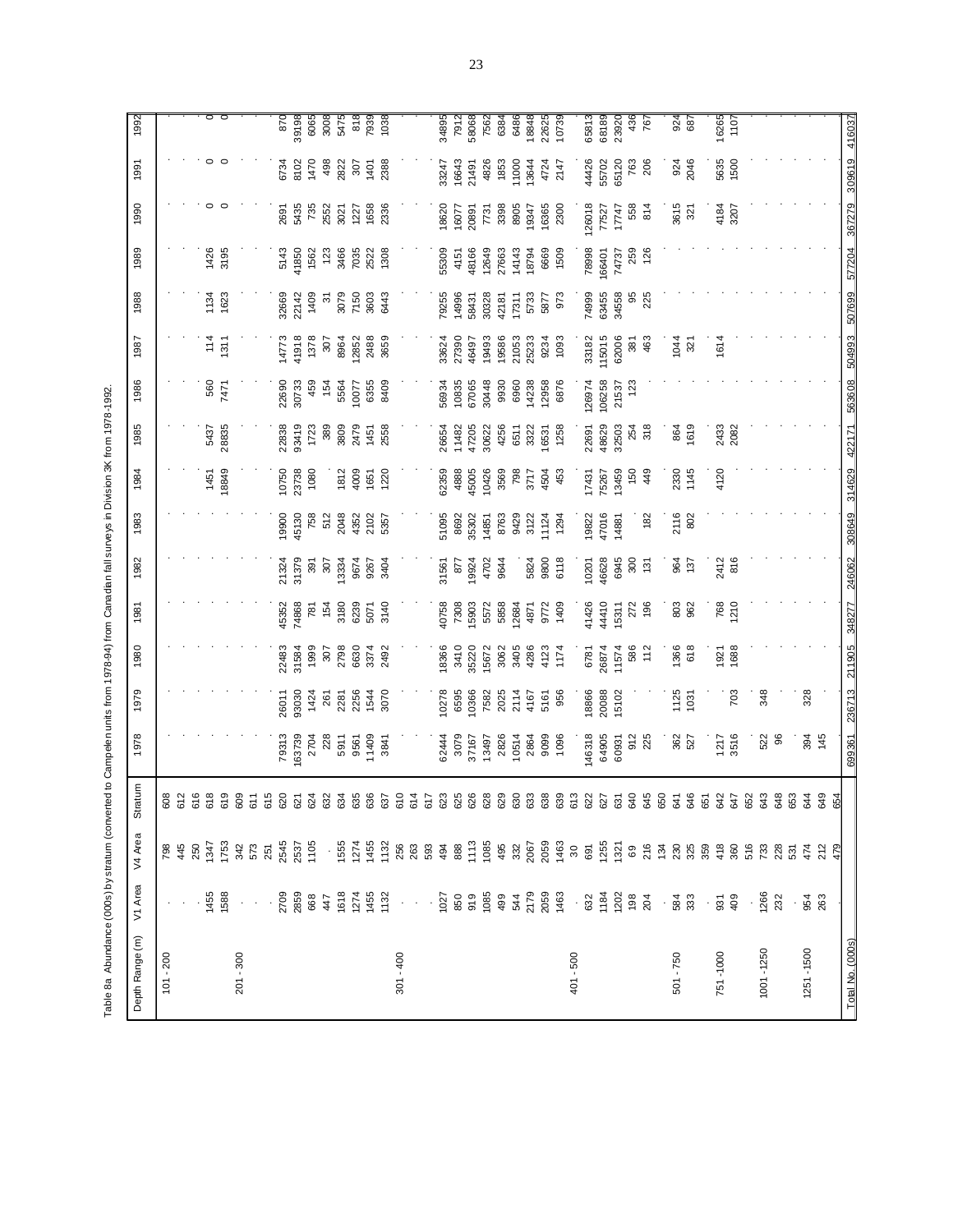Table 8a Abundance (000s) by stratum (converted to Campelen units from 1978-94) from Canadan fall surveys in Division 3K from 1978-1992. Table 8a Abundance (000s) by stratum (converted to Campelen units from 1978-94) from Canadian fall surveys in Division 3K from 1978-1992.

| Depth Range (m)  | V1 Area                                                                                                                                                                                                                                                                                                                                                                                                                                     | V4 Area                                                                                                                                                                                                                                                                                                                                                                                                                                                                                                                                                                        | tratum<br>w | 1978              | 1979                 | 1980                 | 1981          | 1982           | 1983          | 1984          | 1985         | 1986           | 1987                  | 1988                 | 1989                  | 1990                   | 1991                 | 1992                          |
|------------------|---------------------------------------------------------------------------------------------------------------------------------------------------------------------------------------------------------------------------------------------------------------------------------------------------------------------------------------------------------------------------------------------------------------------------------------------|--------------------------------------------------------------------------------------------------------------------------------------------------------------------------------------------------------------------------------------------------------------------------------------------------------------------------------------------------------------------------------------------------------------------------------------------------------------------------------------------------------------------------------------------------------------------------------|-------------|-------------------|----------------------|----------------------|---------------|----------------|---------------|---------------|--------------|----------------|-----------------------|----------------------|-----------------------|------------------------|----------------------|-------------------------------|
| $101 - 200$      |                                                                                                                                                                                                                                                                                                                                                                                                                                             |                                                                                                                                                                                                                                                                                                                                                                                                                                                                                                                                                                                | 608         |                   |                      |                      |               |                |               |               |              |                |                       |                      |                       |                        |                      |                               |
|                  |                                                                                                                                                                                                                                                                                                                                                                                                                                             | 798<br>445<br>250                                                                                                                                                                                                                                                                                                                                                                                                                                                                                                                                                              | 612<br>616  |                   |                      |                      |               |                |               |               |              |                |                       |                      |                       |                        |                      |                               |
|                  |                                                                                                                                                                                                                                                                                                                                                                                                                                             |                                                                                                                                                                                                                                                                                                                                                                                                                                                                                                                                                                                |             |                   |                      |                      |               |                |               |               |              |                |                       |                      |                       |                        |                      |                               |
|                  | 1455                                                                                                                                                                                                                                                                                                                                                                                                                                        | 1347                                                                                                                                                                                                                                                                                                                                                                                                                                                                                                                                                                           | 618         |                   |                      |                      |               |                |               |               | 5437         |                |                       |                      | 1426                  | 0                      |                      |                               |
|                  | 1588                                                                                                                                                                                                                                                                                                                                                                                                                                        |                                                                                                                                                                                                                                                                                                                                                                                                                                                                                                                                                                                | 619         |                   |                      |                      |               |                |               | 1451<br>18849 | 28835        | 560<br>7471    | $131$<br>$15$         | 1134<br>1623         | 3195                  |                        |                      | $\circ$ $\circ$               |
| $201 - 300$      |                                                                                                                                                                                                                                                                                                                                                                                                                                             |                                                                                                                                                                                                                                                                                                                                                                                                                                                                                                                                                                                | 609         |                   |                      |                      |               |                |               |               |              |                |                       |                      |                       |                        |                      |                               |
|                  | $\bar{z}$                                                                                                                                                                                                                                                                                                                                                                                                                                   |                                                                                                                                                                                                                                                                                                                                                                                                                                                                                                                                                                                | 611         |                   |                      |                      |               |                |               |               |              |                |                       |                      |                       |                        |                      |                               |
|                  |                                                                                                                                                                                                                                                                                                                                                                                                                                             | 1753<br>573<br>575<br>251                                                                                                                                                                                                                                                                                                                                                                                                                                                                                                                                                      | 615         |                   |                      |                      |               |                |               |               |              |                |                       |                      |                       |                        |                      |                               |
|                  |                                                                                                                                                                                                                                                                                                                                                                                                                                             |                                                                                                                                                                                                                                                                                                                                                                                                                                                                                                                                                                                | 620         | 79313             | 26011                |                      | 15352         | 21324          | 9900          | 10750         | 22838        | 22690          | 4773                  | 82669                |                       | 2691                   |                      | 870                           |
|                  | 2709<br>2859<br>368<br>4455<br>450<br>450<br>450<br>450<br>1132                                                                                                                                                                                                                                                                                                                                                                             | 2545<br>2537<br>1105                                                                                                                                                                                                                                                                                                                                                                                                                                                                                                                                                           | 621         | 163739            | 93030                | 22483<br>31584       | 74868         | 31379          | 15130         | 23738         | 93419        | 30733          | 41918                 | 22142<br>1409        | 5143<br>41850<br>1562 | 5435                   | 6734<br>8102<br>1470 | 39198<br>6065<br>5475<br>5475 |
|                  |                                                                                                                                                                                                                                                                                                                                                                                                                                             |                                                                                                                                                                                                                                                                                                                                                                                                                                                                                                                                                                                | 624         | 2704              | 1424                 | 1999                 | 781           | 391            | 758           |               | 1723         | 459            | 1378                  |                      |                       | 735                    |                      |                               |
|                  |                                                                                                                                                                                                                                                                                                                                                                                                                                             |                                                                                                                                                                                                                                                                                                                                                                                                                                                                                                                                                                                | 632         | 228               | 261                  | 307                  | 154           | 207            | 512           |               | 380<br>3809  | 154            | 307                   | $\frac{1}{2}$        | 123                   | 2552                   | 498                  |                               |
|                  |                                                                                                                                                                                                                                                                                                                                                                                                                                             |                                                                                                                                                                                                                                                                                                                                                                                                                                                                                                                                                                                | 634         | 5911              | 2281                 | 2798                 | 3180          | 13334          | 2048          | 1812          |              | 5564           | 8964                  | 3079                 | 3466                  | 3021                   | 2822                 |                               |
|                  |                                                                                                                                                                                                                                                                                                                                                                                                                                             |                                                                                                                                                                                                                                                                                                                                                                                                                                                                                                                                                                                | 635         | 9561              |                      |                      | 6239          | 9674           | 4352          |               | 2479         | 10077          |                       |                      |                       | 1227                   |                      | 818                           |
|                  |                                                                                                                                                                                                                                                                                                                                                                                                                                             | $\begin{array}{c} \begin{array}{c} \bullet \end{array} \end{array} \begin{array}{c} \begin{array}{c} \bullet \end{array} \end{array} \begin{array}{c} \begin{array}{c} \bullet \end{array} \end{array} \end{array} \begin{array}{c} \begin{array}{c} \bullet \end{array} \end{array} \begin{array}{c} \begin{array}{c} \bullet \end{array} \end{array} \end{array} \begin{array}{c} \begin{array}{c} \bullet \end{array} \end{array} \begin{array}{c} \begin{array}{c} \bullet \end{array} \end{array} \begin{array}{c} \begin{array}{c} \bullet \end{array} \end{array} \end$ | 636         | 11409             | 2256<br>1544<br>3070 | 6630<br>3374<br>2492 | 5071          | 9267<br>3404   | 2102<br>5357  | $rac{36}{65}$ | 1451<br>2558 | 6355           | 12852<br>2488<br>3659 | 7150<br>3603<br>6443 | 7035<br>2522<br>1308  | 1658                   | 307<br>1401<br>2388  | 7939<br>1038                  |
|                  |                                                                                                                                                                                                                                                                                                                                                                                                                                             |                                                                                                                                                                                                                                                                                                                                                                                                                                                                                                                                                                                | 637         | 3841              |                      |                      | 3140          |                |               |               |              | 8409           |                       |                      |                       | 2336                   |                      |                               |
| $301 - 400$      | $\tau \rightarrow$                                                                                                                                                                                                                                                                                                                                                                                                                          |                                                                                                                                                                                                                                                                                                                                                                                                                                                                                                                                                                                | 610         |                   |                      |                      |               |                |               |               |              |                |                       |                      |                       |                        |                      |                               |
|                  |                                                                                                                                                                                                                                                                                                                                                                                                                                             |                                                                                                                                                                                                                                                                                                                                                                                                                                                                                                                                                                                | 614         |                   |                      |                      |               |                |               |               |              |                |                       |                      |                       |                        |                      |                               |
|                  |                                                                                                                                                                                                                                                                                                                                                                                                                                             |                                                                                                                                                                                                                                                                                                                                                                                                                                                                                                                                                                                | 617         |                   |                      |                      |               |                |               |               |              |                |                       |                      |                       |                        |                      |                               |
|                  |                                                                                                                                                                                                                                                                                                                                                                                                                                             |                                                                                                                                                                                                                                                                                                                                                                                                                                                                                                                                                                                | 623         | 62444             | 0278                 | 8366                 | 10758         | 31561          | 51095         | 52359         | 26654        | 56934          | 33624<br>27390        | 79255                | 55309                 | 18620                  | 33247                | 34895                         |
|                  |                                                                                                                                                                                                                                                                                                                                                                                                                                             |                                                                                                                                                                                                                                                                                                                                                                                                                                                                                                                                                                                | 625         | 3079<br>37167     | 6595                 | 3410                 | 7308<br>15903 | 877            | 8692          | 4888          | 11482        | 10835<br>67065 |                       | 14996                | 4151                  | 16077                  | 16643                | 7912                          |
|                  |                                                                                                                                                                                                                                                                                                                                                                                                                                             |                                                                                                                                                                                                                                                                                                                                                                                                                                                                                                                                                                                | 626         |                   | 10366                | 35220                |               | 19924          | 35302         | 45005         | 47205        |                | 46497                 | 58431                | 48166                 | 20891                  | 21491                | 58068                         |
|                  |                                                                                                                                                                                                                                                                                                                                                                                                                                             |                                                                                                                                                                                                                                                                                                                                                                                                                                                                                                                                                                                | 628         | 13497             | 7582                 | 15672                | 5572          | 4702           | 14851         | 10426         | 30622        | 30448          | 19493                 | 30328                | 12649                 | 7731                   | 4826                 | 7562                          |
|                  |                                                                                                                                                                                                                                                                                                                                                                                                                                             |                                                                                                                                                                                                                                                                                                                                                                                                                                                                                                                                                                                | 629         | 2826              | 2025                 | 3062<br>3405         | 5858          | 9644           | 8763          | 3569          | 4256         | 9930           | 19586                 | 42181                | 27663                 | 3398<br>8905           | 1853                 | 6384                          |
|                  |                                                                                                                                                                                                                                                                                                                                                                                                                                             |                                                                                                                                                                                                                                                                                                                                                                                                                                                                                                                                                                                | 630         | 10514             | 2114                 |                      | 12684         |                | 9429<br>3122  | 798           | 6511         | 6960           | 21053<br>25233        | 17311                | 14143                 |                        | 1000                 | 6486                          |
|                  |                                                                                                                                                                                                                                                                                                                                                                                                                                             |                                                                                                                                                                                                                                                                                                                                                                                                                                                                                                                                                                                | 633         | 2864              | 4167                 | 4286                 | 4871          | 5824           |               | 3717          | 3322         | 14238          |                       | 5733                 | 18794                 | 19347                  | 13644                | 18848                         |
|                  |                                                                                                                                                                                                                                                                                                                                                                                                                                             |                                                                                                                                                                                                                                                                                                                                                                                                                                                                                                                                                                                | 638         | 9099              | 5161                 | 4123                 | 9772          | 9800           | 11124         | 4504          | 6531         | 12958          | 9234                  | 5877                 | 6669                  | 16365                  | 4724<br>21 47        | 22625                         |
|                  |                                                                                                                                                                                                                                                                                                                                                                                                                                             |                                                                                                                                                                                                                                                                                                                                                                                                                                                                                                                                                                                | 639         | 1096              | 956                  | 1174                 | 1409          | 6118           | 1294          | 453           | 1258         | 6876           | 1093                  | 973                  | 1509                  | 2300                   |                      | 10739                         |
| 401 - 500        |                                                                                                                                                                                                                                                                                                                                                                                                                                             |                                                                                                                                                                                                                                                                                                                                                                                                                                                                                                                                                                                | 613         |                   |                      |                      |               |                |               |               |              |                |                       |                      |                       |                        |                      |                               |
|                  |                                                                                                                                                                                                                                                                                                                                                                                                                                             |                                                                                                                                                                                                                                                                                                                                                                                                                                                                                                                                                                                | 622         | 146318            | 18866                | 6781                 | 41426         | 10201          | 19822         | 17431         | 22691        | 126974         | 33182                 | 74999                | 78998                 | 26018                  | 4426                 | 65813                         |
|                  |                                                                                                                                                                                                                                                                                                                                                                                                                                             |                                                                                                                                                                                                                                                                                                                                                                                                                                                                                                                                                                                | 627         | 64905             | 20088                | 26874                | 44410         | 46628          | 17016         | 75267         | 48629        | 106258         | 115015                | 63455                | 166401                | 77527                  | 55702                | 68189                         |
|                  | $\begin{array}{cccccccccc} . & . & . & . & . & . & . & . & . & . \\ 0. & . & . & . & . & . & . & . & . & . \\ 0. & . & . & . & . & . & . & . & . & . \\ 0. & . & . & . & . & . & . & . & . \\ 0. & . & . & . & . & . & . & . & . \\ 0. & . & . & . & . & . & . & . \\ 0. & . & . & . & . & . & . & . \\ 0. & . & . & . & . & . & . & . \\ 0. & . & . & . & . & . & . & . \\ 0. & . & . & . & . & . & . \\ 0. & . & . & . & . & . & . \\ 0.$ |                                                                                                                                                                                                                                                                                                                                                                                                                                                                                                                                                                                | 631         | 60931             | 15102                | 11574                | 15311         | 6945           | 14881         | 13459         | 32503        | 21537          | 62006                 | 34558                | 74737                 | 17747                  | 65120                | 23920                         |
|                  |                                                                                                                                                                                                                                                                                                                                                                                                                                             |                                                                                                                                                                                                                                                                                                                                                                                                                                                                                                                                                                                | 640         | $\frac{912}{255}$ |                      | 586<br>112           | 272           | 300            |               | 150           | 254<br>318   | 123            | 381                   | 85                   | 259                   | 558                    | 763                  | 436                           |
|                  |                                                                                                                                                                                                                                                                                                                                                                                                                                             |                                                                                                                                                                                                                                                                                                                                                                                                                                                                                                                                                                                | 645         |                   |                      |                      | 196           | $\frac{5}{13}$ | 182           | 449           |              |                | 463                   | 225                  | 126                   | 814                    | 206                  | 767                           |
|                  |                                                                                                                                                                                                                                                                                                                                                                                                                                             |                                                                                                                                                                                                                                                                                                                                                                                                                                                                                                                                                                                | 650         |                   |                      |                      |               |                |               |               |              |                |                       |                      |                       |                        |                      |                               |
| 501 - 750        | . 88<br>58<br>58                                                                                                                                                                                                                                                                                                                                                                                                                            |                                                                                                                                                                                                                                                                                                                                                                                                                                                                                                                                                                                | 641         | 362<br>527        | $1125$<br>$1031$     | 1366                 | 803<br>962    | 964<br>137     | 2116<br>802   | 2330          | 864<br>1619  |                | 1044                  |                      |                       | 3615<br>$\overline{3}$ | 924<br>2046          | 924<br>687                    |
|                  |                                                                                                                                                                                                                                                                                                                                                                                                                                             |                                                                                                                                                                                                                                                                                                                                                                                                                                                                                                                                                                                | 646         |                   |                      | 618                  |               |                |               | 1145          |              |                | 321                   |                      |                       |                        |                      |                               |
|                  | $\frac{5}{6}$ $\frac{5}{6}$                                                                                                                                                                                                                                                                                                                                                                                                                 |                                                                                                                                                                                                                                                                                                                                                                                                                                                                                                                                                                                | 651         |                   |                      |                      |               |                |               |               |              |                |                       |                      |                       |                        |                      |                               |
| 751-1000         |                                                                                                                                                                                                                                                                                                                                                                                                                                             |                                                                                                                                                                                                                                                                                                                                                                                                                                                                                                                                                                                | 642         | 1217              |                      | 1921<br>1688         | 768<br>1210   | 2412<br>816    |               | 4120          | 2433         |                | 1614                  |                      |                       | 4184                   | 5635<br>1500         | 16265<br>1107                 |
|                  |                                                                                                                                                                                                                                                                                                                                                                                                                                             |                                                                                                                                                                                                                                                                                                                                                                                                                                                                                                                                                                                | 647         | 3516              | 703                  |                      |               |                |               |               | 2082         |                |                       |                      |                       | 3207                   |                      |                               |
|                  |                                                                                                                                                                                                                                                                                                                                                                                                                                             | 516<br>733                                                                                                                                                                                                                                                                                                                                                                                                                                                                                                                                                                     | 652         |                   |                      |                      |               |                |               |               |              |                |                       |                      |                       |                        |                      |                               |
| 1001-1250        | 1266<br>232                                                                                                                                                                                                                                                                                                                                                                                                                                 |                                                                                                                                                                                                                                                                                                                                                                                                                                                                                                                                                                                | 643<br>648  | 522<br>8          | 348                  |                      |               |                |               |               |              |                |                       |                      |                       |                        |                      |                               |
|                  |                                                                                                                                                                                                                                                                                                                                                                                                                                             | 228<br>531                                                                                                                                                                                                                                                                                                                                                                                                                                                                                                                                                                     | 653         |                   |                      |                      |               |                |               |               |              |                |                       |                      |                       |                        |                      |                               |
| 1251-1500        |                                                                                                                                                                                                                                                                                                                                                                                                                                             | 474                                                                                                                                                                                                                                                                                                                                                                                                                                                                                                                                                                            | 644         | 394               | 328                  |                      |               |                |               |               |              |                |                       |                      |                       |                        |                      |                               |
|                  | 954<br>263                                                                                                                                                                                                                                                                                                                                                                                                                                  | 212                                                                                                                                                                                                                                                                                                                                                                                                                                                                                                                                                                            | 649         | 145               |                      |                      |               |                |               |               |              |                |                       |                      |                       |                        |                      |                               |
|                  |                                                                                                                                                                                                                                                                                                                                                                                                                                             | 479                                                                                                                                                                                                                                                                                                                                                                                                                                                                                                                                                                            | 654         |                   |                      |                      |               |                |               |               |              |                |                       |                      |                       |                        |                      |                               |
| Total No. (000s) |                                                                                                                                                                                                                                                                                                                                                                                                                                             |                                                                                                                                                                                                                                                                                                                                                                                                                                                                                                                                                                                |             | 699361            | 236713               | 211905               | 348277        | 246062         | 308649 314629 |               | 422171       | 563608         | 504993                | 507699               | 577204                | 367279                 | 309619               | 416037                        |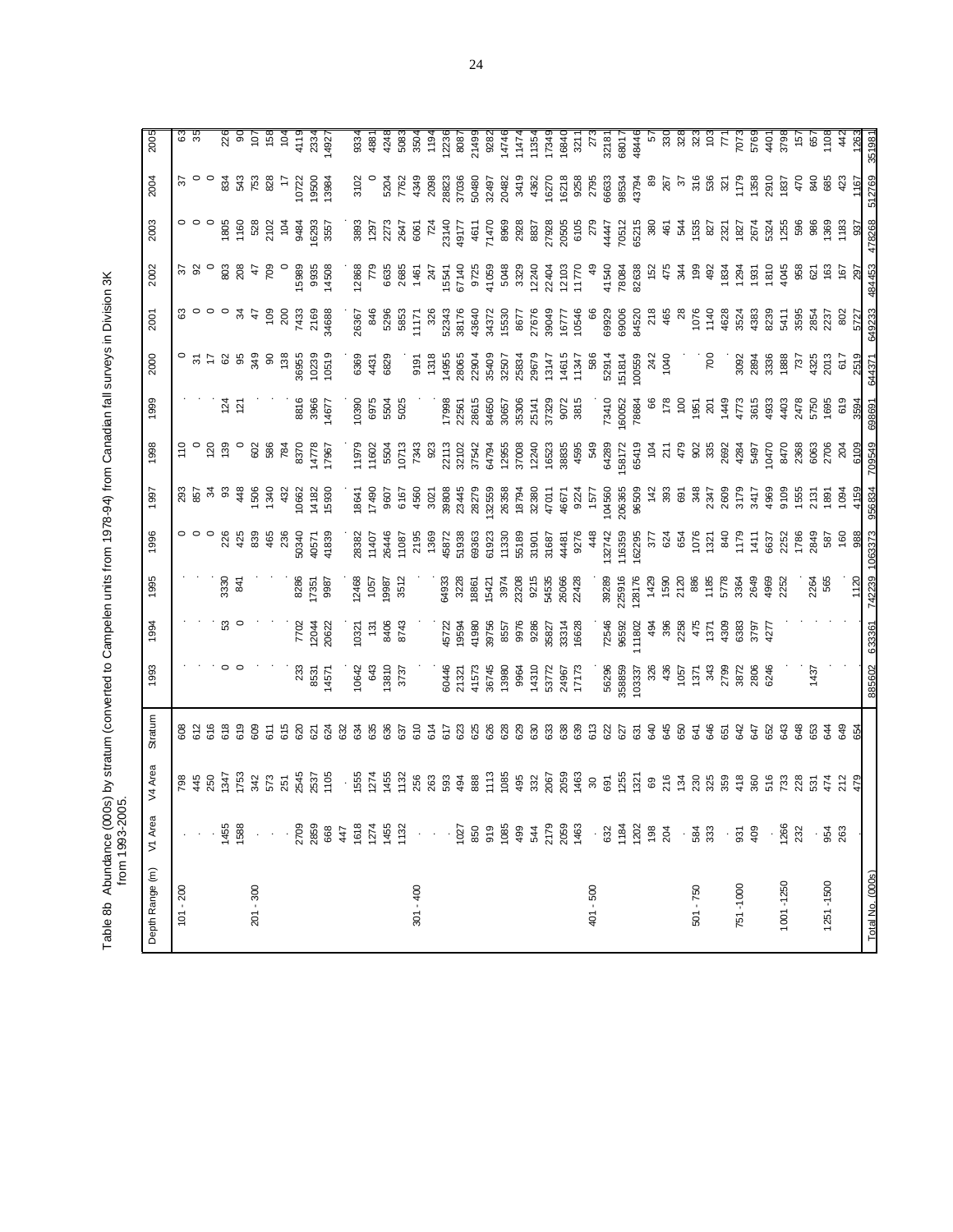Table 8b Abundance (000s) by stratum (converted to Campelen units from 1978-94) from Canadian fall surveys in Division 3K<br>from 1993-2005. Table 8b Abundance (000s) by stratum (converted to Campelen units from 1978-94) from Canadian fall surveys in Division 3K from 1993-2005.

| Depth Range (m)  | V1 Area                                                  | V4 Area                              | Stratum        | 1993           | 1994           | 1995           | 1996           | 1997           | 1998                   | 1999                        | 2000         | 2001            | 2002         | 2003                   | 2004                  | 2005           |
|------------------|----------------------------------------------------------|--------------------------------------|----------------|----------------|----------------|----------------|----------------|----------------|------------------------|-----------------------------|--------------|-----------------|--------------|------------------------|-----------------------|----------------|
| $101 - 200$      |                                                          | 798                                  |                |                |                |                |                |                | 110                    |                             |              |                 |              |                        |                       | 3              |
|                  |                                                          | 445                                  | 608<br>612     |                |                |                |                | 857            |                        |                             |              |                 |              |                        |                       | న              |
|                  |                                                          | 250                                  | 616            |                |                |                |                |                | $\frac{5}{2}$          |                             |              |                 |              |                        |                       |                |
|                  | Ю<br>145                                                 | 347                                  | 618<br>619     |                | ន              | 3330           | 226            | සි             | 139                    | $\frac{5}{2}$ $\frac{5}{2}$ | ଌ            |                 | 803          | 1805                   | 834                   | 226            |
|                  | 158                                                      | I753                                 |                |                |                | $\overline{8}$ | 425            | 448            |                        |                             | 8            | ž               | 208          | 1160                   | 543                   | $\frac{8}{2}$  |
| $201 - 300$      | $\cdot$                                                  | 342                                  | 609            |                |                |                | 839            | 1506<br>1340   | 602                    |                             | 349          | 47              | 47           | 528                    | 753                   | 107            |
|                  | $\cdot$                                                  | 573                                  | $\overline{5}$ |                |                |                | 465            |                | 586                    |                             | 8            | 109             | 709          | 2102                   | 828                   | 158            |
|                  |                                                          | 251                                  | 615            |                |                |                | 236            | 432            | 784                    |                             | 138          | 200             |              | $\frac{1}{2}$          |                       | 104            |
|                  | 285<br>270                                               | 2545                                 | 620            | 233            | 7702           | 8286           | 50340          | 10662          | 8370                   | 8816                        | 36955        | 7433            | 15989        | 9484                   | 0722                  | 4119           |
|                  |                                                          | 2537                                 | 621            | 8531<br>  4571 | 12044<br>20622 | 7351           | 10571          | 14182          | 4778                   | 3966                        | 10239        | 2169            | 9935         | 6293                   | 9500                  | 2334           |
|                  | 668                                                      | 1105                                 | 624            |                |                | 9987           | 41839          | 15930          | 17967                  | 14677                       | 10519        | 34688           | 14508        | 3557                   | 3984                  | 14927          |
|                  | $\frac{4}{4}$                                            |                                      | 332            |                |                |                |                |                |                        |                             |              |                 |              |                        |                       |                |
|                  | $\frac{6}{16}$                                           |                                      | 634            | 10642          | 10321          | 2468           | 28382          | 18641          | 11979                  | 10390                       | 6369         | 26367           | 2868         | 3893                   | 3102                  | 9334           |
|                  | 127<br>145                                               | $1555$<br>$1274$<br>$1455$<br>$1132$ | 635<br>636     | 13810<br>643   | 8406<br>131    | 1057<br>9987   | 26446<br>11407 | 17490<br>9607  | 5504<br>1602           | 6975<br>5504                | 6829<br>4431 | 846<br>5296     | 6635<br>řξ   | 2273<br>1297           |                       | 4881<br>4248   |
|                  | 113                                                      |                                      | 637            | 3737           | 8743           | 3512           | 11087          | 6167           | 10713                  | 5025                        |              | 5853            | 2685         | 2647                   | 5204<br>7762          | 5083           |
| $301 - 400$      | $\boldsymbol{\cdot}$                                     | 256                                  | 610            |                |                |                | 2195           | 4560           | 7343                   |                             | 9191         | 1171            | 1461         | 6061                   | 4349                  | 3504           |
|                  | $\epsilon$                                               |                                      | 614            |                |                |                | 1369           | 3021           | $\tilde{8}$            |                             | 1318         | 326             | 247          | 724                    | 2098                  | 1194           |
|                  |                                                          | 263<br>593                           | 517            | 60446          |                | 64933          | 45872          | 39808          | 22113                  | 17998                       | 14955        |                 | 5541         |                        |                       | 12236          |
|                  | $-2.858$ $-2.8$                                          | 494                                  | 623            | 21321          | 45722<br>19594 | 3228           | 51938          | 23445          | 32102                  | 22561                       | 28065        | 52343<br>381 76 | 67140        | 23140<br>49177         | 28823<br>37036        | 8087           |
|                  |                                                          | 888                                  | 625            | 41573          | 11980          | 18861          | 69363          | 28279          | 37542                  | 28615                       | 22904        | 43640           | 9725         | 4611                   | 50480                 | 21499          |
|                  |                                                          | 113                                  | 326            | 36745          | 39756          | 15421          | 61923          | 132559         | 64794                  | 84650                       | 35409        | 34372           | 41059        | 71470                  | 32497                 | 9282           |
|                  |                                                          | 1085                                 | 328            | 13980          | 8557           | 3974           | 11330          | 26358          | 12955                  | 30657                       | 32507        | 15530           | 5048         | 8969                   | 20482                 | 14746          |
|                  | $344$<br>$247$                                           | 495                                  | 529            | 9964           | 9976           | 23208          | 55189<br>31901 | 18794          | 37008                  | 35306                       | 25834        | 8677            | 3329         | 2928<br>8837           | 3419                  | 11474          |
|                  |                                                          | 332                                  | 530            | 14310          | 9286           | 9215           |                | 32380          | 12240                  | 25141                       | 29679        | 27676           | 12240        |                        | 4362                  | 11354          |
|                  |                                                          | 2067                                 | 533            | 53772          | 35827          | 54535          | 31687          | 47011          | 16523                  | 37329                       | 13147        | 39049           | 22404        | 27928<br>20505<br>6105 | 16270                 | 17349          |
|                  | 205<br>146                                               | 2059<br>1463                         | 538            | 24967<br>17173 | 33314<br>16628 | 26066<br>22428 | 44481          | 46671          | 38835                  | 9072<br>3815                | 14615        | 16777<br>10546  | 12103        |                        |                       | 16840          |
|                  |                                                          |                                      | 639            |                |                |                | 9276           | 9224           | 4595                   |                             | 11347        |                 | 11770        |                        | 16218<br>9258<br>2795 | 3211           |
| 401 - 500        |                                                          | $\rm 30$                             | 513            |                |                |                | 448            | 1577           | 549                    |                             | 586          |                 |              | 279                    |                       | 273            |
|                  |                                                          | 691                                  | 322            | 56296          | 72546          | 39289          | 132742         | 104560         | 64289                  | 73410                       | 52914        | 6268            | 41540        | 1447                   | 6633                  | 32181          |
|                  |                                                          | 1255                                 | 27             | 358859         | 96592          | 225916         | 16359          | 206365         | 158172                 | 60052                       | 51814        | 69006           | 78084        | 70512                  | 98534<br>43794        | 68017          |
|                  | $\cdot$ 13 $\frac{3}{2}$ 8 $\frac{3}{2}$ 8 $\frac{3}{2}$ | $\frac{5}{2}$ & $\frac{8}{2}$        | යි             | 103337         | 11802          | 128176         | 162295         | 96509          | 65419                  | 78684                       | 100559       | 84520           | 82638        | 65215                  |                       | 48446          |
|                  |                                                          |                                      | 640            | 326            | 494            | 1429           | 377            | $\frac{42}{5}$ | $\overline{9}$         |                             | 242          | 218             | 152          | 380                    | 8                     | $\overline{5}$ |
|                  |                                                          | 134                                  | 545<br>650     | 436<br>1057    | 396<br>2258    | 1590<br>2120   | 624<br>654     | 393<br>69      | 479<br>$\overline{21}$ | 178<br>$\frac{8}{2}$        | 1040         | 465             | 475<br>र्ट्स | 461<br>54              | 267<br>$\mathcal{E}$  | 330<br>328     |
| 501 - 750        |                                                          | 230                                  | 541            | 1371           | 475            | 886            | 1076           | 348            |                        | 1951                        |              | 1076            | 99           | 1535                   | 316                   | 323            |
|                  | . ಜೆ ಜೆ                                                  | 325                                  | 646            |                | 137'           | 1185           | 1321           | 2347           | <b>985</b>             | $\overline{20}$             | 700          | 1140            | 492          | 827                    | 536                   | $\frac{2}{10}$ |
|                  |                                                          | 359                                  | යි             | 343<br>2799    | 4309           | 5778           | 840            | 2609           | 2692                   | 1449                        |              | 4628            | 1834         | 2321                   | $\overline{3}$        | $\overline{7}$ |
| 751-1000         | $\cdot$ $\overleftarrow{g}$                              | 418                                  | 342            | 3872           | 6383           | 3364           | 1178           | 3179           | 4284                   | 4773                        | 3092         | 3524            | 294          | 1827                   | 1179                  | 7073           |
|                  | $rac{6}{5}$                                              | 360                                  | 742            | 2806           | 3797           | 2649           | 1411           | 3417           | 5497                   | 3615                        | 2894         | 4383            | 1931         | 2674                   | 1358                  | 5769           |
|                  |                                                          | 516                                  | 652            | 6246           | 427            | 4969           | 6637           | 4969           | 0470                   | 4933                        | 3336         | 8239            | 1810         | 5324                   | 2910                  | 4401           |
| 1001-1250        | 126                                                      | 733                                  | S43            |                |                | 2252           | 2252           | 9109           | 8470                   | 4403                        | 1888         | 5411            | 1045         | 1255                   | 1837                  | 3798           |
|                  | 232                                                      | 228                                  | 848            |                |                |                | 1786           | 1555           | 2368                   | 2478                        | 737          | 3595            | 958          | 596                    | 470                   | 157            |
|                  |                                                          | ន៍                                   | 653            | 1437           |                | 2264           | 2849           | 2131           | 6063                   | 5750                        | 4325         | 2854            | 621          | 88                     | 840                   | 657            |
| 1251-1500        | 95 <sup>2</sup>                                          | 474                                  | 54             |                |                | 565            | 587            | 1891           | 2706                   | 1695                        | 2013         | 2237            | 163          | 1369                   |                       | 1108           |
|                  | 26                                                       | 212                                  | 849            |                |                |                | 160            | 1094           | 204                    | 619                         | 617          | 802             | 167          | 183                    | 423                   | 42             |
|                  |                                                          |                                      | Ř              |                |                | 1120           | $\frac{98}{9}$ | 4155           | 6109                   | 3594                        | 2519         | 572             | ଅ            |                        |                       | 1263           |
| Total No. (000s) |                                                          |                                      |                | 885602 633361  |                | 742239 1063373 |                | 956834         | 709549                 | 698691                      | 644371       | 649233          | 484453       | 478268                 | 512769                | 351981         |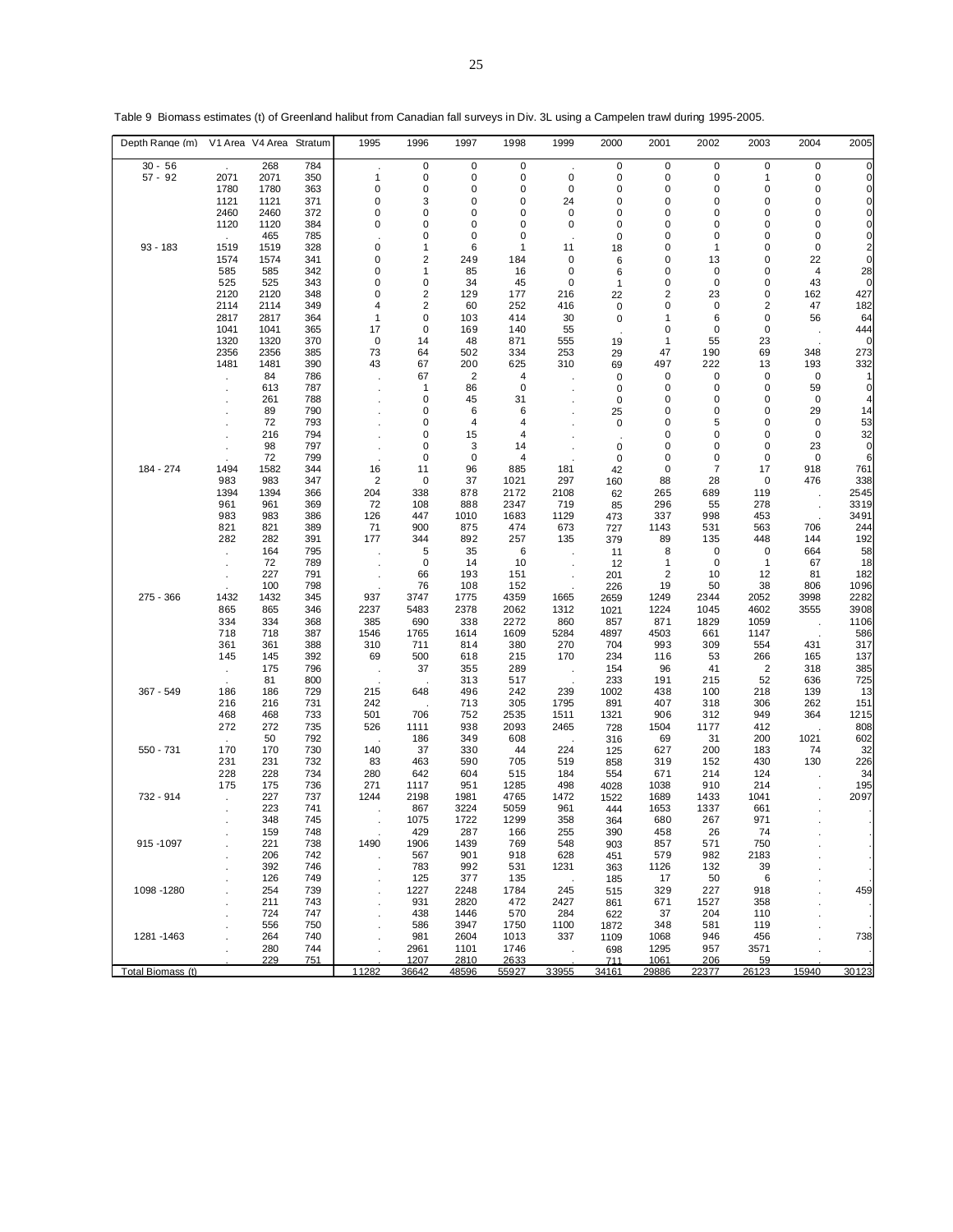| Depth Range (m)   |               | V1 Area V4 Area Stratum |            | 1995              | 1996                | 1997         | 1998         | 1999        | 2000        | 2001         | 2002        | 2003           | 2004       | 2005         |
|-------------------|---------------|-------------------------|------------|-------------------|---------------------|--------------|--------------|-------------|-------------|--------------|-------------|----------------|------------|--------------|
| $30 - 56$         |               | 268                     | 784        |                   | 0                   | 0            | $\mathsf 0$  |             | 0           | 0            | $\mathsf 0$ | $\pmb{0}$      | 0          | $\mathbf 0$  |
| $57 - 92$         | 2071          | 2071                    | 350        | $\mathbf{1}$      | 0                   | 0            | 0            | $\mathbf 0$ | 0           | 0            | 0           | 1              | 0          | 0            |
|                   | 1780          | 1780                    | 363        | 0                 | 0                   | 0            | 0            | 0           | 0           | 0            | 0           | 0              | 0          | $\Omega$     |
|                   | 1121<br>2460  | 1121<br>2460            | 371<br>372 | 0<br>0            | 3<br>0              | 0<br>0       | 0<br>0       | 24<br>0     | 0<br>0      | 0<br>0       | 0<br>0      | 0<br>0         | 0<br>0     | 0<br>0       |
|                   | 1120          | 1120                    | 384        | 0                 | 0                   | 0            | 0            | 0           | 0           | 0            | 0           | 0              | 0          | 0            |
|                   | $\sim$        | 465                     | 785        |                   | 0                   | 0            | 0            |             | 0           | 0            | 0           | 0              | 0          | 0            |
| 93 - 183          | 1519          | 1519                    | 328        | 0                 | 1                   | 6            | 1            | 11          | 18          | 0            | $\mathbf 1$ | 0              | 0          | 2            |
|                   | 1574          | 1574                    | 341        | 0                 | 2                   | 249          | 184          | 0           | 6           | 0            | 13          | 0              | 22         | 0            |
|                   | 585           | 585                     | 342        | 0                 | 1                   | 85           | 16           | 0           | 6           | 0            | 0           | 0              | 4          | 28           |
|                   | 525           | 525                     | 343        | 0                 | 0                   | 34           | 45           | 0           | 1           | 0            | 0           | $\mathbf 0$    | 43         | $\mathsf{C}$ |
|                   | 2120          | 2120                    | 348        | 0                 | $\overline{2}$      | 129          | 177          | 216         | 22          | 2            | 23          | 0              | 162        | 427          |
|                   | 2114<br>2817  | 2114<br>2817            | 349<br>364 | 4<br>$\mathbf{1}$ | $\overline{2}$<br>0 | 60<br>103    | 252<br>414   | 416<br>30   | 0<br>0      | 0<br>1       | 0<br>6      | 2<br>0         | 47<br>56   | 182<br>64    |
|                   | 1041          | 1041                    | 365        | 17                | 0                   | 169          | 140          | 55          |             | 0            | 0           | 0              |            | 444          |
|                   | 1320          | 1320                    | 370        | 0                 | 14                  | 48           | 871          | 555         | 19          | 1            | 55          | 23             |            | 0            |
|                   | 2356          | 2356                    | 385        | 73                | 64                  | 502          | 334          | 253         | 29          | 47           | 190         | 69             | 348        | 273          |
|                   | 1481          | 1481                    | 390        | 43                | 67                  | 200          | 625          | 310         | 69          | 497          | 222         | 13             | 193        | 332          |
|                   | $\cdot$       | 84                      | 786        |                   | 67                  | 2            | 4            |             | 0           | 0            | 0           | 0              | 0          |              |
|                   |               | 613                     | 787        |                   | 1                   | 86           | 0            |             | 0           | 0            | 0           | 0              | 59         | 0            |
|                   |               | 261                     | 788        |                   | 0                   | 45           | 31           |             | 0           | 0            | 0           | 0              | 0          |              |
|                   |               | 89                      | 790        |                   | 0                   | 6            | 6            |             | 25          | 0            | 0           | 0              | 29         | 14           |
|                   |               | 72<br>216               | 793<br>794 |                   | 0<br>0              | 4<br>15      | 4<br>4       |             | $\mathbf 0$ | 0<br>0       | 5<br>0      | 0<br>0         | 0<br>0     | 53<br>32     |
|                   |               | 98                      | 797        |                   | 0                   | 3            | 14           |             | 0           | 0            | 0           | 0              | 23         | $\mathbf 0$  |
|                   |               | 72                      | 799        |                   | 0                   | 0            | 4            |             | 0           | 0            | 0           | 0              | 0          | 6            |
| 184 - 274         | 1494          | 1582                    | 344        | 16                | 11                  | 96           | 885          | 181         | 42          | 0            | 7           | 17             | 918        | 761          |
|                   | 983           | 983                     | 347        | 2                 | 0                   | 37           | 1021         | 297         | 160         | 88           | 28          | 0              | 476        | 338          |
|                   | 1394          | 1394                    | 366        | 204               | 338                 | 878          | 2172         | 2108        | 62          | 265          | 689         | 119            |            | 2545         |
|                   | 961           | 961                     | 369        | 72                | 108                 | 888          | 2347         | 719         | 85          | 296          | 55          | 278            |            | 3319         |
|                   | 983           | 983                     | 386        | 126               | 447                 | 1010         | 1683         | 1129        | 473         | 337          | 998         | 453            |            | 3491         |
|                   | 821<br>282    | 821<br>282              | 389<br>391 | 71<br>177         | 900<br>344          | 875<br>892   | 474<br>257   | 673<br>135  | 727         | 1143<br>89   | 531<br>135  | 563<br>448     | 706<br>144 | 244<br>192   |
|                   |               | 164                     | 795        |                   | 5                   | 35           | 6            |             | 379<br>11   | 8            | 0           | 0              | 664        | 58           |
|                   |               | 72                      | 789        |                   | $\mathbf 0$         | 14           | 10           |             | 12          | 1            | 0           | 1              | 67         | 18           |
|                   |               | 227                     | 791        |                   | 66                  | 193          | 151          |             | 201         | 2            | 10          | 12             | 81         | 182          |
|                   |               | 100                     | 798        |                   | 76                  | 108          | 152          |             | 226         | 19           | 50          | 38             | 806        | 1096         |
| 275 - 366         | 1432          | 1432                    | 345        | 937               | 3747                | 1775         | 4359         | 1665        | 2659        | 1249         | 2344        | 2052           | 3998       | 2282         |
|                   | 865           | 865                     | 346        | 2237              | 5483                | 2378         | 2062         | 1312        | 1021        | 1224         | 1045        | 4602           | 3555       | 3908         |
|                   | 334           | 334                     | 368        | 385               | 690                 | 338          | 2272         | 860         | 857         | 871          | 1829        | 1059           |            | 1106         |
|                   | 718           | 718                     | 387        | 1546<br>310       | 1765                | 1614         | 1609<br>380  | 5284        | 4897<br>704 | 4503<br>993  | 661         | 1147<br>554    |            | 586          |
|                   | 361<br>145    | 361<br>145              | 388<br>392 | 69                | 711<br>500          | 814<br>618   | 215          | 270<br>170  | 234         | 116          | 309<br>53   | 266            | 431<br>165 | 317<br>137   |
|                   | $\cdot$       | 175                     | 796        | $\cdot$           | 37                  | 355          | 289          |             | 154         | 96           | 41          | $\overline{2}$ | 318        | 385          |
|                   |               | 81                      | 800        |                   |                     | 313          | 517          |             | 233         | 191          | 215         | 52             | 636        | 725          |
| 367 - 549         | 186           | 186                     | 729        | 215               | 648                 | 496          | 242          | 239         | 1002        | 438          | 100         | 218            | 139        | 13           |
|                   | 216           | 216                     | 731        | 242               |                     | 713          | 305          | 1795        | 891         | 407          | 318         | 306            | 262        | 151          |
|                   | 468           | 468                     | 733        | 501               | 706                 | 752          | 2535         | 1511        | 1321        | 906          | 312         | 949            | 364        | 1215         |
|                   | 272           | 272                     | 735        | 526               | 1111                | 938          | 2093         | 2465        | 728         | 1504         | 1177        | 412            |            | 808          |
| 550 - 731         | 170           | 50<br>170               | 792<br>730 | 140               | 186<br>37           | 349<br>330   | 608<br>44    | 224         | 316         | 69<br>627    | 31<br>200   | 200<br>183     | 1021<br>74 | 602<br>32    |
|                   | 231           | 231                     | 732        | 83                | 463                 | 590          | 705          | 519         | 125<br>858  | 319          | 152         | 430            | 130        | 226          |
|                   | 228           | 228                     | 734        | 280               | 642                 | 604          | 515          | 184         | 554         | 671          | 214         | 124            |            | 34           |
|                   | 175           | 175                     | 736        | 271               | 1117                | 951          | 1285         | 498         | 4028        | 1038         | 910         | 214            |            | 195          |
| 732 - 914         | $\mathcal{L}$ | 227                     | 737        | 1244              | 2198                | 1981         | 4765         | 1472        | 1522        | 1689         | 1433        | 1041           |            | 2097         |
|                   |               | 223                     | 741        |                   | 867                 | 3224         | 5059         | 961         | 444         | 1653         | 1337        | 661            |            |              |
|                   |               | 348                     | 745        |                   | 1075                | 1722         | 1299         | 358         | 364         | 680          | 267         | 971            |            |              |
|                   |               | 159                     | 748        |                   | 429                 | 287          | 166          | 255         | 390         | 458          | 26          | -74            |            |              |
| 915 - 1097        |               | 221<br>206              | 738<br>742 | 1490              | 1906<br>567         | 1439<br>901  | 769<br>918   | 548<br>628  | 903<br>451  | 857<br>579   | 571<br>982  | 750<br>2183    |            |              |
|                   |               | 392                     | 746        |                   | 783                 | 992          | 531          | 1231        | 363         | 1126         | 132         | 39             |            |              |
|                   |               | 126                     | 749        |                   | 125                 | 377          | 135          |             | 185         | 17           | 50          | 6              |            |              |
| 1098 - 1280       |               | 254                     | 739        |                   | 1227                | 2248         | 1784         | 245         | 515         | 329          | 227         | 918            |            | 459          |
|                   |               | 211                     | 743        |                   | 931                 | 2820         | 472          | 2427        | 861         | 671          | 1527        | 358            |            |              |
|                   |               | 724                     | 747        |                   | 438                 | 1446         | 570          | 284         | 622         | 37           | 204         | 110            |            |              |
|                   |               | 556                     | 750        |                   | 586                 | 3947         | 1750         | 1100        | 1872        | 348          | 581         | 119            |            |              |
| 1281 - 1463       |               | 264                     | 740        |                   | 981                 | 2604         | 1013         | 337         | 1109        | 1068         | 946         | 456            |            | 738          |
|                   |               | 280<br>229              | 744<br>751 |                   | 2961<br>1207        | 1101<br>2810 | 1746<br>2633 |             | 698<br>711  | 1295<br>1061 | 957<br>206  | 3571<br>59     |            |              |
| Total Biomass (t) |               |                         |            | 11282             | 36642               | 48596        | 55927        | 33955       | 34161       | 29886        | 22377       | 26123          | 15940      | 30123        |

Table 9 Biomass estimates (t) of Greenland halibut from Canadian fall surveys in Div. 3L using a Campelen trawl during 1995-2005.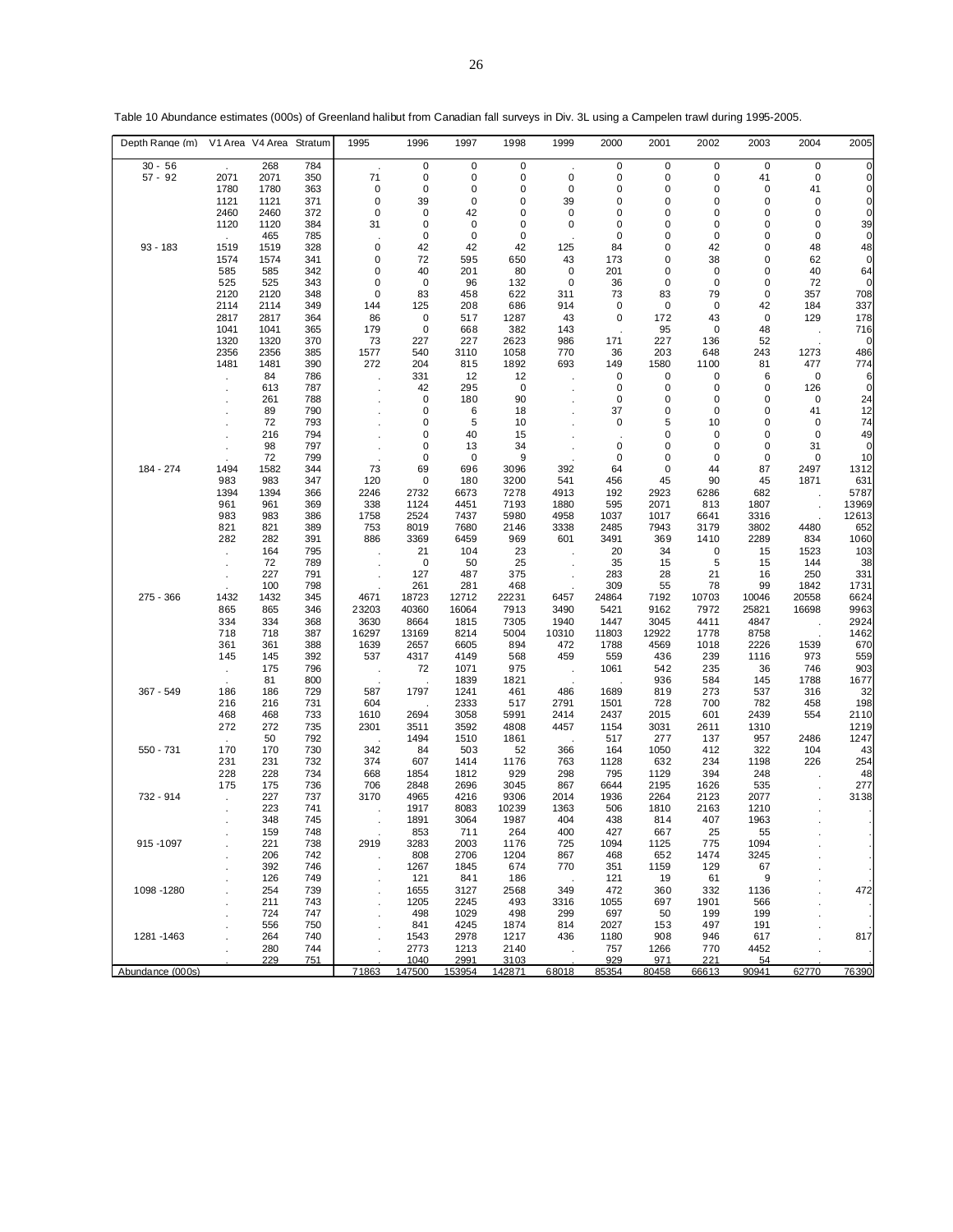| Depth Range (m)  |               | V1 Area V4 Area | Stratum    | 1995        | 1996        | 1997         | 1998        | 1999         | 2000         | 2001        | 2002        | 2003         | 2004        | 2005         |
|------------------|---------------|-----------------|------------|-------------|-------------|--------------|-------------|--------------|--------------|-------------|-------------|--------------|-------------|--------------|
| $30 - 56$        | $\sim$        | 268             | 784        |             | 0           | 0            | $\mathsf 0$ |              | 0            | 0           | $\mathsf 0$ | $\pmb{0}$    | $\mathbf 0$ | $\mathbf 0$  |
| $57 - 92$        | 2071          | 2071            | 350        | 71          | 0           | 0            | 0           | 0            | 0            | 0           | 0           | 41           | $\mathbf 0$ | 0            |
|                  | 1780          | 1780            | 363        | 0           | 0           | 0            | 0           | 0            | 0            | 0           | 0           | 0            | 41          | 0            |
|                  | 1121          | 1121            | 371        | 0           | 39          | 0            | 0           | 39           | 0            | 0           | 0           | 0            | 0           | 0            |
|                  | 2460          | 2460            | 372        | 0           | 0           | 42           | 0           | 0            | 0            | 0           | 0           | 0            | 0           | 0            |
|                  | 1120          | 1120            | 384        | 31          | 0           | 0            | 0           | 0            | 0            | 0           | 0           | 0            | 0           | 39           |
| 93 - 183         | $\mathcal{L}$ | 465             | 785        | $\pmb{0}$   | 0<br>42     | 0<br>42      | 0<br>42     |              | 0<br>84      | 0           | 0<br>42     | 0<br>0       | 0           | 0            |
|                  | 1519<br>1574  | 1519<br>1574    | 328<br>341 | 0           | 72          | 595          | 650         | 125<br>43    | 173          | 0<br>0      | 38          | 0            | 48<br>62    | 48<br>0      |
|                  | 585           | 585             | 342        | 0           | 40          | 201          | 80          | 0            | 201          | 0           | 0           | 0            | 40          | 64           |
|                  | 525           | 525             | 343        | 0           | 0           | 96           | 132         | 0            | 36           | 0           | 0           | 0            | 72          | 0            |
|                  | 2120          | 2120            | 348        | 0           | 83          | 458          | 622         | 311          | 73           | 83          | 79          | 0            | 357         | 708          |
|                  | 2114          | 2114            | 349        | 144         | 125         | 208          | 686         | 914          | 0            | 0           | 0           | 42           | 184         | 337          |
|                  | 2817          | 2817            | 364        | 86          | 0           | 517          | 1287        | 43           | 0            | 172         | 43          | 0            | 129         | 178          |
|                  | 1041          | 1041            | 365        | 179         | 0           | 668          | 382         | 143          |              | 95          | 0           | 48           |             | 716          |
|                  | 1320          | 1320            | 370        | 73          | 227         | 227          | 2623        | 986          | 171          | 227         | 136         | 52           |             | 0            |
|                  | 2356          | 2356            | 385        | 1577        | 540         | 3110         | 1058        | 770          | 36           | 203         | 648         | 243          | 1273        | 486          |
|                  | 1481          | 1481            | 390        | 272         | 204         | 815          | 1892        | 693          | 149          | 1580        | 1100        | 81           | 477         | 774          |
|                  | $\epsilon$    | 84              | 786        |             | 331         | 12           | 12          |              | 0            | 0           | 0           | 6            | 0           | 6            |
|                  |               | 613             | 787        |             | 42<br>0     | 295          | 0           |              | 0<br>0       | 0<br>0      | 0<br>0      | 0<br>0       | 126<br>0    | $\mathbf 0$  |
|                  |               | 261<br>89       | 788<br>790 |             | 0           | 180<br>6     | 90<br>18    |              | 37           | 0           | 0           | 0            | 41          | 24<br>12     |
|                  |               | 72              | 793        |             | 0           | 5            | 10          |              | 0            | 5           | 10          | 0            | 0           | 74           |
|                  |               | 216             | 794        |             | 0           | 40           | 15          |              |              | 0           | 0           | 0            | 0           | 49           |
|                  |               | 98              | 797        |             | 0           | 13           | 34          |              | 0            | 0           | 0           | 0            | 31          | 0            |
|                  |               | 72              | 799        |             | 0           | 0            | 9           |              | 0            | 0           | 0           | 0            | 0           | 10           |
| 184 - 274        | 1494          | 1582            | 344        | 73          | 69          | 696          | 3096        | 392          | 64           | 0           | 44          | 87           | 2497        | 1312         |
|                  | 983           | 983             | 347        | 120         | 0           | 180          | 3200        | 541          | 456          | 45          | 90          | 45           | 1871        | 631          |
|                  | 1394          | 1394            | 366        | 2246        | 2732        | 6673         | 7278        | 4913         | 192          | 2923        | 6286        | 682          |             | 5787         |
|                  | 961           | 961             | 369        | 338         | 1124        | 4451         | 7193        | 1880         | 595          | 2071        | 813         | 1807         |             | 13969        |
|                  | 983           | 983             | 386        | 1758        | 2524        | 7437         | 5980        | 4958         | 1037         | 1017        | 6641        | 3316         |             | 12613        |
|                  | 821           | 821             | 389        | 753         | 8019        | 7680         | 2146        | 3338         | 2485         | 7943        | 3179        | 3802         | 4480        | 652          |
|                  | 282           | 282             | 391        | 886         | 3369        | 6459         | 969         | 601          | 3491         | 369         | 1410        | 2289         | 834         | 1060         |
|                  |               | 164<br>72       | 795<br>789 |             | 21<br>0     | 104<br>50    | 23<br>25    |              | 20<br>35     | 34<br>15    | 0<br>5      | 15<br>15     | 1523<br>144 | 103<br>38    |
|                  |               | 227             | 791        |             | 127         | 487          | 375         |              | 283          | 28          | 21          | 16           | 250         | 331          |
|                  |               | 100             | 798        |             | 261         | 281          | 468         |              | 309          | 55          | 78          | 99           | 1842        | 1731         |
| 275 - 366        | 1432          | 1432            | 345        | 4671        | 18723       | 12712        | 22231       | 6457         | 24864        | 7192        | 10703       | 10046        | 20558       | 6624         |
|                  | 865           | 865             | 346        | 23203       | 40360       | 16064        | 7913        | 3490         | 5421         | 9162        | 7972        | 25821        | 16698       | 9963         |
|                  | 334           | 334             | 368        | 3630        | 8664        | 1815         | 7305        | 1940         | 1447         | 3045        | 4411        | 4847         |             | 2924         |
|                  | 718           | 718             | 387        | 16297       | 13169       | 8214         | 5004        | 10310        | 11803        | 12922       | 1778        | 8758         |             | 1462         |
|                  | 361           | 361             | 388        | 1639        | 2657        | 6605         | 894         | 472          | 1788         | 4569        | 1018        | 2226         | 1539        | 670          |
|                  | 145           | 145             | 392        | 537         | 4317        | 4149         | 568         | 459          | 559          | 436         | 239         | 1116         | 973         | 559          |
|                  | $\mathcal{L}$ | 175             | 796        | $\sim$      | 72          | 1071         | 975         | $\Delta$     | 1061         | 542         | 235         | 36           | 746         | 903          |
|                  |               | 81              | 800        |             |             | 1839         | 1821        |              |              | 936         | 584         | 145          | 1788        | 1677         |
| 367 - 549        | 186           | 186             | 729        | 587         | 1797        | 1241         | 461         | 486          | 1689         | 819         | 273         | 537          | 316         | 32           |
|                  | 216<br>468    | 216<br>468      | 731<br>733 | 604<br>1610 | 2694        | 2333<br>3058 | 517<br>5991 | 2791<br>2414 | 1501<br>2437 | 728<br>2015 | 700<br>601  | 782          | 458<br>554  | 198          |
|                  | 272           | 272             | 735        | 2301        | 3511        | 3592         | 4808        | 4457         | 1154         | 3031        | 2611        | 2439<br>1310 |             | 2110<br>1219 |
|                  |               | 50              | 792        |             | 1494        | 1510         | 1861        |              | 517          | 277         | 137         | 957          | 2486        | 1247         |
| 550 - 731        | 170           | 170             | 730        | 342         | 84          | 503          | 52          | 366          | 164          | 1050        | 412         | 322          | 104         | 43           |
|                  | 231           | 231             | 732        | 374         | 607         | 1414         | 1176        | 763          | 1128         | 632         | 234         | 1198         | 226         | 254          |
|                  | 228           | 228             | 734        | 668         | 1854        | 1812         | 929         | 298          | 795          | 1129        | 394         | 248          |             | 48           |
|                  | 175           | 175             | 736        | 706         | 2848        | 2696         | 3045        | 867          | 6644         | 2195        | 1626        | 535          |             | 277          |
| 732 - 914        | $\mathcal{L}$ | 227             | 737        | 3170        | 4965        | 4216         | 9306        | 2014         | 1936         | 2264        | 2123        | 2077         |             | 3138         |
|                  |               | 223             | 741        |             | 1917        | 8083         | 10239       | 1363         | 506          | 1810        | 2163        | 1210         |             |              |
|                  |               | 348             | 745        |             | 1891        | 3064         | 1987        | 404          | 438          | 814         | 407         | 1963         |             |              |
|                  |               | 159             | 748        |             | 853         | 711          | 264         | 400          | 427          | 667         | 25          | 55           |             |              |
| 915 - 1097       |               | 221             | 738        | 2919        | 3283        | 2003         | 1176        | 725          | 1094         | 1125        | 775         | 1094         |             |              |
|                  |               | 206<br>392      | 742<br>746 |             | 808<br>1267 | 2706<br>1845 | 1204<br>674 | 867<br>770   | 468<br>351   | 652<br>1159 | 1474<br>129 | 3245<br>67   |             |              |
|                  |               | 126             | 749        |             | 121         | 841          | 186         |              | 121          | 19          | 61          | 9            |             |              |
| 1098 - 1280      |               | 254             | 739        |             | 1655        | 3127         | 2568        | 349          | 472          | 360         | 332         | 1136         |             | 472          |
|                  |               | 211             | 743        |             | 1205        | 2245         | 493         | 3316         | 1055         | 697         | 1901        | 566          |             |              |
|                  |               | 724             | 747        |             | 498         | 1029         | 498         | 299          | 697          | 50          | 199         | 199          |             |              |
|                  |               | 556             | 750        |             | 841         | 4245         | 1874        | 814          | 2027         | 153         | 497         | 191          |             |              |
| 1281 - 1463      |               | 264             | 740        |             | 1543        | 2978         | 1217        | 436          | 1180         | 908         | 946         | 617          |             | 817          |
|                  |               | 280             | 744        |             | 2773        | 1213         | 2140        |              | 757          | 1266        | 770         | 4452         |             |              |
|                  |               | 229             | 751        |             | 1040        | 2991         | 3103        |              | 929          | 971         | 221         | 54           |             |              |
| Abundance (000s) |               |                 |            | 71863       | 147500      | 153954       | 142871      | 68018        | 85354        | 80458       | 66613       | 90941        | 62770       | 76390        |

Table 10 Abundance estimates (000s) of Greenland halibut from Canadian fall surveys in Div. 3L using a Campelen trawl during 1995-2005.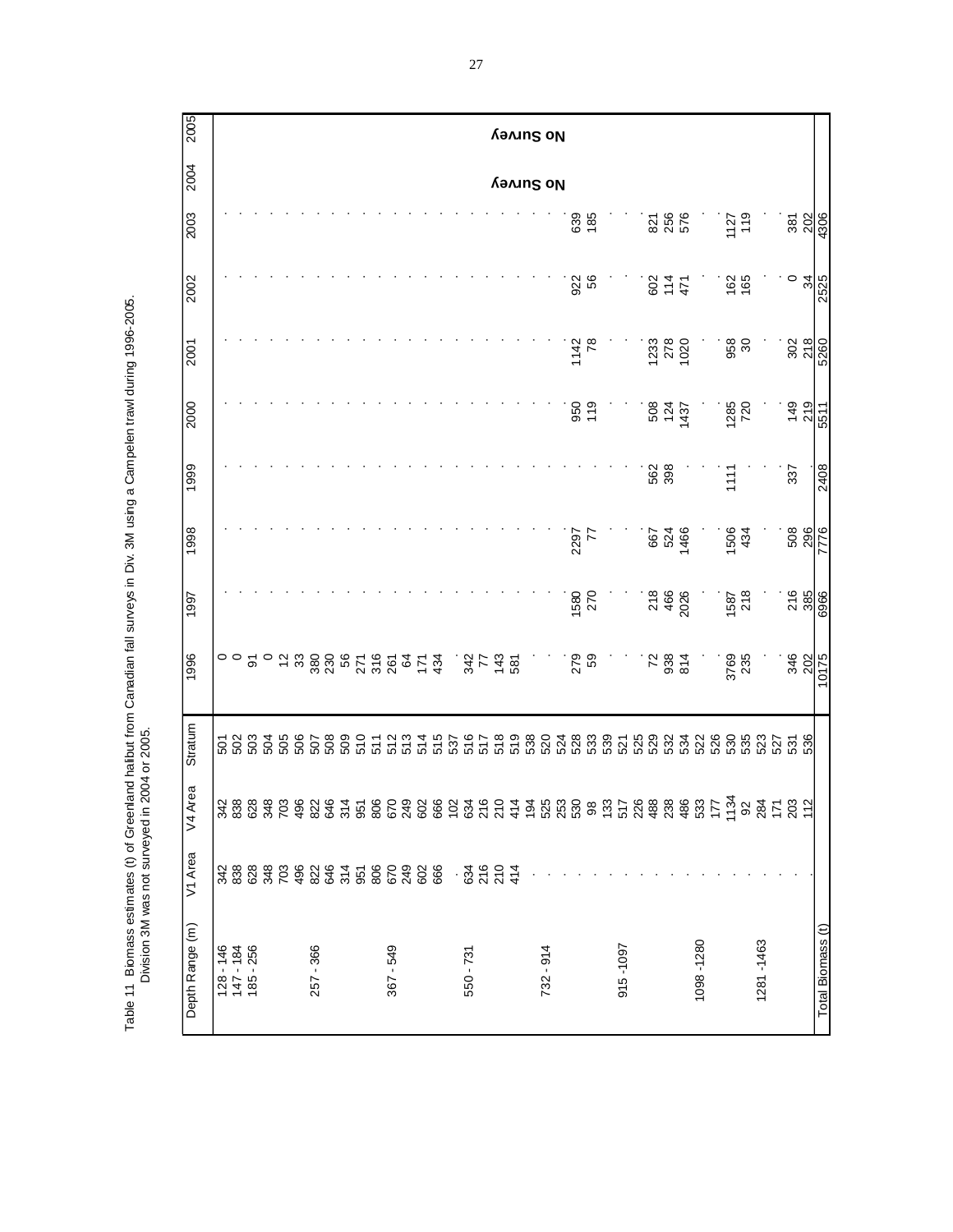2005 Depth Range Area Area V1 Area V1 Area V1 Area V1 Area V1 Area V1 Area V1 Area V1 Area V1 Area V1 Area V1 Area **No Survey**2004 **No Survey** 1127<br>119 2003 639<br>185 821<br>256<br>576  $\frac{387}{202}$ . 1134 530 3769 1587 1506 1111 1285 958 162 1127 4306 128 - 146 342 342 501 0 . . . . . . .  $18.838$   $18.838$   $18.838$   $18.838$   $18.838$   $18.838$   $18.838$   $18.838$   $18.838$   $18.838$   $18.838$   $18.838$   $18.838$   $18.838$   $18.838$   $18.838$   $18.838$   $18.838$   $18.838$   $18.838$   $18.838$   $18.838$   $18.838$   $18.838$   $18.8$ 185 - 256 628 628 503 91 . . . . . . . 348 348 504 0 . . . . . . . 703 703 505 12 . . . . . . . 496 496 506 33 . . . . . . .  $257-257$   $257-257$   $257-257$   $257-257$   $257-257$   $257-257$   $257-257$   $257-257$   $257-257$   $257-257$   $257-257$   $257-257$ 646 646 508 230 . . . . . . . 314 314 509 56 . . . . . . . 951 951 510 271 . . . . . . . 806 806 511 316 . . . . . . .  $267 - 549$  512  $267 - 549$  525  $260 - 512$   $260 - 529$   $260 - 529$   $260 - 529$  $224$   $24$   $24$   $24$   $24$   $24$   $24$   $25$   $27$   $28$   $27$ 602 602 514 171 . . . . . . . 666 666 515 434 . . . . . . . . 102 537 . . . . . . . . 550 - 731 - 732 - 733 - 734 - 734 516 517 - 734 517 - 734 517 - 735 - 735 - 735 - 735 - 735 - 735 - 735 - 735 - 735 - 735 - 735 - 735 - 735 - 735 - 735 - 735 - 735 - 735 - 735 - 735 - 735 - 735 - 735 - 735 - 735 - 735 - 73 216 216 517 77 . . . . . . . 21 22 22 22 23 23 24 24 25 25 26 27 27 28 27 28 27 28 27 28 27 28 27 28 27 28 27 28 27 28 27 28 27 28 27 28 27 414 414 519 581 . . . . . . . . 194 538 . . . . . . . . 732 - 914 . 525 520 . . . . . . . . . 253  $253$   $274$   $274$   $274$   $274$   $274$   $274$   $274$   $274$   $274$   $274$   $274$   $274$   $274$   $274$   $274$   $274$   $274$   $274$   $274$   $274$   $274$   $274$   $274$   $274$   $274$   $274$   $274$   $274$   $274$   $274$   $274$   $274$   $274$   $274$   $274$ . 530 528 279 1580 2297 . 950 1142 922 639 . 98 533 59 270 77 . 119 78 56 185 . 133 539 . . . . . . . . 915 -1097 . 517 521 ........ . 226  $200$   $200$   $200$   $200$ . 238 532 938 466 524 398 124 278 114 256 . 486 534 814 2026 1466 . 1437 1020 471 576  $100071000710007$  .  $10007100007$  .  $10007100007$  .  $10007100007$  .  $10007100007$ . 177 526 . . . . . . . . . 92 535 235 434 434 . 720 720 90 165 165 .  $281 - 1281 - 1281 - 1281 - 1281 - 1281 - 1281 - 1281 - 1281 - 1281 - 1281 - 1281 - 1281 - 1281 - 1281 - 1281 - 1281 - 1281 - 1281 - 1281 - 1281 - 1281 - 1281 - 1281 - 1281 - 1281 - 1281 - 1281 - 1281 - 1281 - 1281 - 1281 - 1281 - 1281 - 1281 - 1281 - 1281 -$ . 171 527 . . . . . . . . . 112 536 202 385 296 . 219 218 34 202 Total Biomass (t) 10175 10175 6966 6966 7776 2525 5511 5511 5260 5260 525 . 488 529 72 218 667 562 508 1233 602 821 . 203 531 346 216 508 337 149 302 0 381 2002  $\circ$   $\frac{9}{4}$ 922<br>56 602<br>171<br>471 162<br>165 2001 1142<br>78 1233<br>278<br>1020 958  $302$ <br> $218$ 5260 2000 950<br>119 508<br>124<br>1437 1285<br>720  $149$ <br> $219$ 5511 1999 337 562<br>398  $1111$ 2408 1998 2297<br>77 667<br>524<br>1466 1506<br>434 508<br>296 776 218<br>466<br>2026 1587<br>218 **216**<br>385 1580<br>270 1997 6966 1996 3769<br>235 346 ぶとき 路 279<br>59 72<br>938<br>814 10175 Stratum W4 Area V1 Area  $3.8888888888887558888888$ ុង មុខ <del>។</del><br>ខេត្ត មក Depth Range (m) Total Biomass (t) 128 - 146<br>147 - 184<br>185 - 256 1098-1280 1281-1463  $367 - 549$  $732 - 914$ 915-1097 257 - 366 550 - 731

Table 11 Biomass estimates (t) of Greenland halibut from Canadian fall surveys in Div. 3M using a Campelen trawl during 1996-2005. Table 11 Biomass estimates (t) of Greenland halibut from Canadian fall surveys in Div. 3M using a Campelen trawl during 1996-2005. Division 3M was not surveyed in 2004 or 2005. Division 3M was not surveyed in 2004 or 2005.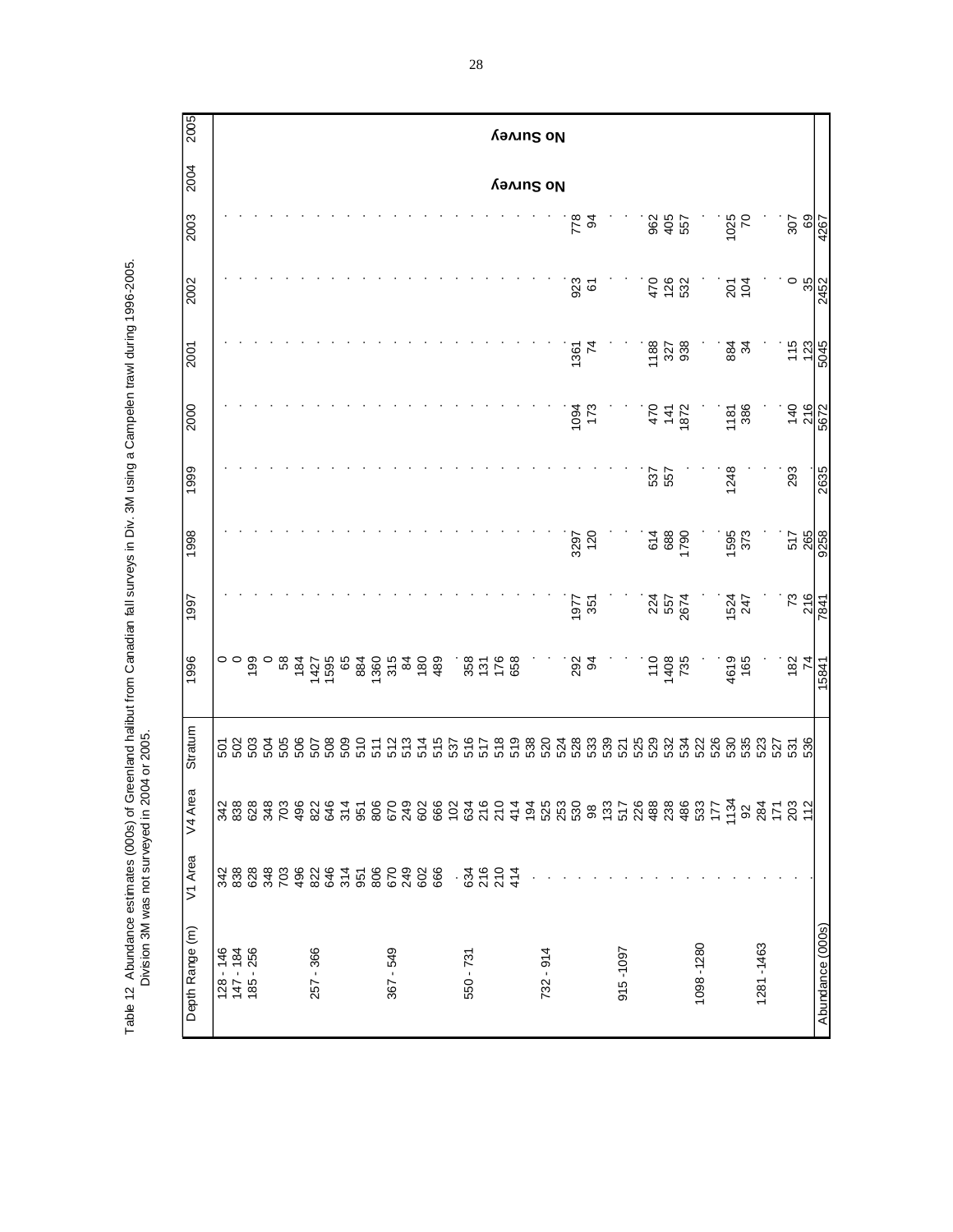2005 0000 2000 2000 2000 2000 2000 2000 3000 2000 2000 2000 2000 2005 1999 1999 1999 1999 2000 2002 2009 2007 2004 2 **No Survey**2004 **No Survey** 2003  $\frac{6}{94}$ 962<br>4957<br>557 1025<br>70  $rac{207}{69}$  $1284787$   $128478$   $128478$   $128478$   $128478$   $128478$   $128478$   $128478$   $128478$   $128478$   $128478$   $128478$   $128478$   $128478$   $128478$   $128478$   $128478$   $128478$   $128478$   $128478$   $128478$   $128478$   $128478$   $128478$   $128$  $18.838$   $18.838$   $18.838$   $18.838$   $18.838$   $18.838$   $18.838$   $18.838$   $18.838$   $18.838$   $18.838$   $18.838$   $18.838$   $18.838$   $18.838$   $18.838$   $18.838$   $18.838$   $18.838$   $18.838$   $18.838$   $18.838$   $18.838$   $18.838$   $18.8$ 185 - 256 - 256 - 256 - 256 - 256 - 256 - 256 - 257 - 258 - 258 - 259 - 259 - 259 - 259 - 259 - 259 - 259 - 25 348 348 504 0 . . . . . . . 703 703 505 58 . . . . . . .  $487$   $-800$   $-800$   $-800$   $-800$   $-800$ 257 - 366 822 822 507 1427 ....... 646 646 508 1595 ....... 314 314 509 65 . . . . . . . 951 951 952 952 952 952 953 954 952 954 952 954 952 954 952 954 952 954 952 954 952 954 952 952 953 954 952 95  $800$  806  $80$  806  $80$  906  $80$  906  $80$  906  $80$  906  $80$  906  $80$  906  $80$  906  $80$  906  $80$  906  $80$  906  $80$  906  $80$  906  $80$  906  $80$  906  $80$  906  $80$  906  $80$  906  $80$  906  $80$  906  $80$  906  $80$  906  $80$  906  $80$ 367 - 549 - 549 - 549 - 549 - 549 - 549 - 549 - 549 - 549 - 549 - 549 - 549 - 549 - 549 - 549 - 549 - 540 - 54  $272$   $272$   $272$   $272$   $272$   $272$   $272$   $272$   $272$   $272$   $272$   $272$   $272$   $272$ 602 602 514 180 . . . . . . . 666 666 515 489 . . . . . . . . 102 537 . . . . . . . . 550 - 731 - 732 516 516 516 517 - 734 516 516 517 - 734 516 516 517 - 734 517 518 517 - 734 517 518 518 518 51 216 216 517 131 . . . . . . . 210 210 518 176 . . . . . . .  $\frac{4}{4}$  519  $\frac{4}{4}$  519  $\frac{4}{4}$  519  $\frac{4}{4}$  519  $\frac{4}{4}$  519  $\frac{4}{4}$  519  $\frac{4}{4}$  519  $\frac{4}{4}$  519  $\frac{4}{4}$  519  $\frac{4}{4}$  519  $\frac{4}{4}$  519  $\frac{4}{4}$  519  $\frac{4}{4}$  519  $\frac{4}{4}$  519  $\frac{4}{4}$  519  $\frac{4}{4}$  5 . 194 538 . . . . . . . .  $225 - 275 - 275 - 275 - 275$ . 253 524 . . . . . . . . . 530 528 292 1977 3297 . 1094 1361 923 778 . 98 533 94 351 120 . 173 74 61 94 . 133 539 . . . . . . . . 915 -1097 . 517 521 . ....... . 226  $200$   $200$   $200$   $200$ . 488 529 110 224 614 537 470 1188 470 962 . 238 532 1408 557 688 557 141 327 126 405 . 486 534 735 2674 1790 . 1872 938 532 557  $\frac{1}{280}$  .  $\frac{1}{280}$  .  $\frac{1}{280}$  .  $\frac{1}{280}$  .  $\frac{1}{280}$  .  $\frac{1}{280}$  .  $\frac{1}{280}$  .  $\frac{1}{280}$  .  $\frac{1}{280}$  .  $\frac{1}{280}$  .  $\frac{1}{280}$  .  $\frac{1}{280}$  .  $\frac{1}{280}$  .  $\frac{1}{280}$  .  $\frac{1}{280}$  .  $\frac{1}{280}$ . 177 526 . . . . . . . . . 1134 530 4619 1524 1595 1248 1181 884 201 1025 . 92 535 1653 1653 1653 1653 1653 1653 1654 1655 1656 1656 1656 1656 1657 1658 1659 1659 1659 1659 1659 1659 1 1281 -1281 -1284 -1284 -1284 -1284 -1284 -1284 -1284 -1284 -1284 -1284 -1284 -1284 -1284 -1284 -1284 -1284 -12 . 171 527 . . . . . . . . . 203 531 182 73 517 293 140 115 0 307 . 112 536 74 216 265 . 216 123 35 69 Abundance (000s) 15841 7841 9258 2635 5672 5045 2452 4267  $1267$ 2002 923  $728$ <br>532  $\frac{35}{3}$  $\frac{201}{104}$ 2452  $115$ <br> $123$ <br> $5045$ 1361<br>74 1188<br>327<br>938 884<br>34 2001 2000 1094<br>173 1181<br>386 140<br>216  $470$ <br> $141$ <br> $1872$ 5672 1999 1248 293 537<br>557 2635 1998 3297<br>120 588<br>588<br>59 1595<br>373 517<br>265 9258 **73**<br>216 1977<br>351 1524<br>247 224<br>557<br>2674 1997 -841 1996  $735$ <br> $735$ 4619<br>165 350<br>251<br>658  $182$ <br>74 292<br>94 15841 Stratum  $\begin{array}{l} \Gamma \; \Delta \; \Omega \; \Omega \; \Delta \; \Omega \; \Delta \; \Omega \; \Delta \; \Omega \; \Delta \; \Omega \; \Delta \; \Gamma \; \Delta \; \Omega \; \Delta \; \Gamma \; \Delta \; \Gamma \; \Delta \; \Gamma \; \Delta \; \Gamma \; \Delta \; \Gamma \; \Delta \; \Gamma \; \Delta \; \Gamma \; \Delta \; \Gamma \; \Delta \; \Gamma \; \Delta \; \Gamma \; \Delta \; \Gamma \; \Delta \; \Gamma \; \Delta \; \Gamma \; \Delta \; \Gamma \; \Delta \; \Gamma \; \Delta \; \Gamma \; \Delta \; \Gamma \; \Delta \; \Gamma \; \Delta \; \$ V4 Area V1 Area . ដូ ដូ ដូ ដូ<br>- ដូ ដូ ដូ ដូ Depth Range (m) Abundance (000s) 1098-1280 1281-1463 128 - 146<br>147 - 184<br>185 - 256 915-1097 257 - 366  $367 - 549$  $732 - 914$  $550 - 731$ 

Table 12 Abundance estimates (000s) of Greenland halibut from Canadian fall surveys in Div. 3M using a Campelen trawl during 1996-2005. Table 12 Abundance estimates (000s) of Greenland halibut from Canadian fall surveys in Div. 3M using a Campelen trawl during 1996-2005.<br>Division 3M was not surveyed in 2004 or 2005. Division 3M was not surveyed in 2004 or 2005.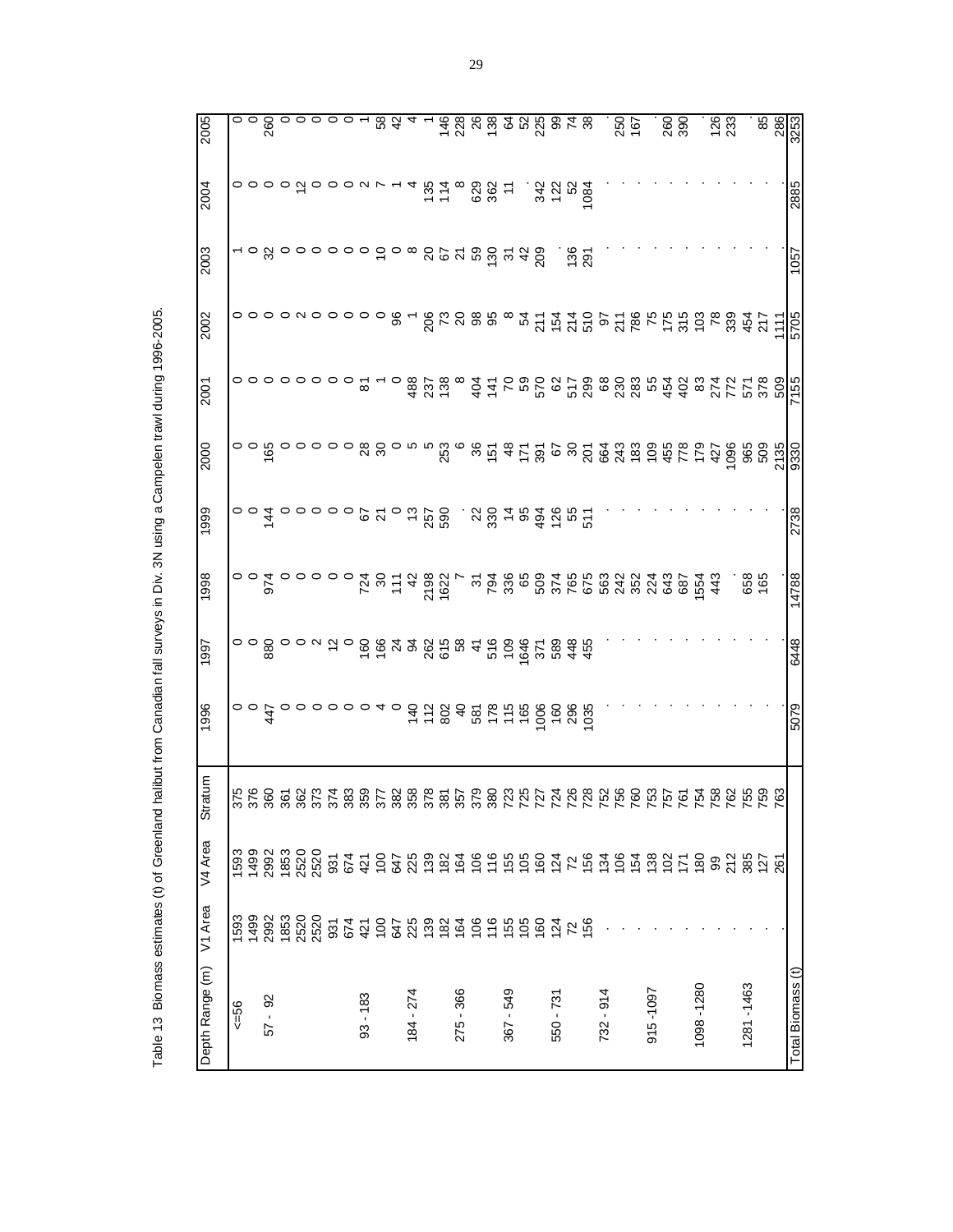| 3253             | 2885               | 1057         | 5705        | 7155           |        | 2738                      | 14788         | 6448       | 5079                                                                                                           |                   |         |         | Total Biomass (t) |
|------------------|--------------------|--------------|-------------|----------------|--------|---------------------------|---------------|------------|----------------------------------------------------------------------------------------------------------------|-------------------|---------|---------|-------------------|
| 286              |                    |              | $\tilde{t}$ |                | 2135   |                           |               |            |                                                                                                                |                   |         |         |                   |
| 85               |                    |              |             |                |        |                           |               |            |                                                                                                                |                   |         |         |                   |
|                  |                    |              |             |                |        |                           | 658<br>165    |            |                                                                                                                |                   |         |         | 1281-1463         |
|                  |                    |              |             |                |        |                           |               |            |                                                                                                                |                   |         |         |                   |
| $\frac{26}{23}$  |                    |              |             |                |        |                           |               |            |                                                                                                                |                   |         |         |                   |
|                  |                    |              |             |                |        |                           |               |            |                                                                                                                |                   |         |         | 1098-1280         |
|                  |                    |              |             |                |        |                           |               |            |                                                                                                                |                   |         |         |                   |
| 8<br>8<br>8<br>8 |                    |              |             |                |        |                           |               |            |                                                                                                                |                   |         |         |                   |
|                  |                    |              |             |                |        |                           |               |            |                                                                                                                |                   |         |         | 915-1097          |
|                  |                    |              |             |                |        |                           |               |            |                                                                                                                |                   |         |         |                   |
| 250<br>167       |                    |              |             |                |        |                           |               |            |                                                                                                                |                   |         |         |                   |
|                  |                    |              |             |                |        |                           |               |            |                                                                                                                |                   |         |         | 732 - 914         |
|                  |                    | . ಕೆ.<br>291 |             |                |        |                           |               |            |                                                                                                                |                   |         |         |                   |
|                  |                    |              |             |                |        |                           |               |            |                                                                                                                |                   |         |         |                   |
|                  |                    |              |             |                |        |                           |               |            |                                                                                                                |                   |         |         | 550 - 731         |
| 4088849948       | $32880$<br>$72884$ | $^{42}_{20}$ |             |                |        | 3878888585                |               |            |                                                                                                                |                   |         |         |                   |
|                  |                    |              |             |                |        |                           |               |            |                                                                                                                |                   |         |         |                   |
|                  |                    |              |             |                |        |                           |               |            |                                                                                                                |                   |         |         | 367 - 549         |
|                  | 5778887            |              |             |                |        |                           |               |            |                                                                                                                | 380<br>725<br>725 |         |         |                   |
|                  |                    |              |             |                |        |                           |               |            |                                                                                                                |                   |         |         |                   |
|                  |                    |              |             | $\infty$       |        |                           |               |            |                                                                                                                | 85<br>85<br>85    |         |         | 275 - 366         |
|                  |                    |              |             | $488$<br>$758$ |        |                           |               |            |                                                                                                                |                   |         |         |                   |
|                  |                    |              |             |                |        |                           |               |            |                                                                                                                |                   |         |         |                   |
|                  |                    |              |             |                |        |                           |               |            |                                                                                                                |                   |         |         | 184 - 274         |
| $rac{1}{68}$     |                    |              | 8           |                |        |                           |               |            |                                                                                                                |                   |         |         |                   |
|                  |                    |              |             |                | ಿ ಇ ಇ  | ុតនាំង១នាំ                |               | 6642882848 | o o o o 4 o <del>3</del> 5 5 8 4 8 5 5 6 6 6 6 6 6 6 6<br>o o o o 4 o <del>3</del> 5 6 7 8 7 6 7 6 7 6 7 6 7 8 |                   |         |         |                   |
|                  |                    |              |             | ౚ              |        |                           |               |            |                                                                                                                |                   |         |         | $93 - 183$        |
|                  |                    |              |             |                |        |                           |               |            |                                                                                                                |                   |         |         |                   |
|                  |                    |              |             |                |        |                           |               |            |                                                                                                                |                   |         |         |                   |
|                  |                    |              |             |                |        |                           |               |            |                                                                                                                |                   |         |         |                   |
|                  |                    |              |             |                |        |                           |               |            |                                                                                                                |                   |         |         |                   |
|                  |                    |              |             |                |        |                           |               |            |                                                                                                                |                   |         |         |                   |
|                  |                    |              |             |                |        |                           |               |            |                                                                                                                |                   |         |         | $57 - 92$         |
| ေ ၀<br>က         |                    |              |             |                | ၀ ၀ ဖွ | $\circ$ $\circ$ $\dot{4}$ | $\frac{5}{6}$ | ီ          | $\begin{array}{c}\n0 \\ 0 \\ \frac{4}{7}\n\end{array}$                                                         |                   | 1499    |         |                   |
|                  |                    |              |             |                |        |                           |               |            |                                                                                                                |                   | 1593    |         | $56 = 56$         |
| 2005             | 2004               | 2003         | 2002        | 2001           | 2000   | 1999                      | 1998          | 1997       | 1996                                                                                                           | tratum<br>ഗ       | V4 Area | V1 Area | Depth Range (m)   |
|                  |                    |              |             |                |        |                           |               |            |                                                                                                                |                   |         |         |                   |

Table 13 Biomass estimates (t) of Greenland halibut from Canadian fall surveys in Div. 3N using a Campelen trawl during 1996-2005. Table 13 Biomass estimates (t) of Greenland halibut from Canadian fall surveys in Div. 3N using a Campelen trawl during 1996-2005.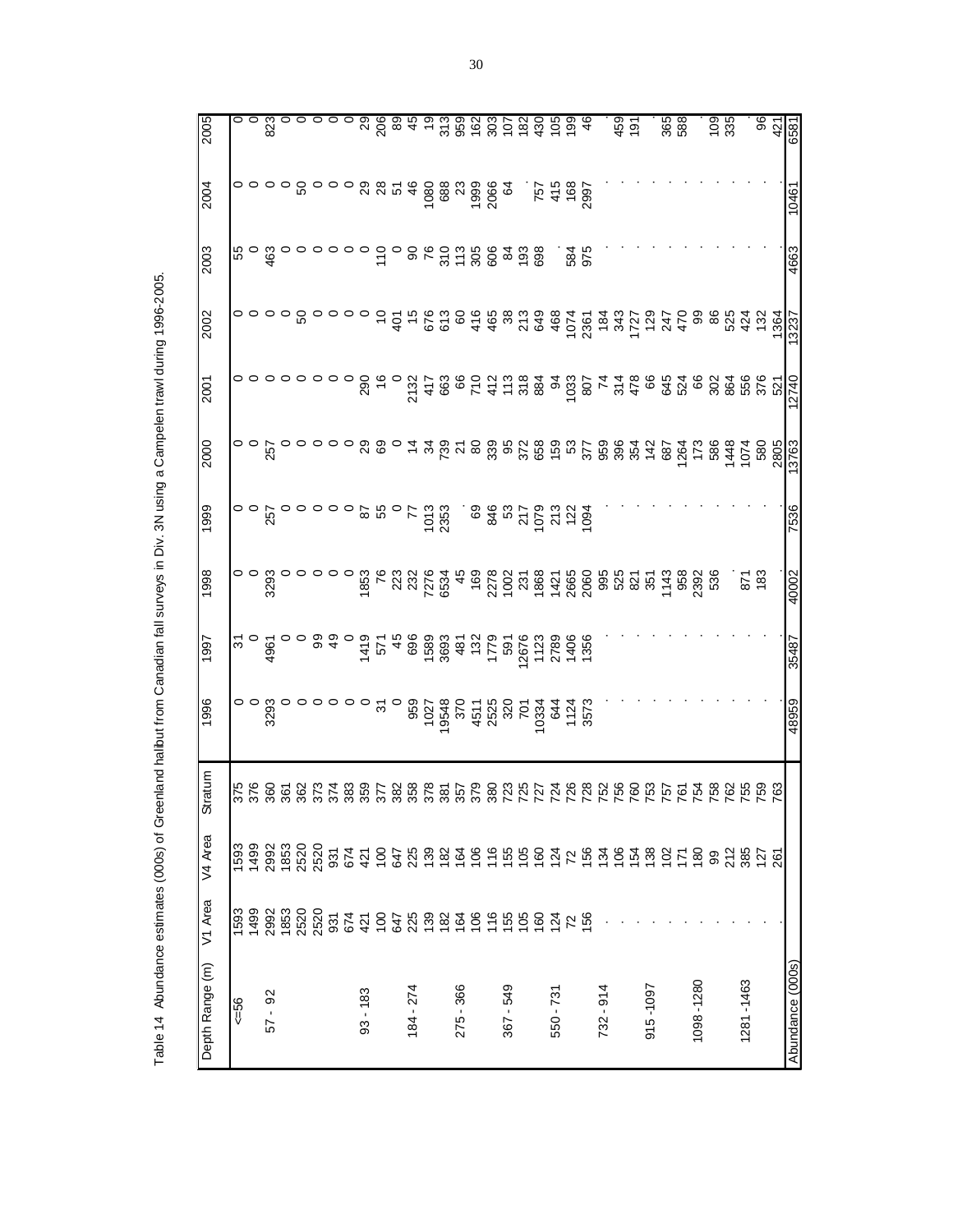| 6581               | 10461                                             | 4663        |                                              | 12740 |                 | 7536                 | 40002                      | 35487                         | 48959         |         |                                    |         |
|--------------------|---------------------------------------------------|-------------|----------------------------------------------|-------|-----------------|----------------------|----------------------------|-------------------------------|---------------|---------|------------------------------------|---------|
| $\frac{96}{42}$    |                                                   |             | $9888737$<br>$64730$<br>$-19237$<br>$-19237$ |       |                 |                      |                            |                               |               |         | 5545682588846555654755555555555555 |         |
|                    |                                                   |             |                                              |       |                 |                      | <b>183</b>                 |                               |               |         |                                    |         |
|                    |                                                   |             |                                              |       |                 |                      |                            |                               |               |         |                                    |         |
| $\frac{28}{335}$   |                                                   |             |                                              |       |                 |                      |                            |                               |               |         |                                    |         |
|                    |                                                   |             |                                              |       |                 |                      |                            |                               |               |         |                                    |         |
| 365                |                                                   |             | $2.5683688338728372975$                      |       |                 |                      |                            |                               |               |         |                                    |         |
|                    |                                                   |             |                                              |       |                 |                      |                            |                               |               |         |                                    |         |
|                    |                                                   |             |                                              |       |                 |                      |                            |                               |               |         |                                    |         |
| $459$<br>$197$     |                                                   |             |                                              |       |                 |                      |                            |                               |               |         |                                    |         |
|                    |                                                   |             |                                              |       |                 |                      |                            |                               |               |         |                                    |         |
|                    |                                                   |             |                                              |       |                 |                      |                            |                               |               |         |                                    |         |
|                    |                                                   | 584<br>975  |                                              |       |                 |                      |                            |                               |               |         |                                    |         |
|                    |                                                   |             |                                              |       |                 |                      |                            |                               |               |         |                                    |         |
|                    | $757$<br>415<br>408<br>168<br>2997                |             |                                              |       |                 |                      |                            |                               |               |         |                                    |         |
|                    |                                                   |             |                                              |       |                 |                      |                            |                               |               |         |                                    |         |
|                    |                                                   |             |                                              |       |                 |                      |                            |                               |               |         |                                    |         |
|                    |                                                   | 22888888    |                                              |       |                 | $38877972794$        |                            |                               |               |         |                                    |         |
|                    |                                                   |             |                                              |       |                 |                      |                            |                               |               |         |                                    |         |
|                    |                                                   |             |                                              |       |                 |                      |                            |                               |               |         |                                    |         |
| 000888896886868668 | $\frac{888}{280}$ $\frac{83}{20}$ $\frac{84}{20}$ |             |                                              |       |                 | SS<br>SS<br>27<br>SS |                            |                               |               |         |                                    |         |
|                    |                                                   | $rac{8}{6}$ |                                              |       |                 |                      |                            |                               |               |         |                                    |         |
|                    |                                                   |             |                                              |       | $\circ$ 4       |                      |                            |                               |               |         |                                    |         |
|                    |                                                   |             |                                              |       |                 |                      |                            |                               |               |         |                                    |         |
|                    |                                                   |             |                                              |       |                 | 87<br>55             |                            |                               |               |         |                                    |         |
|                    | ଅ                                                 |             |                                              | 290   |                 |                      |                            |                               |               |         |                                    |         |
|                    |                                                   |             |                                              |       |                 |                      |                            |                               |               |         |                                    |         |
|                    |                                                   |             |                                              |       |                 |                      |                            |                               |               |         |                                    |         |
|                    |                                                   |             |                                              |       |                 |                      |                            |                               |               |         |                                    |         |
|                    |                                                   |             | ន                                            |       |                 |                      |                            |                               |               |         |                                    |         |
| ၁ ၀ ဂ္ဂဇ ဝ<br>အ    |                                                   |             |                                              |       |                 |                      |                            |                               |               |         |                                    |         |
|                    |                                                   | ိ ဒ္ဗိ      |                                              |       |                 |                      |                            |                               |               |         |                                    | 2992    |
|                    | ०००० ००००                                         |             |                                              |       | $\frac{55}{25}$ | ្ល<br>ស្ថ            | ာ<br>၁<br>၁<br>၁<br>၁<br>၁ | $\frac{5}{2}$ 0 $\frac{6}{2}$ | ၀၀ ဗ္တ ဝ<br>က |         | 1499                               | 1499    |
|                    |                                                   |             |                                              |       |                 |                      |                            |                               |               |         | 1593                               | 593     |
| 2005               | 2004                                              | 2003        | 2002                                         | 2001  | 2000            | 1999                 | 1998                       | 1997                          | 1996          | Stratum | V4 Area                            | V1 Area |
|                    |                                                   |             |                                              |       |                 |                      |                            |                               |               |         |                                    |         |

Table 14 Abundance estimates (000s) of Greenland halibut from Canadian fall surveys in Div. 3N using a Campelen trawl during 1996-2005. Table 14 Abundance estimates (000s) of Greenland halibut from Canadian fall surveys in Div. 3N using a Campelen trawl during 1996-2005.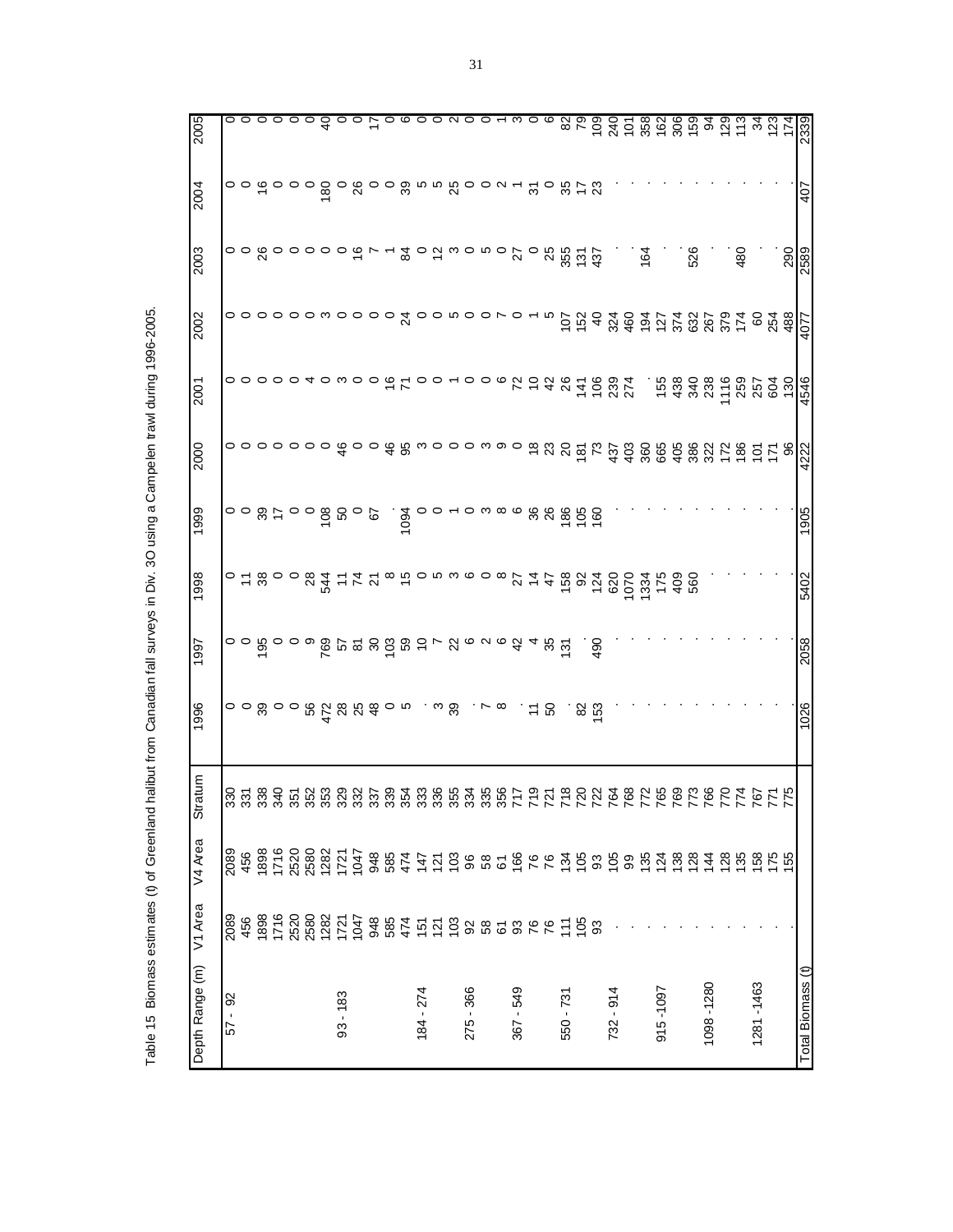|                                                                                                               | 2003    |
|---------------------------------------------------------------------------------------------------------------|---------|
|                                                                                                               | န်      |
|                                                                                                               |         |
|                                                                                                               | န်      |
|                                                                                                               | J.      |
|                                                                                                               |         |
|                                                                                                               | 5       |
| nates (t) of Greenland halibut from Canadian fall surveys in Div. 3O using a Campelen trawl during 1996-2005. |         |
|                                                                                                               | Stratim |
|                                                                                                               |         |
|                                                                                                               | rea,    |
| ٤                                                                                                             |         |

| 2005            |           |     |  |  |            |            |                                                 |                                                                                                                                                       |           |  |           |  |                                 |  |           |       |             |               |          |     |           |     |           |             |                   |
|-----------------|-----------|-----|--|--|------------|------------|-------------------------------------------------|-------------------------------------------------------------------------------------------------------------------------------------------------------|-----------|--|-----------|--|---------------------------------|--|-----------|-------|-------------|---------------|----------|-----|-----------|-----|-----------|-------------|-------------------|
| 2004            |           |     |  |  |            |            |                                                 | o o て o o o 8 o 8 o o 8 n n 8 o o u r 2 o 8 h 3                                                                                                       |           |  |           |  |                                 |  |           |       |             |               |          |     |           |     |           |             | 407               |
| 2003            |           |     |  |  |            |            |                                                 |                                                                                                                                                       |           |  |           |  |                                 |  |           |       |             | $\frac{5}{2}$ |          | 526 |           | 480 |           | 290<br>2589 |                   |
| 2002            |           |     |  |  |            |            |                                                 |                                                                                                                                                       |           |  |           |  |                                 |  |           |       |             |               |          |     |           |     |           |             |                   |
| 2001            |           |     |  |  | 0000040000 |            |                                                 | $rac{6}{7}$                                                                                                                                           |           |  |           |  |                                 |  |           |       |             |               |          |     |           |     |           |             | 4546              |
| 2000            |           |     |  |  |            |            |                                                 |                                                                                                                                                       |           |  |           |  |                                 |  |           |       |             |               |          |     |           |     |           |             |                   |
| 1999            |           |     |  |  |            |            | $\frac{3}{9}$ o $\frac{8}{9}$ o o $\frac{2}{9}$ | 1094<br>1                                                                                                                                             |           |  |           |  |                                 |  |           |       |             |               |          |     |           |     |           |             | 1905              |
| 1998            |           |     |  |  |            |            |                                                 | o t woowd t t t w wowwoowy t d woowd b t d w<br>o t woowd t t t w wowwoowy t t w wd So t w woo<br>o t woowd t d t w wowwoowy t t w w d o d w w o      |           |  |           |  |                                 |  |           |       |             |               |          |     |           |     |           |             | 5402              |
| 1997            |           |     |  |  |            |            |                                                 | o o po o o o po su segne o una que se                                                                                                                 |           |  |           |  |                                 |  |           | 490   |             |               |          |     |           |     |           |             | 2058              |
| 1996            |           |     |  |  |            |            |                                                 | $\circ \circ \omega \circ \circ \omega$ $\stackrel{\leftrightarrow}{\sim} \omega$ $\stackrel{\leftrightarrow}{\sim} \omega \circ \omega \circ \omega$ |           |  |           |  | $. \times \infty$ . $\approx$ 8 |  |           | . ಜ ದ |             |               |          |     |           |     |           |             | 1026              |
| atum<br>ශි      |           |     |  |  |            |            |                                                 |                                                                                                                                                       |           |  |           |  |                                 |  |           |       |             |               |          |     |           |     |           |             |                   |
| W4 Area         | 2089      | 456 |  |  |            |            |                                                 |                                                                                                                                                       |           |  |           |  |                                 |  |           |       |             |               |          |     |           |     |           |             |                   |
| V1 Area         | 2089      | 456 |  |  |            |            |                                                 |                                                                                                                                                       |           |  |           |  |                                 |  |           |       |             |               |          |     |           |     |           |             |                   |
| Depth Range (m) | 8<br>- 19 |     |  |  |            | $93 - 183$ |                                                 |                                                                                                                                                       | 184 - 274 |  | 275 - 366 |  | 367 - 549                       |  | 550 - 731 |       | $732 - 914$ |               | 915-1097 |     | 1098-1280 |     | 1281-1463 |             | Total Biomass (t) |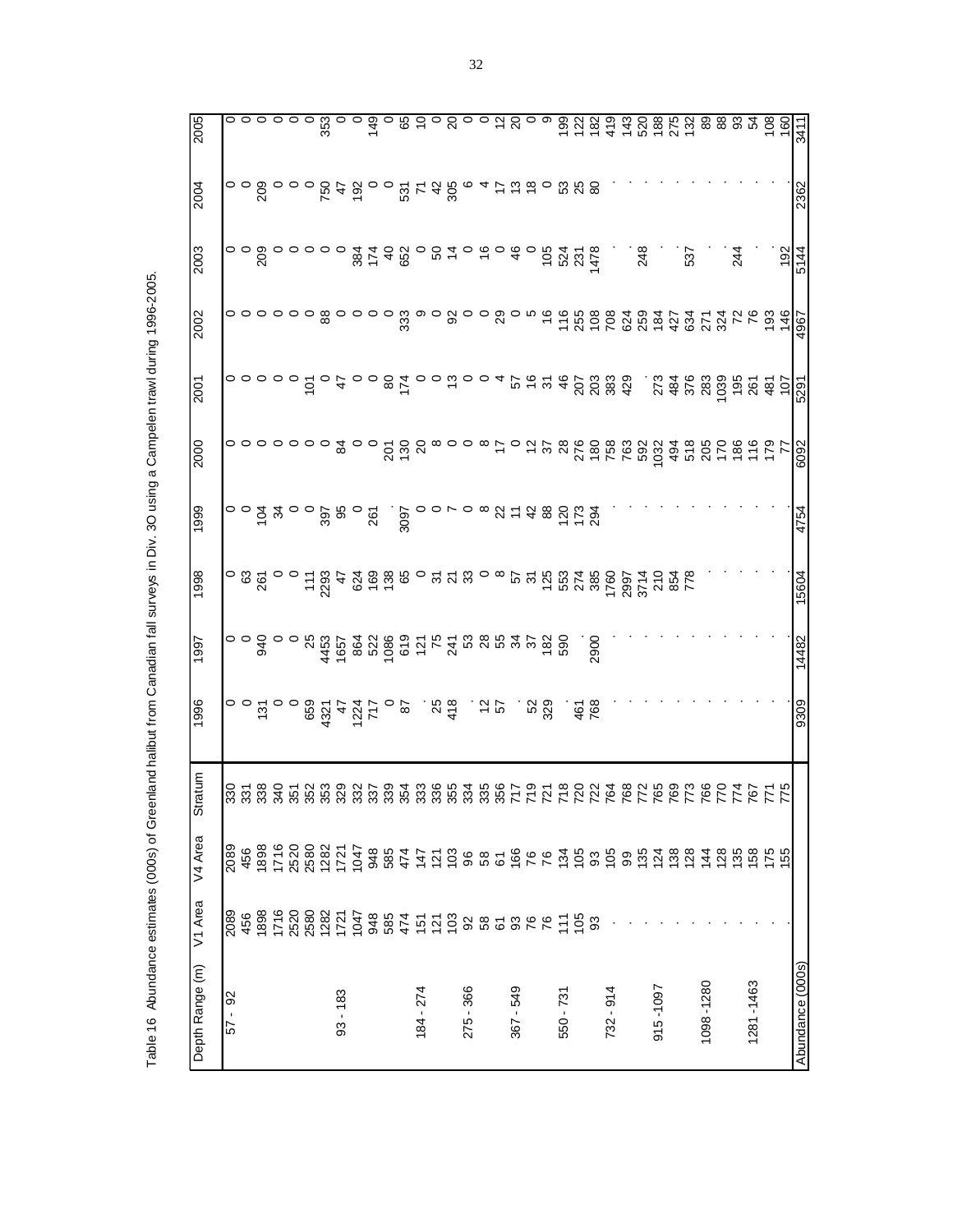Table 16 Abundance estimates (000s) of Greenland halibut from Canadian fall surveys in Div. 3O using a Campelen trawl during 1996-2005. Table 16 Abundance estimates (000s) of Greenland halibut from Canadian fall surveys in Div. 3O using a Campelen trawl during 1996-2005.

| 2005            |             |     |                                             |  |  |            |  |                                                                                                               |           |           |                        |               |  |           |  |           |                            |           |               |     |          |     |           |     |           |                                                                                                                                                                      |                    |                  |
|-----------------|-------------|-----|---------------------------------------------|--|--|------------|--|---------------------------------------------------------------------------------------------------------------|-----------|-----------|------------------------|---------------|--|-----------|--|-----------|----------------------------|-----------|---------------|-----|----------|-----|-----------|-----|-----------|----------------------------------------------------------------------------------------------------------------------------------------------------------------------|--------------------|------------------|
| 2004            |             |     |                                             |  |  |            |  |                                                                                                               |           |           |                        |               |  |           |  |           | <u>ជ</u> ី ដូ និ           |           |               |     |          |     |           |     |           |                                                                                                                                                                      |                    | 2362             |
| 2003            |             |     | 008000<br>2                                 |  |  |            |  |                                                                                                               |           |           |                        |               |  |           |  |           |                            |           |               | 248 |          | 537 |           | 244 |           |                                                                                                                                                                      | $\frac{192}{5144}$ |                  |
| 2002            |             |     |                                             |  |  |            |  |                                                                                                               |           |           |                        |               |  |           |  |           |                            |           |               |     |          |     |           |     |           |                                                                                                                                                                      |                    |                  |
| 2001            |             |     |                                             |  |  |            |  |                                                                                                               |           |           |                        |               |  |           |  |           |                            |           |               |     |          |     |           |     |           | $\frac{18}{2}$ $\frac{18}{2}$ $\frac{18}{2}$ $\frac{18}{2}$ $\frac{18}{2}$ $\frac{18}{2}$ $\frac{18}{2}$ $\frac{18}{2}$ $\frac{18}{2}$ $\frac{18}{2}$ $\frac{18}{2}$ |                    |                  |
| 2000            |             |     | $\circ \circ \circ \circ \circ \circ \circ$ |  |  |            |  |                                                                                                               |           |           |                        |               |  |           |  |           |                            |           |               |     |          |     |           |     |           |                                                                                                                                                                      |                    |                  |
| 1999            |             |     |                                             |  |  |            |  |                                                                                                               | -<br>2005 |           |                        |               |  |           |  |           | 70 821482782               |           |               |     |          |     |           |     |           |                                                                                                                                                                      |                    | 4754             |
| 1998            |             |     |                                             |  |  |            |  |                                                                                                               |           |           |                        |               |  |           |  |           |                            |           |               |     |          |     |           |     |           |                                                                                                                                                                      |                    | 1099             |
| 1997            |             |     |                                             |  |  |            |  |                                                                                                               |           |           |                        |               |  |           |  |           |                            | .<br>2900 |               |     |          |     |           |     |           |                                                                                                                                                                      |                    | 14482            |
| 1996            |             |     |                                             |  |  |            |  | $\frac{25}{20}$                                                                                               |           |           | $58\frac{4}{9}$ . $55$ |               |  |           |  |           | ូន<br>និង<br>ស្រុក<br>ស្រុ |           |               |     |          |     |           |     |           |                                                                                                                                                                      |                    | 9309             |
| Stratum         |             |     |                                             |  |  |            |  |                                                                                                               |           |           |                        |               |  |           |  |           |                            |           |               |     |          |     |           |     |           |                                                                                                                                                                      |                    |                  |
| V4 Area         | 2089<br>456 |     |                                             |  |  |            |  | 8 1 1 2 3 3 3 4 5 6 8 5 4 5 6 6 8 6 6 6 6 6 7 6 9 6 9 6 9 6 7 8 9 6 7 8 9 6 7 8 9 7 8 7 8 9 7 8 9 7 8 9 7 8 9 |           |           |                        |               |  |           |  |           |                            |           |               |     |          |     |           |     |           |                                                                                                                                                                      |                    |                  |
| V1 Area         | 2089        | 456 |                                             |  |  |            |  |                                                                                                               |           |           |                        |               |  |           |  |           |                            |           |               |     |          |     |           |     |           |                                                                                                                                                                      |                    |                  |
| Depth Range (m) | 92<br>57    |     |                                             |  |  | $93 - 183$ |  |                                                                                                               |           | 184 - 274 |                        | $-366$<br>275 |  | 367 - 549 |  | 550 - 731 |                            |           | $-914$<br>732 |     | 915-1097 |     | 1098-1280 |     | 1281-1463 |                                                                                                                                                                      |                    | Abundance (000s) |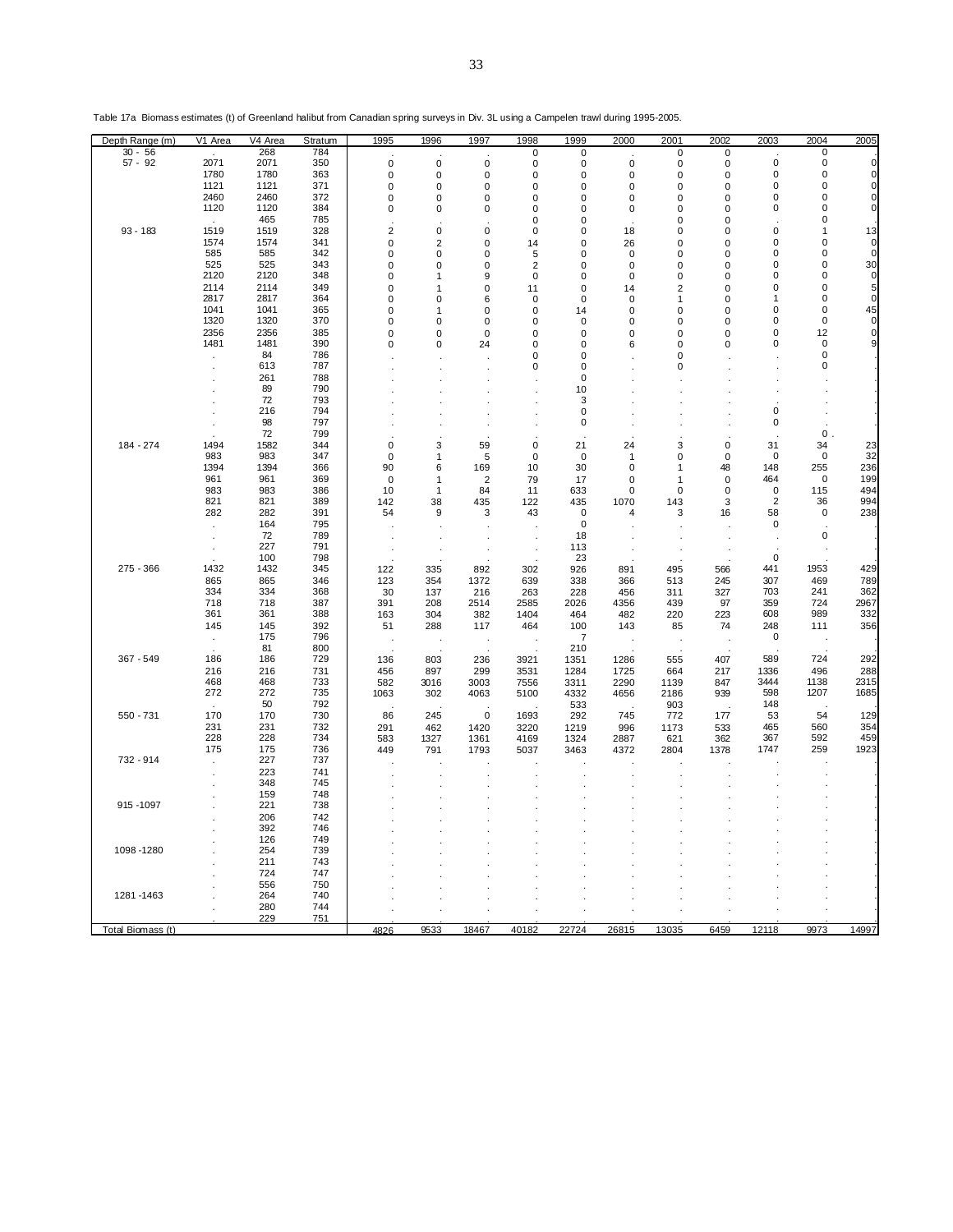| Depth Range (m)   | V <sub>1</sub> Area  | V4 Area      | Stratum    | 1995                       | 1996                          | 1997                   | 1998             | 1999             | 2000              | 2001                       | 2002                       | 2003                   | 2004                     | 2005             |
|-------------------|----------------------|--------------|------------|----------------------------|-------------------------------|------------------------|------------------|------------------|-------------------|----------------------------|----------------------------|------------------------|--------------------------|------------------|
| $30 - 56$         |                      | 268          | 784        |                            |                               |                        | 0                | $\mathbf 0$      |                   | 0                          | 0                          |                        | 0                        |                  |
| $57 - 92$         | 2071<br>1780         | 2071<br>1780 | 350<br>363 | $\pmb{0}$                  | 0                             | 0                      | 0                | 0                | 0                 | 0                          | 0                          | $\pmb{0}$<br>$\pmb{0}$ | $\mathsf 0$<br>$\pmb{0}$ | $\mathbf 0$<br>0 |
|                   | 1121                 | 1121         | 371        | $\mathbf 0$<br>$\mathbf 0$ | $\mathbf 0$<br>0              | $\mathbf 0$<br>0       | $\mathbf 0$<br>0 | 0<br>0           | $\mathbf 0$<br>0  | 0<br>0                     | $\mathbf 0$<br>0           | 0                      | 0                        | 0                |
|                   | 2460                 | 2460         | 372        | $\pmb{0}$                  | $\mathbf 0$                   | $\mathbf 0$            | $\mathbf 0$      | 0                | 0                 | $\mathbf 0$                | $\mathsf 0$                | 0                      | $\mathbf 0$              | 0                |
|                   | 1120                 | 1120         | 384        | 0                          | 0                             | 0                      | 0                | 0                | 0                 | 0                          | 0                          | 0                      | 0                        | 0                |
|                   |                      | 465          | 785        |                            |                               |                        | $\mathbf 0$      | 0                |                   | 0                          | 0                          |                        | $\pmb{0}$                |                  |
| $93 - 183$        | 1519                 | 1519         | 328        | $\overline{2}$             | $\mathbf 0$                   | 0                      | $\mathbf 0$      | 0                | 18                | 0                          | 0                          | $\pmb{0}$              | 1                        | 13               |
|                   | 1574<br>585          | 1574<br>585  | 341<br>342 | $\pmb{0}$<br>$\mathbf 0$   | $\overline{2}$<br>$\mathbf 0$ | 0<br>0                 | 14<br>5          | 0<br>0           | 26<br>$\mathbf 0$ | $\mathbf 0$<br>$\mathbf 0$ | $\mathbf 0$<br>$\mathbf 0$ | 0<br>0                 | 0<br>0                   | $\mathbf 0$<br>0 |
|                   | 525                  | 525          | 343        | $\pmb{0}$                  | $\mathbf 0$                   | $\mathbf 0$            | $\overline{2}$   | 0                | 0                 | $\mathbf 0$                | 0                          | 0                      | $\mathbf 0$              | 30               |
|                   | 2120                 | 2120         | 348        | 0                          | 1                             | 9                      | $\pmb{0}$        | 0                | 0                 | 0                          | 0                          | 0                      | $\mathbf 0$              | $\mathbf 0$      |
|                   | 2114                 | 2114         | 349        | 0                          | 1                             | $\mathbf 0$            | 11               | 0                | 14                | $\overline{2}$             | 0                          | 0                      | $\pmb{0}$                | 5                |
|                   | 2817                 | 2817         | 364        | 0                          | 0                             | 6                      | $\mathbf 0$      | 0                | 0                 | 1                          | 0                          | 1                      | 0                        | $\pmb{0}$        |
|                   | 1041                 | 1041         | 365<br>370 | $\pmb{0}$                  | 1                             | $\mathbf 0$            | $\mathbf 0$      | 14               | 0                 | $\mathbf 0$                | $\mathbf 0$                | 0<br>0                 | $\mathbf 0$<br>0         | 45<br>0          |
|                   | 1320<br>2356         | 1320<br>2356 | 385        | 0<br>0                     | 0<br>0                        | $\pmb{0}$<br>$\pmb{0}$ | 0<br>0           | 0<br>$\mathbf 0$ | 0<br>0            | 0<br>0                     | 0<br>0                     | $\pmb{0}$              | 12                       | 0                |
|                   | 1481                 | 1481         | 390        | 0                          | 0                             | 24                     | 0                | 0                | 6                 | 0                          | 0                          | 0                      | $\pmb{0}$                | 9                |
|                   | $\ddot{\phantom{a}}$ | 84           | 786        |                            |                               |                        | $\mathbf 0$      | 0                |                   | 0                          |                            |                        | 0                        |                  |
|                   |                      | 613          | 787        |                            |                               |                        | 0                | 0                |                   | 0                          |                            |                        | 0                        |                  |
|                   |                      | 261          | 788        |                            |                               |                        |                  | $\Omega$         |                   |                            |                            |                        |                          |                  |
|                   |                      | 89<br>72     | 790<br>793 |                            |                               |                        |                  | 10<br>3          |                   |                            |                            |                        |                          |                  |
|                   |                      | 216          | 794        |                            |                               |                        |                  | 0                |                   |                            |                            | 0                      |                          |                  |
|                   |                      | 98           | 797        |                            |                               |                        |                  | 0                |                   |                            |                            | 0                      |                          |                  |
|                   |                      | 72           | 799        |                            |                               |                        |                  |                  |                   |                            |                            |                        | 0                        |                  |
| 184 - 274         | 1494                 | 1582         | 344        | $\mathbf 0$                | 3                             | 59                     | $\mathbf 0$      | 21               | 24                | 3                          | $\pmb{0}$                  | 31                     | 34                       | 23               |
|                   | 983                  | 983          | 347        | $\bf 0$                    | 1                             | 5                      | $\mathbf 0$      | $\mathbf 0$      | -1                | 0                          | $\pmb{0}$                  | $\pmb{0}$              | 0                        | 32               |
|                   | 1394<br>961          | 1394<br>961  | 366<br>369 | 90<br>0                    | 6<br>1                        | 169<br>$\overline{2}$  | 10<br>79         | 30<br>17         | 0<br>0            | 1<br>1                     | 48<br>0                    | 148<br>464             | 255<br>$\bf 0$           | 236<br>199       |
|                   | 983                  | 983          | 386        | 10                         | 1                             | 84                     | 11               | 633              | 0                 | 0                          | 0                          | $\mathbf 0$            | 115                      | 494              |
|                   | 821                  | 821          | 389        | 142                        | 38                            | 435                    | 122              | 435              | 1070              | 143                        | 3                          | $\overline{2}$         | 36                       | 994              |
|                   | 282                  | 282          | 391        | 54                         | 9                             | 3                      | 43               | $\mathbf 0$      | $\overline{4}$    | 3                          | 16                         | 58                     | $\mathsf 0$              | 238              |
|                   |                      | 164          | 795        |                            |                               |                        |                  | $\mathbf 0$      |                   |                            |                            | $\mathbf 0$            |                          |                  |
|                   |                      | 72<br>227    | 789<br>791 |                            |                               |                        |                  | 18               |                   |                            |                            |                        | $\pmb{0}$                |                  |
|                   |                      | 100          | 798        |                            |                               |                        |                  | 113<br>23        |                   |                            |                            | $\mathbf 0$            |                          |                  |
| 275 - 366         | 1432                 | 1432         | 345        | 122                        | 335                           | 892                    | 302              | 926              | 891               | 495                        | 566                        | 441                    | 1953                     | 429              |
|                   | 865                  | 865          | 346        | 123                        | 354                           | 1372                   | 639              | 338              | 366               | 513                        | 245                        | 307                    | 469                      | 789              |
|                   | 334                  | 334          | 368        | 30                         | 137                           | 216                    | 263              | 228              | 456               | 311                        | 327                        | 703                    | 241                      | 362              |
|                   | 718                  | 718          | 387        | 391                        | 208                           | 2514                   | 2585             | 2026             | 4356              | 439                        | 97                         | 359                    | 724                      | 2967             |
|                   | 361<br>145           | 361<br>145   | 388<br>392 | 163<br>51                  | 304<br>288                    | 382<br>117             | 1404<br>464      | 464<br>100       | 482<br>143        | 220<br>85                  | 223<br>74                  | 608<br>248             | 989<br>111               | 332<br>356       |
|                   | $\cdot$              | 175          | 796        |                            |                               |                        |                  | $\overline{7}$   |                   |                            |                            | $\mathbf 0$            |                          |                  |
|                   |                      | 81           | 800        |                            |                               |                        |                  | 210              |                   |                            |                            |                        |                          |                  |
| 367 - 549         | 186                  | 186          | 729        | 136                        | 803                           | 236                    | 3921             | 1351             | 1286              | 555                        | 407                        | 589                    | 724                      | 292              |
|                   | 216                  | 216          | 731        | 456                        | 897                           | 299                    | 3531             | 1284             | 1725              | 664                        | 217                        | 1336                   | 496                      | 288              |
|                   | 468<br>272           | 468<br>272   | 733<br>735 | 582<br>1063                | 3016<br>302                   | 3003<br>4063           | 7556<br>5100     | 3311<br>4332     | 2290<br>4656      | 1139<br>2186               | 847<br>939                 | 3444<br>598            | 1138<br>1207             | 2315<br>1685     |
|                   |                      | 50           | 792        |                            |                               |                        |                  | 533              |                   | 903                        |                            | 148                    |                          |                  |
| 550 - 731         | 170                  | 170          | 730        | 86                         | 245                           | $\mathbf 0$            | 1693             | 292              | 745               | 772                        | 177                        | 53                     | 54                       | 129              |
|                   | 231                  | 231          | 732        | 291                        | 462                           | 1420                   | 3220             | 1219             | 996               | 1173                       | 533                        | 465                    | 560                      | 354              |
|                   | 228                  | 228          | 734        | 583                        | 1327                          | 1361                   | 4169             | 1324             | 2887              | 621                        | 362                        | 367                    | 592                      | 459              |
| 732 - 914         | 175                  | 175<br>227   | 736<br>737 | 449                        | 791                           | 1793                   | 5037             | 3463             | 4372              | 2804                       | 1378                       | 1747                   | 259                      | 1923             |
|                   | $\cdot$              | 223          | 741        |                            |                               |                        |                  |                  |                   |                            |                            |                        |                          |                  |
|                   |                      | 348          | 745        |                            |                               |                        |                  |                  |                   |                            |                            |                        |                          |                  |
|                   |                      | 159          | 748        |                            |                               |                        |                  |                  |                   |                            |                            |                        |                          |                  |
| 915 - 1097        |                      | 221          | 738        |                            |                               |                        |                  |                  |                   |                            |                            |                        |                          |                  |
|                   |                      | 206<br>392   | 742<br>746 |                            |                               |                        |                  |                  |                   |                            |                            |                        |                          |                  |
|                   |                      | 126          | 749        |                            |                               |                        |                  |                  |                   |                            |                            |                        |                          |                  |
| 1098-1280         |                      | 254          | 739        |                            |                               |                        |                  |                  |                   |                            |                            |                        |                          |                  |
|                   |                      | 211          | 743        |                            |                               |                        |                  |                  |                   |                            |                            |                        |                          |                  |
|                   |                      | 724          | 747        |                            |                               |                        |                  |                  |                   |                            |                            |                        |                          |                  |
|                   |                      | 556          | 750        |                            |                               |                        |                  |                  |                   |                            |                            |                        |                          |                  |
| 1281-1463         |                      | 264<br>280   | 740<br>744 |                            |                               |                        |                  |                  |                   |                            |                            |                        |                          |                  |
|                   |                      | 229          | 751        |                            |                               |                        |                  |                  |                   |                            |                            |                        |                          |                  |
| Total Biomass (t) |                      |              |            | 4826                       | 9533                          | 18467                  | 40182            | 22724            | 26815             | 13035                      | 6459                       | 12118                  | 9973                     | 14997            |

Table 17a Biomass estimates (t) of Greenland halibut from Canadian spring surveys in Div. 3L using a Campelen trawl during 1995-2005.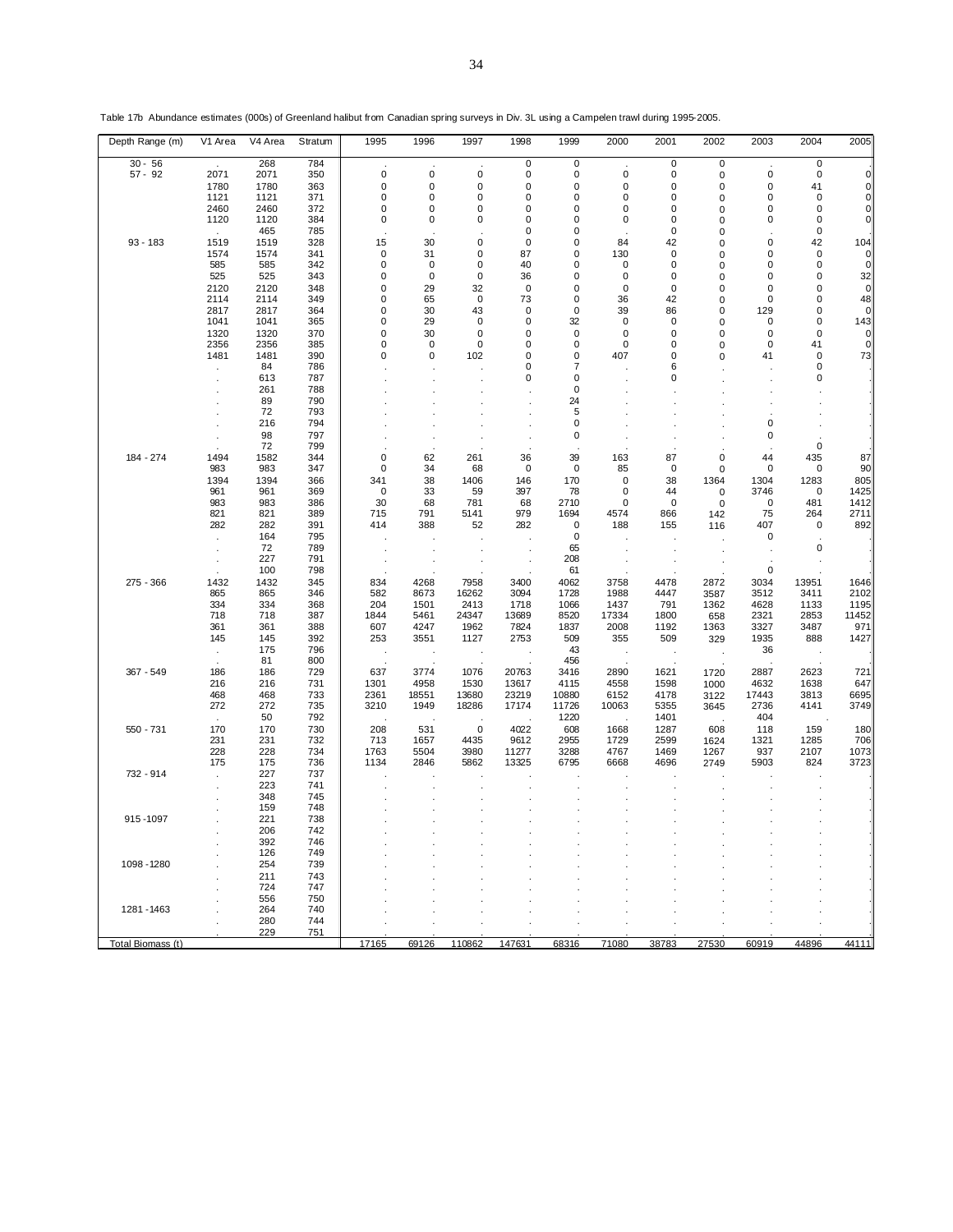| Depth Range (m)   | V1 Area      | V4 Area      | Stratum    | 1995                 | 1996         | 1997         | 1998           | 1999              | 2000                 | 2001         | 2002         | 2003         | 2004               | 2005         |
|-------------------|--------------|--------------|------------|----------------------|--------------|--------------|----------------|-------------------|----------------------|--------------|--------------|--------------|--------------------|--------------|
| $30 - 56$         |              | 268          | 784        |                      |              |              | $\pmb{0}$      | 0                 |                      | $\pmb{0}$    | $\pmb{0}$    |              | $\pmb{0}$          |              |
| $57 - 92$         | 2071         | 2071         | 350        | 0                    | 0            | $\mathbf 0$  | 0              | 0                 | $\mathbf 0$          | 0            | 0            | $\mathbf 0$  | 0                  | $\Omega$     |
|                   | 1780         | 1780         | 363        | 0                    | $\mathbf 0$  | 0            | 0              | $\mathbf 0$       | $\mathbf 0$          | 0            | 0            | 0            | 41                 |              |
|                   | 1121         | 1121         | 371        | 0                    | $\mathbf 0$  | 0            | 0              | 0                 | 0                    | 0            | 0            | 0            | $\mathbf 0$        |              |
|                   | 2460<br>1120 | 2460<br>1120 | 372<br>384 | 0<br>0               | 0<br>0       | 0<br>0       | 0<br>0         | 0<br>0            | 0<br>0               | 0<br>0       | 0            | 0<br>0       | 0<br>$\mathbf 0$   | 0            |
|                   |              | 465          | 785        |                      |              |              | 0              | 0                 |                      | 0            | 0<br>0       |              | $\mathbf 0$        |              |
| $93 - 183$        | 1519         | 1519         | 328        | 15                   | 30           | 0            | 0              | 0                 | 84                   | 42           | 0            | 0            | 42                 | 104          |
|                   | 1574         | 1574         | 341        | 0                    | 31           | 0            | 87             | 0                 | 130                  | $\mathbf 0$  | 0            | 0            | $\mathbf 0$        | $\Omega$     |
|                   | 585          | 585          | 342        | 0                    | 0            | 0            | 40             | 0                 | 0                    | 0            | 0            | 0            | 0                  | 0            |
|                   | 525          | 525          | 343        | 0                    | $\mathbf 0$  | $\mathbf 0$  | 36             | 0                 | 0                    | 0            | 0            | 0            | 0                  | 32           |
|                   | 2120         | 2120         | 348        | 0                    | 29           | 32           | $\mathbf 0$    | 0                 | $\mathbf 0$          | 0            | 0            | 0            | 0                  | $\mathbf 0$  |
|                   | 2114         | 2114         | 349        | 0                    | 65           | 0            | 73             | 0                 | 36                   | 42           | 0            | 0            | 0                  | 48           |
|                   | 2817         | 2817         | 364        | 0                    | 30           | 43           | 0              | $\mathbf 0$       | 39                   | 86           | 0            | 129          | 0                  | $\Omega$     |
|                   | 1041         | 1041         | 365        | 0<br>0               | 29           | 0<br>0       | 0              | 32<br>$\mathbf 0$ | 0<br>0               | 0            | $\mathbf 0$  | 0            | 0<br>$\mathbf 0$   | 143<br>οl    |
|                   | 1320<br>2356 | 1320<br>2356 | 370<br>385 | 0                    | 30<br>0      | 0            | 0<br>0         | $\mathbf 0$       | 0                    | 0<br>0       | 0<br>0       | 0<br>0       | 41                 |              |
|                   | 1481         | 1481         | 390        | 0                    | 0            | 102          | 0              | 0                 | 407                  | 0            | 0            | 41           | $\mathbf 0$        | 73           |
|                   |              | 84           | 786        |                      |              |              | 0              | $\overline{7}$    |                      | 6            |              |              | 0                  |              |
|                   |              | 613          | 787        |                      |              |              | 0              | 0                 |                      | 0            |              |              | 0                  |              |
|                   |              | 261          | 788        |                      |              |              |                | 0                 |                      |              |              |              |                    |              |
|                   |              | 89           | 790        |                      |              |              |                | 24                |                      |              |              |              |                    |              |
|                   |              | 72           | 793        |                      |              |              |                | 5                 |                      |              |              |              |                    |              |
|                   |              | 216          | 794        |                      |              |              |                | 0                 |                      |              |              | 0            |                    |              |
|                   |              | 98           | 797        |                      |              |              |                | 0                 |                      |              |              | 0            |                    |              |
| 184 - 274         | 1494         | 72<br>1582   | 799<br>344 | 0                    | 62           | 261          | 36             | 39                |                      | 87           | 0            | 44           | $\mathbf 0$<br>435 | 87           |
|                   | 983          | 983          | 347        | 0                    | 34           | 68           | 0              | 0                 | 163<br>85            | 0            | 0            | 0            | 0                  | 90           |
|                   | 1394         | 1394         | 366        | 341                  | 38           | 1406         | 146            | 170               | 0                    | 38           | 1364         | 1304         | 1283               | 805          |
|                   | 961          | 961          | 369        | 0                    | 33           | 59           | 397            | 78                | 0                    | 44           | 0            | 3746         | 0                  | 1425         |
|                   | 983          | 983          | 386        | 30                   | 68           | 781          | 68             | 2710              | 0                    | $\mathbf 0$  | 0            | $\mathbf 0$  | 481                | 1412         |
|                   | 821          | 821          | 389        | 715                  | 791          | 5141         | 979            | 1694              | 4574                 | 866          | 142          | 75           | 264                | 2711         |
|                   | 282          | 282          | 391        | 414                  | 388          | 52           | 282            | $\mathbf 0$       | 188                  | 155          | 116          | 407          | $\mathbf 0$        | 892          |
|                   |              | 164          | 795        |                      |              |              |                | 0                 |                      |              |              | 0            |                    |              |
|                   |              | 72           | 789        |                      |              |              |                | 65                |                      |              |              |              | 0                  |              |
|                   |              | 227<br>100   | 791<br>798 |                      |              |              |                | 208               |                      |              |              | 0            |                    |              |
| 275 - 366         | 1432         | 1432         | 345        | 834                  | 4268         | 7958         | 3400           | 61<br>4062        | 3758                 | 4478         | 2872         | 3034         | 13951              | 1646         |
|                   | 865          | 865          | 346        | 582                  | 8673         | 16262        | 3094           | 1728              | 1988                 | 4447         | 3587         | 3512         | 3411               | 2102         |
|                   | 334          | 334          | 368        | 204                  | 1501         | 2413         | 1718           | 1066              | 1437                 | 791          | 1362         | 4628         | 1133               | 1195         |
|                   | 718          | 718          | 387        | 1844                 | 5461         | 24347        | 13689          | 8520              | 17334                | 1800         | 658          | 2321         | 2853               | 11452        |
|                   | 361          | 361          | 388        | 607                  | 4247         | 1962         | 7824           | 1837              | 2008                 | 1192         | 1363         | 3327         | 3487               | 971          |
|                   | 145          | 145          | 392        | 253                  | 3551         | 1127         | 2753           | 509               | 355                  | 509          | 329          | 1935         | 888                | 1427         |
|                   | $\cdot$      | 175          | 796        | $\ddot{\phantom{1}}$ |              | $\cdot$      |                | 43                | $\ddot{\phantom{a}}$ |              | $\cdot$      | 36           |                    |              |
|                   |              | 81           | 800        |                      |              |              |                | 456               |                      |              |              |              |                    |              |
| 367 - 549         | 186<br>216   | 186<br>216   | 729<br>731 | 637<br>1301          | 3774<br>4958 | 1076<br>1530 | 20763<br>13617 | 3416<br>4115      | 2890<br>4558         | 1621<br>1598 | 1720<br>1000 | 2887<br>4632 | 2623<br>1638       | 721<br>647   |
|                   | 468          | 468          | 733        | 2361                 | 18551        | 13680        | 23219          | 10880             | 6152                 | 4178         | 3122         | 17443        | 3813               | 6695         |
|                   | 272          | 272          | 735        | 3210                 | 1949         | 18286        | 17174          | 11726             | 10063                | 5355         | 3645         | 2736         | 4141               | 3749         |
|                   |              | 50           | 792        |                      |              |              |                | 1220              |                      | 1401         |              | 404          |                    |              |
| 550 - 731         | 170          | 170          | 730        | 208                  | 531          | $\mathbf 0$  | 4022           | 608               | 1668                 | 1287         | 608          | 118          | 159                | 180          |
|                   | 231          | 231          | 732        | 713                  | 1657         | 4435         | 9612           | 2955              | 1729                 | 2599         | 1624         | 1321         | 1285               | 706          |
|                   | 228          | 228          | 734        | 1763                 | 5504         | 3980         | 11277          | 3288              | 4767                 | 1469         | 1267         | 937          | 2107               | 1073<br>3723 |
| 732 - 914         | 175          | 175          | 736<br>737 | 1134                 | 2846         | 5862         | 13325          | 6795              | 6668                 | 4696         | 2749         | 5903         | 824                |              |
|                   | $\mathbf{r}$ | 227<br>223   | 741        |                      |              |              |                |                   |                      |              |              |              |                    |              |
|                   |              | 348          | 745        |                      |              |              |                |                   |                      |              |              |              |                    |              |
|                   |              | 159          | 748        |                      |              |              |                |                   |                      |              |              |              |                    |              |
| 915-1097          |              | 221          | 738        |                      |              |              |                |                   |                      |              |              |              |                    |              |
|                   |              | 206          | 742        |                      |              |              |                |                   |                      |              |              |              |                    |              |
|                   |              | 392          | 746        |                      |              |              |                |                   |                      |              |              |              |                    |              |
|                   |              | 126          | 749        |                      |              |              |                |                   |                      |              |              |              |                    |              |
| 1098 - 1280       |              | 254          | 739        |                      |              |              |                |                   |                      |              |              |              |                    |              |
|                   |              | 211          | 743        |                      |              |              |                |                   |                      |              |              |              |                    |              |
|                   |              | 724          | 747        |                      |              |              |                |                   |                      |              |              |              |                    |              |
| 1281 - 1463       |              | 556<br>264   | 750<br>740 |                      |              |              |                |                   |                      |              |              |              |                    |              |
|                   |              | 280          | 744        |                      |              |              |                |                   |                      |              |              |              |                    |              |
|                   |              | 229          | 751        |                      |              |              |                |                   |                      |              |              |              |                    |              |
| Total Biomass (t) |              |              |            | 17165                | 69126        | 110862       | 147631         | 68316             | 71080                | 38783        | 27530        | 60919        | 44896              | 44111        |

Table 17b Abundance estimates (000s) of Greenland halibut from Canadian spring surveys in Div. 3L using a Campelen trawl during 1995-2005.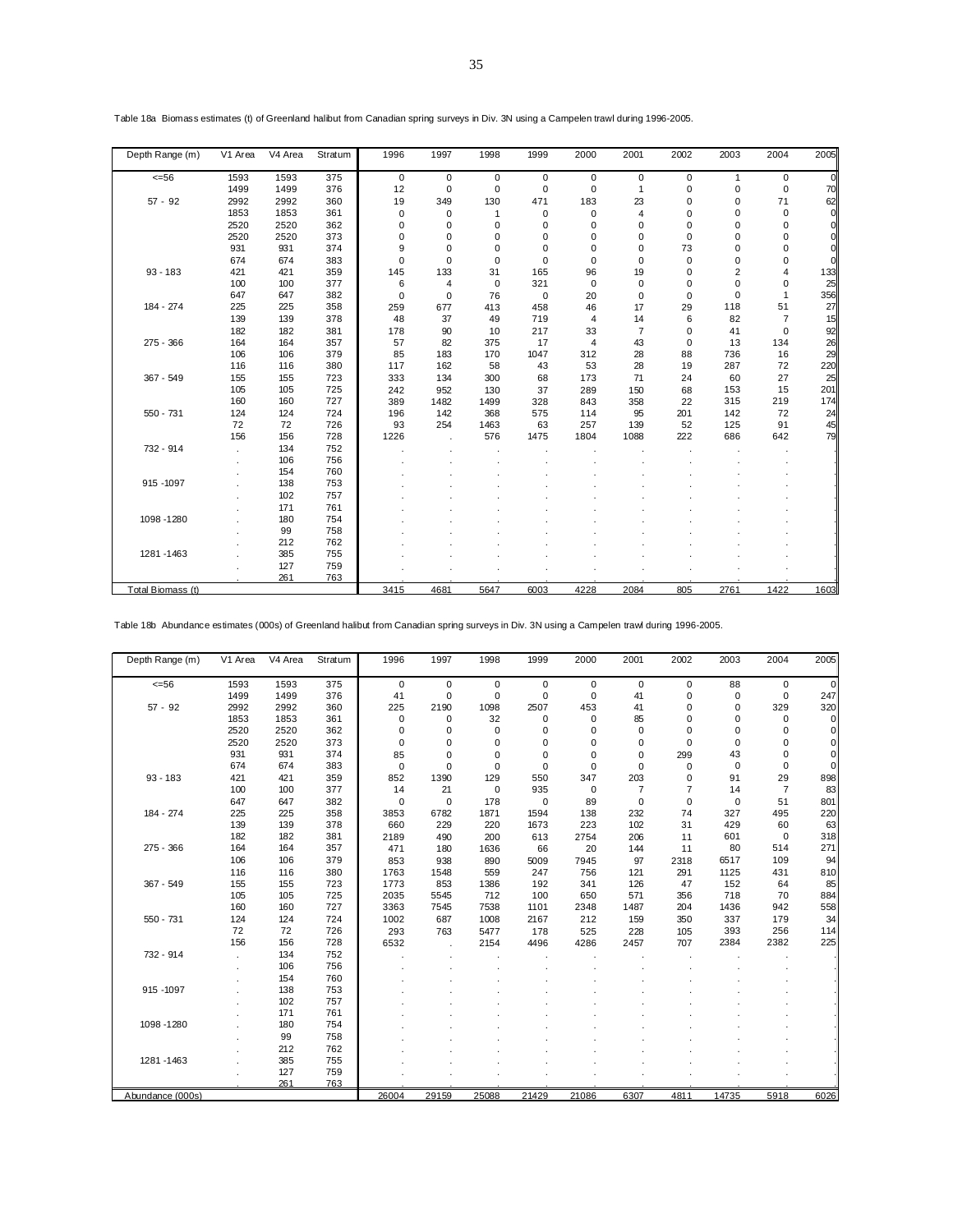| Depth Range (m)   | V1 Area | V <sub>4</sub> Area | Stratum | 1996        | 1997           | 1998         | 1999        | 2000           | 2001           | 2002        | 2003        | 2004           | 2005         |
|-------------------|---------|---------------------|---------|-------------|----------------|--------------|-------------|----------------|----------------|-------------|-------------|----------------|--------------|
| $<=56$            | 1593    | 1593                | 375     | $\mathbf 0$ | $\mathbf 0$    | $\mathbf 0$  | $\mathbf 0$ | $\mathbf 0$    | $\pmb{0}$      | $\mathbf 0$ | 1           | 0              | <sub>0</sub> |
|                   | 1499    | 1499                | 376     | 12          | 0              | $\Omega$     | $\mathbf 0$ | $\mathbf 0$    | $\mathbf{1}$   | 0           | 0           | $\mathbf 0$    | 70           |
| $57 - 92$         | 2992    | 2992                | 360     | 19          | 349            | 130          | 471         | 183            | 23             | $\mathbf 0$ | 0           | 71             | 62           |
|                   | 1853    | 1853                | 361     | 0           | 0              | $\mathbf{1}$ | 0           | 0              | 4              | $\Omega$    | 0           | 0              | <sub>0</sub> |
|                   | 2520    | 2520                | 362     | 0           | 0              | 0            | 0           | 0              | 0              | $\Omega$    | 0           | $\Omega$       | <sub>0</sub> |
|                   | 2520    | 2520                | 373     | $\mathbf 0$ | 0              | 0            | 0           | 0              | 0              | $\mathbf 0$ | 0           | $\Omega$       | 0            |
|                   | 931     | 931                 | 374     | 9           | 0              | $\Omega$     | $\mathbf 0$ | $\Omega$       | $\mathbf 0$    | 73          | 0           | $\Omega$       | 0l           |
|                   | 674     | 674                 | 383     | $\Omega$    | $\Omega$       | $\Omega$     | $\mathbf 0$ | $\Omega$       | $\mathbf 0$    | $\Omega$    | 0           | $\Omega$       | <sub>0</sub> |
| $93 - 183$        | 421     | 421                 | 359     | 145         | 133            | 31           | 165         | 96             | 19             | $\Omega$    | 2           | 4              | 133          |
|                   | 100     | 100                 | 377     | 6           | $\overline{4}$ | $\mathbf 0$  | 321         | $\mathbf 0$    | $\pmb{0}$      | $\mathbf 0$ | $\mathbf 0$ | $\mathbf 0$    | 25           |
|                   | 647     | 647                 | 382     | $\mathbf 0$ | 0              | 76           | $\mathbf 0$ | 20             | $\pmb{0}$      | $\mathbf 0$ | 0           | 1              | 356          |
| 184 - 274         | 225     | 225                 | 358     | 259         | 677            | 413          | 458         | 46             | 17             | 29          | 118         | 51             | 27           |
|                   | 139     | 139                 | 378     | 48          | 37             | 49           | 719         | $\overline{4}$ | 14             | 6           | 82          | $\overline{7}$ | 15           |
|                   | 182     | 182                 | 381     | 178         | 90             | 10           | 217         | 33             | $\overline{7}$ | $\mathbf 0$ | 41          | $\mathbf 0$    | 92           |
| 275 - 366         | 164     | 164                 | 357     | 57          | 82             | 375          | 17          | $\overline{4}$ | 43             | $\Omega$    | 13          | 134            | 26           |
|                   | 106     | 106                 | 379     | 85          | 183            | 170          | 1047        | 312            | 28             | 88          | 736         | 16             | 29           |
|                   | 116     | 116                 | 380     | 117         | 162            | 58           | 43          | 53             | 28             | 19          | 287         | 72             | 220          |
| 367 - 549         | 155     | 155                 | 723     | 333         | 134            | 300          | 68          | 173            | 71             | 24          | 60          | 27             | 25           |
|                   | 105     | 105                 | 725     | 242         | 952            | 130          | 37          | 289            | 150            | 68          | 153         | 15             | 201          |
|                   | 160     | 160                 | 727     | 389         | 1482           | 1499         | 328         | 843            | 358            | 22          | 315         | 219            | 174          |
| 550 - 731         | 124     | 124                 | 724     | 196         | 142            | 368          | 575         | 114            | 95             | 201         | 142         | 72             | 24           |
|                   | 72      | 72                  | 726     | 93          | 254            | 1463         | 63          | 257            | 139            | 52          | 125         | 91             | 45           |
|                   | 156     | 156                 | 728     | 1226        |                | 576          | 1475        | 1804           | 1088           | 222         | 686         | 642            | 79           |
| 732 - 914         |         | 134                 | 752     |             |                |              |             |                |                |             |             |                |              |
|                   |         | 106                 | 756     |             |                |              |             |                |                |             |             |                |              |
|                   |         | 154                 | 760     |             |                |              |             |                |                |             |             |                |              |
| 915 - 1097        |         | 138                 | 753     |             |                |              |             |                |                |             |             |                |              |
|                   |         | 102                 | 757     |             |                |              |             |                |                |             |             |                |              |
|                   |         | 171                 | 761     |             |                |              |             |                |                |             |             |                |              |
| 1098-1280         |         | 180                 | 754     |             |                |              |             |                |                |             |             |                |              |
|                   |         | 99                  | 758     |             |                |              |             |                |                |             |             |                |              |
|                   |         | 212                 | 762     |             |                |              |             |                |                |             |             |                |              |
| 1281-1463         |         | 385                 | 755     |             |                |              |             |                |                |             |             |                |              |
|                   |         | 127                 | 759     |             |                |              |             |                |                |             |             |                |              |
|                   |         | 261                 | 763     |             |                |              |             |                |                |             |             |                |              |
| Total Biomass (t) |         |                     |         | 3415        | 4681           | 5647         | 6003        | 4228           | 2084           | 805         | 2761        | 1422           | 1603         |

Table 18a Biomass estimates (t) of Greenland halibut from Canadian spring surveys in Div. 3N using a Campelen trawl during 1996-2005.

Table 18b Abundance estimates (000s) of Greenland halibut from Canadian spring surveys in Div. 3N using a Campelen trawl during 1996-2005.

| Depth Range (m)  | V1 Area | V <sub>4</sub> Area | Stratum | 1996        | 1997        | 1998        | 1999        | 2000        | 2001           | 2002           | 2003        | 2004           | 2005         |
|------------------|---------|---------------------|---------|-------------|-------------|-------------|-------------|-------------|----------------|----------------|-------------|----------------|--------------|
| $<=56$           | 1593    | 1593                | 375     | $\mathbf 0$ | $\mathbf 0$ | $\mathbf 0$ | $\mathbf 0$ | $\mathbf 0$ | $\mathbf 0$    | $\mathbf 0$    | 88          | 0              | <sub>0</sub> |
|                  | 1499    | 1499                | 376     | 41          | $\mathbf 0$ | $\mathbf 0$ | $\mathbf 0$ | $\mathbf 0$ | 41             | $\mathbf 0$    | $\mathbf 0$ | $\mathbf 0$    | 247          |
| $57 - 92$        | 2992    | 2992                | 360     | 225         | 2190        | 1098        | 2507        | 453         | 41             | $\mathbf 0$    | 0           | 329            | 320          |
|                  | 1853    | 1853                | 361     | $\mathbf 0$ | $\mathbf 0$ | 32          | 0           | $\mathbf 0$ | 85             | 0              | 0           | 0              | 0l           |
|                  | 2520    | 2520                | 362     | $\mathbf 0$ | 0           | $\mathbf 0$ | 0           | 0           | $\mathbf 0$    | $\Omega$       | 0           | $\Omega$       | <sub>0</sub> |
|                  | 2520    | 2520                | 373     | $\Omega$    | 0           | 0           | 0           | $\Omega$    | 0              | $\Omega$       | 0           | $\Omega$       | <sub>0</sub> |
|                  | 931     | 931                 | 374     | 85          | 0           | $\Omega$    | $\Omega$    | $\Omega$    | $\mathbf 0$    | 299            | 43          | $\Omega$       | <sub>0</sub> |
|                  | 674     | 674                 | 383     | $\Omega$    | $\Omega$    | $\Omega$    | $\Omega$    | $\Omega$    | $\mathbf 0$    | $\Omega$       | 0           | $\Omega$       | <sub>0</sub> |
| $93 - 183$       | 421     | 421                 | 359     | 852         | 1390        | 129         | 550         | 347         | 203            | $\Omega$       | 91          | 29             | 898          |
|                  | 100     | 100                 | 377     | 14          | 21          | $\mathbf 0$ | 935         | $\mathbf 0$ | $\overline{7}$ | $\overline{7}$ | 14          | $\overline{7}$ | 83           |
|                  | 647     | 647                 | 382     | $\mathbf 0$ | $\mathbf 0$ | 178         | $\mathbf 0$ | 89          | $\mathbf 0$    | $\mathbf 0$    | $\mathbf 0$ | 51             | 801          |
| 184 - 274        | 225     | 225                 | 358     | 3853        | 6782        | 1871        | 1594        | 138         | 232            | 74             | 327         | 495            | 220          |
|                  | 139     | 139                 | 378     | 660         | 229         | 220         | 1673        | 223         | 102            | 31             | 429         | 60             | 63           |
|                  | 182     | 182                 | 381     | 2189        | 490         | 200         | 613         | 2754        | 206            | 11             | 601         | $\mathbf 0$    | 318          |
| 275 - 366        | 164     | 164                 | 357     | 471         | 180         | 1636        | 66          | 20          | 144            | 11             | 80          | 514            | 271          |
|                  | 106     | 106                 | 379     | 853         | 938         | 890         | 5009        | 7945        | 97             | 2318           | 6517        | 109            | 94           |
|                  | 116     | 116                 | 380     | 1763        | 1548        | 559         | 247         | 756         | 121            | 291            | 1125        | 431            | 810          |
| 367 - 549        | 155     | 155                 | 723     | 1773        | 853         | 1386        | 192         | 341         | 126            | 47             | 152         | 64             | 85           |
|                  | 105     | 105                 | 725     | 2035        | 5545        | 712         | 100         | 650         | 571            | 356            | 718         | 70             | 884          |
|                  | 160     | 160                 | 727     | 3363        | 7545        | 7538        | 1101        | 2348        | 1487           | 204            | 1436        | 942            | 558          |
| 550 - 731        | 124     | 124                 | 724     | 1002        | 687         | 1008        | 2167        | 212         | 159            | 350            | 337         | 179            | 34           |
|                  | 72      | 72                  | 726     | 293         | 763         | 5477        | 178         | 525         | 228            | 105            | 393         | 256            | 114          |
|                  | 156     | 156                 | 728     | 6532        |             | 2154        | 4496        | 4286        | 2457           | 707            | 2384        | 2382           | 225          |
| 732 - 914        |         | 134                 | 752     |             |             |             |             |             |                |                |             |                |              |
|                  |         | 106                 | 756     |             |             |             |             |             |                |                |             |                |              |
|                  |         | 154                 | 760     |             |             |             |             |             |                |                |             |                |              |
| 915 - 1097       |         | 138                 | 753     |             |             |             |             |             |                |                |             |                |              |
|                  |         | 102                 | 757     |             |             |             |             |             |                |                |             |                |              |
|                  |         | 171                 | 761     |             |             |             |             |             |                |                |             |                |              |
| 1098 - 1280      |         | 180                 | 754     |             |             |             |             |             |                |                |             |                |              |
|                  |         | 99                  | 758     |             |             |             |             |             |                |                |             |                |              |
|                  |         | 212                 | 762     |             |             |             |             |             |                |                |             |                |              |
| 1281 - 1463      |         | 385                 | 755     |             |             |             |             |             |                |                |             |                |              |
|                  |         | 127                 | 759     |             |             |             |             |             |                |                |             |                |              |
|                  |         | 261                 | 763     |             |             |             |             |             |                |                |             |                |              |
| Abundance (000s) |         |                     |         | 26004       | 29159       | 25088       | 21429       | 21086       | 6307           | 4811           | 14735       | 5918           | 6026         |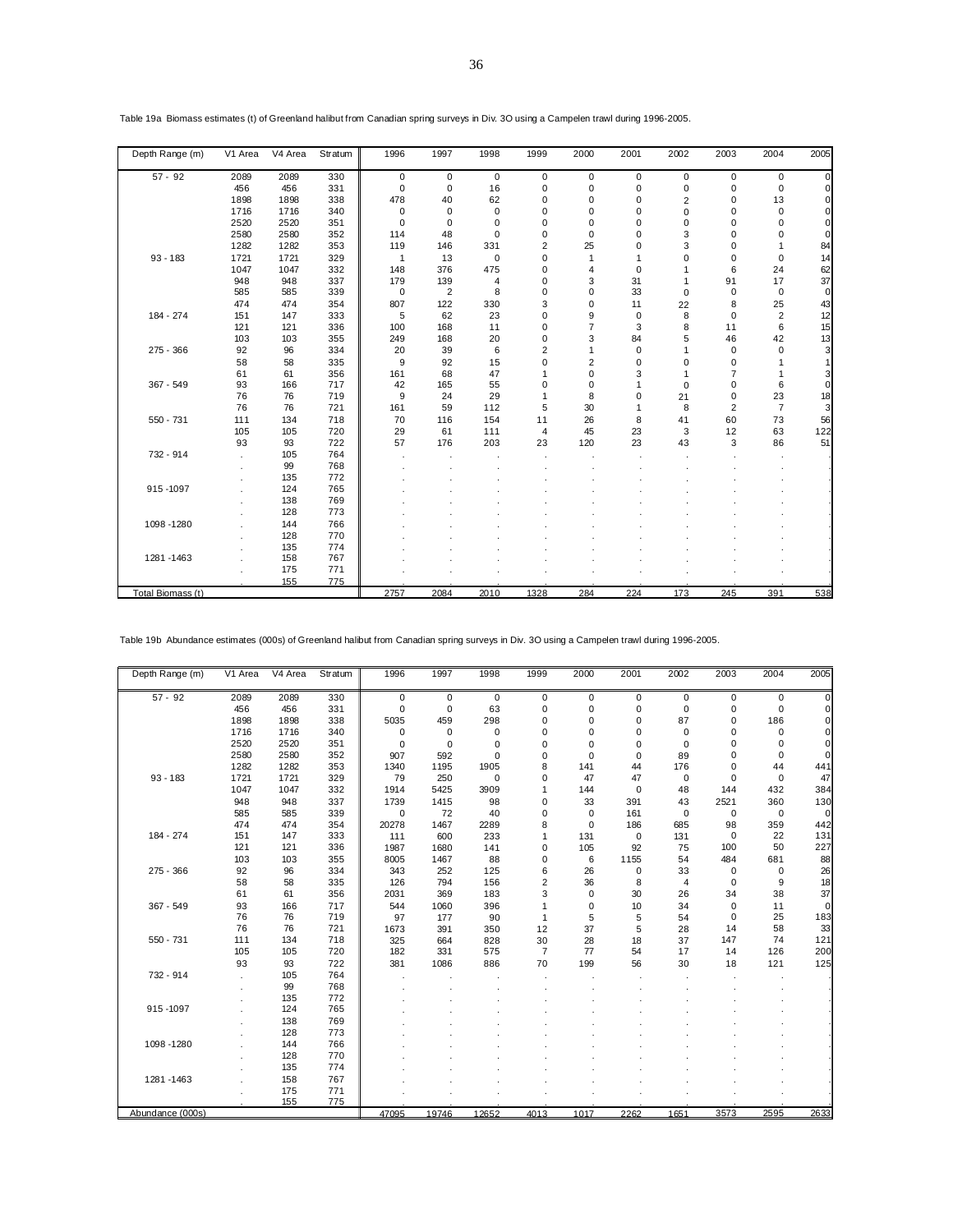| Depth Range (m)   | V1 Area | V4 Area | Stratum | 1996           | 1997        | 1998        | 1999                    | 2000           | 2001        | 2002           | 2003           | 2004           | 2005           |
|-------------------|---------|---------|---------|----------------|-------------|-------------|-------------------------|----------------|-------------|----------------|----------------|----------------|----------------|
| $57 - 92$         | 2089    | 2089    | 330     | 0              | 0           | $\mathbf 0$ | 0                       | $\mathbf 0$    | 0           | 0              | 0              | 0              | $\overline{0}$ |
|                   | 456     | 456     | 331     | $\mathbf 0$    | $\mathbf 0$ | 16          | $\mathbf 0$             | $\mathbf 0$    | $\mathsf 0$ | $\mathbf 0$    | 0              | $\mathbf 0$    | $\Omega$       |
|                   | 1898    | 1898    | 338     | 478            | 40          | 62          | $\mathbf 0$             | 0              | 0           | $\overline{c}$ | $\mathbf 0$    | 13             | $\Omega$       |
|                   | 1716    | 1716    | 340     | $\mathbf 0$    | $\mathbf 0$ | $\mathbf 0$ | 0                       | 0              | 0           | 0              | $\mathbf 0$    | $\mathbf 0$    | 0              |
|                   | 2520    | 2520    | 351     | $\mathbf 0$    | $\mathbf 0$ | 0           | 0                       | 0              | 0           | 0              | 0              | 0              | 0              |
|                   | 2580    | 2580    | 352     | 114            | 48          | $\Omega$    | $\mathbf 0$             | $\Omega$       | 0           | 3              | $\Omega$       | $\Omega$       | $\Omega$       |
|                   | 1282    | 1282    | 353     | 119            | 146         | 331         | $\overline{2}$          | 25             | 0           | 3              | 0              |                | 84             |
| $93 - 183$        | 1721    | 1721    | 329     | $\overline{1}$ | 13          | $\mathbf 0$ | 0                       | $\mathbf{1}$   | 1           | 0              | $\mathbf 0$    | $\mathbf 0$    | 14             |
|                   | 1047    | 1047    | 332     | 148            | 376         | 475         | 0                       | 4              | $\mathbf 0$ |                | 6              | 24             | 62             |
|                   | 948     | 948     | 337     | 179            | 139         | 4           | 0                       | 3              | 31          |                | 91             | 17             | 37             |
|                   | 585     | 585     | 339     | $\mathbf 0$    | 2           | 8           | 0                       | 0              | 33          | $\mathbf 0$    | 0              | $\mathbf 0$    | $\overline{0}$ |
|                   | 474     | 474     | 354     | 807            | 122         | 330         | 3                       | 0              | 11          | 22             | 8              | 25             | 43             |
| 184 - 274         | 151     | 147     | 333     | 5              | 62          | 23          | 0                       | 9              | $\pmb{0}$   | 8              | $\mathbf 0$    | $\overline{2}$ | 12             |
|                   | 121     | 121     | 336     | 100            | 168         | 11          | 0                       | $\overline{7}$ | 3           | 8              | 11             | 6              | 15             |
|                   | 103     | 103     | 355     | 249            | 168         | 20          | 0                       | 3              | 84          | 5              | 46             | 42             | 13             |
| $275 - 366$       | 92      | 96      | 334     | 20             | 39          | 6           | $\overline{\mathbf{c}}$ | 1              | 0           |                | $\mathbf 0$    | $\Omega$       | 3              |
|                   | 58      | 58      | 335     | 9              | 92          | 15          | 0                       | $\overline{2}$ | 0           | 0              | 0              |                | 1              |
|                   | 61      | 61      | 356     | 161            | 68          | 47          | 1                       | 0              | 3           |                | $\overline{7}$ |                | 3              |
| $367 - 549$       | 93      | 166     | 717     | 42             | 165         | 55          | 0                       | $\Omega$       | 1           | $\Omega$       | $\mathbf 0$    | 6              | $\Omega$       |
|                   | 76      | 76      | 719     | 9              | 24          | 29          | 1                       | 8              | 0           | 21             | 0              | 23             | 18             |
|                   | 76      | 76      | 721     | 161            | 59          | 112         | 5                       | 30             | 1           | 8              | $\overline{2}$ | $\overline{7}$ | 3              |
| $550 - 731$       | 111     | 134     | 718     | 70             | 116         | 154         | 11                      | 26             | 8           | 41             | 60             | 73             | 56             |
|                   | 105     | 105     | 720     | 29             | 61          | 111         | $\overline{4}$          | 45             | 23          | 3              | 12             | 63             | 122            |
|                   | 93      | 93      | 722     | 57             | 176         | 203         | 23                      | 120            | 23          | 43             | 3              | 86             | 51             |
| 732 - 914         |         | 105     | 764     |                |             |             |                         |                |             |                |                |                |                |
|                   |         | 99      | 768     |                |             |             |                         |                |             |                |                |                |                |
|                   |         | 135     | 772     |                |             |             |                         |                |             |                |                |                |                |
| 915-1097          |         | 124     | 765     |                |             |             |                         |                |             |                |                |                |                |
|                   |         | 138     | 769     |                |             |             |                         |                |             |                |                |                |                |
|                   |         | 128     | 773     |                |             |             |                         |                |             |                |                |                |                |
| 1098-1280         |         | 144     | 766     |                |             |             |                         |                |             |                |                |                |                |
|                   |         | 128     | 770     |                |             |             |                         |                |             |                |                |                |                |
|                   |         | 135     | 774     |                |             |             |                         |                |             |                |                |                |                |
| 1281-1463         |         | 158     | 767     |                |             |             |                         |                |             |                |                |                |                |
|                   |         | 175     | 771     |                |             |             |                         |                |             |                |                |                |                |
|                   |         | 155     | 775     |                |             |             |                         |                |             |                |                |                |                |
| Total Biomass (t) |         |         |         | 2757           | 2084        | 2010        | 1328                    | 284            | 224         | 173            | 245            | 391            | 538            |

Table 19a Biomass estimates (t) of Greenland halibut from Canadian spring surveys in Div. 3O using a Campelen trawl during 1996-2005.

Table 19b Abundance estimates (000s) of Greenland halibut from Canadian spring surveys in Div. 3O using a Campelen trawl during 1996-2005.

| Depth Range (m)  | V1 Area | V4 Area | Stratum | 1996        | 1997        | 1998        | 1999           | 2000        | 2001        | 2002           | 2003        | 2004        | 2005         |
|------------------|---------|---------|---------|-------------|-------------|-------------|----------------|-------------|-------------|----------------|-------------|-------------|--------------|
| $57 - 92$        | 2089    | 2089    | 330     | $\mathbf 0$ | $\mathbf 0$ | $\mathbf 0$ | 0              | $\mathbf 0$ | $\mathsf 0$ | $\mathbf 0$    | $\mathbf 0$ | $\mathbf 0$ | $\Omega$     |
|                  | 456     | 456     | 331     | $\mathbf 0$ | $\mathbf 0$ | 63          | 0              | $\mathbf 0$ | $\pmb{0}$   | $\mathbf 0$    | 0           | $\mathbf 0$ | $\mathsf{C}$ |
|                  | 1898    | 1898    | 338     | 5035        | 459         | 298         | 0              | $\Omega$    | 0           | 87             | 0           | 186         |              |
|                  | 1716    | 1716    | 340     | $\mathbf 0$ | 0           | 0           | 0              | 0           | 0           | $\mathbf 0$    | 0           | 0           |              |
|                  | 2520    | 2520    | 351     | $\mathbf 0$ | $\mathbf 0$ | 0           | 0              | 0           | 0           | $\mathbf 0$    | 0           | $\mathbf 0$ | $\Omega$     |
|                  | 2580    | 2580    | 352     | 907         | 592         | $\mathbf 0$ | 0              | $\mathbf 0$ | $\mathbf 0$ | 89             | 0           | $\mathbf 0$ | $\Omega$     |
|                  | 1282    | 1282    | 353     | 1340        | 1195        | 1905        | 8              | 141         | 44          | 176            | 0           | 44          | 441          |
| $93 - 183$       | 1721    | 1721    | 329     | 79          | 250         | $\mathbf 0$ | 0              | 47          | 47          | $\mathbf 0$    | 0           | $\mathbf 0$ | 47           |
|                  | 1047    | 1047    | 332     | 1914        | 5425        | 3909        | 1              | 144         | $\mathbf 0$ | 48             | 144         | 432         | 384          |
|                  | 948     | 948     | 337     | 1739        | 1415        | 98          | 0              | 33          | 391         | 43             | 2521        | 360         | 130          |
|                  | 585     | 585     | 339     | $\mathbf 0$ | 72          | 40          | 0              | $\mathbf 0$ | 161         | $\mathbf 0$    | $\mathbf 0$ | $\mathbf 0$ | $\mathbf 0$  |
|                  | 474     | 474     | 354     | 20278       | 1467        | 2289        | 8              | $\Omega$    | 186         | 685            | 98          | 359         | 442          |
| 184 - 274        | 151     | 147     | 333     | 111         | 600         | 233         | 1              | 131         | $\pmb{0}$   | 131            | $\mathbf 0$ | 22          | 131          |
|                  | 121     | 121     | 336     | 1987        | 1680        | 141         | $\mathbf 0$    | 105         | 92          | 75             | 100         | 50          | 227          |
|                  | 103     | 103     | 355     | 8005        | 1467        | 88          | 0              | 6           | 1155        | 54             | 484         | 681         | 88           |
| $275 - 366$      | 92      | 96      | 334     | 343         | 252         | 125         | 6              | 26          | $\pmb{0}$   | 33             | $\mathbf 0$ | $\mathbf 0$ | 26           |
|                  | 58      | 58      | 335     | 126         | 794         | 156         | $\overline{c}$ | 36          | 8           | $\overline{4}$ | 0           | 9           | 18           |
|                  | 61      | 61      | 356     | 2031        | 369         | 183         | 3              | $\mathbf 0$ | 30          | 26             | 34          | 38          | 37           |
| $367 - 549$      | 93      | 166     | 717     | 544         | 1060        | 396         | $\mathbf{1}$   | $\mathbf 0$ | 10          | 34             | $\mathbf 0$ | 11          | $\Omega$     |
|                  | 76      | 76      | 719     | 97          | 177         | 90          | 1              | 5           | 5           | 54             | 0           | 25          | 183          |
|                  | 76      | 76      | 721     | 1673        | 391         | 350         | 12             | 37          | 5           | 28             | 14          | 58          | 33           |
| $550 - 731$      | 111     | 134     | 718     | 325         | 664         | 828         | 30             | 28          | 18          | 37             | 147         | 74          | 121          |
|                  | 105     | 105     | 720     | 182         | 331         | 575         | 7              | 77          | 54          | 17             | 14          | 126         | 200          |
|                  | 93      | 93      | 722     | 381         | 1086        | 886         | 70             | 199         | 56          | 30             | 18          | 121         | 125          |
| 732 - 914        |         | 105     | 764     |             |             |             |                |             |             |                |             |             |              |
|                  |         | 99      | 768     |             |             |             |                |             |             |                |             |             |              |
|                  |         | 135     | 772     |             |             |             |                |             |             |                |             |             |              |
| 915-1097         |         | 124     | 765     |             |             |             |                |             |             |                |             |             |              |
|                  |         | 138     | 769     |             |             |             |                |             |             |                |             |             |              |
|                  |         | 128     | 773     |             |             |             |                |             |             |                |             |             |              |
| 1098 - 1280      |         | 144     | 766     |             |             |             |                |             |             |                |             |             |              |
|                  |         | 128     | 770     |             |             |             |                |             |             |                |             |             |              |
|                  |         | 135     | 774     |             |             |             |                |             |             |                |             |             |              |
| 1281-1463        |         | 158     | 767     |             |             |             |                |             |             |                |             |             |              |
|                  |         | 175     | 771     |             |             |             |                |             |             |                |             |             |              |
|                  |         | 155     | 775     |             |             |             |                |             |             |                |             |             |              |
| Abundance (000s) |         |         |         | 47095       | 19746       | 12652       | 4013           | 1017        | 2262        | 1651           | 3573        | 2595        | 2633         |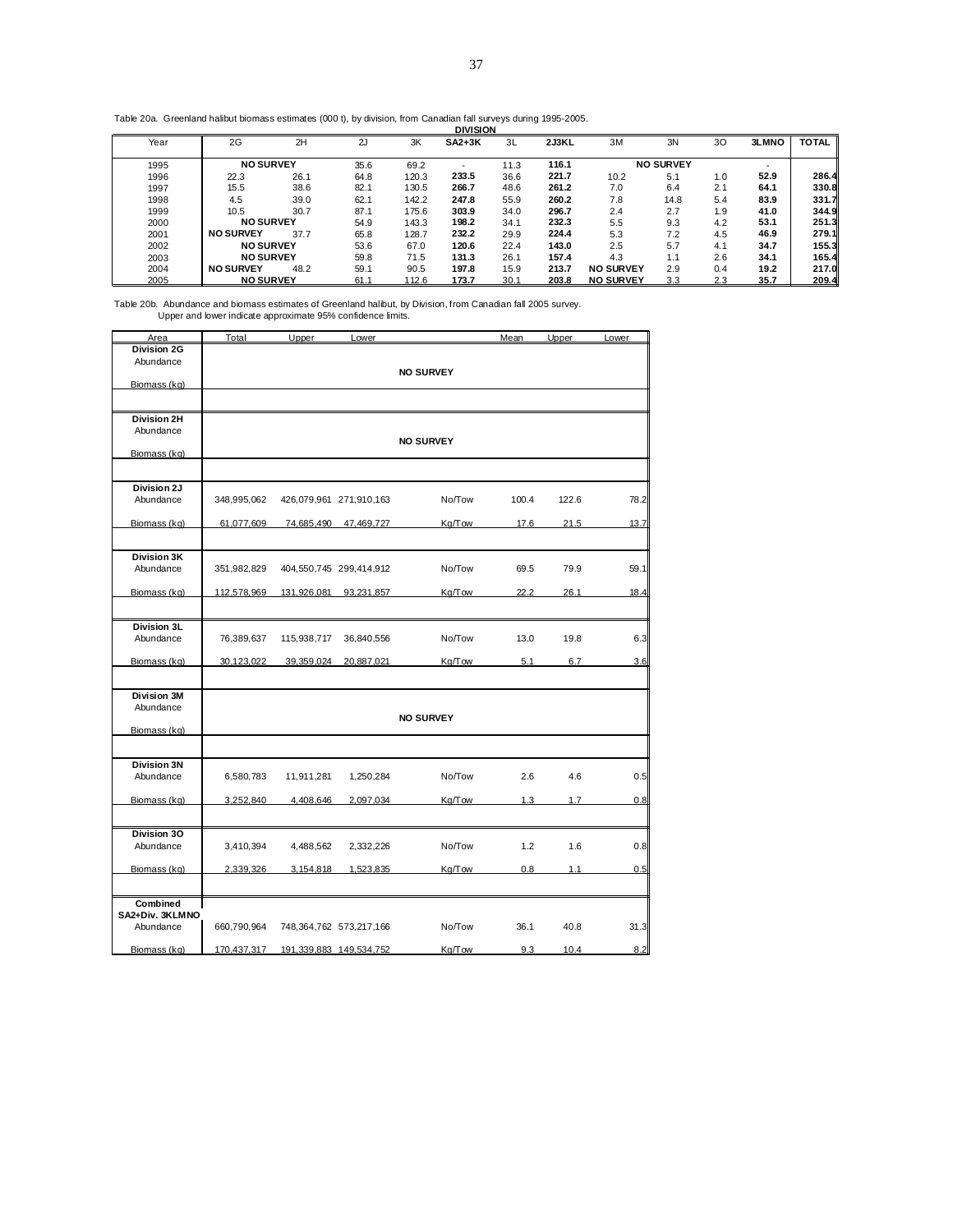Table 20a. Greenland halibut biomass estimates (000 t), by division, from Canadian fall surveys during 1995-2005. **DIVISION**

|      |                  |      |      |       | итими  |      |       |                  |                  |     |                          |              |
|------|------------------|------|------|-------|--------|------|-------|------------------|------------------|-----|--------------------------|--------------|
| Year | 2G               | 2H   | 2J   | 3K    | SA2+3K | 3L   | 2J3KL | 3M               | 3N               | 30  | 3LMNO                    | <b>TOTAL</b> |
| 1995 | <b>NO SURVEY</b> |      | 35.6 | 69.2  | -      | 11.3 | 116.1 |                  | <b>NO SURVEY</b> |     | $\overline{\phantom{a}}$ |              |
| 1996 | 22.3             | 26.1 | 64.8 | 120.3 | 233.5  | 36.6 | 221.7 | 10.2             | 5.1              | 1.0 | 52.9                     | 286.4        |
| 1997 | 15.5             | 38.6 | 82.7 | 130.5 | 266.7  | 48.6 | 261.2 | 7.0              | 6.4              | 2.1 | 64.1                     | 330.8        |
| 1998 | 4.5              | 39.0 | 62.1 | 142.2 | 247.8  | 55.9 | 260.2 | 7.8              | 14.8             | 5.4 | 83.9                     | 331.7        |
| 1999 | 10.5             | 30.7 | 87.1 | 175.6 | 303.9  | 34.0 | 296.7 | 2.4              | 2.7              | 1.9 | 41.0                     | 344.9        |
| 2000 | <b>NO SURVEY</b> |      | 54.9 | 143.3 | 198.2  | 34.1 | 232.3 | 5.5              | 9.3              | 4.2 | 53.1                     | 251.3        |
| 2001 | <b>NO SURVEY</b> | 37.7 | 65.8 | 128.7 | 232.2  | 29.9 | 224.4 | 5.3              | 7.2              | 4.5 | 46.9                     | 279.1        |
| 2002 | <b>NO SURVEY</b> |      | 53.6 | 67.0  | 120.6  | 22.4 | 143.0 | 2.5              | 5.7              | 4.1 | 34.7                     | 155.3        |
| 2003 | <b>NO SURVEY</b> |      | 59.8 | 71.5  | 131.3  | 26.1 | 157.4 | 4.3              | 1.1              | 2.6 | 34.1                     | 165.4        |
| 2004 | <b>NO SURVEY</b> | 48.2 | 59.1 | 90.5  | 197.8  | 15.9 | 213.7 | <b>NO SURVEY</b> | 2.9              | 0.4 | 19.2                     | 217.0        |
| 2005 | <b>NO SURVEY</b> |      | 61.1 | 112.6 | 173.7  | 30.1 | 203.8 | <b>NO SURVEY</b> | 3.3              | 2.3 | 35.7                     | 209.4        |

Table 20b. Abundance and biomass estimates of Greenland halibut, by Division, from Canadian fall 2005 survey. Upper and lower indicate approximate 95% confidence limits.

| Area                            | Total       | Upper       | Lower                       |                  | Mean  | Upper | Lower |
|---------------------------------|-------------|-------------|-----------------------------|------------------|-------|-------|-------|
| <b>Division 2G</b><br>Abundance |             |             |                             |                  |       |       |       |
| Biomass (kg)                    |             |             |                             | <b>NO SURVEY</b> |       |       |       |
|                                 |             |             |                             |                  |       |       |       |
| <b>Division 2H</b>              |             |             |                             |                  |       |       |       |
| Abundance                       |             |             |                             | <b>NO SURVEY</b> |       |       |       |
| Biomass (kg)                    |             |             |                             |                  |       |       |       |
|                                 |             |             |                             |                  |       |       |       |
| Division 2J<br>Abundance        | 348,995,062 |             | 426,079,961 271,910,163     | No/Tow           | 100.4 | 122.6 | 78.2  |
| Biomass (kg)                    | 61.077.609  | 74,685,490  | 47.469.727                  | Ka/Tow           | 17.6  | 21.5  | 13.7  |
|                                 |             |             |                             |                  |       |       |       |
| Division 3K<br>Abundance        | 351,982,829 |             | 404,550,745 299,414,912     | No/Tow           | 69.5  | 79.9  | 59.1  |
| Biomass (kg)                    | 112,578,969 | 131,926,081 | 93,231,857                  | Kg/Tow           | 22.2  | 26.1  | 18.4  |
|                                 |             |             |                             |                  |       |       |       |
| Division 3L                     |             |             |                             |                  |       |       |       |
| Abundance                       | 76,389,637  | 115,938,717 | 36,840,556                  | No/Tow           | 13.0  | 19.8  | 6.3   |
| Biomass (kg)                    | 30,123,022  | 39,359,024  | 20,887,021                  | Kg/Tow           | 5.1   | 6.7   | 3.6   |
| Division 3M                     |             |             |                             |                  |       |       |       |
| Abundance                       |             |             |                             | <b>NO SURVEY</b> |       |       |       |
| Biomass (kg)                    |             |             |                             |                  |       |       |       |
|                                 |             |             |                             |                  |       |       |       |
| Division 3N<br>Abundance        | 6,580,783   | 11,911,281  | 1,250,284                   | No/Tow           | 2.6   | 4.6   | 0.5   |
|                                 |             |             |                             |                  |       |       |       |
| Biomass (kg)                    | 3,252,840   | 4,408,646   | 2,097,034                   | Kg/Tow           | 1.3   | 1.7   | 0.8   |
| Division 30                     |             |             |                             |                  |       |       |       |
| Abundance                       | 3,410,394   | 4,488,562   | 2,332,226                   | No/Tow           | 1.2   | 1.6   | 0.8   |
| Biomass (kg)                    | 2,339,326   | 3,154,818   | 1,523,835                   | Kg/Tow           | 0.8   | 1.1   | 0.5   |
|                                 |             |             |                             |                  |       |       |       |
| Combined<br>SA2+Div. 3KLMNO     |             |             |                             |                  |       |       |       |
| Abundance                       | 660,790,964 |             | 748, 364, 762 573, 217, 166 | No/Tow           | 36.1  | 40.8  | 31.3  |
| Biomass (kg)                    | 170.437.317 |             | 191.339.883 149.534.752     | Ka/Tow           | 9.3   | 10.4  | 8.2   |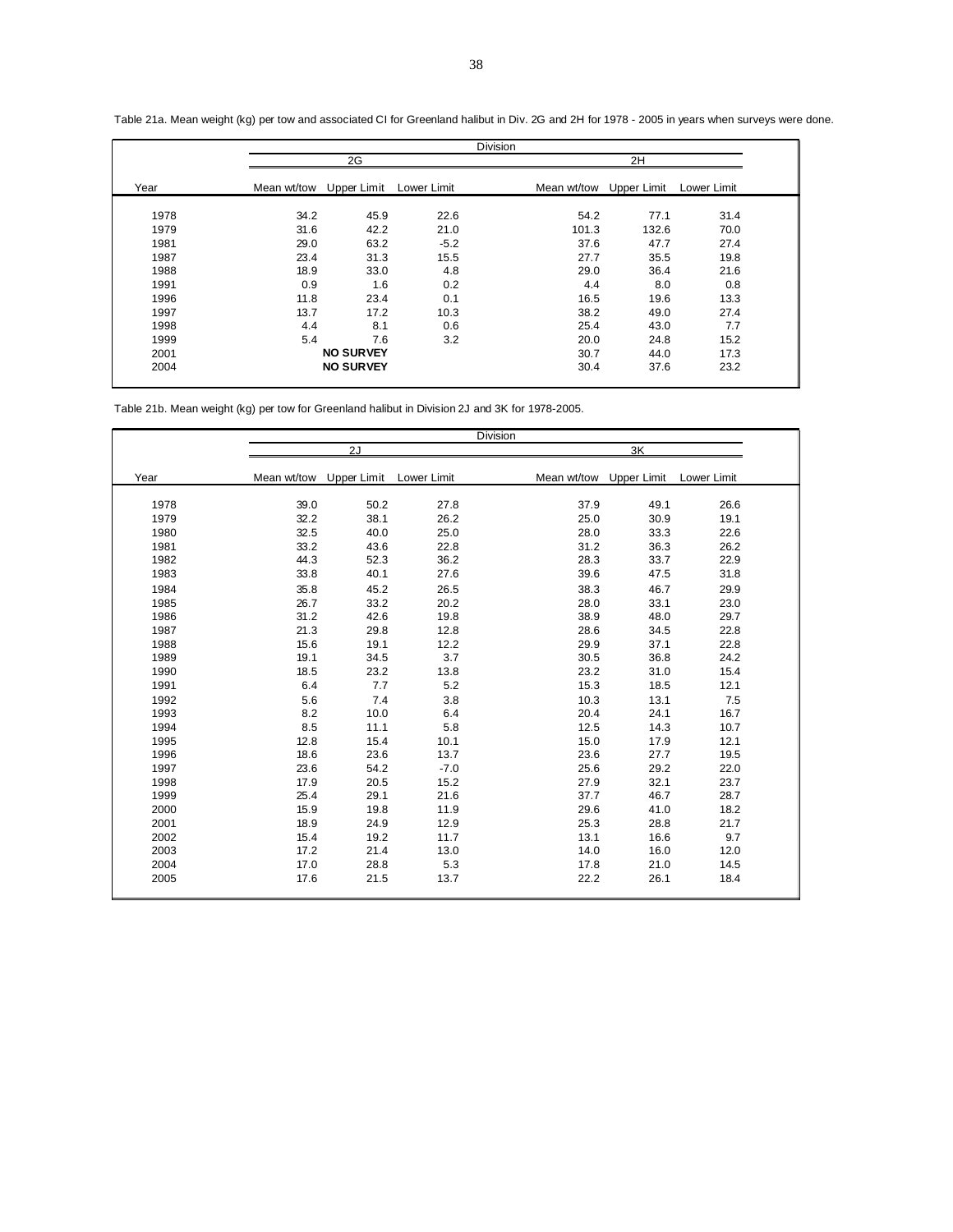|      |             |                  |             | <b>Division</b> |             |             |  |
|------|-------------|------------------|-------------|-----------------|-------------|-------------|--|
|      |             | 2G               |             |                 | 2H          |             |  |
| Year | Mean wt/tow | Upper Limit      | Lower Limit | Mean wt/tow     | Upper Limit | Lower Limit |  |
| 1978 | 34.2        | 45.9             | 22.6        | 54.2            | 77.1        | 31.4        |  |
| 1979 | 31.6        | 42.2             | 21.0        | 101.3           | 132.6       | 70.0        |  |
| 1981 | 29.0        | 63.2             | $-5.2$      | 37.6            | 47.7        | 27.4        |  |
| 1987 | 23.4        | 31.3             | 15.5        | 27.7            | 35.5        | 19.8        |  |
| 1988 | 18.9        | 33.0             | 4.8         | 29.0            | 36.4        | 21.6        |  |
| 1991 | 0.9         | 1.6              | 0.2         | 4.4             | 8.0         | 0.8         |  |
| 1996 | 11.8        | 23.4             | 0.1         | 16.5            | 19.6        | 13.3        |  |
| 1997 | 13.7        | 17.2             | 10.3        | 38.2            | 49.0        | 27.4        |  |
| 1998 | 4.4         | 8.1              | 0.6         | 25.4            | 43.0        | 7.7         |  |
| 1999 | 5.4         | 7.6              | 3.2         | 20.0            | 24.8        | 15.2        |  |
| 2001 |             | <b>NO SURVEY</b> |             | 30.7            | 44.0        | 17.3        |  |
| 2004 |             | <b>NO SURVEY</b> |             | 30.4            | 37.6        | 23.2        |  |

Table 21a. Mean weight (kg) per tow and associated CI for Greenland halibut in Div. 2G and 2H for 1978 - 2005 in years when surveys were done.

Table 21b. Mean weight (kg) per tow for Greenland halibut in Division 2J and 3K for 1978-2005.

|      |             |                         |        | Division |      |                         |             |  |
|------|-------------|-------------------------|--------|----------|------|-------------------------|-------------|--|
|      |             | 2J                      |        |          |      | 3K                      |             |  |
| Year | Mean wt/tow | Upper Limit Lower Limit |        |          |      | Mean wt/tow Upper Limit | Lower Limit |  |
|      |             |                         |        |          |      |                         |             |  |
| 1978 | 39.0        | 50.2                    | 27.8   |          | 37.9 | 49.1                    | 26.6        |  |
| 1979 | 32.2        | 38.1                    | 26.2   |          | 25.0 | 30.9                    | 19.1        |  |
| 1980 | 32.5        | 40.0                    | 25.0   |          | 28.0 | 33.3                    | 22.6        |  |
| 1981 | 33.2        | 43.6                    | 22.8   |          | 31.2 | 36.3                    | 26.2        |  |
| 1982 | 44.3        | 52.3                    | 36.2   |          | 28.3 | 33.7                    | 22.9        |  |
| 1983 | 33.8        | 40.1                    | 27.6   |          | 39.6 | 47.5                    | 31.8        |  |
| 1984 | 35.8        | 45.2                    | 26.5   |          | 38.3 | 46.7                    | 29.9        |  |
| 1985 | 26.7        | 33.2                    | 20.2   |          | 28.0 | 33.1                    | 23.0        |  |
| 1986 | 31.2        | 42.6                    | 19.8   |          | 38.9 | 48.0                    | 29.7        |  |
| 1987 | 21.3        | 29.8                    | 12.8   |          | 28.6 | 34.5                    | 22.8        |  |
| 1988 | 15.6        | 19.1                    | 12.2   |          | 29.9 | 37.1                    | 22.8        |  |
| 1989 | 19.1        | 34.5                    | 3.7    |          | 30.5 | 36.8                    | 24.2        |  |
| 1990 | 18.5        | 23.2                    | 13.8   |          | 23.2 | 31.0                    | 15.4        |  |
| 1991 | 6.4         | 7.7                     | 5.2    |          | 15.3 | 18.5                    | 12.1        |  |
| 1992 | 5.6         | 7.4                     | 3.8    |          | 10.3 | 13.1                    | 7.5         |  |
| 1993 | 8.2         | 10.0                    | 6.4    |          | 20.4 | 24.1                    | 16.7        |  |
| 1994 | 8.5         | 11.1                    | 5.8    |          | 12.5 | 14.3                    | 10.7        |  |
| 1995 | 12.8        | 15.4                    | 10.1   |          | 15.0 | 17.9                    | 12.1        |  |
| 1996 | 18.6        | 23.6                    | 13.7   |          | 23.6 | 27.7                    | 19.5        |  |
| 1997 | 23.6        | 54.2                    | $-7.0$ |          | 25.6 | 29.2                    | 22.0        |  |
| 1998 | 17.9        | 20.5                    | 15.2   |          | 27.9 | 32.1                    | 23.7        |  |
| 1999 | 25.4        | 29.1                    | 21.6   |          | 37.7 | 46.7                    | 28.7        |  |
| 2000 | 15.9        | 19.8                    | 11.9   |          | 29.6 | 41.0                    | 18.2        |  |
| 2001 | 18.9        | 24.9                    | 12.9   |          | 25.3 | 28.8                    | 21.7        |  |
| 2002 | 15.4        | 19.2                    | 11.7   |          | 13.1 | 16.6                    | 9.7         |  |
| 2003 | 17.2        | 21.4                    | 13.0   |          | 14.0 | 16.0                    | 12.0        |  |
| 2004 | 17.0        | 28.8                    | 5.3    |          | 17.8 | 21.0                    | 14.5        |  |
| 2005 | 17.6        | 21.5                    | 13.7   |          | 22.2 | 26.1                    | 18.4        |  |
|      |             |                         |        |          |      |                         |             |  |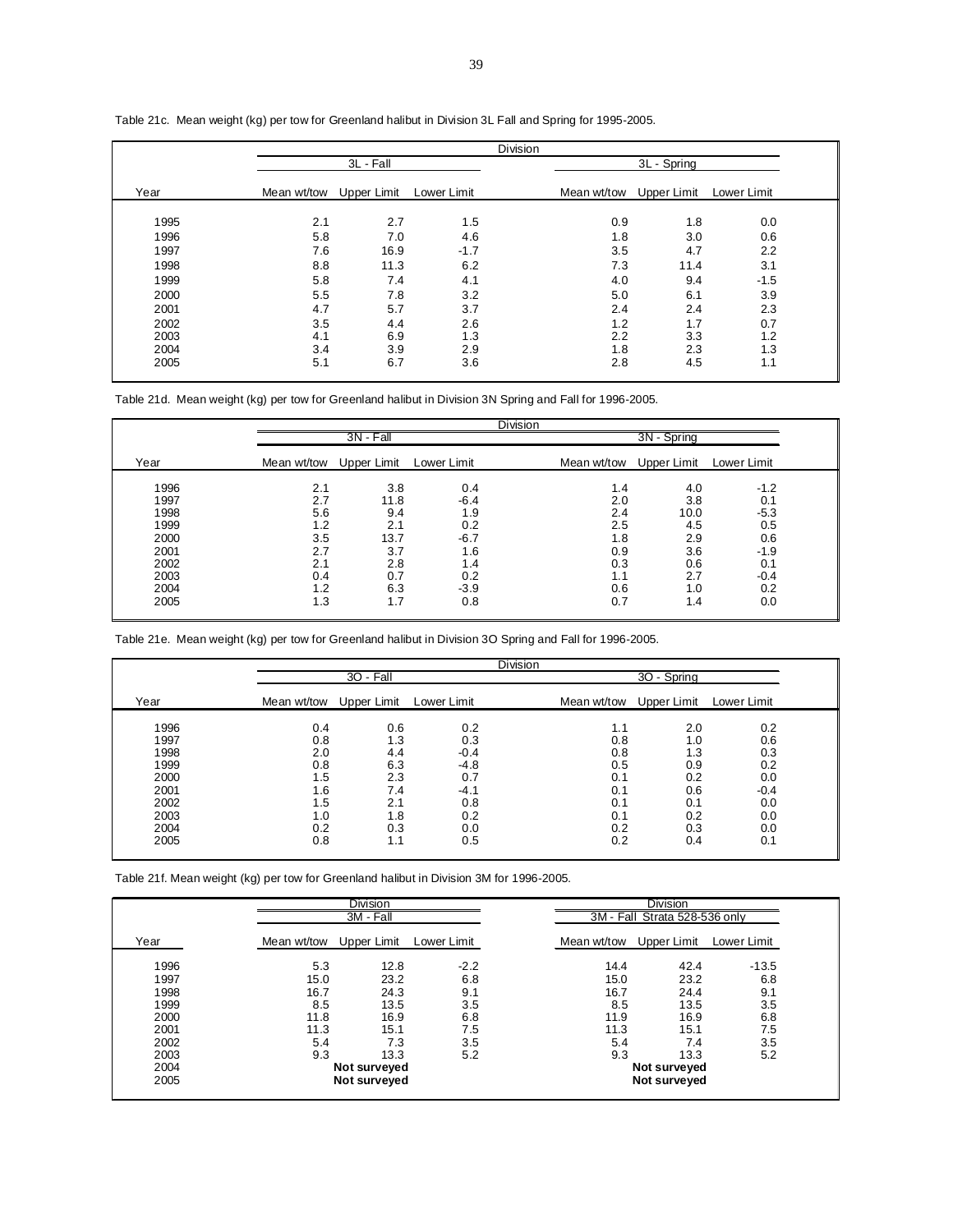|      |             |             |             | <b>Division</b> |             |             |             |  |
|------|-------------|-------------|-------------|-----------------|-------------|-------------|-------------|--|
|      |             | 3L - Fall   |             |                 |             | 3L - Spring |             |  |
| Year | Mean wt/tow | Upper Limit | Lower Limit |                 | Mean wt/tow | Upper Limit | Lower Limit |  |
| 1995 | 2.1         | 2.7         | 1.5         |                 | 0.9         | 1.8         | 0.0         |  |
| 1996 | 5.8         | 7.0         | 4.6         |                 | 1.8         | 3.0         | 0.6         |  |
| 1997 | 7.6         | 16.9        | $-1.7$      |                 | 3.5         | 4.7         | 2.2         |  |
| 1998 | 8.8         | 11.3        | 6.2         |                 | 7.3         | 11.4        | 3.1         |  |
| 1999 | 5.8         | 7.4         | 4.1         |                 | 4.0         | 9.4         | $-1.5$      |  |
| 2000 | 5.5         | 7.8         | 3.2         |                 | 5.0         | 6.1         | 3.9         |  |
| 2001 | 4.7         | 5.7         | 3.7         |                 | 2.4         | 2.4         | 2.3         |  |
| 2002 | 3.5         | 4.4         | 2.6         |                 | 1.2         | 1.7         | 0.7         |  |
| 2003 | 4.1         | 6.9         | 1.3         |                 | 2.2         | 3.3         | 1.2         |  |
| 2004 | 3.4         | 3.9         | 2.9         |                 | 1.8         | 2.3         | 1.3         |  |
| 2005 | 5.1         | 6.7         | 3.6         |                 | 2.8         | 4.5         | 1.1         |  |

Table 21c. Mean weight (kg) per tow for Greenland halibut in Division 3L Fall and Spring for 1995-2005.

Table 21d. Mean weight (kg) per tow for Greenland halibut in Division 3N Spring and Fall for 1996-2005.

|      |                         |             |             | <b>Division</b> |             |             |             |  |
|------|-------------------------|-------------|-------------|-----------------|-------------|-------------|-------------|--|
|      |                         | $3N - Fall$ |             |                 |             | 3N - Spring |             |  |
| Year | Mean wt/tow Upper Limit |             | Lower Limit |                 | Mean wt/tow | Upper Limit | Lower Limit |  |
| 1996 | 2.1                     | 3.8         | 0.4         |                 | 1.4         | 4.0         | $-1.2$      |  |
| 1997 | 2.7                     | 11.8        | $-6.4$      |                 | 2.0         | 3.8         | 0.1         |  |
| 1998 | 5.6                     | 9.4         | 1.9         |                 | 2.4         | 10.0        | $-5.3$      |  |
| 1999 | 1.2                     | 2.1         | 0.2         |                 | 2.5         | 4.5         | 0.5         |  |
| 2000 | 3.5                     | 13.7        | $-6.7$      |                 | 1.8         | 2.9         | 0.6         |  |
| 2001 | 2.7                     | 3.7         | 1.6         |                 | 0.9         | 3.6         | $-1.9$      |  |
| 2002 | 2.1                     | 2.8         | 1.4         |                 | 0.3         | 0.6         | 0.1         |  |
| 2003 | 0.4                     | 0.7         | 0.2         |                 | 1.1         | 2.7         | $-0.4$      |  |
| 2004 | 1.2                     | 6.3         | $-3.9$      |                 | 0.6         | 1.0         | 0.2         |  |
| 2005 | 1.3                     | 1.7         | 0.8         |                 | 0.7         | 1.4         | 0.0         |  |

Table 21e. Mean weight (kg) per tow for Greenland halibut in Division 3O Spring and Fall for 1996-2005.

|      |                         |           |             | <b>Division</b> |                         |             |             |  |
|------|-------------------------|-----------|-------------|-----------------|-------------------------|-------------|-------------|--|
|      |                         | 30 - Fall |             |                 |                         | 30 - Spring |             |  |
| Year | Mean wt/tow Upper Limit |           | Lower Limit |                 | Mean wt/tow Upper Limit |             | Lower Limit |  |
| 1996 | 0.4                     | 0.6       | 0.2         |                 | 1.1                     | 2.0         | 0.2         |  |
| 1997 | 0.8                     | 1.3       | 0.3         |                 | 0.8                     | 1.0         | 0.6         |  |
| 1998 | 2.0                     | 4.4       | $-0.4$      |                 | 0.8                     | 1.3         | 0.3         |  |
| 1999 | 0.8                     | 6.3       | $-4.8$      |                 | 0.5                     | 0.9         | 0.2         |  |
| 2000 | 1.5                     | 2.3       | 0.7         |                 | 0.1                     | 0.2         | 0.0         |  |
| 2001 | 1.6                     | 7.4       | $-4.1$      |                 | 0.1                     | 0.6         | $-0.4$      |  |
| 2002 | 1.5                     | 2.1       | 0.8         |                 | 0.1                     | 0.1         | 0.0         |  |
| 2003 | 1.0                     | 1.8       | 0.2         |                 | 0.1                     | 0.2         | 0.0         |  |
| 2004 | 0.2                     | 0.3       | 0.0         |                 | 0.2                     | 0.3         | 0.0         |  |
| 2005 | 0.8                     | 1.1       | 0.5         |                 | 0.2                     | 0.4         | 0.1         |  |

Table 21f. Mean weight (kg) per tow for Greenland halibut in Division 3M for 1996-2005.

|      |             | Division<br>3M - Fall |             |             | <b>Division</b><br>3M - Fall Strata 528-536 only |             |
|------|-------------|-----------------------|-------------|-------------|--------------------------------------------------|-------------|
| Year | Mean wt/tow | Upper Limit           | Lower Limit | Mean wt/tow | Upper Limit                                      | Lower Limit |
| 1996 | 5.3         | 12.8                  | $-2.2$      | 14.4        | 42.4                                             | $-13.5$     |
| 1997 | 15.0        | 23.2                  | 6.8         | 15.0        | 23.2                                             | 6.8         |
| 1998 | 16.7        | 24.3                  | 9.1         | 16.7        | 24.4                                             | 9.1         |
| 1999 | 8.5         | 13.5                  | 3.5         | 8.5         | 13.5                                             | 3.5         |
| 2000 | 11.8        | 16.9                  | 6.8         | 11.9        | 16.9                                             | 6.8         |
| 2001 | 11.3        | 15.1                  | 7.5         | 11.3        | 15.1                                             | 7.5         |
| 2002 | 5.4         | 7.3                   | 3.5         | 5.4         | 7.4                                              | 3.5         |
| 2003 | 9.3         | 13.3                  | 5.2         | 9.3         | 13.3                                             | 5.2         |
| 2004 |             | Not surveyed          |             |             | Not surveyed                                     |             |
| 2005 |             | Not surveyed          |             |             | Not surveyed                                     |             |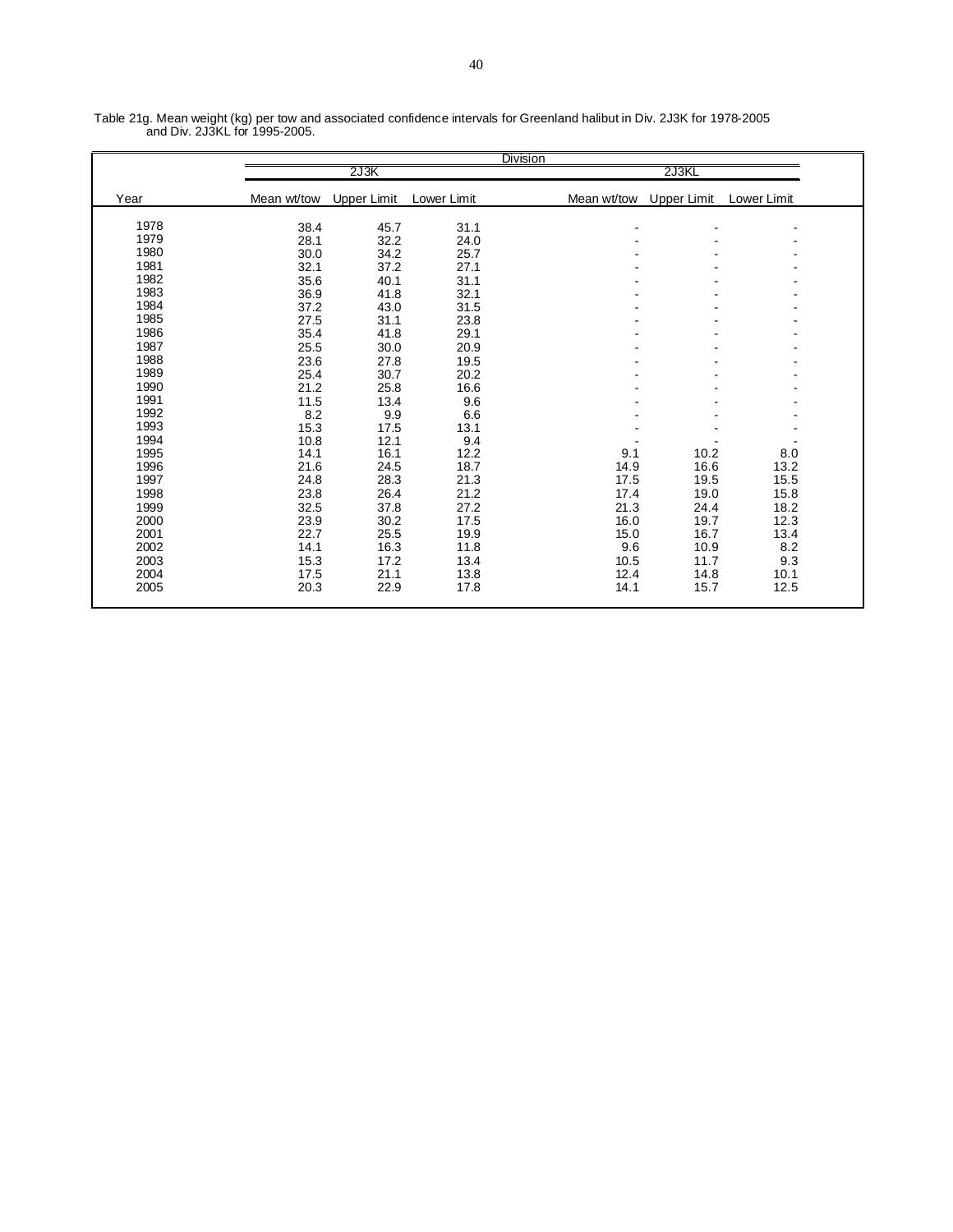|      |             |                    |             | <b>Division</b> |             |             |  |
|------|-------------|--------------------|-------------|-----------------|-------------|-------------|--|
|      |             | 2J3K               |             |                 | 2J3KL       |             |  |
| Year | Mean wt/tow | <b>Upper Limit</b> | Lower Limit | Mean wt/tow     | Upper Limit | Lower Limit |  |
| 1978 |             |                    |             |                 |             |             |  |
| 1979 | 38.4        | 45.7               | 31.1        |                 | -           |             |  |
| 1980 | 28.1        | 32.2               | 24.0        |                 |             |             |  |
|      | 30.0        | 34.2               | 25.7        |                 |             |             |  |
| 1981 | 32.1        | 37.2               | 27.1        |                 |             |             |  |
| 1982 | 35.6        | 40.1               | 31.1        |                 |             |             |  |
| 1983 | 36.9        | 41.8               | 32.1        |                 |             |             |  |
| 1984 | 37.2        | 43.0               | 31.5        |                 |             |             |  |
| 1985 | 27.5        | 31.1               | 23.8        |                 |             |             |  |
| 1986 | 35.4        | 41.8               | 29.1        |                 |             |             |  |
| 1987 | 25.5        | 30.0               | 20.9        |                 |             |             |  |
| 1988 | 23.6        | 27.8               | 19.5        |                 |             |             |  |
| 1989 | 25.4        | 30.7               | 20.2        |                 |             |             |  |
| 1990 | 21.2        | 25.8               | 16.6        |                 |             |             |  |
| 1991 | 11.5        | 13.4               | 9.6         |                 |             |             |  |
| 1992 | 8.2         | 9.9                | 6.6         |                 |             |             |  |
| 1993 | 15.3        | 17.5               | 13.1        |                 |             |             |  |
| 1994 | 10.8        | 12.1               | 9.4         |                 |             |             |  |
| 1995 | 14.1        | 16.1               | 12.2        | 9.1             | 10.2        | 8.0         |  |
| 1996 | 21.6        | 24.5               | 18.7        | 14.9            | 16.6        | 13.2        |  |
| 1997 | 24.8        | 28.3               | 21.3        | 17.5            | 19.5        | 15.5        |  |
| 1998 | 23.8        | 26.4               | 21.2        | 17.4            | 19.0        | 15.8        |  |
| 1999 | 32.5        | 37.8               | 27.2        | 21.3            | 24.4        | 18.2        |  |
| 2000 | 23.9        | 30.2               | 17.5        | 16.0            | 19.7        | 12.3        |  |
|      |             |                    |             |                 |             |             |  |
| 2001 | 22.7        | 25.5               | 19.9        | 15.0            | 16.7        | 13.4        |  |
| 2002 | 14.1        | 16.3               | 11.8        | 9.6             | 10.9        | 8.2         |  |
| 2003 | 15.3        | 17.2               | 13.4        | 10.5            | 11.7        | 9.3         |  |
| 2004 | 17.5        | 21.1               | 13.8        | 12.4            | 14.8        | 10.1        |  |
| 2005 | 20.3        | 22.9               | 17.8        | 14.1            | 15.7        | 12.5        |  |

Table 21g. Mean weight (kg) per tow and associated confidence intervals for Greenland halibut in Div. 2J3K for 1978-2005 and Div. 2J3KL for 1995-2005.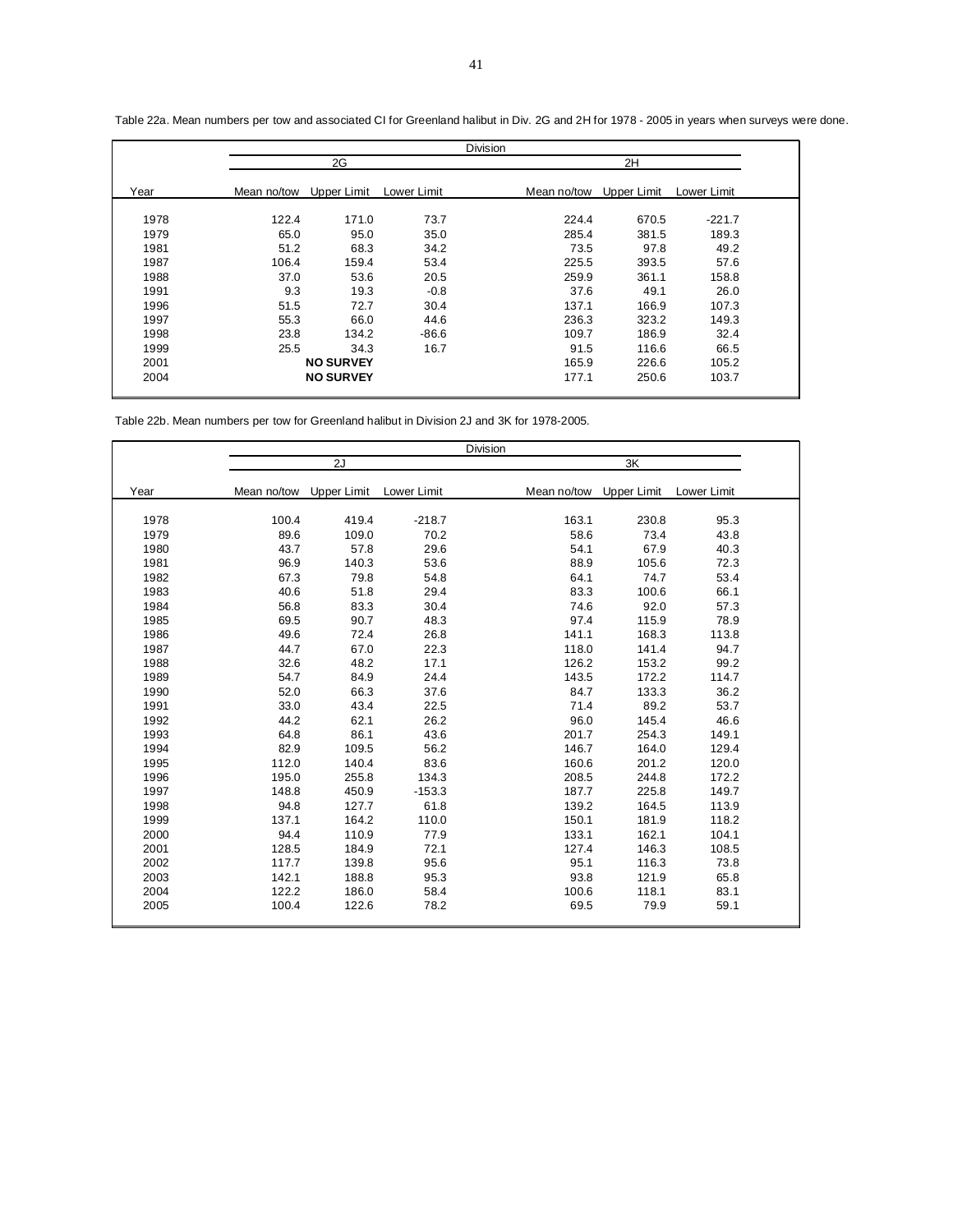|      |             |                  |             | <b>Division</b> |             |             |             |  |
|------|-------------|------------------|-------------|-----------------|-------------|-------------|-------------|--|
|      |             | 2G               |             |                 |             | 2H          |             |  |
| Year | Mean no/tow | Upper Limit      | Lower Limit |                 | Mean no/tow | Upper Limit | Lower Limit |  |
|      |             |                  |             |                 |             |             |             |  |
| 1978 | 122.4       | 171.0            | 73.7        |                 | 224.4       | 670.5       | $-221.7$    |  |
| 1979 | 65.0        | 95.0             | 35.0        |                 | 285.4       | 381.5       | 189.3       |  |
| 1981 | 51.2        | 68.3             | 34.2        |                 | 73.5        | 97.8        | 49.2        |  |
| 1987 | 106.4       | 159.4            | 53.4        |                 | 225.5       | 393.5       | 57.6        |  |
| 1988 | 37.0        | 53.6             | 20.5        |                 | 259.9       | 361.1       | 158.8       |  |
| 1991 | 9.3         | 19.3             | $-0.8$      |                 | 37.6        | 49.1        | 26.0        |  |
| 1996 | 51.5        | 72.7             | 30.4        |                 | 137.1       | 166.9       | 107.3       |  |
| 1997 | 55.3        | 66.0             | 44.6        |                 | 236.3       | 323.2       | 149.3       |  |
| 1998 | 23.8        | 134.2            | $-86.6$     |                 | 109.7       | 186.9       | 32.4        |  |
| 1999 | 25.5        | 34.3             | 16.7        |                 | 91.5        | 116.6       | 66.5        |  |
| 2001 |             | <b>NO SURVEY</b> |             |                 | 165.9       | 226.6       | 105.2       |  |
| 2004 |             | <b>NO SURVEY</b> |             |                 | 177.1       | 250.6       | 103.7       |  |

Table 22a. Mean numbers per tow and associated CI for Greenland halibut in Div. 2G and 2H for 1978 - 2005 in years when surveys were done.

Table 22b. Mean numbers per tow for Greenland halibut in Division 2J and 3K for 1978-2005.

|      |             |                    |             | Division    |       |                    |             |  |
|------|-------------|--------------------|-------------|-------------|-------|--------------------|-------------|--|
|      |             | 2J                 |             |             |       | 3K                 |             |  |
| Year | Mean no/tow | <b>Upper Limit</b> | Lower Limit | Mean no/tow |       | <b>Upper Limit</b> | Lower Limit |  |
| 1978 | 100.4       | 419.4              | $-218.7$    |             | 163.1 | 230.8              | 95.3        |  |
| 1979 | 89.6        | 109.0              | 70.2        |             | 58.6  | 73.4               | 43.8        |  |
| 1980 | 43.7        | 57.8               | 29.6        |             | 54.1  | 67.9               | 40.3        |  |
| 1981 | 96.9        | 140.3              | 53.6        |             | 88.9  | 105.6              | 72.3        |  |
| 1982 | 67.3        | 79.8               | 54.8        |             | 64.1  | 74.7               | 53.4        |  |
| 1983 | 40.6        | 51.8               | 29.4        |             | 83.3  | 100.6              | 66.1        |  |
| 1984 | 56.8        | 83.3               | 30.4        |             | 74.6  | 92.0               | 57.3        |  |
| 1985 | 69.5        | 90.7               | 48.3        |             | 97.4  | 115.9              | 78.9        |  |
| 1986 | 49.6        | 72.4               | 26.8        |             | 141.1 | 168.3              | 113.8       |  |
| 1987 | 44.7        | 67.0               | 22.3        |             | 118.0 | 141.4              | 94.7        |  |
| 1988 | 32.6        | 48.2               | 17.1        |             | 126.2 | 153.2              | 99.2        |  |
| 1989 | 54.7        | 84.9               | 24.4        |             | 143.5 | 172.2              | 114.7       |  |
| 1990 | 52.0        | 66.3               | 37.6        |             | 84.7  | 133.3              | 36.2        |  |
| 1991 | 33.0        | 43.4               | 22.5        |             | 71.4  | 89.2               | 53.7        |  |
| 1992 | 44.2        | 62.1               | 26.2        |             | 96.0  | 145.4              | 46.6        |  |
| 1993 | 64.8        | 86.1               | 43.6        |             | 201.7 | 254.3              | 149.1       |  |
| 1994 | 82.9        | 109.5              | 56.2        |             | 146.7 | 164.0              | 129.4       |  |
| 1995 | 112.0       | 140.4              | 83.6        |             | 160.6 | 201.2              | 120.0       |  |
| 1996 | 195.0       | 255.8              | 134.3       |             | 208.5 | 244.8              | 172.2       |  |
| 1997 | 148.8       | 450.9              | $-153.3$    |             | 187.7 | 225.8              | 149.7       |  |
| 1998 | 94.8        | 127.7              | 61.8        |             | 139.2 | 164.5              | 113.9       |  |
| 1999 | 137.1       | 164.2              | 110.0       |             | 150.1 | 181.9              | 118.2       |  |
| 2000 | 94.4        | 110.9              | 77.9        |             | 133.1 | 162.1              | 104.1       |  |
| 2001 | 128.5       | 184.9              | 72.1        |             | 127.4 | 146.3              | 108.5       |  |
| 2002 | 117.7       | 139.8              | 95.6        |             | 95.1  | 116.3              | 73.8        |  |
| 2003 | 142.1       | 188.8              | 95.3        |             | 93.8  | 121.9              | 65.8        |  |
| 2004 | 122.2       | 186.0              | 58.4        |             | 100.6 | 118.1              | 83.1        |  |
| 2005 | 100.4       | 122.6              | 78.2        |             | 69.5  | 79.9               | 59.1        |  |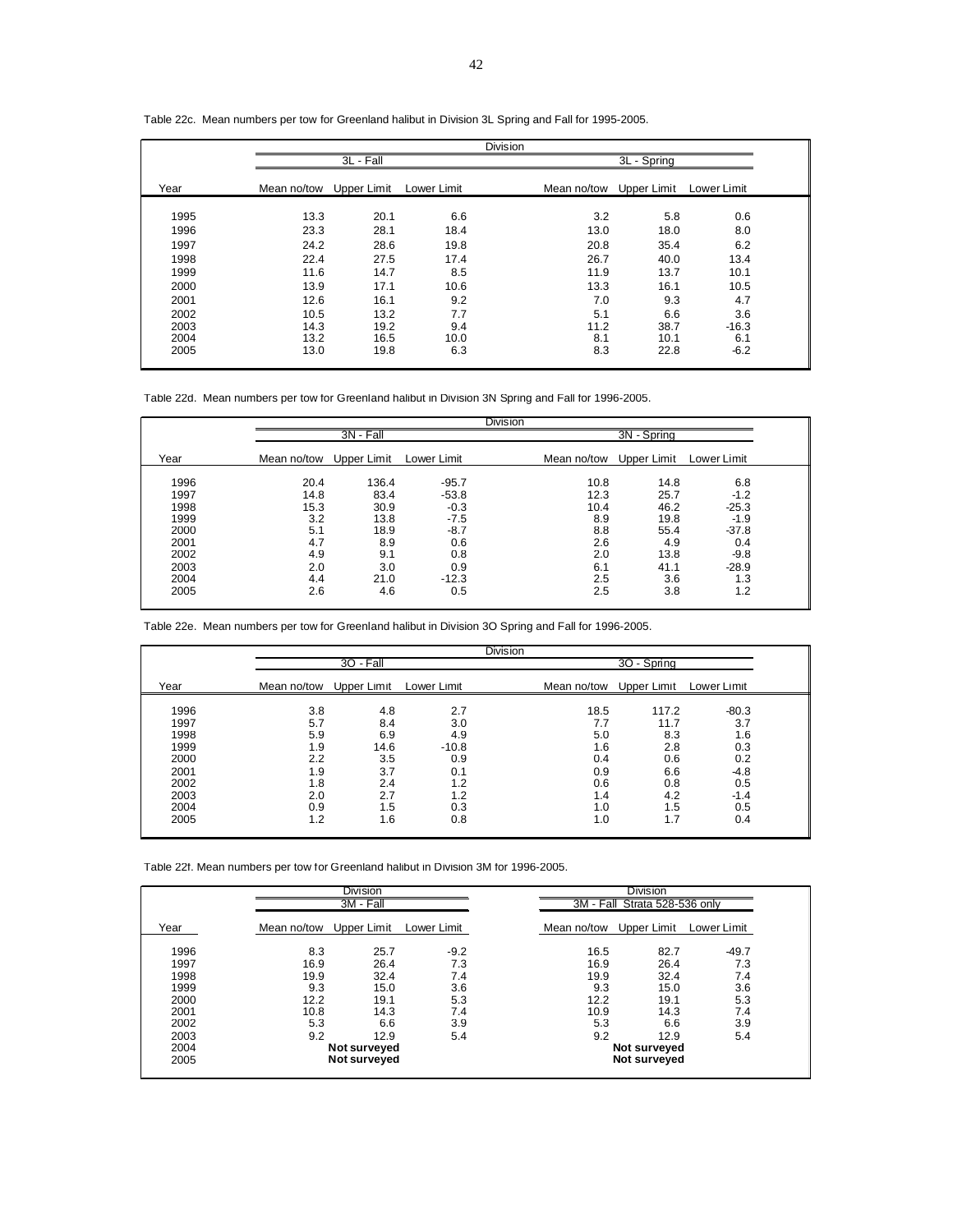|             |             |             | <b>Division</b> |             |             |  |
|-------------|-------------|-------------|-----------------|-------------|-------------|--|
|             | 3L - Fall   |             |                 | 3L - Spring |             |  |
| Mean no/tow | Upper Limit | Lower Limit |                 | Upper Limit | Lower Limit |  |
| 13.3        | 20.1        | 6.6         | 3.2             | 5.8         | 0.6         |  |
| 23.3        | 28.1        | 18.4        | 13.0            | 18.0        | 8.0         |  |
| 24.2        | 28.6        | 19.8        | 20.8            | 35.4        | 6.2         |  |
| 22.4        | 27.5        | 17.4        | 26.7            | 40.0        | 13.4        |  |
| 11.6        | 14.7        | 8.5         | 11.9            | 13.7        | 10.1        |  |
| 13.9        | 17.1        | 10.6        | 13.3            | 16.1        | 10.5        |  |
| 12.6        | 16.1        | 9.2         | 7.0             | 9.3         | 4.7         |  |
| 10.5        | 13.2        | 7.7         | 5.1             | 6.6         | 3.6         |  |
| 14.3        | 19.2        | 9.4         | 11.2            | 38.7        | $-16.3$     |  |
| 13.2        | 16.5        | 10.0        | 8.1             | 10.1        | 6.1         |  |
| 13.0        | 19.8        | 6.3         | 8.3             | 22.8        | $-6.2$      |  |
|             |             |             |                 |             | Mean no/tow |  |

Table 22c. Mean numbers per tow for Greenland halibut in Division 3L Spring and Fall for 1995-2005.

Table 22d. Mean numbers per tow for Greenland halibut in Division 3N Spring and Fall for 1996-2005.

|      |             |             |             | <b>Division</b> |             |             |  |
|------|-------------|-------------|-------------|-----------------|-------------|-------------|--|
|      |             | 3N - Fall   |             |                 | 3N - Spring |             |  |
| Year | Mean no/tow | Upper Limit | Lower Limit | Mean no/tow     | Upper Limit | Lower Limit |  |
| 1996 | 20.4        | 136.4       | $-95.7$     | 10.8            | 14.8        | 6.8         |  |
| 1997 | 14.8        | 83.4        | $-53.8$     | 12.3            | 25.7        | $-1.2$      |  |
| 1998 | 15.3        | 30.9        | $-0.3$      | 10.4            | 46.2        | $-25.3$     |  |
| 1999 | 3.2         | 13.8        | $-7.5$      | 8.9             | 19.8        | $-1.9$      |  |
| 2000 | 5.1         | 18.9        | $-8.7$      | 8.8             | 55.4        | $-37.8$     |  |
| 2001 | 4.7         | 8.9         | 0.6         | 2.6             | 4.9         | 0.4         |  |
| 2002 | 4.9         | 9.1         | 0.8         | 2.0             | 13.8        | $-9.8$      |  |
| 2003 | 2.0         | 3.0         | 0.9         | 6.1             | 41.1        | $-28.9$     |  |
| 2004 | 4.4         | 21.0        | $-12.3$     | 2.5             | 3.6         | 1.3         |  |
| 2005 | 2.6         | 4.6         | 0.5         | 2.5             | 3.8         | 1.2         |  |

|  |  | Table 22e. Mean numbers per tow for Greenland halibut in Division 3O Spring and Fall for 1996-2005. |  |  |
|--|--|-----------------------------------------------------------------------------------------------------|--|--|
|--|--|-----------------------------------------------------------------------------------------------------|--|--|

|      |             |             |             | <b>Division</b> |             |             |             |  |
|------|-------------|-------------|-------------|-----------------|-------------|-------------|-------------|--|
|      |             | $30 - Fall$ |             |                 |             | 3O - Spring |             |  |
| Year | Mean no/tow | Upper Limit | Lower Limit |                 | Mean no/tow | Upper Limit | Lower Limit |  |
| 1996 | 3.8         | 4.8         | 2.7         |                 | 18.5        | 117.2       | $-80.3$     |  |
| 1997 | 5.7         | 8.4         | 3.0         |                 | 7.7         | 11.7        | 3.7         |  |
| 1998 | 5.9         | 6.9         | 4.9         |                 | 5.0         | 8.3         | 1.6         |  |
| 1999 | 1.9         | 14.6        | $-10.8$     |                 | 1.6         | 2.8         | 0.3         |  |
| 2000 | 2.2         | 3.5         | 0.9         |                 | 0.4         | 0.6         | 0.2         |  |
| 2001 | 1.9         | 3.7         | 0.1         |                 | 0.9         | 6.6         | $-4.8$      |  |
| 2002 | 1.8         | 2.4         | 1.2         |                 | 0.6         | 0.8         | 0.5         |  |
| 2003 | 2.0         | 2.7         | 1.2         |                 | 1.4         | 4.2         | $-1.4$      |  |
| 2004 | 0.9         | 1.5         | 0.3         |                 | 1.0         | 1.5         | 0.5         |  |
| 2005 | 1.2         | 1.6         | 0.8         |                 | 1.0         | 1.7         | 0.4         |  |

Table 22f. Mean numbers per tow for Greenland halibut in Division 3M for 1996-2005.

|      |             | <b>Division</b><br>3M - Fall |             |             | <b>Division</b><br>3M - Fall Strata 528-536 only |             |  |
|------|-------------|------------------------------|-------------|-------------|--------------------------------------------------|-------------|--|
| Year | Mean no/tow | Upper Limit                  | Lower Limit | Mean no/tow | Upper Limit                                      | Lower Limit |  |
| 1996 | 8.3         | 25.7                         | $-9.2$      | 16.5        | 82.7                                             | $-49.7$     |  |
| 1997 | 16.9        | 26.4                         | 7.3         | 16.9        | 26.4                                             | 7.3         |  |
| 1998 | 19.9        | 32.4                         | 7.4         | 19.9        | 32.4                                             | 7.4         |  |
| 1999 | 9.3         | 15.0                         | 3.6         | 9.3         | 15.0                                             | 3.6         |  |
| 2000 | 12.2        | 19.1                         | 5.3         | 12.2        | 19.1                                             | 5.3         |  |
| 2001 | 10.8        | 14.3                         | 7.4         | 10.9        | 14.3                                             | 7.4         |  |
| 2002 | 5.3         | 6.6                          | 3.9         | 5.3         | 6.6                                              | 3.9         |  |
| 2003 | 9.2         | 12.9                         | 5.4         | 9.2         | 12.9                                             | 5.4         |  |
| 2004 |             | Not surveyed                 |             |             | Not surveyed                                     |             |  |
| 2005 |             | Not surveyed                 |             |             | Not surveyed                                     |             |  |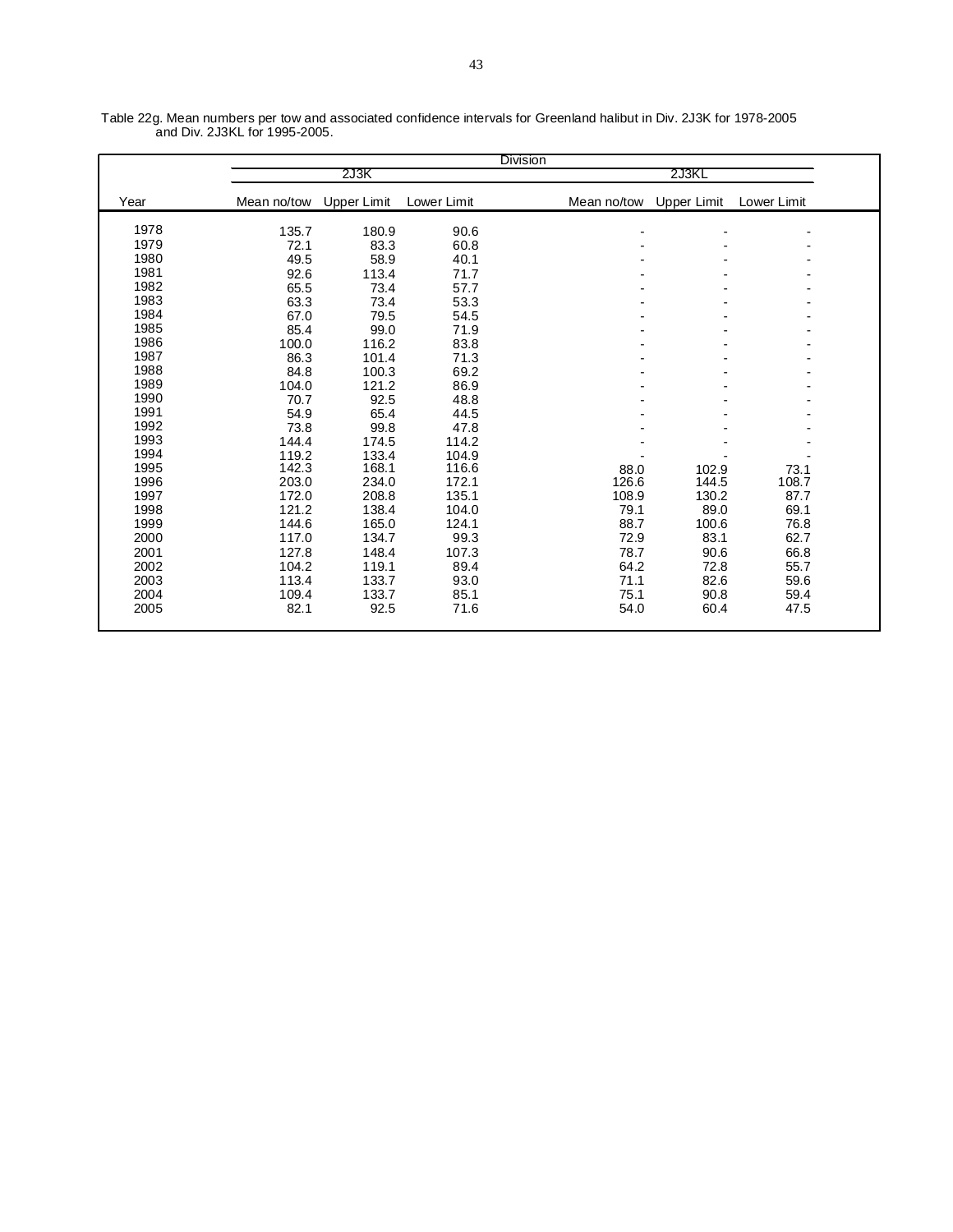|      |             |             |             | <b>Division</b> |                |                    |             |  |
|------|-------------|-------------|-------------|-----------------|----------------|--------------------|-------------|--|
|      |             | 2J3K        |             |                 |                | 2J3KL              |             |  |
| Year | Mean no/tow | Upper Limit | Lower Limit |                 | Mean no/tow    | <b>Upper Limit</b> | Lower Limit |  |
| 1978 | 135.7       | 180.9       | 90.6        |                 | $\blacksquare$ |                    |             |  |
| 1979 | 72.1        | 83.3        | 60.8        |                 |                |                    |             |  |
| 1980 | 49.5        | 58.9        | 40.1        |                 |                |                    |             |  |
| 1981 | 92.6        | 113.4       | 71.7        |                 |                |                    |             |  |
| 1982 | 65.5        | 73.4        | 57.7        |                 |                |                    |             |  |
| 1983 | 63.3        | 73.4        | 53.3        |                 |                |                    |             |  |
| 1984 | 67.0        | 79.5        | 54.5        |                 |                |                    |             |  |
| 1985 | 85.4        | 99.0        | 71.9        |                 |                |                    |             |  |
| 1986 | 100.0       | 116.2       | 83.8        |                 |                |                    |             |  |
| 1987 | 86.3        | 101.4       | 71.3        |                 |                |                    |             |  |
| 1988 | 84.8        | 100.3       | 69.2        |                 |                |                    |             |  |
| 1989 | 104.0       | 121.2       | 86.9        |                 |                |                    |             |  |
| 1990 | 70.7        | 92.5        | 48.8        |                 |                |                    |             |  |
| 1991 | 54.9        | 65.4        | 44.5        |                 |                |                    |             |  |
| 1992 | 73.8        | 99.8        | 47.8        |                 |                |                    |             |  |
| 1993 | 144.4       | 174.5       | 114.2       |                 |                |                    |             |  |
| 1994 | 119.2       | 133.4       | 104.9       |                 |                |                    |             |  |
| 1995 | 142.3       | 168.1       | 116.6       |                 | 88.0           | 102.9              | 73.1        |  |
| 1996 | 203.0       | 234.0       | 172.1       |                 | 126.6          | 144.5              | 108.7       |  |
| 1997 | 172.0       | 208.8       | 135.1       |                 | 108.9          | 130.2              | 87.7        |  |
| 1998 | 121.2       | 138.4       | 104.0       |                 | 79.1           | 89.0               | 69.1        |  |
| 1999 | 144.6       | 165.0       | 124.1       |                 | 88.7           | 100.6              | 76.8        |  |
| 2000 | 117.0       | 134.7       | 99.3        |                 | 72.9           | 83.1               | 62.7        |  |
| 2001 | 127.8       | 148.4       | 107.3       |                 | 78.7           | 90.6               | 66.8        |  |
| 2002 | 104.2       | 119.1       | 89.4        |                 | 64.2           | 72.8               | 55.7        |  |
| 2003 | 113.4       | 133.7       | 93.0        |                 | 71.1           | 82.6               | 59.6        |  |
| 2004 | 109.4       | 133.7       | 85.1        |                 | 75.1           | 90.8               | 59.4        |  |
| 2005 | 82.1        | 92.5        | 71.6        |                 | 54.0           | 60.4               | 47.5        |  |
|      |             |             |             |                 |                |                    |             |  |

Table 22g. Mean numbers per tow and associated confidence intervals for Greenland halibut in Div. 2J3K for 1978-2005 and Div. 2J3KL for 1995-2005.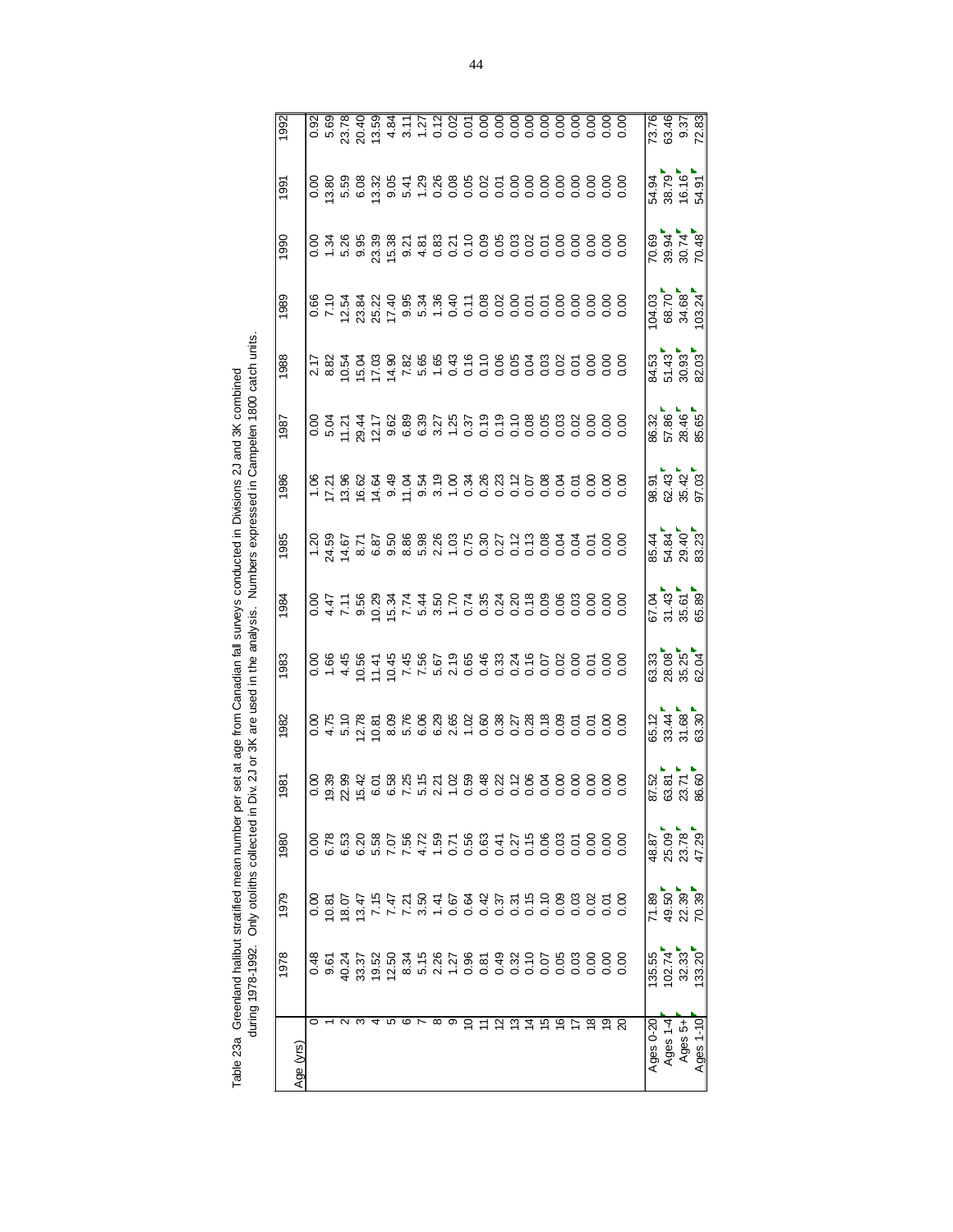Table 23a Greenland halibut stratified mean number per set at age from Canadian fall surveys conducted in Divisions 2J and 3K combined<br>during 1978-1992. Only otoliths collected in Div. 2J or 3K are used in the analysis. Nu during 1978-1992. Only otoliths collected in Div. 2J or 3K are used in the analysis. Numbers expressed in Campelen 1800 catch units. Table 23a Greenland halibut stratified mean number per set at age from Canadian fall surveys conducted in Divisions 2J and 3K combined

| 8<br>8 2 4 2<br>8 2 5 7<br>8 7 8 7<br>$\begin{array}{c} 4\ 7\ 8\ 4\ 8\ 9\ 1\ \end{array}$<br>67.4<br>57.45<br>65.89<br>65.89<br>ន <mark>្លាំ ខ្ញុំ ស្លាំ</mark><br>និង ខ្លួំ និង<br>65.12<br>33.44<br>31.68<br>63.30<br>ន<br>៩ នី ក្ដី<br>៩ ខី សី នី<br>48.87<br>25.09<br>23.78<br>32.33<br>135.55<br>102.74<br>ي<br>ڡۣ<br>≌<br>್ಲ ೪<br>∘<br>∾<br>ഇ<br>그<br>⊵<br>Ages 1-4<br>Ages 0-20<br>Ages 5+<br>Age (yrs) |           | 1978  | 1979  | 1980  | 1981 | 1982 | 1983 | 1984 | 1985 | 1986 | 1987                        | 1988                             | 1989                                                                                                                                                                                                                                                                                                | 1990                             | 1991                                                                                             |  |
|----------------------------------------------------------------------------------------------------------------------------------------------------------------------------------------------------------------------------------------------------------------------------------------------------------------------------------------------------------------------------------------------------------------|-----------|-------|-------|-------|------|------|------|------|------|------|-----------------------------|----------------------------------|-----------------------------------------------------------------------------------------------------------------------------------------------------------------------------------------------------------------------------------------------------------------------------------------------------|----------------------------------|--------------------------------------------------------------------------------------------------|--|
|                                                                                                                                                                                                                                                                                                                                                                                                                |           |       |       |       |      |      |      |      |      |      |                             |                                  |                                                                                                                                                                                                                                                                                                     |                                  |                                                                                                  |  |
|                                                                                                                                                                                                                                                                                                                                                                                                                |           |       |       |       |      |      |      |      |      |      |                             |                                  |                                                                                                                                                                                                                                                                                                     |                                  |                                                                                                  |  |
|                                                                                                                                                                                                                                                                                                                                                                                                                |           |       |       |       |      |      |      |      |      |      |                             |                                  |                                                                                                                                                                                                                                                                                                     |                                  |                                                                                                  |  |
|                                                                                                                                                                                                                                                                                                                                                                                                                |           |       |       |       |      |      |      |      |      |      |                             |                                  | $\begin{array}{l} 60.75 \pm 0.75 \\ 60.75 \pm 0.75 \\ 60.75 \pm 0.75 \\ 60.75 \pm 0.75 \\ 60.75 \pm 0.75 \\ 60.75 \pm 0.75 \\ 60.75 \pm 0.75 \\ 60.75 \pm 0.75 \\ 60.75 \pm 0.75 \\ 60.75 \pm 0.75 \\ 60.75 \pm 0.75 \\ 60.75 \pm 0.75 \\ 60.75 \pm 0.75 \\ 60.75 \pm 0.75 \\ 60.75 \pm 0.75 \\ 60$ |                                  |                                                                                                  |  |
|                                                                                                                                                                                                                                                                                                                                                                                                                |           |       |       |       |      |      |      |      |      |      |                             |                                  |                                                                                                                                                                                                                                                                                                     |                                  |                                                                                                  |  |
|                                                                                                                                                                                                                                                                                                                                                                                                                |           |       |       |       |      |      |      |      |      |      |                             |                                  |                                                                                                                                                                                                                                                                                                     |                                  |                                                                                                  |  |
|                                                                                                                                                                                                                                                                                                                                                                                                                |           |       |       |       |      |      |      |      |      |      |                             |                                  |                                                                                                                                                                                                                                                                                                     |                                  |                                                                                                  |  |
|                                                                                                                                                                                                                                                                                                                                                                                                                |           |       |       |       |      |      |      |      |      |      |                             |                                  |                                                                                                                                                                                                                                                                                                     |                                  |                                                                                                  |  |
|                                                                                                                                                                                                                                                                                                                                                                                                                |           |       |       |       |      |      |      |      |      |      |                             |                                  |                                                                                                                                                                                                                                                                                                     |                                  |                                                                                                  |  |
|                                                                                                                                                                                                                                                                                                                                                                                                                |           |       |       |       |      |      |      |      |      |      |                             |                                  |                                                                                                                                                                                                                                                                                                     |                                  |                                                                                                  |  |
|                                                                                                                                                                                                                                                                                                                                                                                                                |           |       |       |       |      |      |      |      |      |      |                             |                                  |                                                                                                                                                                                                                                                                                                     |                                  |                                                                                                  |  |
|                                                                                                                                                                                                                                                                                                                                                                                                                |           |       |       |       |      |      |      |      |      |      |                             |                                  |                                                                                                                                                                                                                                                                                                     |                                  |                                                                                                  |  |
|                                                                                                                                                                                                                                                                                                                                                                                                                |           |       |       |       |      |      |      |      |      |      |                             |                                  |                                                                                                                                                                                                                                                                                                     |                                  |                                                                                                  |  |
|                                                                                                                                                                                                                                                                                                                                                                                                                |           |       |       |       |      |      |      |      |      |      |                             |                                  |                                                                                                                                                                                                                                                                                                     |                                  |                                                                                                  |  |
|                                                                                                                                                                                                                                                                                                                                                                                                                |           |       |       |       |      |      |      |      |      |      |                             |                                  |                                                                                                                                                                                                                                                                                                     |                                  |                                                                                                  |  |
|                                                                                                                                                                                                                                                                                                                                                                                                                |           |       |       |       |      |      |      |      |      |      |                             |                                  |                                                                                                                                                                                                                                                                                                     |                                  |                                                                                                  |  |
|                                                                                                                                                                                                                                                                                                                                                                                                                |           |       |       |       |      |      |      |      |      |      |                             |                                  |                                                                                                                                                                                                                                                                                                     |                                  | 8 8 8 8 8 9 5 6 7 8 8 9 8 9 5 8 8 8 8 8 8 8 9<br>8 9 8 9 8 9 5 7 8 9 9 9 9 5 8 8 8 8 8 9 8 9 8 9 |  |
|                                                                                                                                                                                                                                                                                                                                                                                                                |           |       |       |       |      |      |      |      |      |      |                             |                                  |                                                                                                                                                                                                                                                                                                     |                                  |                                                                                                  |  |
|                                                                                                                                                                                                                                                                                                                                                                                                                |           |       |       |       |      |      |      |      |      |      |                             |                                  |                                                                                                                                                                                                                                                                                                     |                                  |                                                                                                  |  |
|                                                                                                                                                                                                                                                                                                                                                                                                                |           |       |       |       |      |      |      |      |      |      |                             |                                  |                                                                                                                                                                                                                                                                                                     |                                  |                                                                                                  |  |
|                                                                                                                                                                                                                                                                                                                                                                                                                |           |       |       |       |      |      |      |      |      |      |                             |                                  |                                                                                                                                                                                                                                                                                                     |                                  |                                                                                                  |  |
|                                                                                                                                                                                                                                                                                                                                                                                                                |           |       |       |       |      |      |      |      |      |      |                             |                                  |                                                                                                                                                                                                                                                                                                     |                                  |                                                                                                  |  |
|                                                                                                                                                                                                                                                                                                                                                                                                                |           |       |       |       |      |      |      |      |      |      |                             |                                  |                                                                                                                                                                                                                                                                                                     |                                  |                                                                                                  |  |
|                                                                                                                                                                                                                                                                                                                                                                                                                |           |       |       |       |      |      |      |      |      |      | 8<br>8 5 8 4 6<br>8 5 8 8 9 | 84.53<br>51.43<br>30.93<br>82.03 | $\begin{bmatrix} 04.03 \\ 68.70 \\ 34.68 \\ 103.24 \end{bmatrix}$                                                                                                                                                                                                                                   | 70.69<br>39.94<br>30.74<br>70.48 | $3.88887$                                                                                        |  |
|                                                                                                                                                                                                                                                                                                                                                                                                                |           |       |       |       |      |      |      |      |      |      |                             |                                  |                                                                                                                                                                                                                                                                                                     |                                  |                                                                                                  |  |
|                                                                                                                                                                                                                                                                                                                                                                                                                | Ages 1-10 | 33.20 | 70.39 | 47.29 |      |      |      |      |      |      |                             |                                  |                                                                                                                                                                                                                                                                                                     |                                  |                                                                                                  |  |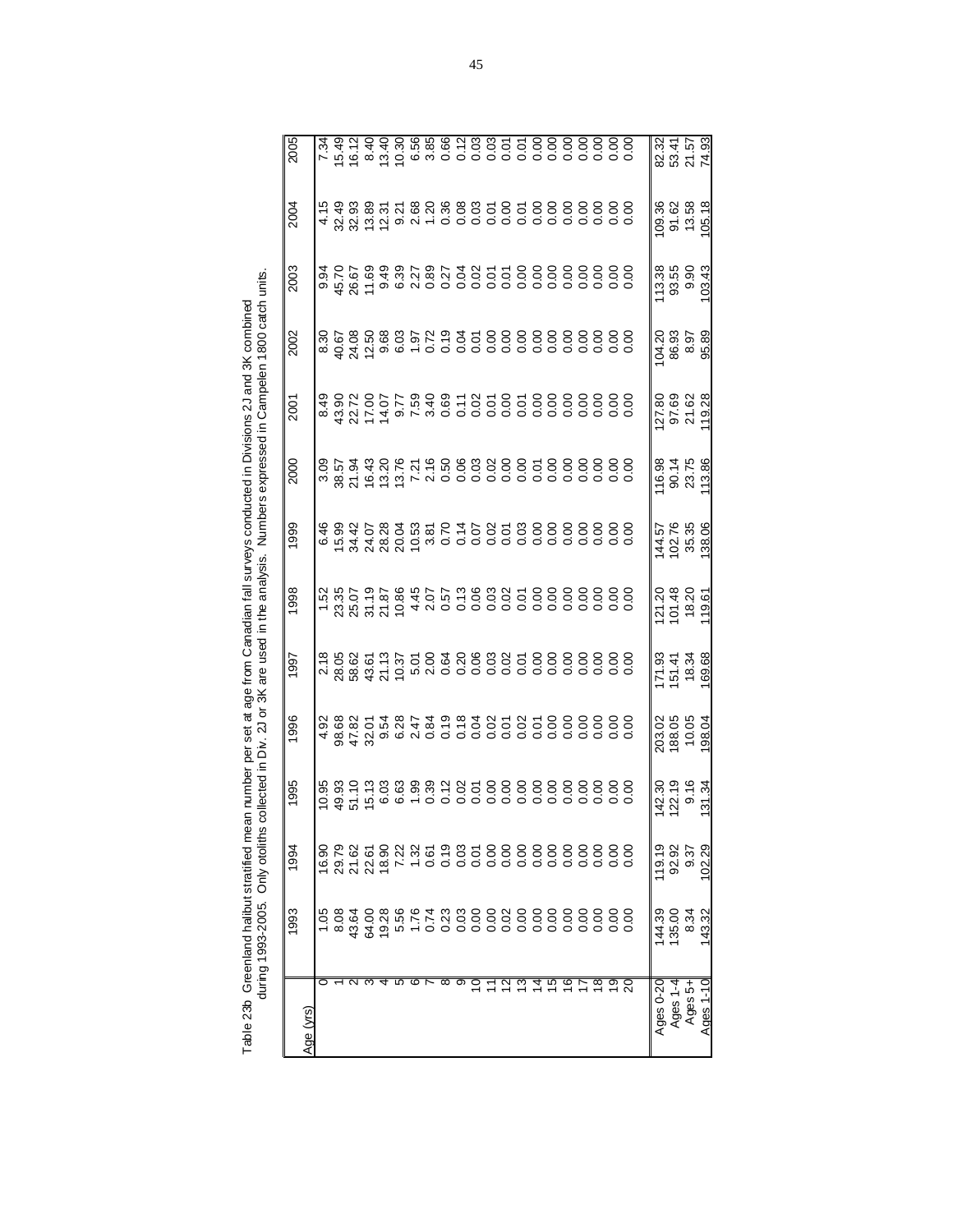|               | 1993   | 1994          | 1995                     | 1996                                  | 1997                                | 1998                                                                                                        | 1999                                                                                                                                     | 2000                                                                                                              | 2001                                | 2002                                                                                               | 2003                   | 2004                               | 2005                                                                                                                                                                                                                                                                                                                                                                                           |
|---------------|--------|---------------|--------------------------|---------------------------------------|-------------------------------------|-------------------------------------------------------------------------------------------------------------|------------------------------------------------------------------------------------------------------------------------------------------|-------------------------------------------------------------------------------------------------------------------|-------------------------------------|----------------------------------------------------------------------------------------------------|------------------------|------------------------------------|------------------------------------------------------------------------------------------------------------------------------------------------------------------------------------------------------------------------------------------------------------------------------------------------------------------------------------------------------------------------------------------------|
| Age (yrs)     |        |               |                          |                                       |                                     |                                                                                                             |                                                                                                                                          |                                                                                                                   |                                     |                                                                                                    |                        |                                    |                                                                                                                                                                                                                                                                                                                                                                                                |
|               |        |               |                          |                                       |                                     |                                                                                                             |                                                                                                                                          |                                                                                                                   |                                     |                                                                                                    |                        |                                    |                                                                                                                                                                                                                                                                                                                                                                                                |
|               |        |               |                          |                                       |                                     |                                                                                                             |                                                                                                                                          |                                                                                                                   |                                     |                                                                                                    |                        |                                    |                                                                                                                                                                                                                                                                                                                                                                                                |
|               |        |               |                          |                                       |                                     |                                                                                                             |                                                                                                                                          |                                                                                                                   |                                     |                                                                                                    |                        |                                    |                                                                                                                                                                                                                                                                                                                                                                                                |
|               |        |               |                          |                                       |                                     |                                                                                                             |                                                                                                                                          |                                                                                                                   |                                     |                                                                                                    |                        |                                    |                                                                                                                                                                                                                                                                                                                                                                                                |
|               |        |               |                          |                                       |                                     |                                                                                                             |                                                                                                                                          |                                                                                                                   |                                     |                                                                                                    |                        |                                    |                                                                                                                                                                                                                                                                                                                                                                                                |
|               |        |               |                          | 82<br>10788<br>10882<br>10882<br>1088 |                                     | r<br>1886 - 1886 - 1986 - 1987 - 1988 - 1989 - 1989<br>1988 - 1989 - 1989 - 1989 - 1989 - 1989 - 1989 - 198 | e<br>  មិន អូ ខ្លី អូ ឌូ ឌូ ឌូ ៩ ដូ ខូ ខូ ខូ ខូ ខូ ខូ ខូ ខូ ខូ ខូ ខូ<br>  មុ ឌូ អូ ខូ ឌូ ឌូ ឌូ ឌូ ៩ ដ ្ ខូ ខូ ខូ ខូ ខូ ខូ ខូ ខូ ខូ ខូ ខូ | <br> ខិដ្ឋ ទី អូន មួយ មាន ខ្លួន ខេត្ត ខេត្ត ខេត្ត ខេត្ត<br> តំនូង អូន មួយ មាន ខេត្ត ខេត្ត ខេត្ត ខេត្ត ខេត្ត ខេត្ត |                                     | ន<br>និ ៤ ឌី ៤ ឌី ៥ ៤ ២ ៤ ២ ១ ១ ១ ១ ១ ១ ១ ១ ១ ១ ១ ១<br>តំបូង ប្អូន ៥ ២ ០ ១ ០ ១ ០ ១ ០ ០ ០ ០ ០ ០ ០ ០ |                        |                                    | $\begin{array}{cccccccccc} \kappa & \bar{u} & \bar{u} & \bar{u} & \bar{u} & \bar{u} & \bar{u} & \bar{u} & \bar{u} & \bar{u} & \bar{u} & \bar{u} & \bar{u} & \bar{u} & \bar{u} & \bar{u} & \bar{u} & \bar{u} & \bar{u} & \bar{u} & \bar{u} & \bar{u} & \bar{u} & \bar{u} & \bar{u} & \bar{u} & \bar{u} & \bar{u} & \bar{u} & \bar{u} & \bar{u} & \bar{u} & \bar{u} & \bar{u} & \bar{u} & \bar{$ |
|               |        |               |                          |                                       |                                     |                                                                                                             |                                                                                                                                          |                                                                                                                   |                                     |                                                                                                    |                        |                                    |                                                                                                                                                                                                                                                                                                                                                                                                |
|               |        |               |                          |                                       |                                     |                                                                                                             |                                                                                                                                          |                                                                                                                   |                                     |                                                                                                    |                        |                                    |                                                                                                                                                                                                                                                                                                                                                                                                |
|               |        |               |                          |                                       |                                     |                                                                                                             |                                                                                                                                          |                                                                                                                   |                                     |                                                                                                    |                        |                                    |                                                                                                                                                                                                                                                                                                                                                                                                |
|               |        |               |                          |                                       |                                     |                                                                                                             |                                                                                                                                          |                                                                                                                   |                                     |                                                                                                    |                        |                                    |                                                                                                                                                                                                                                                                                                                                                                                                |
|               |        |               |                          |                                       |                                     |                                                                                                             |                                                                                                                                          |                                                                                                                   |                                     |                                                                                                    |                        |                                    |                                                                                                                                                                                                                                                                                                                                                                                                |
|               |        |               |                          |                                       |                                     |                                                                                                             |                                                                                                                                          |                                                                                                                   |                                     |                                                                                                    |                        |                                    |                                                                                                                                                                                                                                                                                                                                                                                                |
|               |        |               |                          |                                       |                                     |                                                                                                             |                                                                                                                                          |                                                                                                                   |                                     |                                                                                                    |                        |                                    |                                                                                                                                                                                                                                                                                                                                                                                                |
|               |        |               |                          |                                       |                                     |                                                                                                             |                                                                                                                                          |                                                                                                                   |                                     |                                                                                                    |                        |                                    |                                                                                                                                                                                                                                                                                                                                                                                                |
|               |        |               |                          |                                       |                                     |                                                                                                             |                                                                                                                                          |                                                                                                                   |                                     |                                                                                                    |                        |                                    |                                                                                                                                                                                                                                                                                                                                                                                                |
|               |        |               |                          |                                       |                                     |                                                                                                             |                                                                                                                                          |                                                                                                                   |                                     |                                                                                                    |                        |                                    |                                                                                                                                                                                                                                                                                                                                                                                                |
| ≌             |        |               |                          |                                       |                                     |                                                                                                             |                                                                                                                                          |                                                                                                                   |                                     |                                                                                                    |                        |                                    |                                                                                                                                                                                                                                                                                                                                                                                                |
|               |        |               |                          |                                       |                                     |                                                                                                             |                                                                                                                                          |                                                                                                                   |                                     |                                                                                                    |                        |                                    |                                                                                                                                                                                                                                                                                                                                                                                                |
| $\frac{8}{1}$ |        |               |                          |                                       |                                     |                                                                                                             |                                                                                                                                          |                                                                                                                   |                                     |                                                                                                    |                        |                                    |                                                                                                                                                                                                                                                                                                                                                                                                |
| ഇ             |        |               |                          |                                       |                                     |                                                                                                             |                                                                                                                                          |                                                                                                                   |                                     |                                                                                                    |                        |                                    |                                                                                                                                                                                                                                                                                                                                                                                                |
|               |        |               |                          |                                       |                                     |                                                                                                             |                                                                                                                                          |                                                                                                                   |                                     |                                                                                                    |                        |                                    |                                                                                                                                                                                                                                                                                                                                                                                                |
| Ages 0-20     | 144.39 | 119.19        |                          |                                       |                                     |                                                                                                             |                                                                                                                                          |                                                                                                                   |                                     |                                                                                                    |                        |                                    |                                                                                                                                                                                                                                                                                                                                                                                                |
|               |        |               |                          |                                       |                                     |                                                                                                             |                                                                                                                                          |                                                                                                                   |                                     |                                                                                                    |                        |                                    |                                                                                                                                                                                                                                                                                                                                                                                                |
| Ages 1-4      | 35.00  | 92.97<br>9.37 | 142.30<br>122.16<br>9.16 |                                       |                                     |                                                                                                             |                                                                                                                                          |                                                                                                                   |                                     |                                                                                                    | 13.36<br>93.50<br>9.90 |                                    |                                                                                                                                                                                                                                                                                                                                                                                                |
| Ages 5+       | 8.34   |               |                          | 203.02<br>188.05<br>10.05<br>198.04   | 171.93<br>151.41<br>18.34<br>169.68 | 21.20<br>16.48<br>18.20<br>19.61                                                                            | 44.57<br> 02.76<br> 35.35<br> 38.06                                                                                                      | 116.98<br>90.14<br>23.75<br>113.86                                                                                | 27.80<br> 97.62<br> 19.28<br> 19.28 | 20<br>86.97<br>88.89<br>88.89                                                                      |                        | 109.36<br>91.62<br>13.58<br>105.18 | 82.32<br>53.41<br>21.57<br>74.93                                                                                                                                                                                                                                                                                                                                                               |
| Ages 1-10     | 143.32 | 02.29         | 131.34                   |                                       |                                     |                                                                                                             |                                                                                                                                          |                                                                                                                   |                                     |                                                                                                    | 03.43                  |                                    |                                                                                                                                                                                                                                                                                                                                                                                                |

Table 23b Greenland halibut stratified mean number per set at age from Canadian fall surveys conducted in Divisions 2J and 3K combined<br>during 1993-2005. Only otoliths collected in Div. 2J or 3K are used in the analysis. Nu during 1993-2005. Only otoliths collected in Div. 2J or 3K are used in the analysis. Numbers expressed in Campelen 1800 catch units. Table 23b Greenland halibut stratified mean number per set at age from Canadian fall surveys conducted in Divisions 2J and 3K combined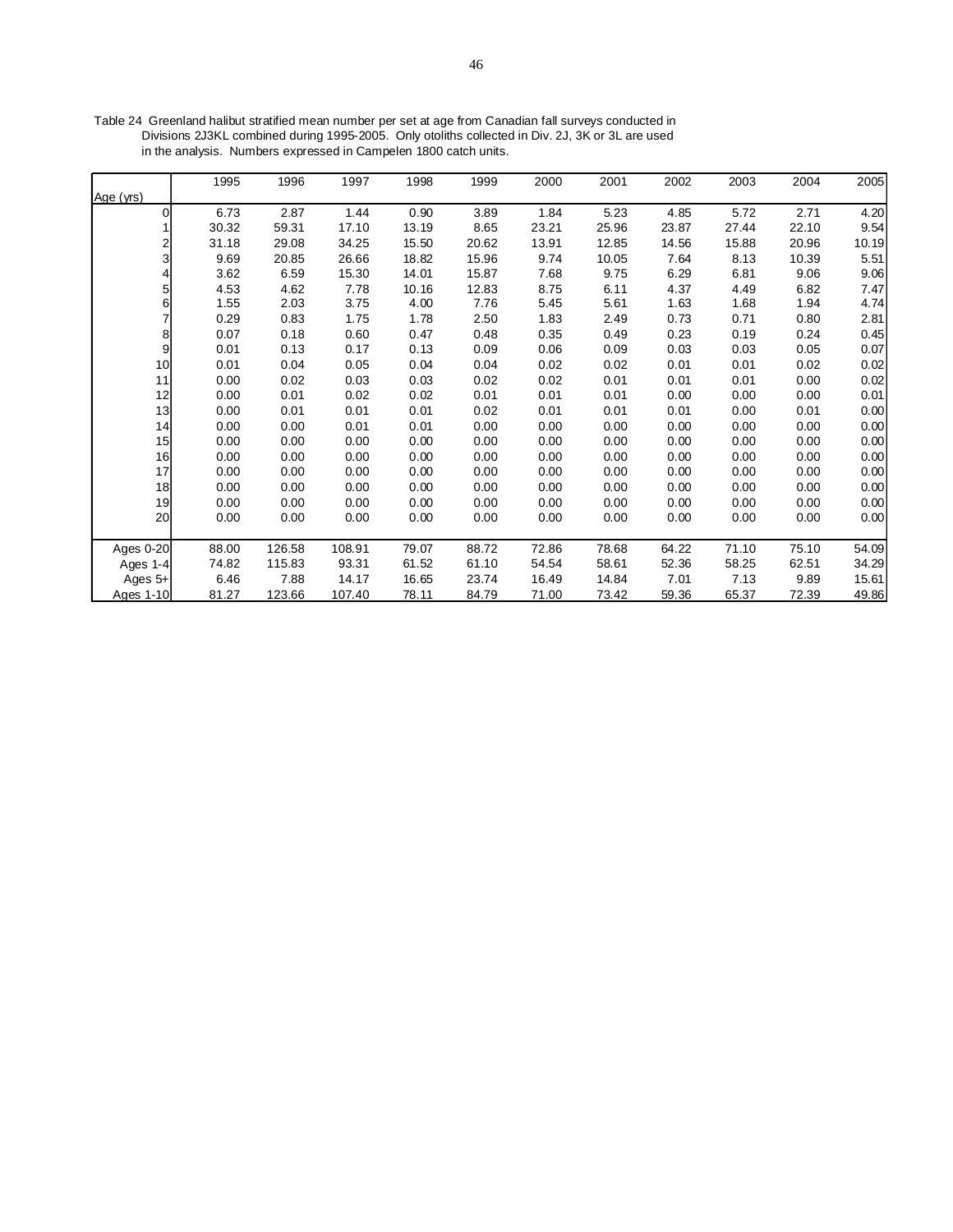Table 24 Greenland halibut stratified mean number per set at age from Canadian fall surveys conducted in Divisions 2J3KL combined during 1995-2005. Only otoliths collected in Div. 2J, 3K or 3L are used in the analysis. Numbers expressed in Campelen 1800 catch units.

|                | 1995  | 1996   | 1997   | 1998  | 1999  | 2000  | 2001  | 2002  | 2003  | 2004  | 2005  |
|----------------|-------|--------|--------|-------|-------|-------|-------|-------|-------|-------|-------|
| Age (yrs)      |       |        |        |       |       |       |       |       |       |       |       |
| 0              | 6.73  | 2.87   | 1.44   | 0.90  | 3.89  | 1.84  | 5.23  | 4.85  | 5.72  | 2.71  | 4.20  |
|                | 30.32 | 59.31  | 17.10  | 13.19 | 8.65  | 23.21 | 25.96 | 23.87 | 27.44 | 22.10 | 9.54  |
| 2              | 31.18 | 29.08  | 34.25  | 15.50 | 20.62 | 13.91 | 12.85 | 14.56 | 15.88 | 20.96 | 10.19 |
| 3              | 9.69  | 20.85  | 26.66  | 18.82 | 15.96 | 9.74  | 10.05 | 7.64  | 8.13  | 10.39 | 5.51  |
| 4              | 3.62  | 6.59   | 15.30  | 14.01 | 15.87 | 7.68  | 9.75  | 6.29  | 6.81  | 9.06  | 9.06  |
| $5\vert$       | 4.53  | 4.62   | 7.78   | 10.16 | 12.83 | 8.75  | 6.11  | 4.37  | 4.49  | 6.82  | 7.47  |
| 6              | 1.55  | 2.03   | 3.75   | 4.00  | 7.76  | 5.45  | 5.61  | 1.63  | 1.68  | 1.94  | 4.74  |
| 7              | 0.29  | 0.83   | 1.75   | 1.78  | 2.50  | 1.83  | 2.49  | 0.73  | 0.71  | 0.80  | 2.81  |
| 8 <sup>1</sup> | 0.07  | 0.18   | 0.60   | 0.47  | 0.48  | 0.35  | 0.49  | 0.23  | 0.19  | 0.24  | 0.45  |
| $\overline{9}$ | 0.01  | 0.13   | 0.17   | 0.13  | 0.09  | 0.06  | 0.09  | 0.03  | 0.03  | 0.05  | 0.07  |
| 10             | 0.01  | 0.04   | 0.05   | 0.04  | 0.04  | 0.02  | 0.02  | 0.01  | 0.01  | 0.02  | 0.02  |
| 11             | 0.00  | 0.02   | 0.03   | 0.03  | 0.02  | 0.02  | 0.01  | 0.01  | 0.01  | 0.00  | 0.02  |
| 12             | 0.00  | 0.01   | 0.02   | 0.02  | 0.01  | 0.01  | 0.01  | 0.00  | 0.00  | 0.00  | 0.01  |
| 13             | 0.00  | 0.01   | 0.01   | 0.01  | 0.02  | 0.01  | 0.01  | 0.01  | 0.00  | 0.01  | 0.00  |
| 14             | 0.00  | 0.00   | 0.01   | 0.01  | 0.00  | 0.00  | 0.00  | 0.00  | 0.00  | 0.00  | 0.00  |
| 15             | 0.00  | 0.00   | 0.00   | 0.00  | 0.00  | 0.00  | 0.00  | 0.00  | 0.00  | 0.00  | 0.00  |
| 16             | 0.00  | 0.00   | 0.00   | 0.00  | 0.00  | 0.00  | 0.00  | 0.00  | 0.00  | 0.00  | 0.00  |
| 17             | 0.00  | 0.00   | 0.00   | 0.00  | 0.00  | 0.00  | 0.00  | 0.00  | 0.00  | 0.00  | 0.00  |
| 18             | 0.00  | 0.00   | 0.00   | 0.00  | 0.00  | 0.00  | 0.00  | 0.00  | 0.00  | 0.00  | 0.00  |
| 19             | 0.00  | 0.00   | 0.00   | 0.00  | 0.00  | 0.00  | 0.00  | 0.00  | 0.00  | 0.00  | 0.00  |
| 20             | 0.00  | 0.00   | 0.00   | 0.00  | 0.00  | 0.00  | 0.00  | 0.00  | 0.00  | 0.00  | 0.00  |
|                |       |        |        |       |       |       |       |       |       |       |       |
| Ages 0-20      | 88.00 | 126.58 | 108.91 | 79.07 | 88.72 | 72.86 | 78.68 | 64.22 | 71.10 | 75.10 | 54.09 |
| Ages 1-4       | 74.82 | 115.83 | 93.31  | 61.52 | 61.10 | 54.54 | 58.61 | 52.36 | 58.25 | 62.51 | 34.29 |
| Ages $5+$      | 6.46  | 7.88   | 14.17  | 16.65 | 23.74 | 16.49 | 14.84 | 7.01  | 7.13  | 9.89  | 15.61 |
| Ages 1-10      | 81.27 | 123.66 | 107.40 | 78.11 | 84.79 | 71.00 | 73.42 | 59.36 | 65.37 | 72.39 | 49.86 |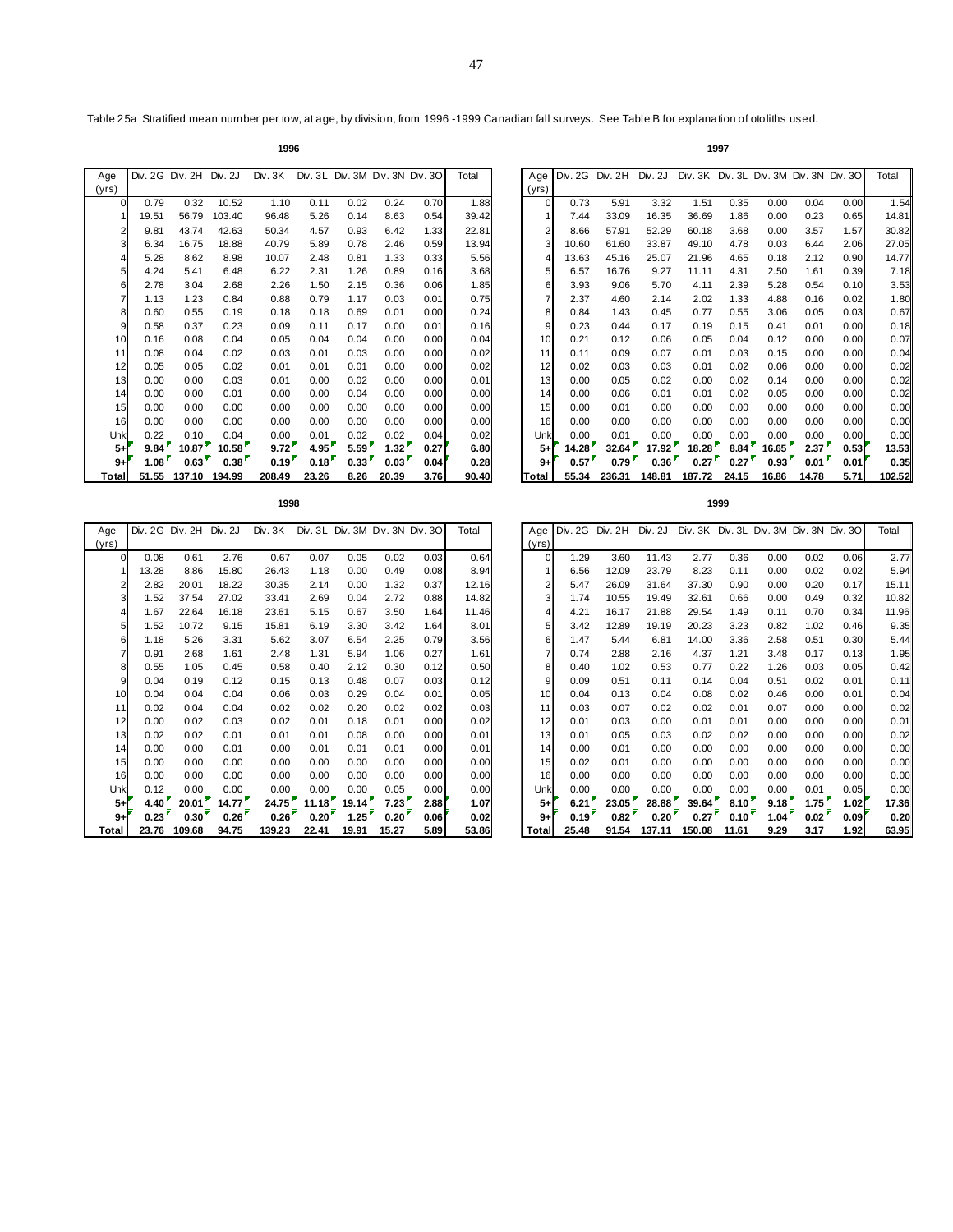**1998 1999**

Table 25a Stratified mean number per tow, at age, by division, from 1996 -1999 Canadian fall surveys. See Table B for explanation of otoliths used.

| 1996 | 1997<br>. |
|------|-----------|
|      |           |

| Age   |       | Div. 2G Div. 2H Div. 2J |        | Div. 3K |       | Div. 3L Div. 3M Div. 3N Div. 30 |       |      | Total | Age   |
|-------|-------|-------------------------|--------|---------|-------|---------------------------------|-------|------|-------|-------|
| (yrs) |       |                         |        |         |       |                                 |       |      |       | (yrs) |
| 0     | 0.79  | 0.32                    | 10.52  | 1.10    | 0.11  | 0.02                            | 0.24  | 0.70 | 1.88  |       |
|       | 19.51 | 56.79                   | 103.40 | 96.48   | 5.26  | 0.14                            | 8.63  | 0.54 | 39.42 |       |
| 2     | 9.81  | 43.74                   | 42.63  | 50.34   | 4.57  | 0.93                            | 6.42  | 1.33 | 22.81 |       |
| 3     | 6.34  | 16.75                   | 18.88  | 40.79   | 5.89  | 0.78                            | 2.46  | 0.59 | 13.94 |       |
| 4     | 5.28  | 8.62                    | 8.98   | 10.07   | 2.48  | 0.81                            | 1.33  | 0.33 | 5.56  |       |
| 5     | 4.24  | 5.41                    | 6.48   | 6.22    | 2.31  | 1.26                            | 0.89  | 0.16 | 3.68  |       |
| 6     | 2.78  | 3.04                    | 2.68   | 2.26    | 1.50  | 2.15                            | 0.36  | 0.06 | 1.85  |       |
| 7     | 1.13  | 1.23                    | 0.84   | 0.88    | 0.79  | 1.17                            | 0.03  | 0.01 | 0.75  |       |
| 8     | 0.60  | 0.55                    | 0.19   | 0.18    | 0.18  | 0.69                            | 0.01  | 0.00 | 0.24  |       |
| 9     | 0.58  | 0.37                    | 0.23   | 0.09    | 0.11  | 0.17                            | 0.00  | 0.01 | 0.16  |       |
| 10    | 0.16  | 0.08                    | 0.04   | 0.05    | 0.04  | 0.04                            | 0.00  | 0.00 | 0.04  | 10    |
| 11    | 0.08  | 0.04                    | 0.02   | 0.03    | 0.01  | 0.03                            | 0.00  | 0.00 | 0.02  | 11    |
| 12    | 0.05  | 0.05                    | 0.02   | 0.01    | 0.01  | 0.01                            | 0.00  | 0.00 | 0.02  | 12    |
| 13    | 0.00  | 0.00                    | 0.03   | 0.01    | 0.00  | 0.02                            | 0.00  | 0.00 | 0.01  | 13    |
| 14    | 0.00  | 0.00                    | 0.01   | 0.00    | 0.00  | 0.04                            | 0.00  | 0.00 | 0.00  | 14    |
| 15    | 0.00  | 0.00                    | 0.00   | 0.00    | 0.00  | 0.00                            | 0.00  | 0.00 | 0.00  | 15    |
| 16    | 0.00  | 0.00                    | 0.00   | 0.00    | 0.00  | 0.00                            | 0.00  | 0.00 | 0.00  | 16    |
| Unk   | 0.22  | 0.10                    | 0.04   | 0.00    | 0.01  | 0.02                            | 0.02  | 0.04 | 0.02  | Unl   |
| $5+$  | 9.84  | 10.87                   | 10.58  | 9.72    | 4.95  | 5.59                            | 1.32  | 0.27 | 6.80  | $5-$  |
| $9+$  | 1.08  | 0.63                    | 0.38   | 0.19    | 0.18  | 0.33                            | 0.03  | 0.04 | 0.28  | $9 -$ |
| Total | 51.55 | 137.10                  | 194.99 | 208.49  | 23.26 | 8.26                            | 20.39 | 3.76 | 90.40 | Total |

| Age      | Div. 2G Div. 2H Div. 2J |        |        | Div. 3K |       | Div. 3L Div. 3M Div. 3N Div. 3O |       |      | Total | Age             | Div. 2G Div. 2H |                | Div. 2J | Div. 3K Div. 3L Div. 3M Div. 3N Div. 3O |       |       |       |      | Total  |
|----------|-------------------------|--------|--------|---------|-------|---------------------------------|-------|------|-------|-----------------|-----------------|----------------|---------|-----------------------------------------|-------|-------|-------|------|--------|
| yrs)     |                         |        |        |         |       |                                 |       |      |       | (yrs)           |                 |                |         |                                         |       |       |       |      |        |
| $\Omega$ | 0.79                    | 0.32   | 10.52  | 1.10    | 0.11  | 0.02                            | 0.24  | 0.70 | 1.88  | $\Omega$        | 0.73            | 5.91           | 3.32    | 1.51                                    | 0.35  | 0.00  | 0.04  | 0.00 | 1.54   |
|          | 19.51                   | 56.79  | 103.40 | 96.48   | 5.26  | 0.14                            | 8.63  | 0.54 | 39.42 |                 | 7.44            | 33.09          | 16.35   | 36.69                                   | 1.86  | 0.00  | 0.23  | 0.65 | 14.81  |
|          | 9.81                    | 43.74  | 42.63  | 50.34   | 4.57  | 0.93                            | 6.42  | 1.33 | 22.81 |                 | 8.66            | 57.91          | 52.29   | 60.18                                   | 3.68  | 0.00  | 3.57  | 1.57 | 30.82  |
|          | 6.34                    | 16.75  | 18.88  | 40.79   | 5.89  | 0.78                            | 2.46  | 0.59 | 13.94 | 3               | 10.60           | 61.60          | 33.87   | 49.10                                   | 4.78  | 0.03  | 6.44  | 2.06 | 27.05  |
|          | 5.28                    | 8.62   | 8.98   | 10.07   | 2.48  | 0.81                            | 1.33  | 0.33 | 5.56  |                 | 13.63           | 45.16          | 25.07   | 21.96                                   | 4.65  | 0.18  | 2.12  | 0.90 | 14.77  |
|          | 4.24                    | 5.41   | 6.48   | 6.22    | 2.31  | 1.26                            | 0.89  | 0.16 | 3.68  | 5               | 6.57            | 16.76          | 9.27    | 11.11                                   | 4.31  | 2.50  | 1.61  | 0.39 | 7.18   |
|          | 2.78                    | 3.04   | 2.68   | 2.26    | 1.50  | 2.15                            | 0.36  | 0.06 | 1.85  | 6               | 3.93            | 9.06           | 5.70    | 4.11                                    | 2.39  | 5.28  | 0.54  | 0.10 | 3.53   |
|          | 1.13                    | 1.23   | 0.84   | 0.88    | 0.79  | 1.17                            | 0.03  | 0.01 | 0.75  | 7               | 2.37            | 4.60           | 2.14    | 2.02                                    | 1.33  | 4.88  | 0.16  | 0.02 | 1.80   |
|          | 0.60                    | 0.55   | 0.19   | 0.18    | 0.18  | 0.69                            | 0.01  | 0.00 | 0.24  | 8               | 0.84            | 1.43           | 0.45    | 0.77                                    | 0.55  | 3.06  | 0.05  | 0.03 | 0.67   |
|          | 0.58                    | 0.37   | 0.23   | 0.09    | 0.11  | 0.17                            | 0.00  | 0.01 | 0.16  | 9               | 0.23            | 0.44           | 0.17    | 0.19                                    | 0.15  | 0.41  | 0.01  | 0.00 | 0.18   |
| 10       | 0.16                    | 0.08   | 0.04   | 0.05    | 0.04  | 0.04                            | 0.00  | 0.00 | 0.04  | 10              | 0.21            | 0.12           | 0.06    | 0.05                                    | 0.04  | 0.12  | 0.00  | 0.00 | 0.07   |
| 11       | 0.08                    | 0.04   | 0.02   | 0.03    | 0.01  | 0.03                            | 0.00  | 0.00 | 0.02  | 11              | 0.11            | 0.09           | 0.07    | 0.01                                    | 0.03  | 0.15  | 0.00  | 0.00 | 0.04   |
| 12       | 0.05                    | 0.05   | 0.02   | 0.01    | 0.01  | 0.01                            | 0.00  | 0.00 | 0.02  | 12              | 0.02            | 0.03           | 0.03    | 0.01                                    | 0.02  | 0.06  | 0.00  | 0.00 | 0.02   |
| 13       | 0.00                    | 0.00   | 0.03   | 0.01    | 0.00  | 0.02                            | 0.00  | 0.00 | 0.01  | 13 <sup>l</sup> | 0.00            | 0.05           | 0.02    | 0.00                                    | 0.02  | 0.14  | 0.00  | 0.00 | 0.02   |
| 14       | 0.00                    | 0.00   | 0.01   | 0.00    | 0.00  | 0.04                            | 0.00  | 0.00 | 0.00  | 14              | 0.00            | 0.06           | 0.01    | 0.01                                    | 0.02  | 0.05  | 0.00  | 0.00 | 0.02   |
| 15       | 0.00                    | 0.00   | 0.00   | 0.00    | 0.00  | 0.00                            | 0.00  | 0.00 | 0.00  | 15              | 0.00            | 0.01           | 0.00    | 0.00                                    | 0.00  | 0.00  | 0.00  | 0.00 | 0.00   |
| 16       | 0.00                    | 0.00   | 0.00   | 0.00    | 0.00  | 0.00                            | 0.00  | 0.00 | 0.00  | 16              | 0.00            | 0.00           | 0.00    | 0.00                                    | 0.00  | 0.00  | 0.00  | 0.00 | 0.00   |
| Unk      | 0.22                    | 0.10   | 0.04   | 0.00    | 0.01  | 0.02                            | 0.02  | 0.04 | 0.02  | Unk             | 0.00            | 0.01           | 0.00    | 0.00                                    | 0.00  | 0.00  | 0.00  | 0.00 | 0.00   |
| $5+$     | 9.84                    | 10.87  | 10.58  | 9.72    | 4.95  | 5.59                            | 1.32  | 0.27 | 6.80  | $5+$            | 14.28           | 32.64          | 17.92   | 18.28                                   | 8.84  | 16.65 | 2.37  | 0.53 | 13.53  |
| $9+$     | $1.08^{\degree}$        | 0.63   | 0.38   | 0.19    | 0.18  | 0.33                            | 0.03  | 0.04 | 0.28  | $9+$            | 0.57            | $0.79^{\circ}$ | 0.36'   | 0.27                                    | 0.27  | 0.93  | 0.01  | 0.01 | 0.35   |
| Total    | 51.55                   | 137.10 | 194.99 | 208.49  | 23.26 | 8.26                            | 20.39 | 3.76 | 90.40 | Total           | 55.34           | 236.31         | 148.81  | 187.72                                  | 24.15 | 16.86 | 14.78 | 5.71 | 102.52 |

| Age   |       | Div. 2G Div. 2H Div. 2J |       | Div. 3K |       | Div. 3L Div. 3M Div. 3N Div. 3O |       |      | Total | Age            | Div. 2G Div. 2H |       | Div. 2J | Div. 3K Div. 3L Div. 3M Div. 3N Div. 3O |            |                   |                   |      | Total |
|-------|-------|-------------------------|-------|---------|-------|---------------------------------|-------|------|-------|----------------|-----------------|-------|---------|-----------------------------------------|------------|-------------------|-------------------|------|-------|
| (yrs) |       |                         |       |         |       |                                 |       |      |       | (yrs)          |                 |       |         |                                         |            |                   |                   |      |       |
| 0     | 0.08  | 0.61                    | 2.76  | 0.67    | 0.07  | 0.05                            | 0.02  | 0.03 | 0.64  | $\overline{0}$ | 1.29            | 3.60  | 11.43   | 2.77                                    | 0.36       | 0.00              | 0.02              | 0.06 | 2.77  |
|       | 13.28 | 8.86                    | 15.80 | 26.43   | 1.18  | 0.00                            | 0.49  | 0.08 | 8.94  |                | 6.56            | 12.09 | 23.79   | 8.23                                    | 0.11       | 0.00              | 0.02              | 0.02 | 5.94  |
|       | 2.82  | 20.01                   | 18.22 | 30.35   | 2.14  | 0.00                            | 1.32  | 0.37 | 12.16 | $\overline{2}$ | 5.47            | 26.09 | 31.64   | 37.30                                   | 0.90       | 0.00              | 0.20              | 0.17 | 15.11 |
|       | 1.52  | 37.54                   | 27.02 | 33.41   | 2.69  | 0.04                            | 2.72  | 0.88 | 14.82 | 3              | 1.74            | 10.55 | 19.49   | 32.61                                   | 0.66       | 0.00              | 0.49              | 0.32 | 10.82 |
|       | 1.67  | 22.64                   | 16.18 | 23.61   | 5.15  | 0.67                            | 3.50  | 1.64 | 11.46 |                | 4.21            | 16.17 | 21.88   | 29.54                                   | 1.49       | 0.11              | 0.70              | 0.34 | 11.96 |
|       | 1.52  | 10.72                   | 9.15  | 15.81   | 6.19  | 3.30                            | 3.42  | 1.64 | 8.01  | 5              | 3.42            | 12.89 | 19.19   | 20.23                                   | 3.23       | 0.82              | 1.02              | 0.46 | 9.35  |
| 6     | 1.18  | 5.26                    | 3.31  | 5.62    | 3.07  | 6.54                            | 2.25  | 0.79 | 3.56  | 6              | 1.47            | 5.44  | 6.81    | 14.00                                   | 3.36       | 2.58              | 0.51              | 0.30 | 5.44  |
|       | 0.91  | 2.68                    | 1.61  | 2.48    | 1.31  | 5.94                            | 1.06  | 0.27 | 1.61  |                | 0.74            | 2.88  | 2.16    | 4.37                                    | 1.21       | 3.48              | 0.17              | 0.13 | 1.95  |
| 8     | 0.55  | 1.05                    | 0.45  | 0.58    | 0.40  | 2.12                            | 0.30  | 0.12 | 0.50  | 8              | 0.40            | 1.02  | 0.53    | 0.77                                    | 0.22       | 1.26              | 0.03              | 0.05 | 0.42  |
| 9     | 0.04  | 0.19                    | 0.12  | 0.15    | 0.13  | 0.48                            | 0.07  | 0.03 | 0.12  |                | 0.09            | 0.51  | 0.11    | 0.14                                    | 0.04       | 0.51              | 0.02              | 0.01 | 0.11  |
| 10    | 0.04  | 0.04                    | 0.04  | 0.06    | 0.03  | 0.29                            | 0.04  | 0.01 | 0.05  | 10             | 0.04            | 0.13  | 0.04    | 0.08                                    | 0.02       | 0.46              | 0.00              | 0.01 | 0.04  |
| 11    | 0.02  | 0.04                    | 0.04  | 0.02    | 0.02  | 0.20                            | 0.02  | 0.02 | 0.03  | 11             | 0.03            | 0.07  | 0.02    | 0.02                                    | 0.01       | 0.07              | 0.00              | 0.00 | 0.02  |
| 12    | 0.00  | 0.02                    | 0.03  | 0.02    | 0.01  | 0.18                            | 0.01  | 0.00 | 0.02  | 12             | 0.01            | 0.03  | 0.00    | 0.01                                    | 0.01       | 0.00              | 0.00              | 0.00 | 0.01  |
| 13    | 0.02  | 0.02                    | 0.01  | 0.01    | 0.01  | 0.08                            | 0.00  | 0.00 | 0.01  | 13             | 0.01            | 0.05  | 0.03    | 0.02                                    | 0.02       | 0.00              | 0.00              | 0.00 | 0.02  |
| 14    | 0.00  | 0.00                    | 0.01  | 0.00    | 0.01  | 0.01                            | 0.01  | 0.00 | 0.01  | 14             | 0.00            | 0.01  | 0.00    | 0.00                                    | 0.00       | 0.00              | 0.00              | 0.00 | 0.00  |
| 15    | 0.00  | 0.00                    | 0.00  | 0.00    | 0.00  | 0.00                            | 0.00  | 0.00 | 0.00  | 15             | 0.02            | 0.01  | 0.00    | 0.00                                    | 0.00       | 0.00              | 0.00              | 0.00 | 0.00  |
| 16    | 0.00  | 0.00                    | 0.00  | 0.00    | 0.00  | 0.00                            | 0.00  | 0.00 | 0.00  | 16             | 0.00            | 0.00  | 0.00    | 0.00                                    | 0.00       | 0.00              | 0.00              | 0.00 | 0.00  |
| Unk   | 0.12  | 0.00                    | 0.00  | 0.00    | 0.00  | 0.00                            | 0.05  | 0.00 | 0.00  | Unk            | 0.00            | 0.00  | 0.00    | 0.00                                    | 0.00       | 0.00              | 0.01              | 0.05 | 0.00  |
| $5+$  | 4.40  | 20.01                   | 14.77 | 24.75   | 11.18 | 19.14                           | 7.23  | 2.88 | 1.07  | $5+$           | 6.21            | 23.05 | 28.88   | 39.64                                   | $8.10^{*}$ | 9.18 <sup>2</sup> | 1.75 <sup>r</sup> | 1.02 | 17.36 |
| $9+$  | 0.23  | 0.30                    | 0.26  | 0.26    | 0.20  | 1.25                            | 0.20  | 0.06 | 0.02  | $9+$           | 0.19'           | 0.82  | 0.20    | 0.27                                    | 0.10       | 1.04              | 0.02              | 0.09 | 0.20  |
| Total | 23.76 | 109.68                  | 94.75 | 139.23  | 22.41 | 19.91                           | 15.27 | 5.89 | 53.86 | Total          | 25.48           | 91.54 | 137.11  | 150.08                                  | 11.61      | 9.29              | 3.17              | 1.92 | 63.95 |

| e              |       | Div. 2G Div. 2H Div. 2J |       | Div. 3K |       |       | Div. 3L Div. 3M Div. 3N Div. 3O |        | Total |                 |                | Age Div. 2G Div. 2H Div. 2J |        | Div. 3K Div. 3L Div. 3M Div. 3N Div. 3O |                |                   |      |      | Total |
|----------------|-------|-------------------------|-------|---------|-------|-------|---------------------------------|--------|-------|-----------------|----------------|-----------------------------|--------|-----------------------------------------|----------------|-------------------|------|------|-------|
| s)             |       |                         |       |         |       |       |                                 |        |       | (yrs)l          |                |                             |        |                                         |                |                   |      |      |       |
| $\Omega$       | 0.08  | 0.61                    | 2.76  | 0.67    | 0.07  | 0.05  | 0.02                            | 0.03   | 0.64  | $\Omega$        | 1.29           | 3.60                        | 11.43  | 2.77                                    | 0.36           | 0.00              | 0.02 | 0.06 | 2.77  |
|                | 13.28 | 8.86                    | 15.80 | 26.43   | 1.18  | 0.00  | 0.49                            | 0.08   | 8.94  |                 | 6.56           | 12.09                       | 23.79  | 8.23                                    | 0.11           | 0.00              | 0.02 | 0.02 | 5.94  |
|                | 2.82  | 20.01                   | 18.22 | 30.35   | 2.14  | 0.00  | 1.32                            | 0.37   | 12.16 |                 | 5.47           | 26.09                       | 31.64  | 37.30                                   | 0.90           | 0.00              | 0.20 | 0.17 | 15.11 |
| 3              | 1.52  | 37.54                   | 27.02 | 33.41   | 2.69  | 0.04  | 2.72                            | 0.88   | 14.82 |                 | 1.74           | 10.55                       | 19.49  | 32.61                                   | 0.66           | 0.00              | 0.49 | 0.32 | 10.82 |
|                | 1.67  | 22.64                   | 16.18 | 23.61   | 5.15  | 0.67  | 3.50                            | 1.64   | 11.46 |                 | 4.21           | 16.17                       | 21.88  | 29.54                                   | 1.49           | 0.11              | 0.70 | 0.34 | 11.96 |
| 5 <sub>l</sub> | 1.52  | 10.72                   | 9.15  | 15.81   | 6.19  | 3.30  | 3.42                            | 1.64   | 8.01  |                 | 3.42           | 12.89                       | 19.19  | 20.23                                   | 3.23           | 0.82              | 1.02 | 0.46 | 9.35  |
| 6              | 1.18  | 5.26                    | 3.31  | 5.62    | 3.07  | 6.54  | 2.25                            | 0.79   | 3.56  | 6               | 1.47           | 5.44                        | 6.81   | 14.00                                   | 3.36           | 2.58              | 0.51 | 0.30 | 5.44  |
|                | 0.91  | 2.68                    | 1.61  | 2.48    | 1.31  | 5.94  | 1.06                            | 0.27   | 1.61  |                 | 0.74           | 2.88                        | 2.16   | 4.37                                    | 1.21           | 3.48              | 0.17 | 0.13 | 1.95  |
| 8              | 0.55  | 1.05                    | 0.45  | 0.58    | 0.40  | 2.12  | 0.30                            | 0.12   | 0.50  | 8               | 0.40           | 1.02                        | 0.53   | 0.77                                    | 0.22           | 1.26              | 0.03 | 0.05 | 0.42  |
| 9              | 0.04  | 0.19                    | 0.12  | 0.15    | 0.13  | 0.48  | 0.07                            | 0.03   | 0.12  | 9               | 0.09           | 0.51                        | 0.11   | 0.14                                    | 0.04           | 0.51              | 0.02 | 0.01 | 0.11  |
| 10             | 0.04  | 0.04                    | 0.04  | 0.06    | 0.03  | 0.29  | 0.04                            | 0.01   | 0.05  | 10              | 0.04           | 0.13                        | 0.04   | 0.08                                    | 0.02           | 0.46              | 0.00 | 0.01 | 0.04  |
| 11             | 0.02  | 0.04                    | 0.04  | 0.02    | 0.02  | 0.20  | 0.02                            | 0.02   | 0.03  | 11              | 0.03           | 0.07                        | 0.02   | 0.02                                    | 0.01           | 0.07              | 0.00 | 0.00 | 0.02  |
| 12             | 0.00  | 0.02                    | 0.03  | 0.02    | 0.01  | 0.18  | 0.01                            | 0.00   | 0.02  | 12              | 0.01           | 0.03                        | 0.00   | 0.01                                    | 0.01           | 0.00              | 0.00 | 0.00 | 0.01  |
| 13             | 0.02  | 0.02                    | 0.01  | 0.01    | 0.01  | 0.08  | 0.00                            | 0.00   | 0.01  | 13 <sub>l</sub> | 0.01           | 0.05                        | 0.03   | 0.02                                    | 0.02           | 0.00              | 0.00 | 0.00 | 0.02  |
| 14             | 0.00  | 0.00                    | 0.01  | 0.00    | 0.01  | 0.01  | 0.01                            | 0.00   | 0.01  | 14              | 0.00           | 0.01                        | 0.00   | 0.00                                    | 0.00           | 0.00              | 0.00 | 0.00 | 0.00  |
| 15             | 0.00  | 0.00                    | 0.00  | 0.00    | 0.00  | 0.00  | 0.00                            | 0.00   | 0.00  | 15 <sup>1</sup> | 0.02           | 0.01                        | 0.00   | 0.00                                    | 0.00           | 0.00              | 0.00 | 0.00 | 0.00  |
| 16             | 0.00  | 0.00                    | 0.00  | 0.00    | 0.00  | 0.00  | 0.00                            | 0.00   | 0.00  | 16              | 0.00           | 0.00                        | 0.00   | 0.00                                    | 0.00           | 0.00              | 0.00 | 0.00 | 0.00  |
| Unkl           | 0.12  | 0.00                    | 0.00  | 0.00    | 0.00  | 0.00  | 0.05                            | 0.00   | 0.00  | Unk             | 0.00           | 0.00                        | 0.00   | 0.00                                    | 0.00           | 0.00              | 0.01 | 0.05 | 0.00  |
| $5+$           | 4.40' | 20.01                   | 14.77 | 24.75   | 11.18 | 19.14 | 7.23                            | 2.88   | 1.07  | $5+$            | 6.21           | 23.05                       | 28.88  | 39.64                                   | 8.10           | 9.18 <sup>7</sup> | 1.75 | 1.02 | 17.36 |
| $9+$           | 0.23  | 0.30                    | 0.26  | 0.26    | 0.20  | 1.25  | 0.20                            | 0.06   | 0.02  | $9+$            | $0.19^{\circ}$ | 0.82                        | 0.20   | 0.27                                    | $0.10^{\circ}$ | 1.04              | 0.02 | 0.09 | 0.20  |
| ≀tal l         | 23.76 | 109.68                  | 94.75 | 139.23  | 22.41 | 19.91 | 15.27                           | 5.89 l | 53.86 | Total           | 25.48          | 91.54                       | 137.11 | 150.08                                  | 11.61          | 9.29              | 3.17 | 1.92 | 63.95 |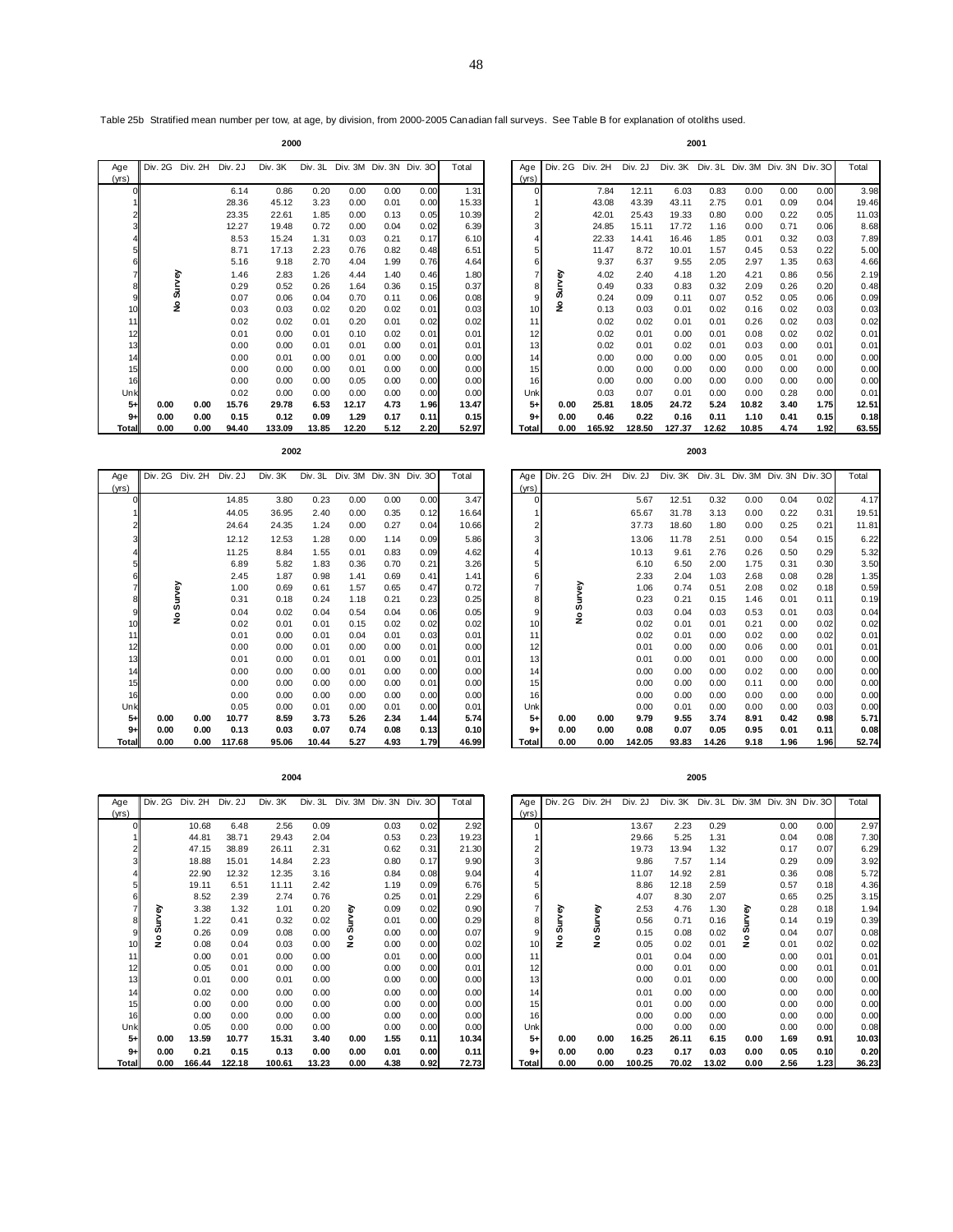Table 25b Stratified mean number per tow, at age, by division, from 2000-2005 Canadian fall surveys. See Table B for explanation of otoliths used.

**2000 2001**

| Age   | Div. 2G | Div. 2H | Div. 2J | Div. 3K | Div. 3L |       |      | Div. 3M Div. 3N Div. 3O | Total | Age      | <b>Div. 2G</b> | Div. 2H | Div. 2J |        |       |       |      | Div. 3K Div. 3L Div. 3M Div. 3N Div. 3O | Total    |
|-------|---------|---------|---------|---------|---------|-------|------|-------------------------|-------|----------|----------------|---------|---------|--------|-------|-------|------|-----------------------------------------|----------|
| (vrs) |         |         |         |         |         |       |      |                         |       | (yrs)    |                |         |         |        |       |       |      |                                         |          |
|       |         |         | 6.14    | 0.86    | 0.20    | 0.00  | 0.00 | 0.00                    | 1.31  | $\Omega$ |                | 7.84    | 12.11   | 6.03   | 0.83  | 0.00  | 0.00 | 0.00                                    | 3        |
|       |         |         | 28.36   | 45.12   | 3.23    | 0.00  | 0.01 | 0.00                    | 15.33 |          |                | 43.08   | 43.39   | 43.11  | 2.75  | 0.01  | 0.09 | 0.04                                    | 19       |
|       |         |         | 23.35   | 22.61   | 1.85    | 0.00  | 0.13 | 0.05                    | 10.39 |          |                | 42.01   | 25.43   | 19.33  | 0.80  | 0.00  | 0.22 | 0.05                                    | 11       |
|       |         |         | 12.27   | 19.48   | 0.72    | 0.00  | 0.04 | 0.02                    | 6.39  |          |                | 24.85   | 15.11   | 17.72  | 1.16  | 0.00  | 0.71 | 0.06                                    | 8        |
|       |         |         | 8.53    | 15.24   | 1.31    | 0.03  | 0.21 | 0.17                    | 6.10  |          |                | 22.33   | 14.41   | 16.46  | 1.85  | 0.01  | 0.32 | 0.03                                    | 7        |
|       |         |         | 8.71    | 17.13   | 2.23    | 0.76  | 0.82 | 0.48                    | 6.51  | 5        |                | 11.47   | 8.72    | 10.01  | 1.57  | 0.45  | 0.53 | 0.22                                    | 5        |
|       |         |         | 5.16    | 9.18    | 2.70    | 4.04  | 1.99 | 0.76                    | 4.64  | 6        |                | 9.37    | 6.37    | 9.55   | 2.05  | 2.97  | 1.35 | 0.63                                    | 4        |
|       |         | ৯       | 1.46    | 2.83    | 1.26    | 4.44  | 1.40 | 0.46                    | 1.80  |          | ⋧              | 4.02    | 2.40    | 4.18   | 1.20  | 4.21  | 0.86 | 0.56                                    | 2        |
|       |         |         | 0.29    | 0.52    | 0.26    | 1.64  | 0.36 | 0.15                    | 0.37  | 8        |                | 0.49    | 0.33    | 0.83   | 0.32  | 2.09  | 0.26 | 0.20                                    | 0        |
|       | д,      |         | 0.07    | 0.06    | 0.04    | 0.70  | 0.11 | 0.06                    | 0.08  |          |                | 0.24    | 0.09    | 0.11   | 0.07  | 0.52  | 0.05 | 0.06                                    | 0        |
|       |         | ş       | 0.03    | 0.03    | 0.02    | 0.20  | 0.02 | 0.01                    | 0.03  | 10       | ۽              | 0.13    | 0.03    | 0.01   | 0.02  | 0.16  | 0.02 | 0.03                                    | 0        |
|       |         |         | 0.02    | 0.02    | 0.01    | 0.20  | 0.01 | 0.02                    | 0.02  | 11       |                | 0.02    | 0.02    | 0.01   | 0.01  | 0.26  | 0.02 | 0.03                                    | $\Omega$ |
|       |         |         | 0.01    | 0.00    | 0.01    | 0.10  | 0.02 | 0.01                    | 0.01  | 12       |                | 0.02    | 0.01    | 0.00   | 0.01  | 0.08  | 0.02 | 0.02                                    | 0        |
|       |         |         | 0.00    | 0.00    | 0.01    | 0.01  | 0.00 | 0.01                    | 0.01  | 13       |                | 0.02    | 0.01    | 0.02   | 0.01  | 0.03  | 0.00 | 0.01                                    | 0        |
| 14    |         |         | 0.00    | 0.01    | 0.00    | 0.01  | 0.00 | 0.00                    | 0.00  | 14       |                | 0.00    | 0.00    | 0.00   | 0.00  | 0.05  | 0.01 | 0.00                                    | 0        |
| 15    |         |         | 0.00    | 0.00    | 0.00    | 0.01  | 0.00 | 0.00                    | 0.00  | 15       |                | 0.00    | 0.00    | 0.00   | 0.00  | 0.00  | 0.00 | 0.00                                    | 0        |
| 16    |         |         | 0.00    | 0.00    | 0.00    | 0.05  | 0.00 | 0.00                    | 0.00  | 16       |                | 0.00    | 0.00    | 0.00   | 0.00  | 0.00  | 0.00 | 0.00                                    | 0        |
| Unk   |         |         | 0.02    | 0.00    | 0.00    | 0.00  | 0.00 | 0.00                    | 0.00  | Unk      |                | 0.03    | 0.07    | 0.01   | 0.00  | 0.00  | 0.28 | 0.00                                    | 0        |
| $5+$  | 0.00    | 0.00    | 15.76   | 29.78   | 6.53    | 12.17 | 4.73 | 1.96                    | 13.47 | $5+$     | 0.00           | 25.81   | 18.05   | 24.72  | 5.24  | 10.82 | 3.40 | 1.75                                    | 12       |
| $9+$  | 0.00    | 0.00    | 0.15    | 0.12    | 0.09    | 1.29  | 0.17 | 0.11                    | 0.15  | $9+$     | 0.00           | 0.46    | 0.22    | 0.16   | 0.11  | 1.10  | 0.41 | 0.15                                    | 0        |
| Total | 0.00    | 0.00    | 94.40   | 133.09  | 13.85   | 12.20 | 5.12 | 2.20                    | 52.97 | Total    | 0.00           | 165.92  | 128.50  | 127.37 | 12.62 | 10.85 | 4.74 | 1.92                                    | 63       |

| qe    | Div. 2G | Div. 2H | Div. 2J | Div. 3K | Div. 3L | Div. 3M |      | Div. 3N Div. 3O | Total | Age            | <b>Div. 2G</b> | Div. 2H | Div. 2J | Div. 3K Div. 3L Div. 3M Div. 3N Div. 3O |       |       |      |      | Total |
|-------|---------|---------|---------|---------|---------|---------|------|-----------------|-------|----------------|----------------|---------|---------|-----------------------------------------|-------|-------|------|------|-------|
| rs)   |         |         |         |         |         |         |      |                 |       | (vrs)          |                |         |         |                                         |       |       |      |      |       |
|       |         |         | 6.14    | 0.86    | 0.20    | 0.00    | 0.00 | 0.00            | 1.31  |                |                | 7.84    | 12.11   | 6.03                                    | 0.83  | 0.00  | 0.00 | 0.00 | 3.98  |
|       |         |         | 28.36   | 45.12   | 3.23    | 0.00    | 0.01 | 0.00            | 15.33 |                |                | 43.08   | 43.39   | 43.11                                   | 2.75  | 0.01  | 0.09 | 0.04 | 19.46 |
|       |         |         | 23.35   | 22.61   | 1.85    | 0.00    | 0.13 | 0.05            | 10.39 |                |                | 42.01   | 25.43   | 19.33                                   | 0.80  | 0.00  | 0.22 | 0.05 | 11.03 |
|       |         |         | 12.27   | 19.48   | 0.72    | 0.00    | 0.04 | 0.02            | 6.39  |                |                | 24.85   | 15.11   | 17.72                                   | 1.16  | 0.00  | 0.71 | 0.06 | 8.68  |
|       |         |         | 8.53    | 15.24   | 1.31    | 0.03    | 0.21 | 0.17            | 6.10  |                |                | 22.33   | 14.41   | 16.46                                   | 1.85  | 0.01  | 0.32 | 0.03 | 7.89  |
|       |         |         | 8.71    | 17.13   | 2.23    | 0.76    | 0.82 | 0.48            | 6.51  |                |                | 11.47   | 8.72    | 10.01                                   | 1.57  | 0.45  | 0.53 | 0.22 | 5.00  |
|       |         |         | 5.16    | 9.18    | 2.70    | 4.04    | 1.99 | 0.76            | 4.64  |                |                | 9.37    | 6.37    | 9.55                                    | 2.05  | 2.97  | 1.35 | 0.63 | 4.66  |
|       |         | ᢛ       | 1.46    | 2.83    | 1.26    | 4.44    | 1.40 | 0.46            | 1.80  |                | ᢛ              | 4.02    | 2.40    | 4.18                                    | 1.20  | 4.21  | 0.86 | 0.56 | 2.19  |
|       |         |         | 0.29    | 0.52    | 0.26    | 1.64    | 0.36 | 0.15            | 0.37  | 8 <sup>1</sup> |                | 0.49    | 0.33    | 0.83                                    | 0.32  | 2.09  | 0.26 | 0.20 | 0.48  |
|       |         | д,      | 0.07    | 0.06    | 0.04    | 0.70    | 0.11 | 0.06            | 0.08  |                | д,             | 0.24    | 0.09    | 0.11                                    | 0.07  | 0.52  | 0.05 | 0.06 | 0.09  |
| 10    |         | ş       | 0.03    | 0.03    | 0.02    | 0.20    | 0.02 | 0.01            | 0.03  | 10             | £              | 0.13    | 0.03    | 0.01                                    | 0.02  | 0.16  | 0.02 | 0.03 | 0.03  |
| 11    |         |         | 0.02    | 0.02    | 0.01    | 0.20    | 0.01 | 0.02            | 0.02  | 11             |                | 0.02    | 0.02    | 0.01                                    | 0.01  | 0.26  | 0.02 | 0.03 | 0.02  |
| 12    |         |         | 0.01    | 0.00    | 0.01    | 0.10    | 0.02 | 0.01            | 0.01  | 12             |                | 0.02    | 0.01    | 0.00                                    | 0.01  | 0.08  | 0.02 | 0.02 | 0.01  |
| 13    |         |         | 0.00    | 0.00    | 0.01    | 0.01    | 0.00 | 0.01            | 0.01  | 13             |                | 0.02    | 0.01    | 0.02                                    | 0.01  | 0.03  | 0.00 | 0.01 | 0.01  |
| 14    |         |         | 0.00    | 0.01    | 0.00    | 0.01    | 0.00 | 0.00            | 0.00  | 14             |                | 0.00    | 0.00    | 0.00                                    | 0.00  | 0.05  | 0.01 | 0.00 | 0.00  |
| 15    |         |         | 0.00    | 0.00    | 0.00    | 0.01    | 0.00 | 0.00            | 0.00  | 15             |                | 0.00    | 0.00    | 0.00                                    | 0.00  | 0.00  | 0.00 | 0.00 | 0.00  |
| 16    |         |         | 0.00    | 0.00    | 0.00    | 0.05    | 0.00 | 0.00            | 0.00  | 16             |                | 0.00    | 0.00    | 0.00                                    | 0.00  | 0.00  | 0.00 | 0.00 | 0.00  |
| Unk   |         |         | 0.02    | 0.00    | 0.00    | 0.00    | 0.00 | 0.00            | 0.00  | Unk            |                | 0.03    | 0.07    | 0.01                                    | 0.00  | 0.00  | 0.28 | 0.00 | 0.01  |
| $5+$  | 0.00    | 0.00    | 15.76   | 29.78   | 6.53    | 12.17   | 4.73 | 1.96            | 13.47 | $5+$           | 0.00           | 25.81   | 18.05   | 24.72                                   | 5.24  | 10.82 | 3.40 | 1.75 | 12.51 |
| $9+$  | 0.00    | 0.00    | 0.15    | 0.12    | 0.09    | 1.29    | 0.17 | 0.11            | 0.15  | $9+$           | 0.00           | 0.46    | 0.22    | 0.16                                    | 0.11  | 1.10  | 0.41 | 0.15 | 0.18  |
| Total | 0.00    | 0.00    | 94.40   | 133.09  | 13.85   | 12.20   | 5.12 | 2.20            | 52.97 | Total          | 0.00           | 165.92  | 128.50  | 127.37                                  | 12.62 | 10.85 | 4.74 | 1.92 | 63.55 |

| Age   | Div. 2G | Div. 2H | Div. 2J | Div. 3K | Div. 3L | Div. 3M |      | Div. 3N Div. 3O | Total | Age             | <b>Div. 2G</b> | Div. 2H | Div. 2J |       |       |      |      | Div. 3K Div. 3L Div. 3M Div. 3N Div. 3O | Total |
|-------|---------|---------|---------|---------|---------|---------|------|-----------------|-------|-----------------|----------------|---------|---------|-------|-------|------|------|-----------------------------------------|-------|
| (yrs) |         |         |         |         |         |         |      |                 |       | (vrs)           |                |         |         |       |       |      |      |                                         |       |
|       |         |         | 14.85   | 3.80    | 0.23    | 0.00    | 0.00 | 0.00            | 3.47  |                 | $\overline{0}$ |         | 5.67    | 12.51 | 0.32  | 0.00 | 0.04 | 0.02                                    | 4.17  |
|       |         |         | 44.05   | 36.95   | 2.40    | 0.00    | 0.35 | 0.12            | 16.64 |                 |                |         | 65.67   | 31.78 | 3.13  | 0.00 | 0.22 | 0.31                                    | 19.51 |
|       |         |         | 24.64   | 24.35   | 1.24    | 0.00    | 0.27 | 0.04            | 10.66 | 2               |                |         | 37.73   | 18.60 | 1.80  | 0.00 | 0.25 | 0.21                                    | 11.81 |
|       |         |         | 12.12   | 12.53   | 1.28    | 0.00    | 1.14 | 0.09            | 5.86  |                 | 3              |         | 13.06   | 11.78 | 2.51  | 0.00 | 0.54 | 0.15                                    | 6.22  |
|       |         |         | 11.25   | 8.84    | 1.55    | 0.01    | 0.83 | 0.09            | 4.62  |                 |                |         | 10.13   | 9.61  | 2.76  | 0.26 | 0.50 | 0.29                                    | 5.32  |
|       |         |         | 6.89    | 5.82    | 1.83    | 0.36    | 0.70 | 0.21            | 3.26  |                 | 5              |         | 6.10    | 6.50  | 2.00  | 1.75 | 0.31 | 0.30                                    | 3.50  |
|       |         |         | 2.45    | 1.87    | 0.98    | 1.41    | 0.69 | 0.41            | 1.41  |                 | 6              |         | 2.33    | 2.04  | 1.03  | 2.68 | 0.08 | 0.28                                    | 1.35  |
|       |         | yey     | 1.00    | 0.69    | 0.61    | 1.57    | 0.65 | 0.47            | 0.72  |                 |                | Survey  | 1.06    | 0.74  | 0.51  | 2.08 | 0.02 | 0.18                                    | 0.59  |
|       |         |         | 0.31    | 0.18    | 0.24    | 1.18    | 0.21 | 0.23            | 0.25  | 8               |                |         | 0.23    | 0.21  | 0.15  | 1.46 | 0.01 | 0.11                                    | 0.19  |
|       |         | w<br>£  | 0.04    | 0.02    | 0.04    | 0.54    | 0.04 | 0.06            | 0.05  | 9               |                | ż       | 0.03    | 0.04  | 0.03  | 0.53 | 0.01 | 0.03                                    | 0.04  |
|       |         |         | 0.02    | 0.01    | 0.01    | 0.15    | 0.02 | 0.02            | 0.02  | 10              |                |         | 0.02    | 0.01  | 0.01  | 0.21 | 0.00 | 0.02                                    | 0.02  |
| 11    |         |         | 0.01    | 0.00    | 0.01    | 0.04    | 0.01 | 0.03            | 0.01  | 11              |                |         | 0.02    | 0.01  | 0.00  | 0.02 | 0.00 | 0.02                                    | 0.01  |
| 12    |         |         | 0.00    | 0.00    | 0.01    | 0.00    | 0.00 | 0.01            | 0.00  | 12              |                |         | 0.01    | 0.00  | 0.00  | 0.06 | 0.00 | 0.01                                    | 0.01  |
| 13    |         |         | 0.01    | 0.00    | 0.01    | 0.01    | 0.00 | 0.01            | 0.01  | 13              |                |         | 0.01    | 0.00  | 0.01  | 0.00 | 0.00 | 0.00                                    | 0.00  |
| 14    |         |         | 0.00    | 0.00    | 0.00    | 0.01    | 0.00 | 0.00            | 0.00  | 14 <sub>1</sub> |                |         | 0.00    | 0.00  | 0.00  | 0.02 | 0.00 | 0.00                                    | 0.00  |
| 15    |         |         | 0.00    | 0.00    | 0.00    | 0.00    | 0.00 | 0.01            | 0.00  | 15              |                |         | 0.00    | 0.00  | 0.00  | 0.11 | 0.00 | 0.00                                    | 0.00  |
| 16    |         |         | 0.00    | 0.00    | 0.00    | 0.00    | 0.00 | 0.00            | 0.00  | 16              |                |         | 0.00    | 0.00  | 0.00  | 0.00 | 0.00 | 0.00                                    | 0.00  |
| Unk   |         |         | 0.05    | 0.00    | 0.01    | 0.00    | 0.01 | 0.00            | 0.01  | Unk             |                |         | 0.00    | 0.01  | 0.00  | 0.00 | 0.00 | 0.03                                    | 0.00  |
| $5+$  | 0.00    | 0.00    | 10.77   | 8.59    | 3.73    | 5.26    | 2.34 | 1.44            | 5.74  | $5+$            | 0.00           | 0.00    | 9.79    | 9.55  | 3.74  | 8.91 | 0.42 | 0.98                                    | 5.71  |
| $9+$  | 0.00    | 0.00    | 0.13    | 0.03    | 0.07    | 0.74    | 0.08 | 0.13            | 0.10  | $9+$            | 0.00           | 0.00    | 0.08    | 0.07  | 0.05  | 0.95 | 0.01 | 0.11                                    | 0.08  |
| Total | 0.00    | 0.00    | 117.68  | 95.06   | 10.44   | 5.27    | 4.93 | 1.79            | 46.99 | Total           | 0.00           | 0.00    | 142.05  | 93.83 | 14.26 | 9.18 | 1.96 | 1.96                                    | 52.74 |

| е     | Div. 2G Div. 2H |      | Div. 2J | Div. 3K | Div. 3L |      |      | Div. 3M Div. 3N Div. 3O | Total | Age   |                 | <b>Div. 2G</b> | Div. 2H | Div. 2J | Div. 3K Div. 3L Div. 3M Div. 3N Div. 3O |       |      |      |      | Total |
|-------|-----------------|------|---------|---------|---------|------|------|-------------------------|-------|-------|-----------------|----------------|---------|---------|-----------------------------------------|-------|------|------|------|-------|
| s)    |                 |      |         |         |         |      |      |                         |       | (yrs) |                 |                |         |         |                                         |       |      |      |      |       |
|       |                 |      | 14.85   | 3.80    | 0.23    | 0.00 | 0.00 | 0.00                    | 3.47  |       |                 |                |         | 5.67    | 12.51                                   | 0.32  | 0.00 | 0.04 | 0.02 | 4.17  |
|       |                 |      | 44.05   | 36.95   | 2.40    | 0.00 | 0.35 | 0.12                    | 16.64 |       |                 |                |         | 65.67   | 31.78                                   | 3.13  | 0.00 | 0.22 | 0.31 | 19.51 |
|       |                 |      | 24.64   | 24.35   | 1.24    | 0.00 | 0.27 | 0.04                    | 10.66 |       | 2               |                |         | 37.73   | 18.60                                   | 1.80  | 0.00 | 0.25 | 0.21 | 11.81 |
|       |                 |      | 12.12   | 12.53   | 1.28    | 0.00 | 1.14 | 0.09                    | 5.86  |       |                 |                |         | 13.06   | 11.78                                   | 2.51  | 0.00 | 0.54 | 0.15 | 6.22  |
|       |                 |      | 11.25   | 8.84    | 1.55    | 0.01 | 0.83 | 0.09                    | 4.62  |       |                 |                |         | 10.13   | 9.61                                    | 2.76  | 0.26 | 0.50 | 0.29 | 5.32  |
|       |                 |      | 6.89    | 5.82    | 1.83    | 0.36 | 0.70 | 0.21                    | 3.26  |       | 5               |                |         | 6.10    | 6.50                                    | 2.00  | 1.75 | 0.31 | 0.30 | 3.50  |
|       |                 |      | 2.45    | 1.87    | 0.98    | 1.41 | 0.69 | 0.41                    | 1.41  |       | 6               |                |         | 2.33    | 2.04                                    | 1.03  | 2.68 | 0.08 | 0.28 | 1.35  |
|       |                 |      | 1.00    | 0.69    | 0.61    | 1.57 | 0.65 | 0.47                    | 0.72  |       |                 | urvey          |         | 1.06    | 0.74                                    | 0.51  | 2.08 | 0.02 | 0.18 | 0.59  |
|       |                 |      | 0.31    | 0.18    | 0.24    | 1.18 | 0.21 | 0.23                    | 0.25  |       |                 |                |         | 0.23    | 0.21                                    | 0.15  | 1.46 | 0.01 | 0.11 | 0.19  |
|       | s<br>£          |      | 0.04    | 0.02    | 0.04    | 0.54 | 0.04 | 0.06                    | 0.05  |       | 9               | w<br>ş         |         | 0.03    | 0.04                                    | 0.03  | 0.53 | 0.01 | 0.03 | 0.04  |
| 10    |                 |      | 0.02    | 0.01    | 0.01    | 0.15 | 0.02 | 0.02                    | 0.02  |       | 10              |                |         | 0.02    | 0.01                                    | 0.01  | 0.21 | 0.00 | 0.02 | 0.02  |
| 11    |                 |      | 0.01    | 0.00    | 0.01    | 0.04 | 0.01 | 0.03                    | 0.01  |       | 11              |                |         | 0.02    | 0.01                                    | 0.00  | 0.02 | 0.00 | 0.02 | 0.01  |
| 12    |                 |      | 0.00    | 0.00    | 0.01    | 0.00 | 0.00 | 0.01                    | 0.00  |       | 12              |                |         | 0.01    | 0.00                                    | 0.00  | 0.06 | 0.00 | 0.01 | 0.01  |
| 13    |                 |      | 0.01    | 0.00    | 0.01    | 0.01 | 0.00 | 0.01                    | 0.01  |       | 13 <sub>1</sub> |                |         | 0.01    | 0.00                                    | 0.01  | 0.00 | 0.00 | 0.00 | 0.00  |
| 14    |                 |      | 0.00    | 0.00    | 0.00    | 0.01 | 0.00 | 0.00                    | 0.00  |       | 14 <sub>1</sub> |                |         | 0.00    | 0.00                                    | 0.00  | 0.02 | 0.00 | 0.00 | 0.00  |
| 15    |                 |      | 0.00    | 0.00    | 0.00    | 0.00 | 0.00 | 0.01                    | 0.00  |       | 15              |                |         | 0.00    | 0.00                                    | 0.00  | 0.11 | 0.00 | 0.00 | 0.00  |
| 16    |                 |      | 0.00    | 0.00    | 0.00    | 0.00 | 0.00 | 0.00                    | 0.00  |       | 16              |                |         | 0.00    | 0.00                                    | 0.00  | 0.00 | 0.00 | 0.00 | 0.00  |
| Unk   |                 |      | 0.05    | 0.00    | 0.01    | 0.00 | 0.01 | 0.00                    | 0.01  | Unk   |                 |                |         | 0.00    | 0.01                                    | 0.00  | 0.00 | 0.00 | 0.03 | 0.00  |
| $5+$  | 0.00            | 0.00 | 10.77   | 8.59    | 3.73    | 5.26 | 2.34 | 1.44                    | 5.74  |       | 5+              | 0.00           | 0.00    | 9.79    | 9.55                                    | 3.74  | 8.91 | 0.42 | 0.98 | 5.71  |
| $9+$  | 0.00            | 0.00 | 0.13    | 0.03    | 0.07    | 0.74 | 0.08 | 0.13                    | 0.10  |       | $9+$            | 0.00           | 0.00    | 0.08    | 0.07                                    | 0.05  | 0.95 | 0.01 | 0.11 | 0.08  |
| otall | 0.00            | 0.00 | 117.68  | 95.06   | 10.44   | 5.27 | 4.93 | 1.79I                   | 46.99 | Total |                 | 0.00           | 0.00    | 142.05  | 93.83                                   | 14.26 | 9.18 | 1.96 | 1.96 | 52.74 |

|  | $\sim$<br>× |  |
|--|-------------|--|
|--|-------------|--|

| Age   | Div. 2G | Div. 2H | Div. 2J | Div. 3K |       | Div. 3L Div. 3M |      | Div. 3N Div. 3O | Total | Age      | <b>Div. 2G</b> | Div. 2H | Div. 2J | Div. 3K |       | Div. 3L Div. 3M Div. 3N Div. 3O |      |      | Tota           |
|-------|---------|---------|---------|---------|-------|-----------------|------|-----------------|-------|----------|----------------|---------|---------|---------|-------|---------------------------------|------|------|----------------|
| (vrs) |         |         |         |         |       |                 |      |                 |       | (yrs)    |                |         |         |         |       |                                 |      |      |                |
|       |         | 10.68   | 6.48    | 2.56    | 0.09  |                 | 0.03 | 0.02            | 2.92  | $\Omega$ |                |         | 13.67   | 2.23    | 0.29  |                                 | 0.00 | 0.00 | $\overline{2}$ |
|       |         | 44.81   | 38.71   | 29.43   | 2.04  |                 | 0.53 | 0.23            | 19.23 |          |                |         | 29.66   | 5.25    | 1.31  |                                 | 0.04 | 0.08 | 7              |
|       |         | 47.15   | 38.89   | 26.11   | 2.31  |                 | 0.62 | 0.31            | 21.30 |          |                |         | 19.73   | 13.94   | 1.32  |                                 | 0.17 | 0.07 | 6              |
|       |         | 18.88   | 15.01   | 14.84   | 2.23  |                 | 0.80 | 0.17            | 9.90  |          |                |         | 9.86    | 7.57    | 1.14  |                                 | 0.29 | 0.09 | 3              |
|       |         | 22.90   | 12.32   | 12.35   | 3.16  |                 | 0.84 | 0.08            | 9.04  |          |                |         | 11.07   | 14.92   | 2.81  |                                 | 0.36 | 0.08 | 5              |
|       |         | 19.11   | 6.51    | 11.11   | 2.42  |                 | 1.19 | 0.09            | 6.76  |          |                |         | 8.86    | 12.18   | 2.59  |                                 | 0.57 | 0.18 | 4              |
|       |         | 8.52    | 2.39    | 2.74    | 0.76  |                 | 0.25 | 0.01            | 2.29  |          |                |         | 4.07    | 8.30    | 2.07  |                                 | 0.65 | 0.25 | 3              |
|       |         | 3.38    | 1.32    | 1.01    | 0.20  |                 | 0.09 | 0.02            | 0.90  |          | Μeλ            | ᢛ       | 2.53    | 4.76    | 1.30  | ᢛ                               | 0.28 | 0.18 |                |
|       | Survey  | 1.22    | 0.41    | 0.32    | 0.02  |                 | 0.01 | 0.00            | 0.29  |          |                |         | 0.56    | 0.71    | 0.16  |                                 | 0.14 | 0.19 | 0              |
|       |         | 0.26    | 0.09    | 0.08    | 0.00  | ဖာ              | 0.00 | 0.00            | 0.07  |          | z              | 7       | 0.15    | 0.08    | 0.02  | w                               | 0.04 | 0.07 | 0              |
| 10    | å       | 0.08    | 0.04    | 0.03    | 0.00  | z               | 0.00 | 0.00            | 0.02  | 10       | ۽              | ۽       | 0.05    | 0.02    | 0.01  | z                               | 0.01 | 0.02 | 0              |
| 11    |         | 0.00    | 0.01    | 0.00    | 0.00  |                 | 0.01 | 0.00            | 0.00  | 11       |                |         | 0.01    | 0.04    | 0.00  |                                 | 0.00 | 0.01 | 0              |
| 12    |         | 0.05    | 0.01    | 0.00    | 0.00  |                 | 0.00 | 0.00            | 0.01  | 12       |                |         | 0.00    | 0.01    | 0.00  |                                 | 0.00 | 0.01 | 0              |
| 13    |         | 0.01    | 0.00    | 0.01    | 0.00  |                 | 0.00 | 0.00            | 0.00  | 13       |                |         | 0.00    | 0.01    | 0.00  |                                 | 0.00 | 0.00 | 0              |
| 14    |         | 0.02    | 0.00    | 0.00    | 0.00  |                 | 0.00 | 0.00            | 0.00  | 14       |                |         | 0.01    | 0.00    | 0.00  |                                 | 0.00 | 0.00 | $\mathbf 0$    |
| 15    |         | 0.00    | 0.00    | 0.00    | 0.00  |                 | 0.00 | 0.00            | 0.00  | 15       |                |         | 0.01    | 0.00    | 0.00  |                                 | 0.00 | 0.00 | 0              |
| 16    |         | 0.00    | 0.00    | 0.00    | 0.00  |                 | 0.00 | 0.00            | 0.00  | 16       |                |         | 0.00    | 0.00    | 0.00  |                                 | 0.00 | 0.00 | 0              |
| Unk   |         | 0.05    | 0.00    | 0.00    | 0.00  |                 | 0.00 | 0.00            | 0.00  | Unk      |                |         | 0.00    | 0.00    | 0.00  |                                 | 0.00 | 0.00 | 0              |
| 5+    | 0.00    | 13.59   | 10.77   | 15.31   | 3.40  | 0.00            | 1.55 | 0.11            | 10.34 | $5+$     | 0.00           | 0.00    | 16.25   | 26.11   | 6.15  | 0.00                            | 1.69 | 0.91 | 10             |
| $9+$  | 0.00    | 0.21    | 0.15    | 0.13    | 0.00  | 0.00            | 0.01 | 0.00            | 0.11  | $9+$     | 0.00           | 0.00    | 0.23    | 0.17    | 0.03  | 0.00                            | 0.05 | 0.10 | 0              |
| Total | 0.00    | 166.44  | 122.18  | 100.61  | 13.23 | 0.00            | 4.38 | 0.92            | 72.73 | Total    | 0.00           | 0.00    | 100.25  | 70.02   | 13.02 | 0.00                            | 2.56 | 1.23 | 36             |

|                      |                 |                | 1.46           | 2.83           | 1.26          | 4.44         | 1.40            | 0.46         | 1.80          |              |                          | 4.02            | 2.40           | 4.18          | 1.20          | 4.21                            | 0.86            | 0.56         | 2.19          |
|----------------------|-----------------|----------------|----------------|----------------|---------------|--------------|-----------------|--------------|---------------|--------------|--------------------------|-----------------|----------------|---------------|---------------|---------------------------------|-----------------|--------------|---------------|
|                      |                 |                | 0.29           |                |               |              |                 |              |               |              |                          |                 | 0.33           | 0.83          |               | 2.09                            |                 | 0.20         |               |
| 8                    | Survey          |                |                | 0.52           | 0.26          | 1.64         | 0.36            | 0.15         | 0.37          |              | Survey<br>8              | 0.49            |                |               | 0.32          |                                 | 0.26            |              | 0.48          |
| 9                    |                 |                | 0.07           | 0.06           | 0.04          | 0.70         | 0.11            | 0.06         | 0.08          |              | 9                        | 0.24            | 0.09           | 0.11          | 0.07          | 0.52                            | 0.05            | 0.06         | 0.09          |
| 10                   | £               |                | 0.03           | 0.03           | 0.02          | 0.20         | 0.02            | 0.01         | 0.03          |              | ۅ<br>10                  | 0.13            | 0.03           | 0.01          | 0.02          | 0.16                            | 0.02            | 0.03         | 0.03          |
| 11                   |                 |                | 0.02           | 0.02           | 0.01          | 0.20         | 0.01            | 0.02         | 0.02          |              | 11                       | 0.02            | 0.02           | 0.01          | 0.01          | 0.26                            | 0.02            | 0.03         | 0.02          |
| 12                   |                 |                | 0.01           | 0.00           | 0.01          | 0.10         | 0.02            | 0.01         | 0.01          |              | 12                       | 0.02            | 0.01           | 0.00          | 0.01          | 0.08                            | 0.02            | 0.02         | 0.01          |
| 13                   |                 |                | 0.00           | 0.00           | 0.01          | 0.01         | 0.00            | 0.01         | 0.01          |              | 13                       | 0.02            | 0.01           | 0.02          | 0.01          | 0.03                            | 0.00            | 0.01         | 0.01          |
|                      |                 |                |                |                |               |              |                 |              |               |              |                          |                 |                |               |               |                                 |                 |              |               |
| 14                   |                 |                | 0.00           | 0.01           | 0.00          | 0.01         | 0.00            | 0.00         | 0.00          |              | 14                       | 0.00            | 0.00           | 0.00          | 0.00          | 0.05                            | 0.01            | 0.00         | 0.00          |
| 15                   |                 |                | 0.00           | 0.00           | 0.00          | 0.01         | 0.00            | 0.00         | 0.00          |              | 15                       | 0.00            | 0.00           | 0.00          | 0.00          | 0.00                            | 0.00            | 0.00         | 0.00          |
| 16                   |                 |                | 0.00           | 0.00           | 0.00          | 0.05         | 0.00            | 0.00         | 0.00          |              | 16                       | 0.00            | 0.00           | 0.00          | 0.00          | 0.00                            | 0.00            | 0.00         | 0.00          |
| Unk                  |                 |                | 0.02           | 0.00           | 0.00          | 0.00         | 0.00            | 0.00         | 0.00          | Unk          |                          | 0.03            | 0.07           | 0.01          | 0.00          | 0.00                            | 0.28            | 0.00         | 0.01          |
|                      |                 |                |                |                |               |              |                 |              |               |              |                          |                 |                |               |               |                                 |                 |              |               |
| $5+$                 | 0.00            | 0.00           | 15.76          | 29.78          | 6.53          | 12.17        | 4.73            | 1.96         | 13.47         |              | $5+$<br>0.00             | 25.81           | 18.05          | 24.72         | 5.24          | 10.82                           | 3.40            | 1.75         | 12.51         |
| $9+$                 | 0.00            | 0.00           | 0.15           | 0.12           | 0.09          | 1.29         | 0.17            | 0.11         | 0.15          |              | $9+$<br>0.00             | 0.46            | 0.22           | 0.16          | 0.11          | 1.10                            | 0.41            | 0.15         | 0.18          |
| <u>Total</u>         | 0.00            | 0.00           | 94.40          | 133.09         | 13.85         | 12.20        | 5.12            | 2.20         | 52.97         | Total        | 0.00                     | 165.92          | 128.50         | 127.37        | 12.62         | 10.85                           | 4.74            | 1.92         | 63.55         |
| 2002                 |                 |                |                |                |               |              |                 |              |               |              |                          |                 |                |               | 2003          |                                 |                 |              |               |
| ge<br>rs)            | Div. 2G Div. 2H |                | Div. 2J        | Div. 3K        | Div. 3L       | Div. 3M      | Div. 3N Div. 3O |              | Total         | Age<br>(yrs) |                          | Div. 2G Div. 2H | Div. 2J        | Div. 3K       |               | Div. 3L Div. 3M Div. 3N Div. 3O |                 |              | Total         |
|                      |                 |                | 14.85          | 3.80           | 0.23          | 0.00         | 0.00            | 0.00         | 3.47          |              | 0                        |                 | 5.67           | 12.51         | 0.32          | 0.00                            | 0.04            | 0.02         | 4.17          |
|                      |                 |                | 44.05          | 36.95          | 2.40          | 0.00         | 0.35            | 0.12         | 16.64         |              | 1                        |                 | 65.67          | 31.78         | 3.13          | 0.00                            | 0.22            | 0.31         | 19.51         |
|                      |                 |                | 24.64          | 24.35          | 1.24          | 0.00         | 0.27            | 0.04         | 10.66         |              | $\overline{2}$           |                 | 37.73          | 18.60         | 1.80          | 0.00                            | 0.25            | 0.21         | 11.81         |
|                      |                 |                |                |                |               |              |                 |              |               |              |                          |                 |                |               |               |                                 |                 |              |               |
|                      |                 |                | 12.12          | 12.53          | 1.28          | 0.00         | 1.14            | 0.09         | 5.86          |              | 3                        |                 | 13.06          | 11.78         | 2.51          | 0.00                            | 0.54            | 0.15         | 6.22          |
|                      |                 |                | 11.25          | 8.84           | 1.55          | 0.01         | 0.83            | 0.09         | 4.62          |              | 4                        |                 | 10.13          | 9.61          | 2.76          | 0.26                            | 0.50            | 0.29         | 5.32          |
| 5                    |                 |                | 6.89           | 5.82           | 1.83          | 0.36         | 0.70            | 0.21         | 3.26          |              | 5                        |                 | 6.10           | 6.50          | 2.00          | 1.75                            | 0.31            | 0.30         | 3.50          |
| 6                    |                 |                | 2.45           | 1.87           | 0.98          | 1.41         | 0.69            | 0.41         | 1.41          |              | 6                        |                 | 2.33           | 2.04          | 1.03          | 2.68                            | 0.08            | 0.28         | 1.35          |
|                      |                 |                |                |                |               |              |                 |              |               |              |                          |                 |                |               |               |                                 |                 |              |               |
| $\overline{7}$       |                 |                | 1.00           | 0.69           | 0.61          | 1.57         | 0.65            | 0.47         | 0.72          |              | 7                        |                 | 1.06           | 0.74          | 0.51          | 2.08                            | 0.02            | 0.18         | 0.59          |
| 8                    |                 |                | 0.31           | 0.18           | 0.24          | 1.18         | 0.21            | 0.23         | 0.25          |              | 8                        |                 | 0.23           | 0.21          | 0.15          | 1.46                            | 0.01            | 0.11         | 0.19          |
| 9                    | No Survey       |                | 0.04           | 0.02           | 0.04          | 0.54         | 0.04            | 0.06         | 0.05          |              | $\mathbf{Q}$             | No Survey       | 0.03           | 0.04          | 0.03          | 0.53                            | 0.01            | 0.03         | 0.04          |
| 10                   |                 |                | 0.02           | 0.01           | 0.01          | 0.15         | 0.02            | 0.02         | 0.02          |              | 10                       |                 | 0.02           | 0.01          | 0.01          | 0.21                            | 0.00            | 0.02         | 0.02          |
| 11                   |                 |                | 0.01           |                | 0.01          | 0.04         | 0.01            |              | 0.01          |              | 11                       |                 |                | 0.01          | 0.00          |                                 |                 |              |               |
|                      |                 |                |                | 0.00           |               |              |                 | 0.03         |               |              |                          |                 | 0.02           |               |               | 0.02                            | 0.00            | 0.02         | 0.01          |
| 12                   |                 |                | 0.00           | 0.00           | 0.01          | 0.00         | 0.00            | 0.01         | 0.00          |              | 12                       |                 | 0.01           | 0.00          | 0.00          | 0.06                            | 0.00            | 0.01         | 0.01          |
| 13                   |                 |                | 0.01           | 0.00           | 0.01          | 0.01         | 0.00            | 0.01         | 0.01          |              | 13                       |                 | 0.01           | 0.00          | 0.01          | 0.00                            | 0.00            | 0.00         | 0.00          |
|                      |                 |                |                |                |               |              |                 |              |               |              |                          |                 |                | 0.00          | 0.00          |                                 |                 | 0.00         | 0.00          |
|                      |                 |                |                |                |               |              |                 |              |               |              |                          |                 |                |               |               |                                 |                 |              |               |
| 14                   |                 |                | 0.00           | 0.00           | 0.00          | 0.01         | 0.00            | 0.00         | 0.00          |              | 14                       |                 | 0.00           |               |               | 0.02                            | 0.00            |              |               |
| 15                   |                 |                | 0.00           | 0.00           | 0.00          | 0.00         | 0.00            | 0.01         | 0.00          |              | 15                       |                 | 0.00           | 0.00          | 0.00          | 0.11                            | 0.00            | 0.00         | 0.00          |
| 16                   |                 |                | 0.00           | 0.00           | 0.00          | 0.00         | 0.00            | 0.00         | 0.00          |              | 16                       |                 | 0.00           | 0.00          | 0.00          | 0.00                            | 0.00            | 0.00         | 0.00          |
| Unk                  |                 |                | 0.05           | 0.00           | 0.01          | 0.00         | 0.01            | 0.00         | 0.01          | Unk          |                          |                 | 0.00           | 0.01          | 0.00          | 0.00                            | 0.00            | 0.03         | 0.00          |
|                      |                 |                |                |                |               | 5.26         | 2.34            |              | 5.74          |              |                          |                 | 9.79           | 9.55          | 3.74          |                                 |                 |              |               |
| $5+$                 | 0.00            | 0.00           | 10.77          | 8.59           | 3.73          |              |                 | 1.44         |               |              | $5+$<br>0.00             | 0.00            |                |               |               | 8.91                            | 0.42            | 0.98         | 5.71          |
| $9+$                 | 0.00            | 0.00           | 0.13           | 0.03           | 0.07          | 0.74         | 0.08            | 0.13         | 0.10          |              | $9+$<br>0.00             | 0.00            | 0.08           | 0.07          | 0.05          | 0.95                            | 0.01            | 0.11         | 0.08          |
| Total                | 0.00            | 0.00           | 117.68         | 95.06          | 10.44         | 5.27         | 4.93            | 1.79         | 46.99         | Total        | 0.00                     | 0.00            | 142.05         | 93.83         | 14.26         | 9.18                            | 1.96            | 1.96         | 52.74         |
|                      |                 |                |                | 2004           |               |              |                 |              |               |              |                          |                 |                |               | 2005          |                                 |                 |              |               |
|                      |                 |                |                |                |               |              |                 |              |               |              |                          |                 |                |               |               |                                 |                 |              |               |
| ge<br><u>rs)</u>     | Div. 2G         | Div. 2H        | Div. 2J        | Div. 3K        | Div. 3L       | Div. 3M      | Div. 3N         | Div. 30      | Total         | Age<br>(yrs) |                          | Div. 2G Div. 2H | Div. 2J        | Div. 3K       | Div. 3L       | Div. 3M                         | Div. 3N Div. 3O |              | Total         |
|                      |                 | 10.68          | 6.48           | 2.56           | 0.09          |              | 0.03            | 0.02         | 2.92          |              |                          |                 | 13.67          | 2.23          | 0.29          |                                 | 0.00            | 0.00         | 2.97          |
|                      |                 |                |                |                |               |              |                 |              |               |              |                          |                 |                |               |               |                                 |                 |              |               |
|                      |                 | 44.81          | 38.71          | 29.43          | 2.04          |              | 0.53            | 0.23         | 19.23         |              |                          |                 | 29.66          | 5.25          | 1.31          |                                 | 0.04            | 0.08         | 7.30          |
|                      |                 | 47.15          | 38.89          | 26.11          | 2.31          |              | 0.62            | 0.31         | 21.30         |              | $\overline{2}$           |                 | 19.73          | 13.94         | 1.32          |                                 | 0.17            | 0.07         | 6.29          |
| 3                    |                 | 18.88          | 15.01          | 14.84          | 2.23          |              | 0.80            | 0.17         | 9.90          |              | 3                        |                 | 9.86           | 7.57          | 1.14          |                                 | 0.29            | 0.09         | 3.92          |
|                      |                 | 22.90          | 12.32          | 12.35          | 3.16          |              | 0.84            | 0.08         | 9.04          |              | 4                        |                 | 11.07          | 14.92         | 2.81          |                                 | 0.36            | 0.08         | 5.72          |
| 5                    |                 | 19.11          | 6.51           | 11.11          | 2.42          |              | 1.19            | 0.09         | 6.76          |              | 5                        |                 | 8.86           | 12.18         | 2.59          |                                 | 0.57            | 0.18         | 4.36          |
|                      |                 |                |                |                |               |              |                 |              |               |              |                          |                 |                |               |               |                                 |                 |              |               |
| 6                    |                 | 8.52           | 2.39           | 2.74           | 0.76          |              | 0.25            | 0.01         | 2.29          |              | 6                        |                 | 4.07           | 8.30          | 2.07          |                                 | 0.65            | 0.25         | 3.15          |
| $\overline{7}$       |                 | 3.38           | 1.32           | 1.01           | 0.20          |              | 0.09            | 0.02         | 0.90          |              | $\overline{\mathcal{I}}$ |                 | 2.53           | 4.76          | 1.30          |                                 | 0.28            | 0.18         | 1.94          |
| 8                    |                 | 1.22           | 0.41           | 0.32           | 0.02          |              | 0.01            | 0.00         | 0.29          |              | 8                        |                 | 0.56           | 0.71          | 0.16          |                                 | 0.14            | 0.19         | 0.39          |
| 9                    | Survey          | 0.26           | 0.09           | 0.08           | 0.00          | Survey       | 0.00            | 0.00         | 0.07          |              | Survey<br>9              |                 | 0.15           | 0.08          | 0.02          | Survey                          | 0.04            | 0.07         | 0.08          |
| 10                   | $\frac{1}{2}$   | 0.08           | 0.04           | 0.03           | 0.00          | ş            | 0.00            | 0.00         | 0.02          |              | å<br>10                  | No Survey       | 0.05           | 0.02          | 0.01          | ş                               | 0.01            | 0.02         | 0.02          |
|                      |                 |                | 0.01           |                | 0.00          |              | 0.01            |              |               |              | 11                       |                 |                | 0.04          | 0.00          |                                 |                 | 0.01         |               |
| 11                   |                 | 0.00           |                | 0.00           |               |              |                 | 0.00         | 0.00          |              |                          |                 | 0.01           |               |               |                                 | 0.00            |              | 0.01          |
| 12                   |                 | 0.05           | 0.01           | 0.00           | 0.00          |              | 0.00            | 0.00         | 0.01          |              | 12                       |                 | 0.00           | 0.01          | 0.00          |                                 | 0.00            | 0.01         | 0.01          |
| 13                   |                 | 0.01           | 0.00           | 0.01           | 0.00          |              | 0.00            | 0.00         | 0.00          |              | 13                       |                 | 0.00           | 0.01          | 0.00          |                                 | 0.00            | 0.00         | 0.00          |
| 14                   |                 | 0.02           | 0.00           | 0.00           | 0.00          |              | 0.00            | 0.00         | 0.00          |              | 14                       |                 | 0.01           | 0.00          | 0.00          |                                 | 0.00            | 0.00         | 0.00          |
|                      |                 | 0.00           | 0.00           | 0.00           | 0.00          |              | 0.00            |              | 0.00          |              | 15                       |                 | 0.01           | 0.00          | 0.00          |                                 | 0.00            | 0.00         |               |
| 15                   |                 |                |                |                |               |              |                 | 0.00         |               |              |                          |                 |                |               |               |                                 |                 |              | 0.00          |
| 16                   |                 | 0.00           | 0.00           | 0.00           | 0.00          |              | 0.00            | 0.00         | 0.00          |              | 16                       |                 | 0.00           | 0.00          | 0.00          |                                 | 0.00            | 0.00         | 0.00          |
| Unk                  |                 | 0.05           | 0.00           | 0.00           | 0.00          |              | 0.00            | 0.00         | 0.00          | Unk          |                          |                 | 0.00           | 0.00          | 0.00          |                                 | 0.00            | 0.00         | 0.08          |
| $5+$                 | 0.00            | 13.59          | 10.77          | 15.31          | 3.40          | 0.00         | 1.55            | 0.11         | 10.34         |              | 0.00<br>5+               | 0.00            | 16.25          | 26.11         | 6.15          | 0.00                            | 1.69            | 0.91         | 10.03         |
| $9+$<br><b>Total</b> | 0.00<br>0.00    | 0.21<br>166.44 | 0.15<br>122.18 | 0.13<br>100.61 | 0.00<br>13.23 | 0.00<br>0.00 | 0.01<br>4.38    | 0.00<br>0.92 | 0.11<br>72.73 | <b>Total</b> | $9+$<br>0.00<br>0.00     | 0.00<br>0.00    | 0.23<br>100.25 | 0.17<br>70.02 | 0.03<br>13.02 | 0.00<br>0.00                    | 0.05<br>2.56    | 0.10<br>1.23 | 0.20<br>36.23 |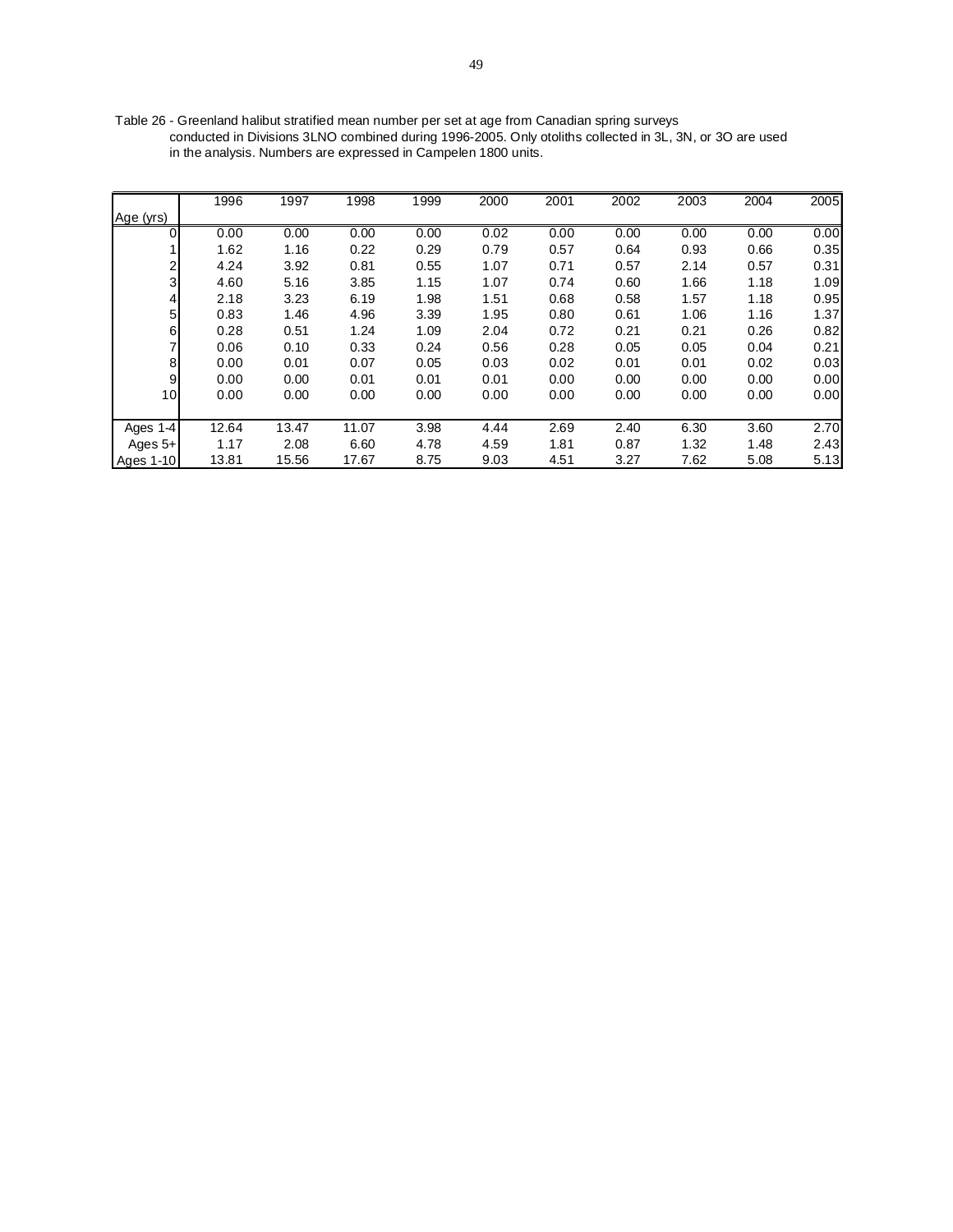Table 26 - Greenland halibut stratified mean number per set at age from Canadian spring surveys conducted in Divisions 3LNO combined during 1996-2005. Only otoliths collected in 3L, 3N, or 3O are used in the analysis. Numbers are expressed in Campelen 1800 units.

|                  | 1996  | 1997  | 1998  | 1999 | 2000 | 2001 | 2002 | 2003 | 2004 | 2005 |
|------------------|-------|-------|-------|------|------|------|------|------|------|------|
| Age (yrs)        |       |       |       |      |      |      |      |      |      |      |
| $\overline{0}$   | 0.00  | 0.00  | 0.00  | 0.00 | 0.02 | 0.00 | 0.00 | 0.00 | 0.00 | 0.00 |
|                  | 1.62  | 1.16  | 0.22  | 0.29 | 0.79 | 0.57 | 0.64 | 0.93 | 0.66 | 0.35 |
| $\overline{c}$   | 4.24  | 3.92  | 0.81  | 0.55 | 1.07 | 0.71 | 0.57 | 2.14 | 0.57 | 0.31 |
| 3                | 4.60  | 5.16  | 3.85  | 1.15 | 1.07 | 0.74 | 0.60 | 1.66 | 1.18 | 1.09 |
| 4                | 2.18  | 3.23  | 6.19  | 1.98 | 1.51 | 0.68 | 0.58 | 1.57 | 1.18 | 0.95 |
| 5 <sub>l</sub>   | 0.83  | 1.46  | 4.96  | 3.39 | 1.95 | 0.80 | 0.61 | 1.06 | 1.16 | 1.37 |
| $\,$ 6           | 0.28  | 0.51  | 1.24  | 1.09 | 2.04 | 0.72 | 0.21 | 0.21 | 0.26 | 0.82 |
| $\overline{7}$   | 0.06  | 0.10  | 0.33  | 0.24 | 0.56 | 0.28 | 0.05 | 0.05 | 0.04 | 0.21 |
| 8                | 0.00  | 0.01  | 0.07  | 0.05 | 0.03 | 0.02 | 0.01 | 0.01 | 0.02 | 0.03 |
| 9                | 0.00  | 0.00  | 0.01  | 0.01 | 0.01 | 0.00 | 0.00 | 0.00 | 0.00 | 0.00 |
| 10               | 0.00  | 0.00  | 0.00  | 0.00 | 0.00 | 0.00 | 0.00 | 0.00 | 0.00 | 0.00 |
|                  |       |       |       |      |      |      |      |      |      |      |
| Ages 1-4         | 12.64 | 13.47 | 11.07 | 3.98 | 4.44 | 2.69 | 2.40 | 6.30 | 3.60 | 2.70 |
| Ages 5+          | 1.17  | 2.08  | 6.60  | 4.78 | 4.59 | 1.81 | 0.87 | 1.32 | 1.48 | 2.43 |
| <b>Ages 1-10</b> | 13.81 | 15.56 | 17.67 | 8.75 | 9.03 | 4.51 | 3.27 | 7.62 | 5.08 | 5.13 |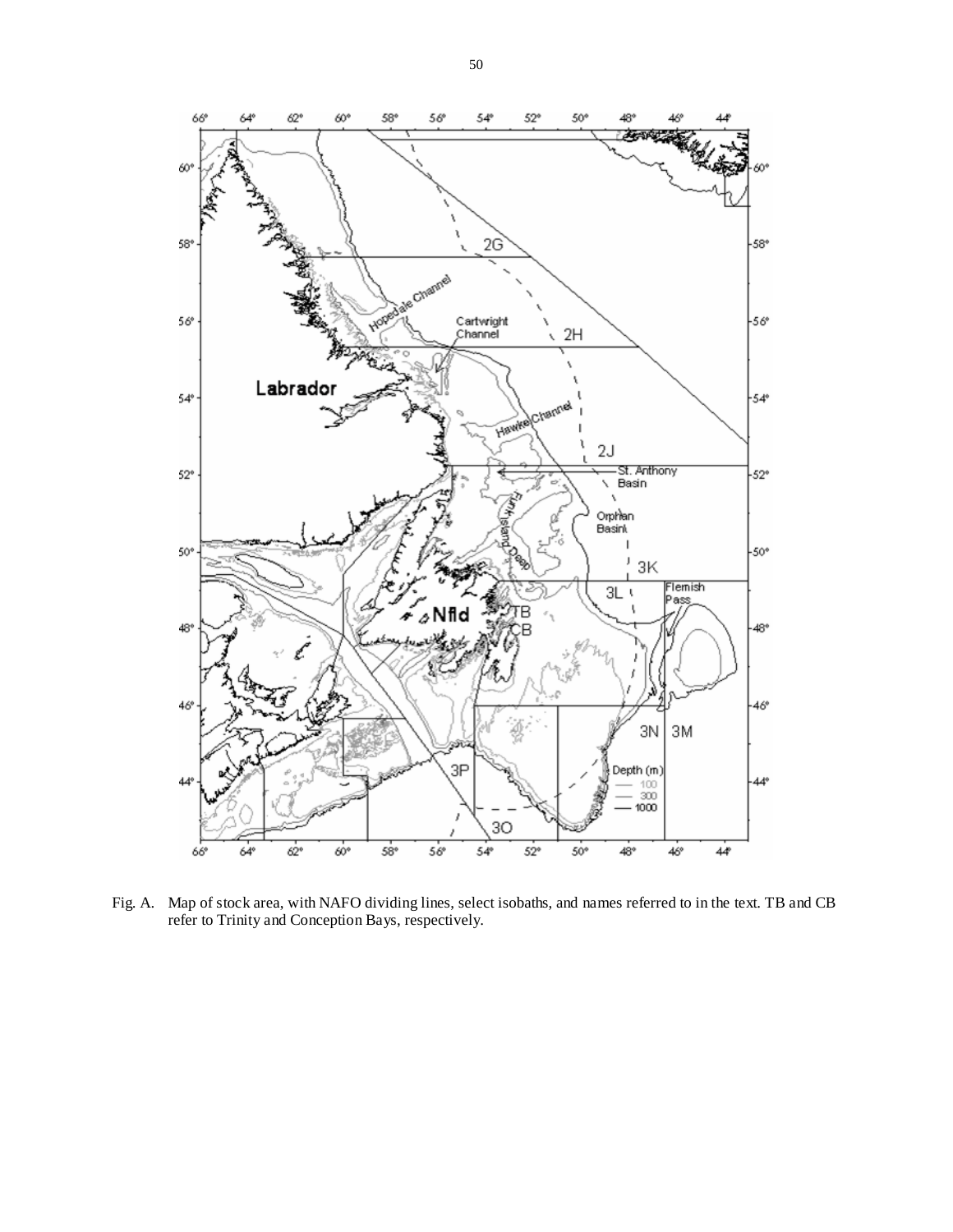

Fig. A. Map of stock area, with NAFO dividing lines, select isobaths, and names referred to in the text. TB and CB refer to Trinity and Conception Bays, respectively.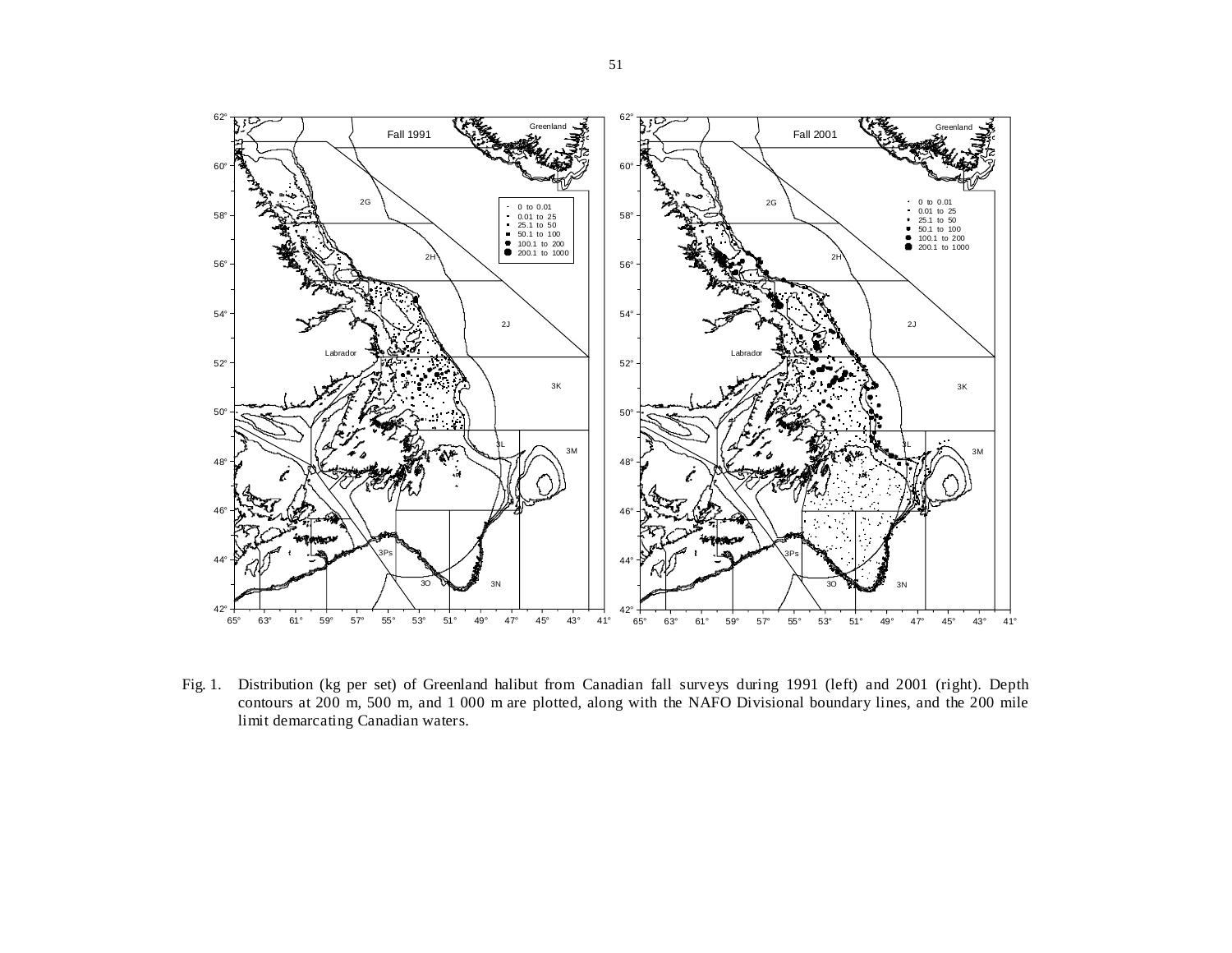

Fig. 1. Distribution (kg per set) of Greenland halibut from Canadian fall surveys during 1991 (left) and 2001 (right). Depth contours at 200 m, 500 m, and 1 000 m are plotted, along with the NAFO Divisional boundary lines, and the 200 mile limit demarcating Canadian waters.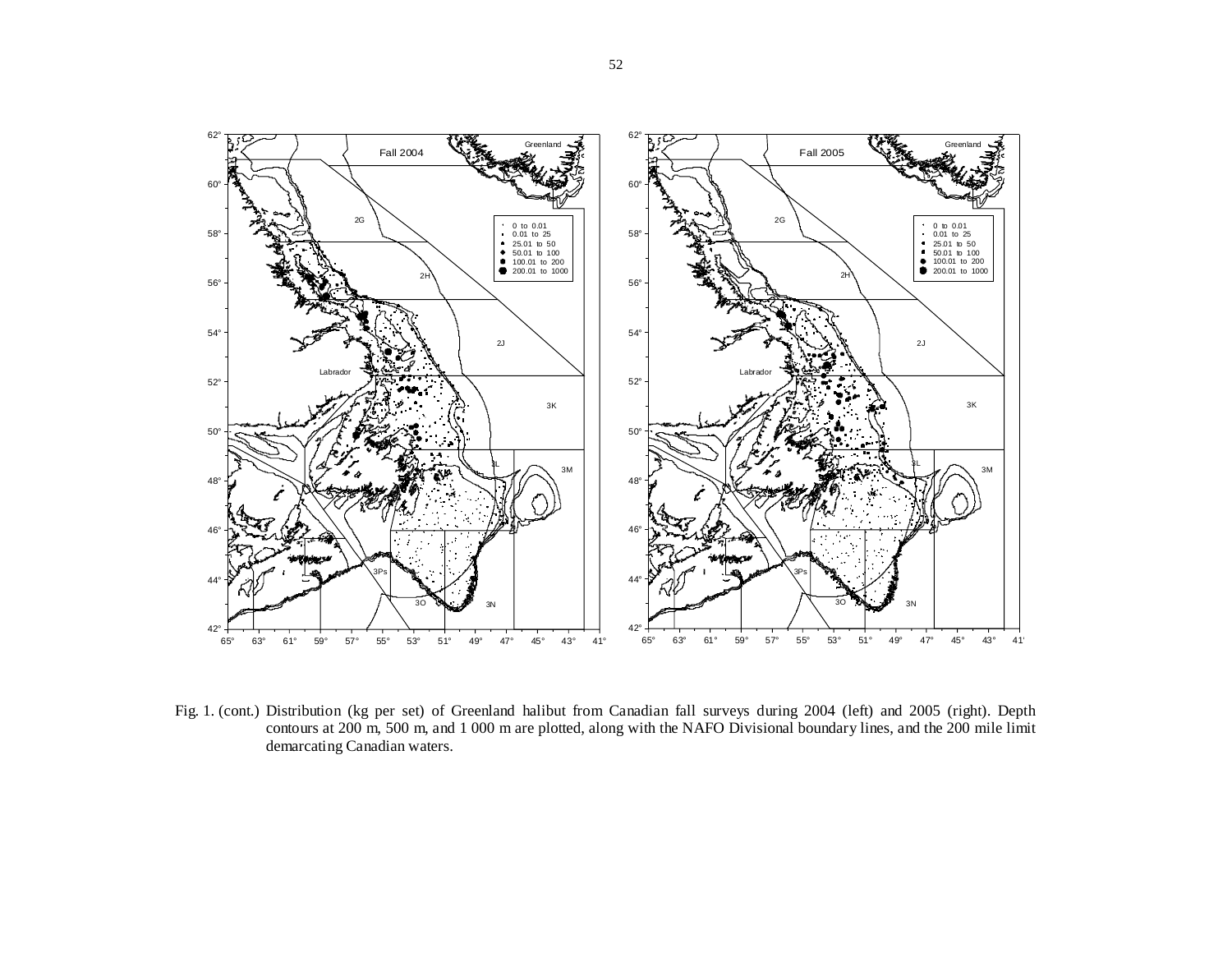

Fig. 1. (cont.) Distribution (kg per set) of Greenland halibut from Canadian fall surveys during 2004 (left) and 2005 (right). Depth contours at 200 m, 500 m, and 1 000 m are plotted, along with the NAFO Divisional boundary lines, and the 200 mile limit demarcating Canadian waters.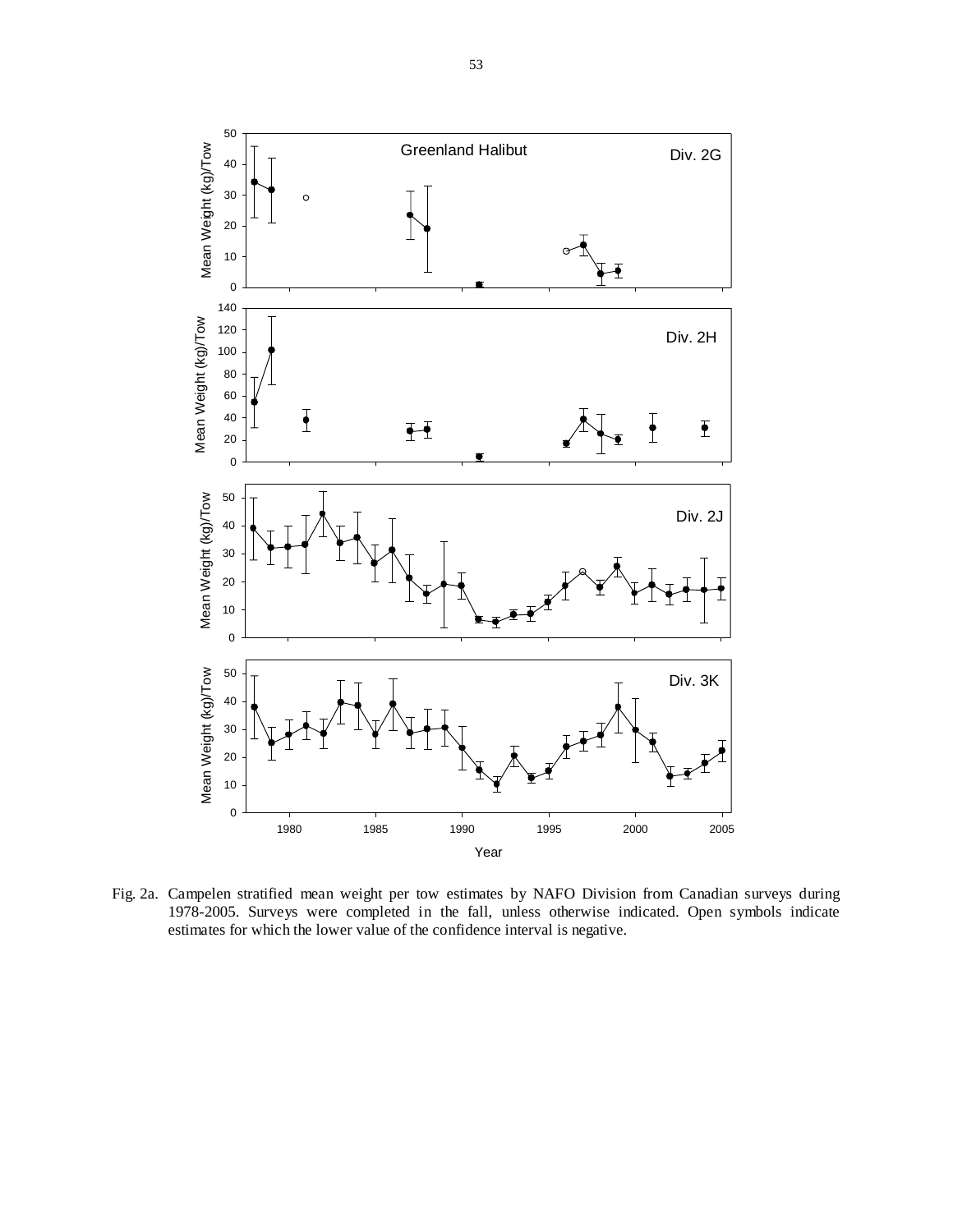

Fig. 2a. Campelen stratified mean weight per tow estimates by NAFO Division from Canadian surveys during 1978-2005. Surveys were completed in the fall, unless otherwise indicated. Open symbols indicate estimates for which the lower value of the confidence interval is negative.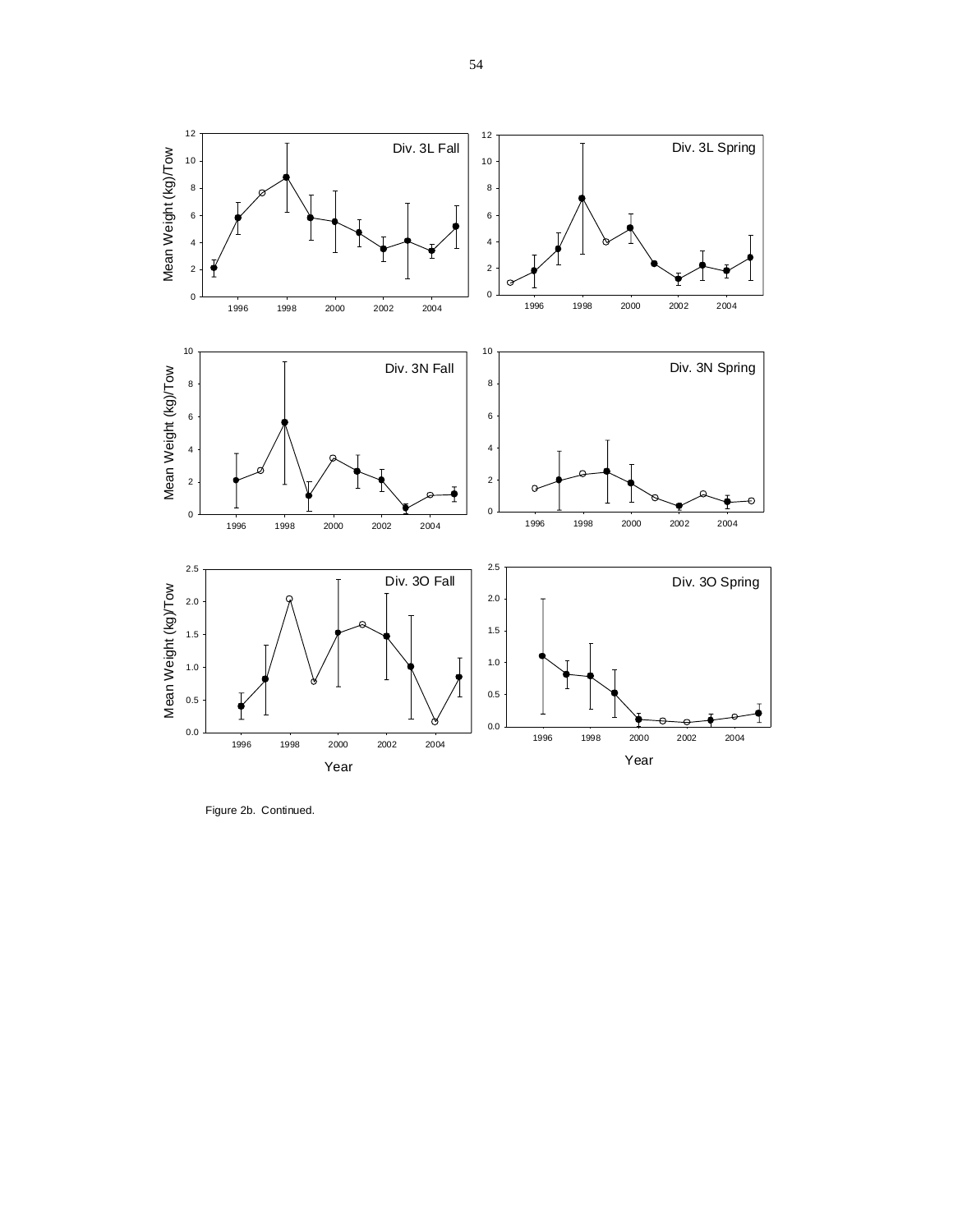



Figure 2b. Continued.

8 10 12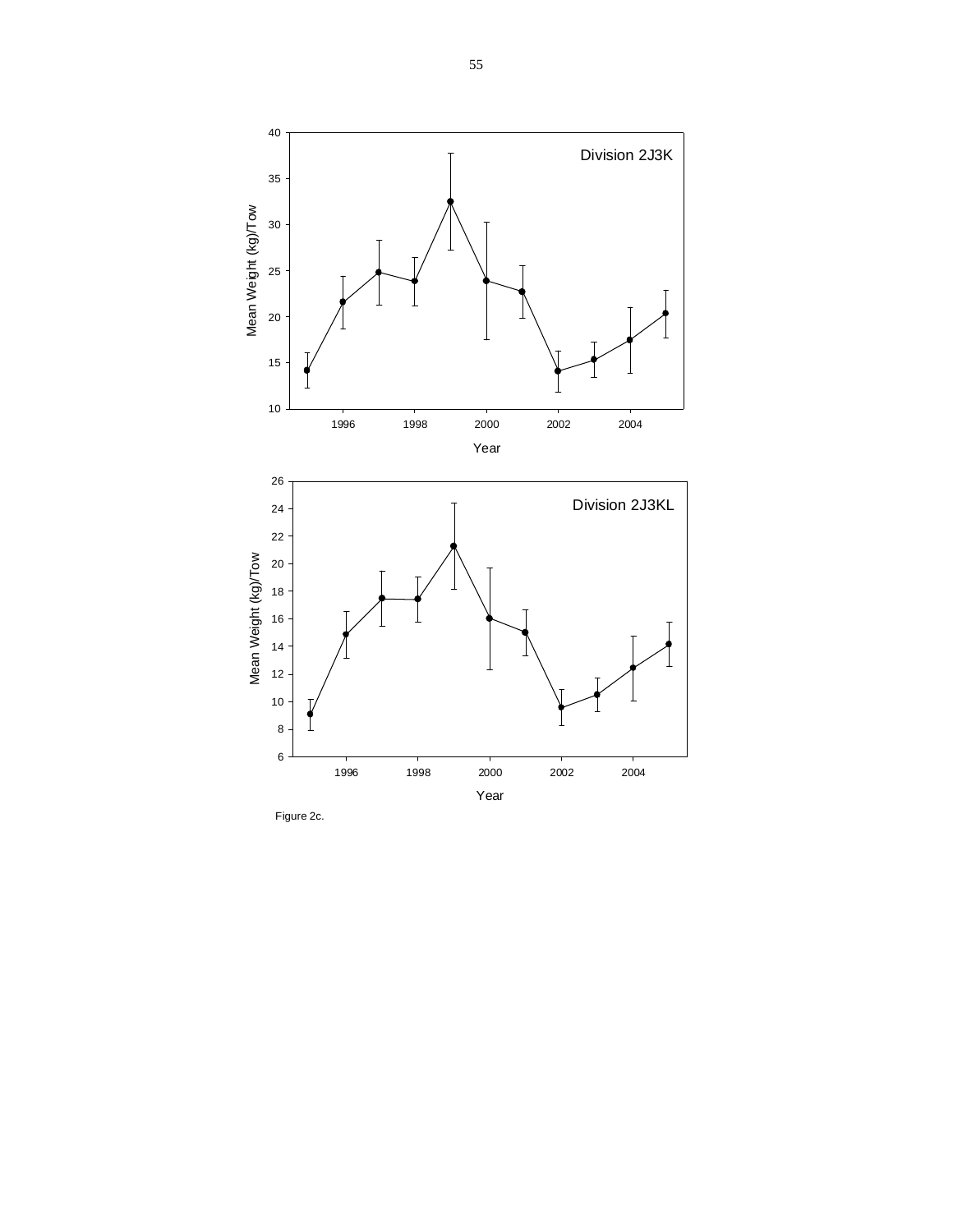

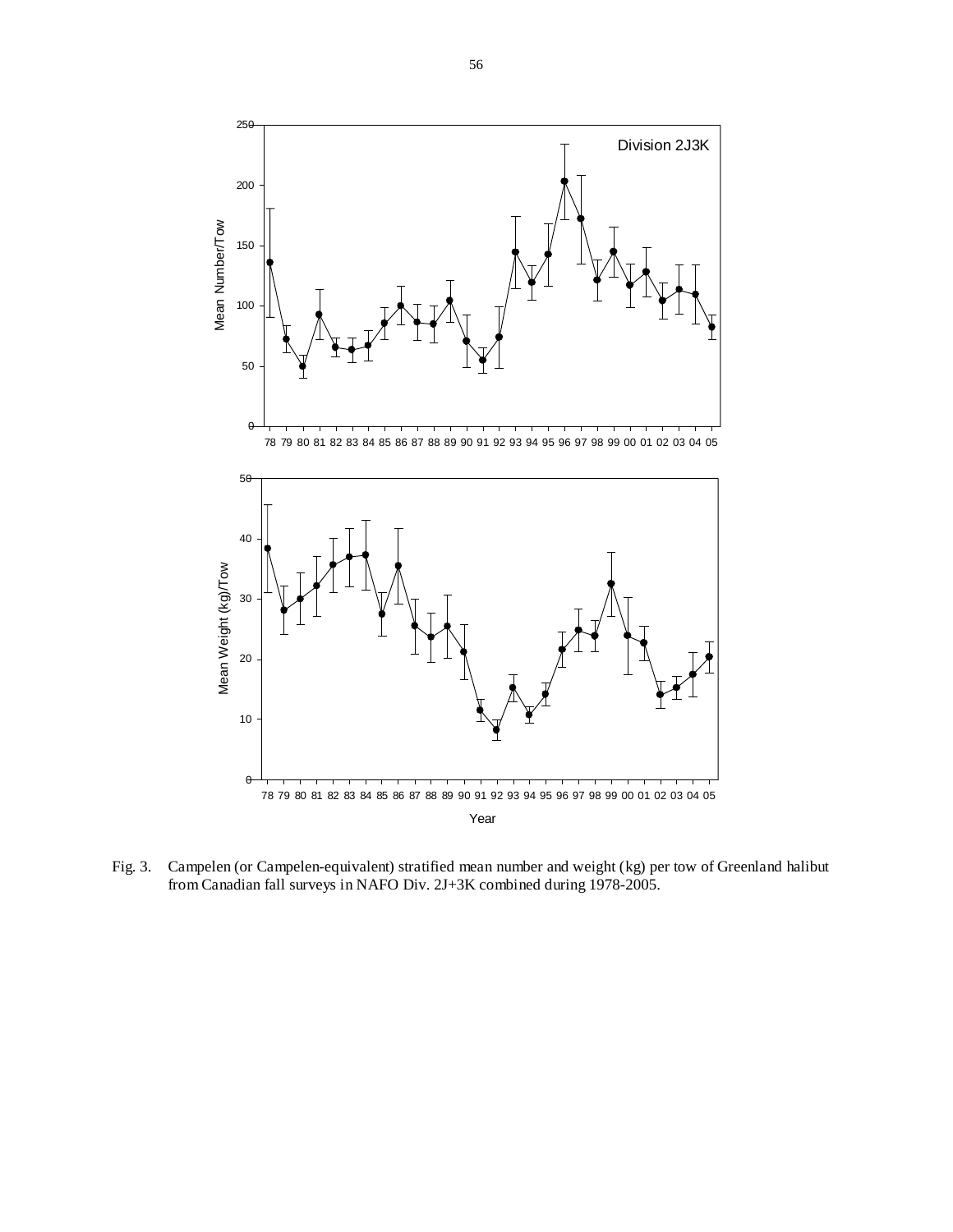

Fig. 3. Campelen (or Campelen-equivalent) stratified mean number and weight (kg) per tow of Greenland halibut from Canadian fall surveys in NAFO Div. 2J+3K combined during 1978-2005.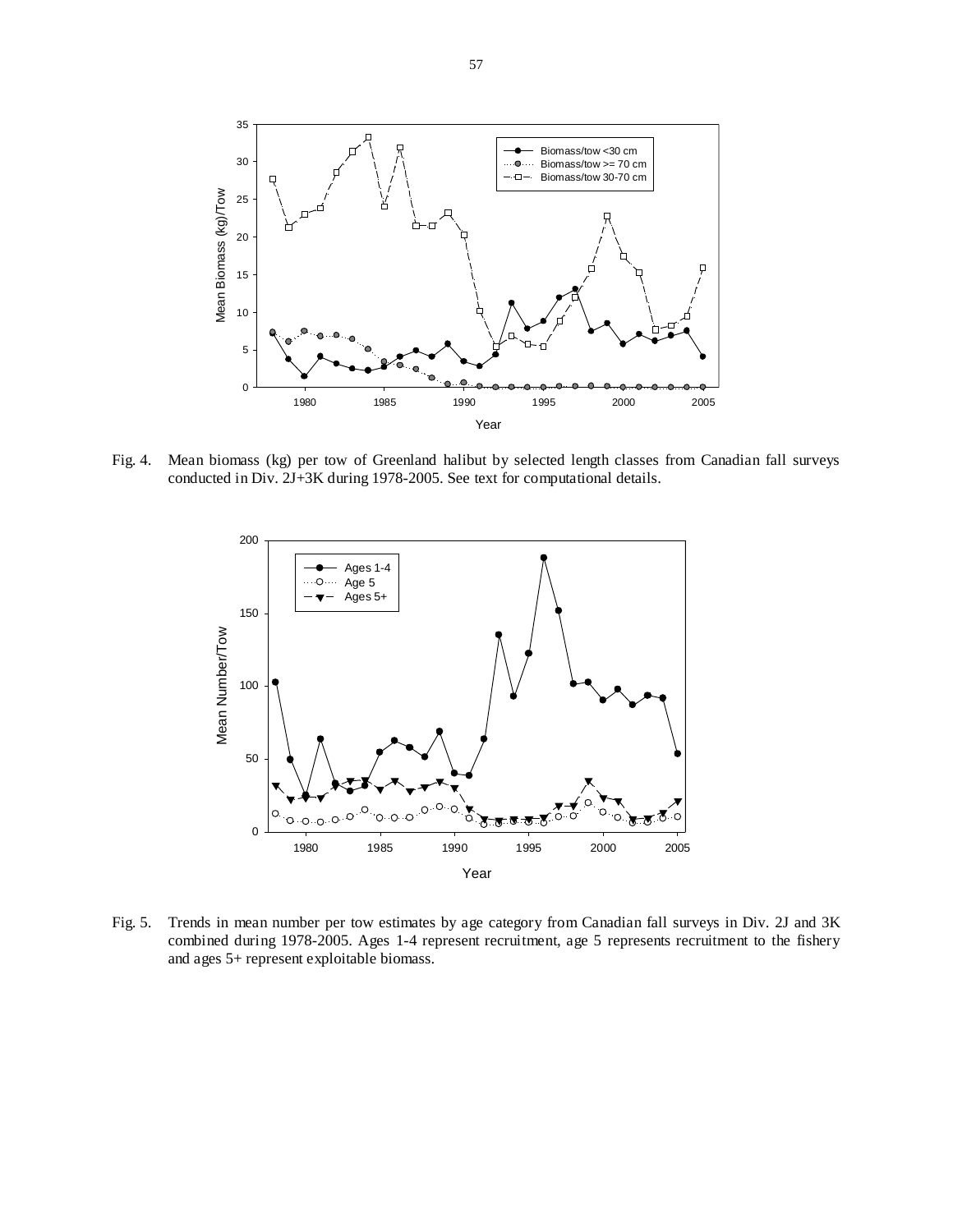

Fig. 4. Mean biomass (kg) per tow of Greenland halibut by selected length classes from Canadian fall surveys conducted in Div. 2J+3K during 1978-2005. See text for computational details.



Fig. 5. Trends in mean number per tow estimates by age category from Canadian fall surveys in Div. 2J and 3K combined during 1978-2005. Ages 1-4 represent recruitment, age 5 represents recruitment to the fishery and ages 5+ represent exploitable biomass.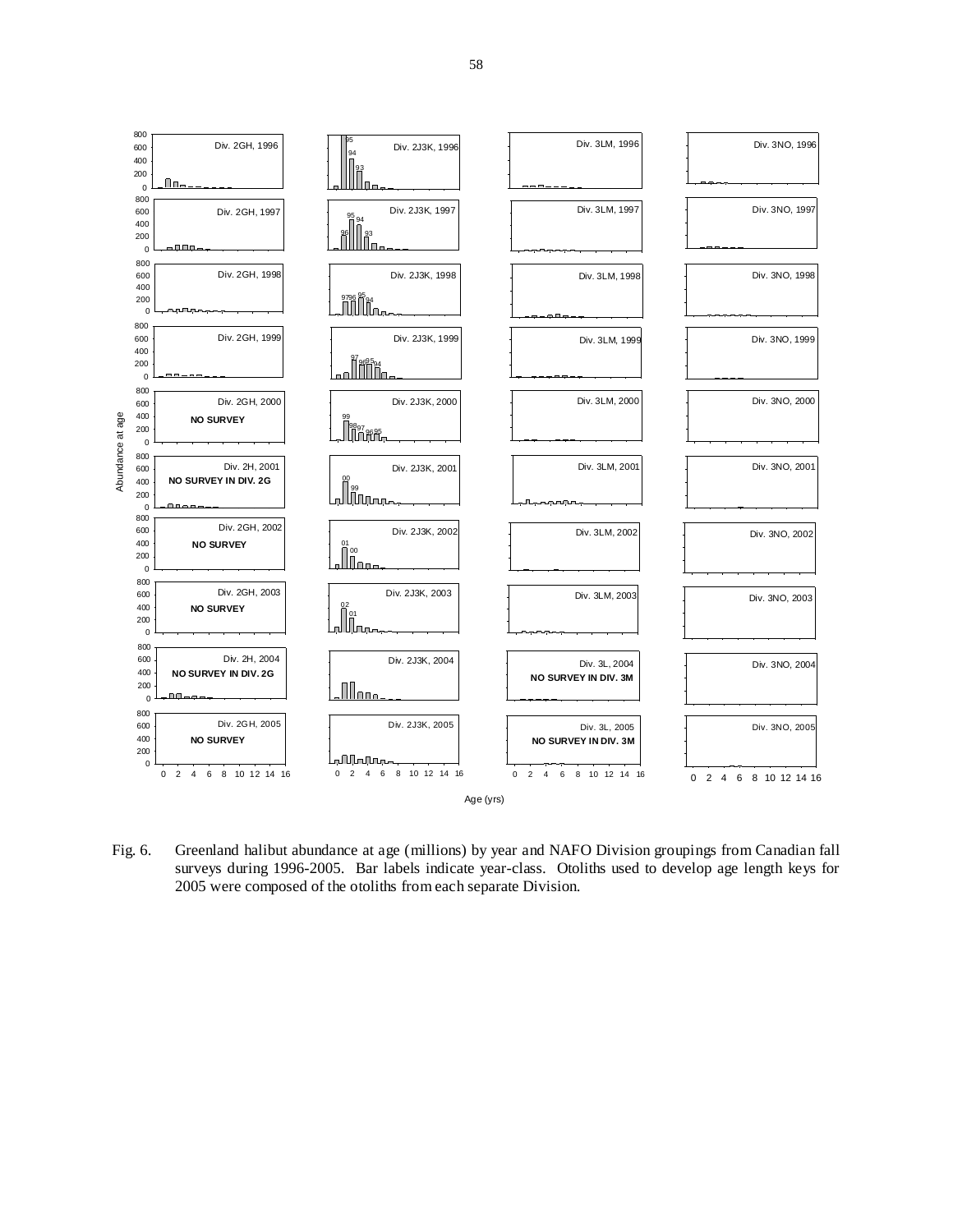

Fig. 6. Greenland halibut abundance at age (millions) by year and NAFO Division groupings from Canadian fall surveys during 1996-2005. Bar labels indicate year-class. Otoliths used to develop age length keys for 2005 were composed of the otoliths from each separate Division.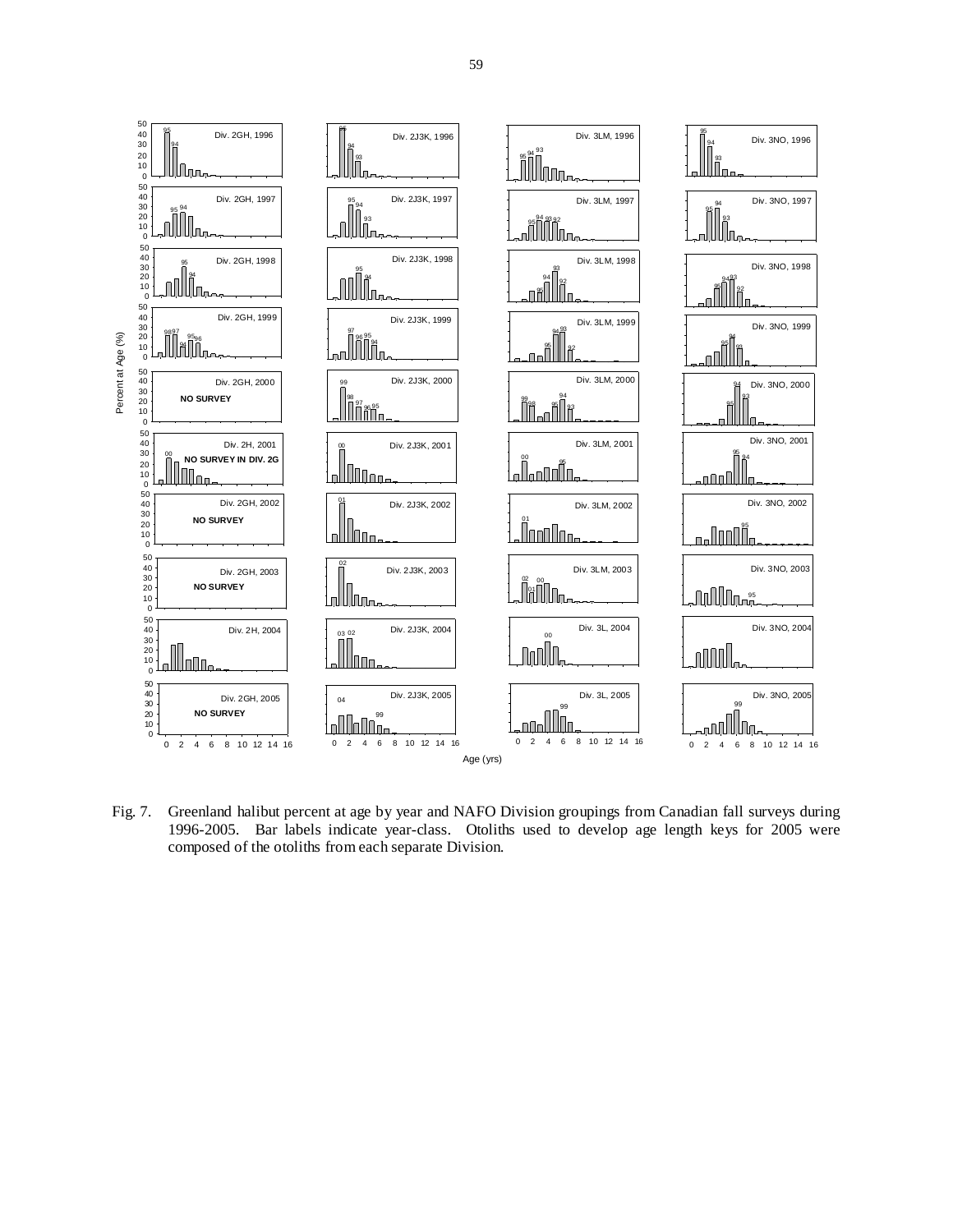

Fig. 7. Greenland halibut percent at age by year and NAFO Division groupings from Canadian fall surveys during 1996-2005. Bar labels indicate year-class. Otoliths used to develop age length keys for 2005 were composed of the otoliths from each separate Division.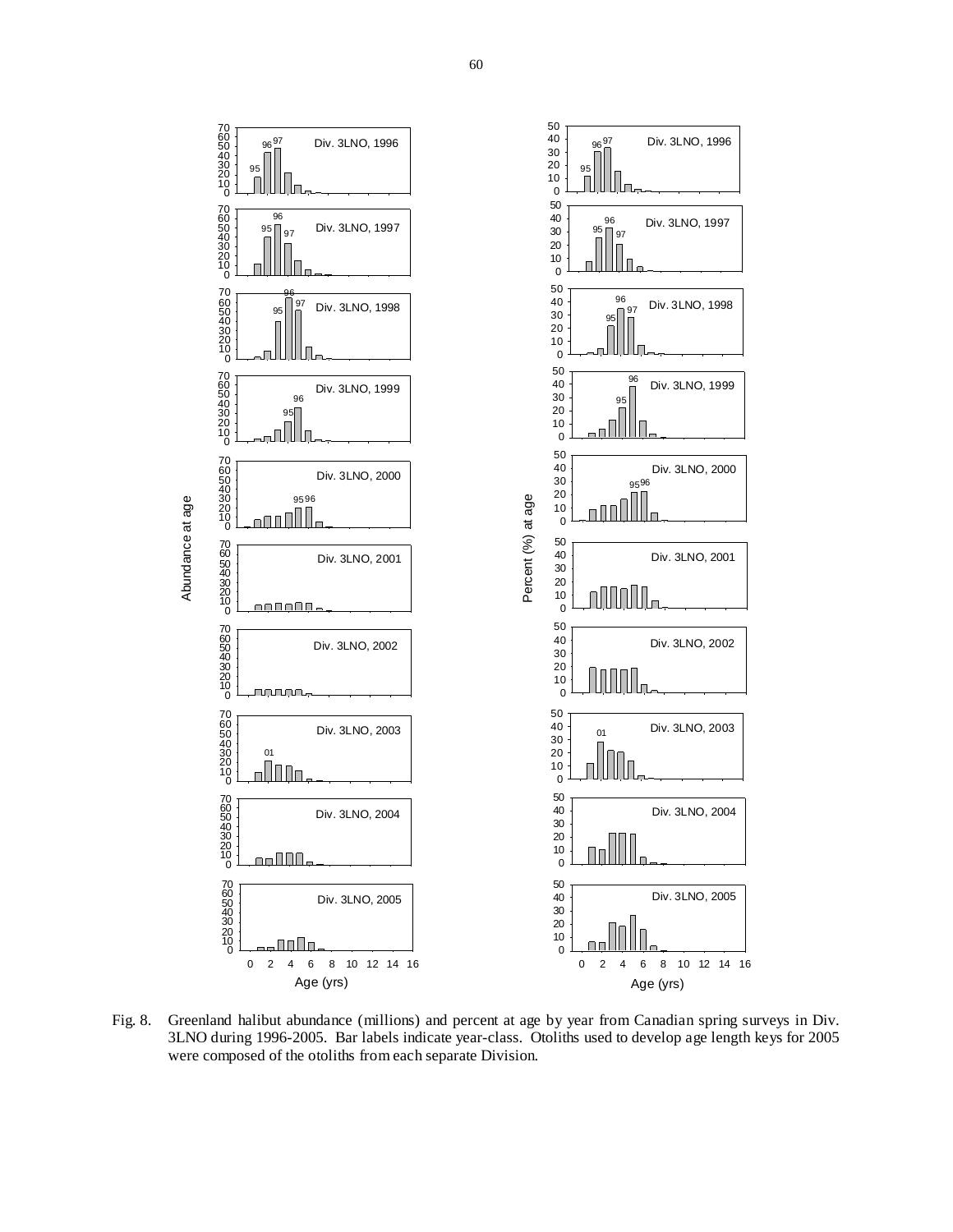

Fig. 8. Greenland halibut abundance (millions) and percent at age by year from Canadian spring surveys in Div. 3LNO during 1996-2005. Bar labels indicate year-class. Otoliths used to develop age length keys for 2005 were composed of the otoliths from each separate Division.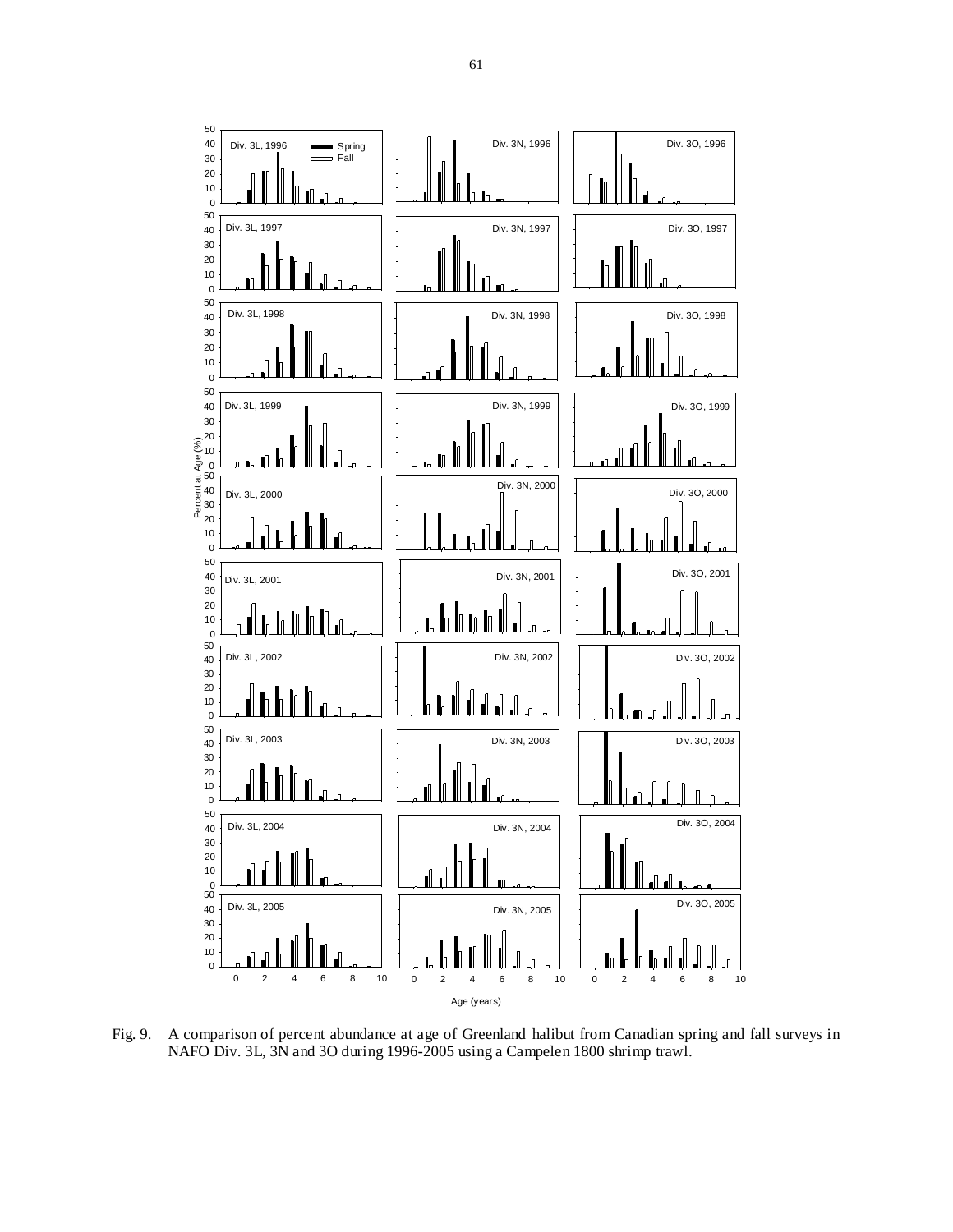

Fig. 9. A comparison of percent abundance at age of Greenland halibut from Canadian spring and fall surveys in NAFO Div. 3L, 3N and 3O during 1996-2005 using a Campelen 1800 shrimp trawl.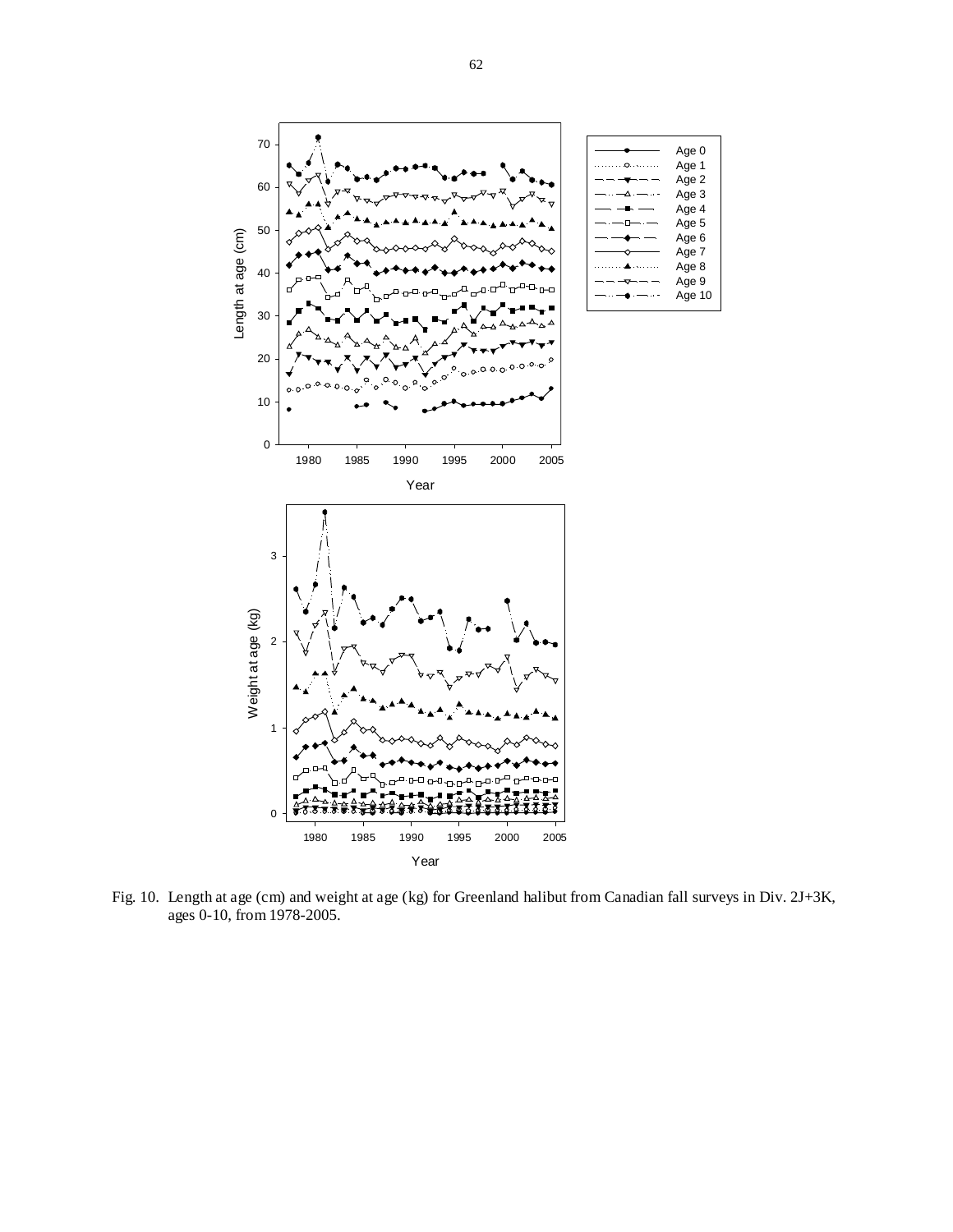

Fig. 10. Length at age (cm) and weight at age (kg) for Greenland halibut from Canadian fall surveys in Div. 2J+3K, ages 0-10, from 1978-2005.